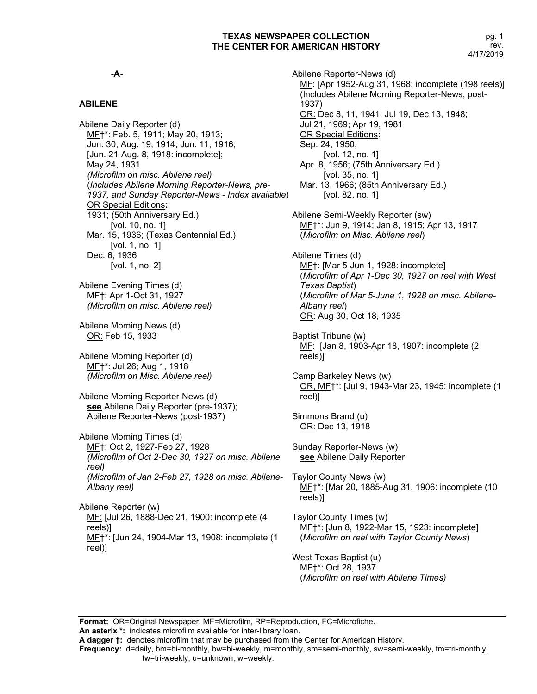#### **-A-**

## **ABILENE**

Abilene Daily Reporter (d) MF†\*: Feb. 5, 1911; May 20, 1913; Jun. 30, Aug. 19, 1914; Jun. 11, 1916; [Jun. 21-Aug. 8, 1918: incomplete]; May 24, 1931 *(Microfilm on misc. Abilene reel)* (*Includes Abilene Morning Reporter-News, pre-1937, and Sunday Reporter-News - Index available*) OR Special Editions**:** 1931; (50th Anniversary Ed.) [vol. 10, no. 1] Mar. 15, 1936; (Texas Centennial Ed.) [vol. 1, no. 1] Dec. 6, 1936 [vol. 1, no. 2] Abilene Evening Times (d) MF†: Apr 1-Oct 31, 1927 *(Microfilm on misc. Abilene reel)* Abilene Morning News (d) OR: Feb 15, 1933

Abilene Morning Reporter (d) MF†\*: Jul 26; Aug 1, 1918 *(Microfilm on Misc. Abilene reel)*

Abilene Morning Reporter-News (d) **see** Abilene Daily Reporter (pre-1937); Abilene Reporter-News (post-1937)

Abilene Morning Times (d) MF†: Oct 2, 1927-Feb 27, 1928 *(Microfilm of Oct 2-Dec 30, 1927 on misc. Abilene reel) (Microfilm of Jan 2-Feb 27, 1928 on misc. Abilene-Albany reel)*

Abilene Reporter (w) MF: [Jul 26, 1888-Dec 21, 1900: incomplete (4 reels)] MF†\*: [Jun 24, 1904-Mar 13, 1908: incomplete (1 reel)]

Abilene Reporter-News (d) MF: [Apr 1952-Aug 31, 1968: incomplete (198 reels)] (Includes Abilene Morning Reporter-News, post-1937) OR: Dec 8, 11, 1941; Jul 19, Dec 13, 1948; Jul 21, 1969; Apr 19, 1981 OR Special Editions**:** Sep. 24, 1950; [vol. 12, no. 1] Apr. 8, 1956; (75th Anniversary Ed.) [vol. 35, no. 1] Mar. 13, 1966; (85th Anniversary Ed.) [vol. 82, no. 1] Abilene Semi-Weekly Reporter (sw) MF<sup>+\*</sup>: Jun 9, 1914; Jan 8, 1915; Apr 13, 1917

(*Microfilm on Misc. Abilene reel*) Abilene Times (d) MF†: [Mar 5-Jun 1, 1928: incomplete] (*Microfilm of Apr 1-Dec 30, 1927 on reel with West Texas Baptist*)

(*Microfilm of Mar 5-June 1, 1928 on misc. Abilene-Albany reel*) OR: Aug 30, Oct 18, 1935

Baptist Tribune (w) MF: [Jan 8, 1903-Apr 18, 1907: incomplete (2 reels)]

Camp Barkeley News (w) OR, MF†\*: [Jul 9, 1943-Mar 23, 1945: incomplete (1 reel)]

Simmons Brand (u) OR: Dec 13, 1918

Sunday Reporter-News (w) **see** Abilene Daily Reporter

Taylor County News (w) MF†\*: [Mar 20, 1885-Aug 31, 1906: incomplete (10 reels)]

Taylor County Times (w) MF†\*: [Jun 8, 1922-Mar 15, 1923: incomplete] (*Microfilm on reel with Taylor County News*)

West Texas Baptist (u) MF†\*: Oct 28, 1937 (*Microfilm on reel with Abilene Times)*

**Format:** OR=Original Newspaper, MF=Microfilm, RP=Reproduction, FC=Microfiche. **An asterix \*:** indicates microfilm available for inter-library loan.

**A dagger †:** denotes microfilm that may be purchased from the Center for American History.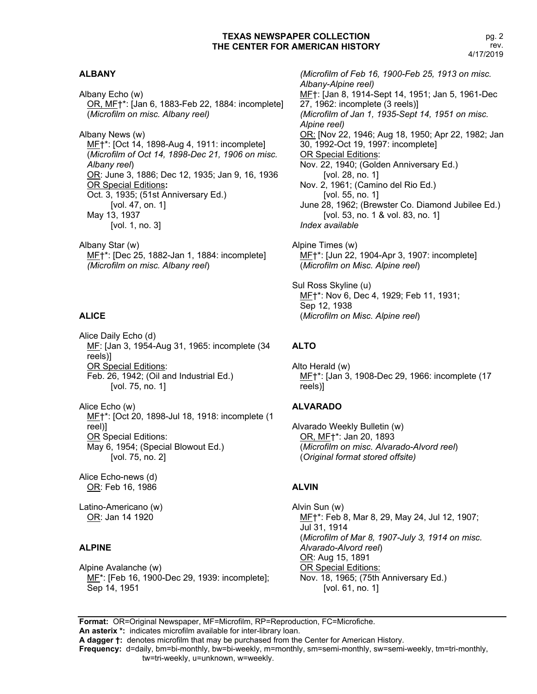#### **ALBANY**

Albany Echo (w) OR, MF†\*: [Jan 6, 1883-Feb 22, 1884: incomplete] (*Microfilm on misc. Albany reel)*

Albany News (w) ME†\*: [Oct 14, 1898-Aug 4, 1911: incomplete] (*Microfilm of Oct 14, 1898-Dec 21, 1906 on misc. Albany reel*) OR: June 3, 1886; Dec 12, 1935; Jan 9, 16, 1936 OR Special Editions**:** Oct. 3, 1935; (51st Anniversary Ed.) [vol. 47, on. 1] May 13, 1937 [vol. 1, no. 3]

Albany Star (w) MF†\*: [Dec 25, 1882-Jan 1, 1884: incomplete] *(Microfilm on misc. Albany reel*)

#### **ALICE**

Alice Daily Echo (d) MF: [Jan 3, 1954-Aug 31, 1965: incomplete (34 reels)] OR Special Editions: Feb. 26, 1942; (Oil and Industrial Ed.) [vol. 75, no. 1]

Alice Echo (w) MF†\*: [Oct 20, 1898-Jul 18, 1918: incomplete (1 reel)] OR Special Editions: May 6, 1954; (Special Blowout Ed.) [vol. 75, no. 2]

Alice Echo-news (d) OR: Feb 16, 1986

Latino-Americano (w) OR: Jan 14 1920

#### **ALPINE**

Alpine Avalanche (w) ME<sup>\*</sup>: [Feb 16, 1900-Dec 29, 1939: incomplete]; Sep 14, 1951

*(Microfilm of Feb 16, 1900-Feb 25, 1913 on misc. Albany-Alpine reel)* MF†: [Jan 8, 1914-Sept 14, 1951; Jan 5, 1961-Dec 27, 1962: incomplete (3 reels)] *(Microfilm of Jan 1, 1935-Sept 14, 1951 on misc. Alpine reel)* OR: [Nov 22, 1946; Aug 18, 1950; Apr 22, 1982; Jan 30, 1992-Oct 19, 1997: incomplete] OR Special Editions: Nov. 22, 1940; (Golden Anniversary Ed.) [vol. 28, no. 1] Nov. 2, 1961; (Camino del Rio Ed.) [vol. 55, no. 1] June 28, 1962; (Brewster Co. Diamond Jubilee Ed.) [vol. 53, no. 1 & vol. 83, no. 1] *Index available* Alpine Times (w)

MF†\*: [Jun 22, 1904-Apr 3, 1907: incomplete] (*Microfilm on Misc. Alpine reel*)

Sul Ross Skyline (u) MF†\*: Nov 6, Dec 4, 1929; Feb 11, 1931; Sep 12, 1938 (*Microfilm on Misc. Alpine reel*)

#### **ALTO**

Alto Herald (w) MF†\*: [Jan 3, 1908-Dec 29, 1966: incomplete (17 reels)]

#### **ALVARADO**

Alvarado Weekly Bulletin (w) OR, MF†\*: Jan 20, 1893 (*Microfilm on misc. Alvarado-Alvord reel*) (*Original format stored offsite)*

#### **ALVIN**

Alvin Sun (w) MF†\*: Feb 8, Mar 8, 29, May 24, Jul 12, 1907; Jul 31, 1914 (*Microfilm of Mar 8, 1907-July 3, 1914 on misc. Alvarado-Alvord reel*) OR: Aug 15, 1891 OR Special Editions: Nov. 18, 1965; (75th Anniversary Ed.) [vol. 61, no. 1]

**Format:** OR=Original Newspaper, MF=Microfilm, RP=Reproduction, FC=Microfiche. **An asterix \*:** indicates microfilm available for inter-library loan.

**A dagger †:** denotes microfilm that may be purchased from the Center for American History.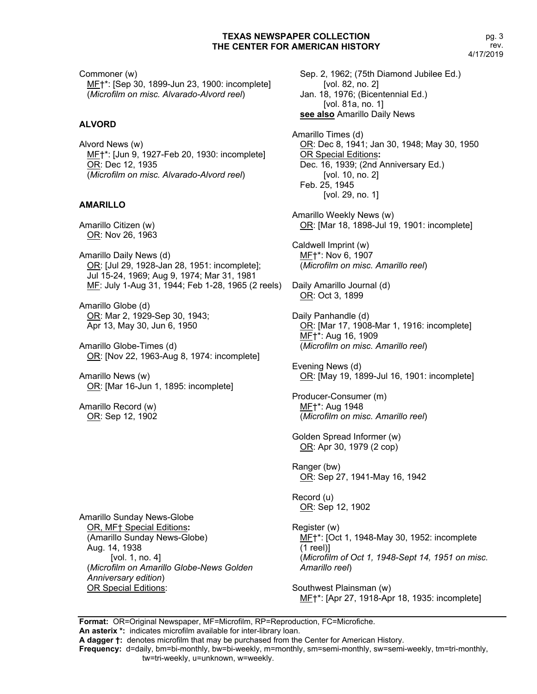Commoner (w) MF†\*: [Sep 30, 1899-Jun 23, 1900: incomplete] (*Microfilm on misc. Alvarado-Alvord reel*)

## **ALVORD**

Alvord News (w) MF†\*: [Jun 9, 1927-Feb 20, 1930: incomplete] OR: Dec 12, 1935 (*Microfilm on misc. Alvarado-Alvord reel*)

## **AMARILLO**

Amarillo Citizen (w) OR: Nov 26, 1963

Amarillo Daily News (d) OR: [Jul 29, 1928-Jan 28, 1951: incomplete]; Jul 15-24, 1969; Aug 9, 1974; Mar 31, 1981 ME: July 1-Aug 31, 1944; Feb 1-28, 1965 (2 reels) Daily Amarillo Journal (d)

Amarillo Globe (d) OR: Mar 2, 1929-Sep 30, 1943; Apr 13, May 30, Jun 6, 1950

Amarillo Globe-Times (d) OR: [Nov 22, 1963-Aug 8, 1974: incomplete]

Amarillo News (w) OR: [Mar 16-Jun 1, 1895: incomplete]

Amarillo Record (w) OR: Sep 12, 1902

Amarillo Sunday News-Globe OR, MF† Special Editions**:** (Amarillo Sunday News-Globe) Aug. 14, 1938 [vol. 1, no. 4] (*Microfilm on Amarillo Globe-News Golden Anniversary edition*) OR Special Editions:

Sep. 2, 1962; (75th Diamond Jubilee Ed.) [vol. 82, no. 2] Jan. 18, 1976; (Bicentennial Ed.) [vol. 81a, no. 1] **see also** Amarillo Daily News

Amarillo Times (d) OR: Dec 8, 1941; Jan 30, 1948; May 30, 1950 OR Special Editions**:** Dec. 16, 1939; (2nd Anniversary Ed.) [vol. 10, no. 2] Feb. 25, 1945 [vol. 29, no. 1]

Amarillo Weekly News (w) OR: [Mar 18, 1898-Jul 19, 1901: incomplete]

Caldwell Imprint (w) MF†\*: Nov 6, 1907 (*Microfilm on misc. Amarillo reel*)

OR: Oct 3, 1899

Daily Panhandle (d) OR: [Mar 17, 1908-Mar 1, 1916: incomplete] MF†\*: Aug 16, 1909 (*Microfilm on misc. Amarillo reel*)

Evening News (d) OR: [May 19, 1899-Jul 16, 1901: incomplete]

Producer-Consumer (m) MF†\*: Aug 1948 (*Microfilm on misc. Amarillo reel*)

Golden Spread Informer (w) OR: Apr 30, 1979 (2 cop)

Ranger (bw) OR: Sep 27, 1941-May 16, 1942

Record (u) OR: Sep 12, 1902

Register (w) ME<sup>+\*</sup>: [Oct 1, 1948-May 30, 1952: incomplete (1 reel)] (*Microfilm of Oct 1, 1948-Sept 14, 1951 on misc. Amarillo reel*)

Southwest Plainsman (w) MF†\*: [Apr 27, 1918-Apr 18, 1935: incomplete]

**Format:** OR=Original Newspaper, MF=Microfilm, RP=Reproduction, FC=Microfiche. **An asterix \*:** indicates microfilm available for inter-library loan.

**A dagger †:** denotes microfilm that may be purchased from the Center for American History.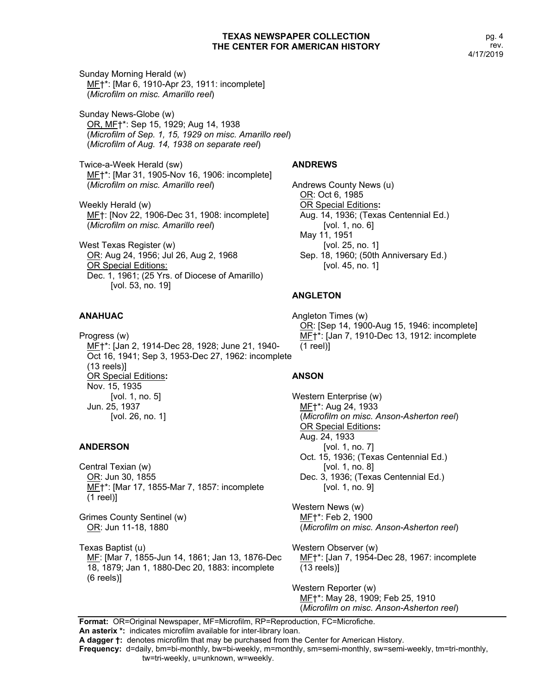Sunday Morning Herald (w) MF†\*: [Mar 6, 1910-Apr 23, 1911: incomplete] (*Microfilm on misc. Amarillo reel*)

Sunday News-Globe (w) OR, MF†\*: Sep 15, 1929; Aug 14, 1938 (*Microfilm of Sep. 1, 15, 1929 on misc. Amarillo reel*) (*Microfilm of Aug. 14, 1938 on separate reel*)

Twice-a-Week Herald (sw) MF†\*: [Mar 31, 1905-Nov 16, 1906: incomplete] (*Microfilm on misc. Amarillo reel*)

Weekly Herald (w) MF†: [Nov 22, 1906-Dec 31, 1908: incomplete] (*Microfilm on misc. Amarillo reel*)

West Texas Register (w) OR: Aug 24, 1956; Jul 26, Aug 2, 1968 OR Special Editions: Dec. 1, 1961; (25 Yrs. of Diocese of Amarillo) [vol. 53, no. 19]

# **ANAHUAC**

Progress (w) MF†\*: [Jan 2, 1914-Dec 28, 1928; June 21, 1940- Oct 16, 1941; Sep 3, 1953-Dec 27, 1962: incomplete (13 reels)] OR Special Editions**:** Nov. 15, 1935 [vol. 1, no. 5] Jun. 25, 1937 [vol. 26, no. 1]

# **ANDERSON**

Central Texian (w) OR: Jun 30, 1855 ME<sup>+\*</sup>: [Mar 17, 1855-Mar 7, 1857: incomplete (1 reel)]

Grimes County Sentinel (w) OR: Jun 11-18, 1880

Texas Baptist (u) MF: [Mar 7, 1855-Jun 14, 1861; Jan 13, 1876-Dec 18, 1879; Jan 1, 1880-Dec 20, 1883: incomplete (6 reels)]

## **ANDREWS**

Andrews County News (u) OR: Oct 6, 1985 OR Special Editions**:** Aug. 14, 1936; (Texas Centennial Ed.) [vol. 1, no. 6] May 11, 1951 [vol. 25, no. 1] Sep. 18, 1960; (50th Anniversary Ed.) [vol. 45, no. 1]

# **ANGLETON**

Angleton Times (w) OR: [Sep 14, 1900-Aug 15, 1946: incomplete] MF†\*: [Jan 7, 1910-Dec 13, 1912: incomplete (1 reel)]

## **ANSON**

Western Enterprise (w) MF†\*: Aug 24, 1933 (*Microfilm on misc. Anson-Asherton reel*) OR Special Editions**:** Aug. 24, 1933 [vol. 1, no. 7] Oct. 15, 1936; (Texas Centennial Ed.) [vol. 1, no. 8] Dec. 3, 1936; (Texas Centennial Ed.) [vol. 1, no. 9]

Western News (w) MF†\*: Feb 2, 1900 (*Microfilm on misc. Anson-Asherton reel*)

Western Observer (w) MF†\*: [Jan 7, 1954-Dec 28, 1967: incomplete (13 reels)]

Western Reporter (w) MF†\*: May 28, 1909; Feb 25, 1910 (*Microfilm on misc. Anson-Asherton reel*)

**Format:** OR=Original Newspaper, MF=Microfilm, RP=Reproduction, FC=Microfiche. **An asterix \*:** indicates microfilm available for inter-library loan.

**A dagger †:** denotes microfilm that may be purchased from the Center for American History.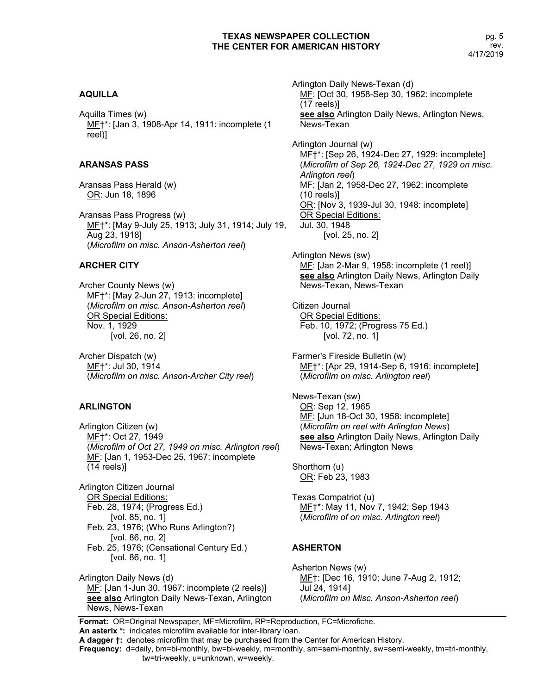# **AQUILLA**

Aquilla Times (w) MF†\*: [Jan 3, 1908-Apr 14, 1911: incomplete (1 reel)]

## **ARANSAS PASS**

Aransas Pass Herald (w) OR: Jun 18, 1896

Aransas Pass Progress (w) MF†\*: [May 9-July 25, 1913; July 31, 1914; July 19, Aug 23, 1918] (*Microfilm on misc. Anson-Asherton reel*)

# **ARCHER CITY**

Archer County News (w) ME<sup>+\*:</sup> [May 2-Jun 27, 1913: incomplete] (*Microfilm on misc. Anson-Asherton reel*) OR Special Editions: Nov. 1, 1929 [vol. 26, no. 2]

Archer Dispatch (w) MF†\*: Jul 30, 1914 (*Microfilm on misc. Anson-Archer City reel*)

## **ARLINGTON**

Arlington Citizen (w) MF†\*: Oct 27, 1949 (*Microfilm of Oct 27, 1949 on misc. Arlington reel*) ME: [Jan 1, 1953-Dec 25, 1967: incomplete (14 reels)]

Arlington Citizen Journal OR Special Editions: Feb. 28, 1974; (Progress Ed.) [vol. 85, no. 1] Feb. 23, 1976; (Who Runs Arlington?) [vol. 86, no. 2] Feb. 25, 1976; (Censational Century Ed.) [vol. 86, no. 1]

Arlington Daily News (d) MF: [Jan 1-Jun 30, 1967: incomplete (2 reels)] **see also** Arlington Daily News-Texan, Arlington News, News-Texan

MF: [Oct 30, 1958-Sep 30, 1962: incomplete (17 reels)] **see also** Arlington Daily News, Arlington News, News-Texan Arlington Journal (w) ME<sup>+</sup>\*: [Sep 26, 1924-Dec 27, 1929: incomplete] (*Microfilm of Sep 26, 1924-Dec 27, 1929 on misc. Arlington reel*) MF: [Jan 2, 1958-Dec 27, 1962: incomplete (10 reels)] OR: [Nov 3, 1939-Jul 30, 1948: incomplete] OR Special Editions: Jul. 30, 1948 [vol. 25, no. 2]

Arlington Daily News-Texan (d)

Arlington News (sw) MF: [Jan 2-Mar 9, 1958: incomplete (1 reel)] **see also** Arlington Daily News, Arlington Daily News-Texan, News-Texan

Citizen Journal OR Special Editions: Feb. 10, 1972; (Progress 75 Ed.) [vol. 72, no. 1]

Farmer's Fireside Bulletin (w) MF†\*: [Apr 29, 1914-Sep 6, 1916: incomplete] (*Microfilm on misc. Arlington reel*)

News-Texan (sw) OR: Sep 12, 1965 MF: [Jun 18-Oct 30, 1958: incomplete] (*Microfilm on reel with Arlington News*) **see also** Arlington Daily News, Arlington Daily News-Texan; Arlington News

Shorthorn (u) OR: Feb 23, 1983

Texas Compatriot (u) MF†\*: May 11, Nov 7, 1942; Sep 1943 (*Microfilm of on misc. Arlington reel*)

# **ASHERTON**

Asherton News (w) MF†: [Dec 16, 1910; June 7-Aug 2, 1912; Jul 24, 1914] (*Microfilm on Misc. Anson-Asherton reel*)

**Format:** OR=Original Newspaper, MF=Microfilm, RP=Reproduction, FC=Microfiche.

**An asterix \*:** indicates microfilm available for inter-library loan. **A dagger †:** denotes microfilm that may be purchased from the Center for American History.

**Frequency:** d=daily, bm=bi-monthly, bw=bi-weekly, m=monthly, sm=semi-monthly, sw=semi-weekly, tm=tri-monthly,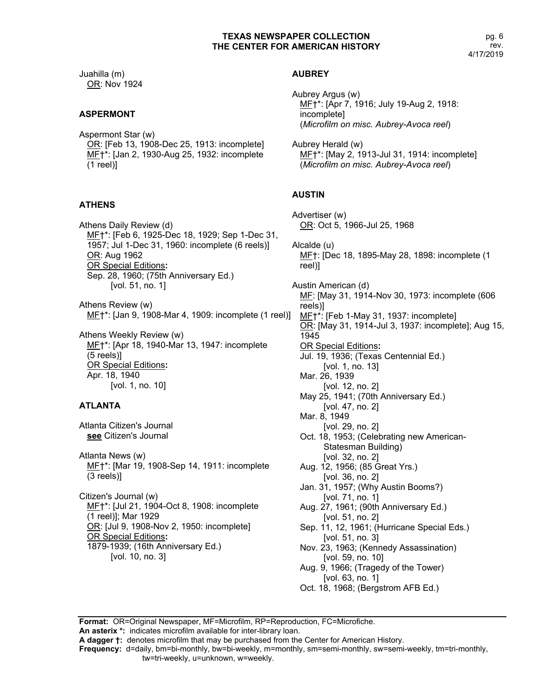Juahilla (m) OR: Nov 1924

#### **ASPERMONT**

Aspermont Star (w) OR: [Feb 13, 1908-Dec 25, 1913: incomplete] ME<sup>+\*</sup>: [Jan 2, 1930-Aug 25, 1932: incomplete (1 reel)]

#### **ATHENS**

Athens Daily Review (d) MF†\*: [Feb 6, 1925-Dec 18, 1929; Sep 1-Dec 31, 1957; Jul 1-Dec 31, 1960: incomplete (6 reels)] OR: Aug 1962 OR Special Editions**:** Sep. 28, 1960; (75th Anniversary Ed.) [vol. 51, no. 1]

Athens Review (w) MF†\*: [Jan 9, 1908-Mar 4, 1909: incomplete (1 reel)]

Athens Weekly Review (w) MF†\*: [Apr 18, 1940-Mar 13, 1947: incomplete (5 reels)] OR Special Editions**:** Apr. 18, 1940 [vol. 1, no. 10]

#### **ATLANTA**

Atlanta Citizen's Journal **see** Citizen's Journal

Atlanta News (w) ME†\*: [Mar 19, 1908-Sep 14, 1911: incomplete (3 reels)]

Citizen's Journal (w) MF†\*: [Jul 21, 1904-Oct 8, 1908: incomplete (1 reel)]; Mar 1929 OR: [Jul 9, 1908-Nov 2, 1950: incomplete] OR Special Editions**:** 1879-1939; (16th Anniversary Ed.) [vol. 10, no. 3]

#### **AUBREY**

Aubrey Argus (w) MF†\*: [Apr 7, 1916; July 19-Aug 2, 1918: incomplete] (*Microfilm on misc. Aubrey-Avoca reel*)

Aubrey Herald (w) MF†\*: [May 2, 1913-Jul 31, 1914: incomplete] (*Microfilm on misc. Aubrey-Avoca reel*)

## **AUSTIN**

Advertiser (w) OR: Oct 5, 1966-Jul 25, 1968 Alcalde (u) MF†: [Dec 18, 1895-May 28, 1898: incomplete (1 reel)] Austin American (d) MF: [May 31, 1914-Nov 30, 1973: incomplete (606 reels)] MF†\*: [Feb 1-May 31, 1937: incomplete] OR: [May 31, 1914-Jul 3, 1937: incomplete]; Aug 15, 1945 OR Special Editions**:** Jul. 19, 1936; (Texas Centennial Ed.) [vol. 1, no. 13] Mar. 26, 1939 [vol. 12, no. 2] May 25, 1941; (70th Anniversary Ed.) [vol. 47, no. 2] Mar. 8, 1949 [vol. 29, no. 2] Oct. 18, 1953; (Celebrating new American-Statesman Building) [vol. 32, no. 2] Aug. 12, 1956; (85 Great Yrs.) [vol. 36, no. 2] Jan. 31, 1957; (Why Austin Booms?) [vol. 71, no. 1] Aug. 27, 1961; (90th Anniversary Ed.) [vol. 51, no. 2] Sep. 11, 12, 1961; (Hurricane Special Eds.) [vol. 51, no. 3] Nov. 23, 1963; (Kennedy Assassination) [vol. 59, no. 10] Aug. 9, 1966; (Tragedy of the Tower) [vol. 63, no. 1] Oct. 18, 1968; (Bergstrom AFB Ed.)

**Format:** OR=Original Newspaper, MF=Microfilm, RP=Reproduction, FC=Microfiche. **An asterix \*:** indicates microfilm available for inter-library loan.

**A dagger †:** denotes microfilm that may be purchased from the Center for American History.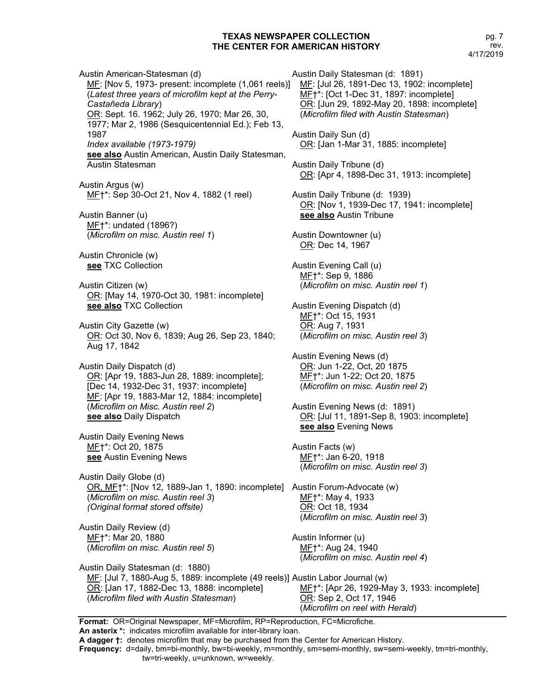Austin American-Statesman (d) MF: [Nov 5, 1973- present: incomplete (1,061 reels)] (*Latest three years of microfilm kept at the Perry-Castañeda Library*) OR: Sept. 16. 1962; July 26, 1970; Mar 26, 30, 1977; Mar 2, 1986 (Sesquicentennial Ed.); Feb 13, 1987 *Index available (1973-1979)* **see also** Austin American, Austin Daily Statesman, Austin Statesman Austin Argus (w)

MF†\*: Sep 30-Oct 21, Nov 4, 1882 (1 reel)

Austin Banner (u) MF†\*: undated (1896?) (*Microfilm on misc. Austin reel 1*)

Austin Chronicle (w) **see** TXC Collection

Austin Citizen (w) OR: [May 14, 1970-Oct 30, 1981: incomplete] **see also** TXC Collection

Austin City Gazette (w) OR: Oct 30, Nov 6, 1839; Aug 26, Sep 23, 1840; Aug 17, 1842

Austin Daily Dispatch (d) OR: [Apr 19, 1883-Jun 28, 1889: incomplete]; [Dec 14, 1932-Dec 31, 1937: incomplete] MF: [Apr 19, 1883-Mar 12, 1884: incomplete] (*Microfilm on Misc. Austin reel 2*) **see also** Daily Dispatch

Austin Daily Evening News ME+\*: Oct 20, 1875 **see** Austin Evening News

Austin Daily Globe (d) OR, MF<sup>+\*:</sup> [Nov 12, 1889-Jan 1, 1890: incomplete] Austin Forum-Advocate (w) (*Microfilm on misc. Austin reel 3*) *(Original format stored offsite)*

Austin Daily Review (d) MF†\*: Mar 20, 1880 (*Microfilm on misc. Austin reel 5*) Austin Daily Statesman (d: 1891) MF: [Jul 26, 1891-Dec 13, 1902: incomplete] MF†\*: [Oct 1-Dec 31, 1897: incomplete] OR: [Jun 29, 1892-May 20, 1898: incomplete] (*Microfilm filed with Austin Statesman*) Austin Daily Sun (d) OR: [Jan 1-Mar 31, 1885: incomplete] Austin Daily Tribune (d) OR: [Apr 4, 1898-Dec 31, 1913: incomplete] Austin Daily Tribune (d: 1939) OR: [Nov 1, 1939-Dec 17, 1941: incomplete] **see also** Austin Tribune Austin Downtowner (u) OR: Dec 14, 1967 Austin Evening Call (u) MF†\*: Sep 9, 1886 (*Microfilm on misc. Austin reel 1*) Austin Evening Dispatch (d) MF†\*: Oct 15, 1931 OR: Aug 7, 1931 (*Microfilm on misc. Austin reel 3*) Austin Evening News (d) OR: Jun 1-22, Oct, 20 1875 MF†\*: Jun 1-22; Oct 20, 1875 (*Microfilm on misc. Austin reel 2*) Austin Evening News (d: 1891) OR: [Jul 11, 1891-Sep 8, 1903: incomplete] **see also** Evening News Austin Facts (w) MF†\*: Jan 6-20, 1918 (*Microfilm on misc. Austin reel 3*) MF†\*: May 4, 1933 OR: Oct 18, 1934 (*Microfilm on misc. Austin reel 3*) Austin Informer (u) MF†\*: Aug 24, 1940 (*Microfilm on misc. Austin reel 4*)

Austin Daily Statesman (d: 1880) ME: [Jul 7, 1880-Aug 5, 1889: incomplete (49 reels)] Austin Labor Journal (w) OR: [Jan 17, 1882-Dec 13, 1888: incomplete] (*Microfilm filed with Austin Statesman*) MF†\*: [Apr 26, 1929-May 3, 1933: incomplete] OR: Sep 2, Oct 17, 1946 (*Microfilm on reel with Herald*)

**Format:** OR=Original Newspaper, MF=Microfilm, RP=Reproduction, FC=Microfiche. **An asterix \*:** indicates microfilm available for inter-library loan. **A dagger †:** denotes microfilm that may be purchased from the Center for American History.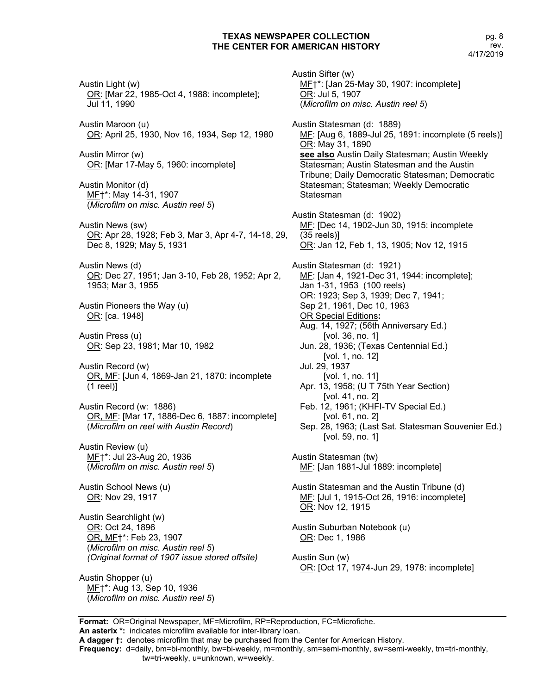Austin Light (w) OR: [Mar 22, 1985-Oct 4, 1988: incomplete]; Jul 11, 1990 Austin Maroon (u) OR: April 25, 1930, Nov 16, 1934, Sep 12, 1980 Austin Mirror (w) OR: [Mar 17-May 5, 1960: incomplete] Austin Monitor (d) MF†\*: May 14-31, 1907 (*Microfilm on misc. Austin reel 5*) Austin News (sw) OR: Apr 28, 1928; Feb 3, Mar 3, Apr 4-7, 14-18, 29, Dec 8, 1929; May 5, 1931 Austin News (d) OR: Dec 27, 1951; Jan 3-10, Feb 28, 1952; Apr 2, 1953; Mar 3, 1955 Austin Pioneers the Way (u) OR: [ca. 1948] Austin Press (u) OR: Sep 23, 1981; Mar 10, 1982 Austin Record (w) OR, MF: [Jun 4, 1869-Jan 21, 1870: incomplete (1 reel)] Austin Record (w: 1886) OR, MF: [Mar 17, 1886-Dec 6, 1887: incomplete] (*Microfilm on reel with Austin Record*) Austin Review (u) MF†\*: Jul 23-Aug 20, 1936 (*Microfilm on misc. Austin reel 5*) Austin School News (u) OR: Nov 29, 1917 Austin Searchlight (w) OR: Oct 24, 1896 OR, MF†\*: Feb 23, 1907 (*Microfilm on misc. Austin reel 5*) *(Original format of 1907 issue stored offsite)* Austin Shopper (u) MF†\*: Aug 13, Sep 10, 1936 (*Microfilm on misc. Austin reel 5*)

Austin Sifter (w) MF†\*: [Jan 25-May 30, 1907: incomplete] OR: Jul 5, 1907 (*Microfilm on misc. Austin reel 5*) Austin Statesman (d: 1889) MF: [Aug 6, 1889-Jul 25, 1891: incomplete (5 reels)] OR: May 31, 1890 **see also** Austin Daily Statesman; Austin Weekly Statesman; Austin Statesman and the Austin Tribune; Daily Democratic Statesman; Democratic Statesman; Statesman; Weekly Democratic **Statesman** Austin Statesman (d: 1902) MF: [Dec 14, 1902-Jun 30, 1915: incomplete (35 reels)] OR: Jan 12, Feb 1, 13, 1905; Nov 12, 1915 Austin Statesman (d: 1921) MF: [Jan 4, 1921-Dec 31, 1944: incomplete]; Jan 1-31, 1953 (100 reels) OR: 1923; Sep 3, 1939; Dec 7, 1941; Sep 21, 1961, Dec 10, 1963 OR Special Editions**:** Aug. 14, 1927; (56th Anniversary Ed.) [vol. 36, no. 1] Jun. 28, 1936; (Texas Centennial Ed.) [vol. 1, no. 12] Jul. 29, 1937 [vol. 1, no. 11] Apr. 13, 1958; (U T 75th Year Section) [vol. 41, no. 2] Feb. 12, 1961; (KHFI-TV Special Ed.) [vol. 61, no. 2] Sep. 28, 1963; (Last Sat. Statesman Souvenier Ed.) [vol. 59, no. 1] Austin Statesman (tw) MF: [Jan 1881-Jul 1889: incomplete] Austin Statesman and the Austin Tribune (d) MF: [Jul 1, 1915-Oct 26, 1916: incomplete] OR: Nov 12, 1915 Austin Suburban Notebook (u) OR: Dec 1, 1986 Austin Sun (w) OR: [Oct 17, 1974-Jun 29, 1978: incomplete]

**Format:** OR=Original Newspaper, MF=Microfilm, RP=Reproduction, FC=Microfiche. **An asterix \*:** indicates microfilm available for inter-library loan.

**Frequency:** d=daily, bm=bi-monthly, bw=bi-weekly, m=monthly, sm=semi-monthly, sw=semi-weekly, tm=tri-monthly,

**A dagger †:** denotes microfilm that may be purchased from the Center for American History.

tw=tri-weekly, u=unknown, w=weekly.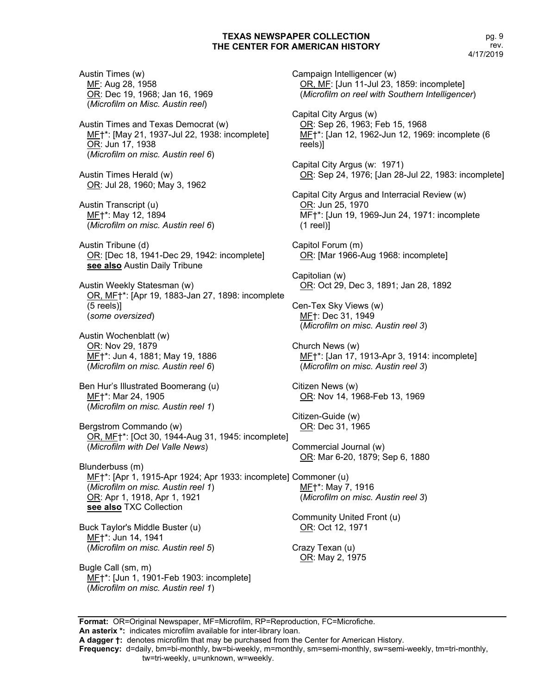Austin Times (w) MF: Aug 28, 1958 OR: Dec 19, 1968; Jan 16, 1969 (*Microfilm on Misc. Austin reel*)

Austin Times and Texas Democrat (w) MF†\*: [May 21, 1937-Jul 22, 1938: incomplete] OR: Jun 17, 1938 (*Microfilm on misc. Austin reel 6*)

Austin Times Herald (w) OR: Jul 28, 1960; May 3, 1962

Austin Transcript (u) MF†\*: May 12, 1894 (*Microfilm on misc. Austin reel 6*)

Austin Tribune (d) OR: [Dec 18, 1941-Dec 29, 1942: incomplete] **see also** Austin Daily Tribune

Austin Weekly Statesman (w) OR, MF†\*: [Apr 19, 1883-Jan 27, 1898: incomplete (5 reels)] (*some oversized*)

Austin Wochenblatt (w) OR: Nov 29, 1879 MF†\*: Jun 4, 1881; May 19, 1886 (*Microfilm on misc. Austin reel 6*)

Ben Hur's Illustrated Boomerang (u) MF†\*: Mar 24, 1905 (*Microfilm on misc. Austin reel 1*)

Bergstrom Commando (w) OR, MF†\*: [Oct 30, 1944-Aug 31, 1945: incomplete] (*Microfilm with Del Valle News*)

Blunderbuss (m) MF†\*: [Apr 1, 1915-Apr 1924; Apr 1933: incomplete] Commoner (u) (*Microfilm on misc. Austin reel 1*) OR: Apr 1, 1918, Apr 1, 1921 **see also** TXC Collection

Buck Taylor's Middle Buster (u) MF†\*: Jun 14, 1941 (*Microfilm on misc. Austin reel 5*)

Bugle Call (sm, m) MF†\*: [Jun 1, 1901-Feb 1903: incomplete] (*Microfilm on misc. Austin reel 1*)

Campaign Intelligencer (w) OR, MF: [Jun 11-Jul 23, 1859: incomplete] (*Microfilm on reel with Southern Intelligencer*) Capital City Argus (w) OR: Sep 26, 1963; Feb 15, 1968 MF†\*: [Jan 12, 1962-Jun 12, 1969: incomplete (6 reels)] Capital City Argus (w: 1971) OR: Sep 24, 1976; [Jan 28-Jul 22, 1983: incomplete] Capital City Argus and Interracial Review (w) OR: Jun 25, 1970 MF†\*: [Jun 19, 1969-Jun 24, 1971: incomplete (1 reel)] Capitol Forum (m) OR: [Mar 1966-Aug 1968: incomplete] Capitolian (w) OR: Oct 29, Dec 3, 1891; Jan 28, 1892 Cen-Tex Sky Views (w) MF†: Dec 31, 1949 (*Microfilm on misc. Austin reel 3*) Church News (w) ME<sup>+\*</sup>: [Jan 17, 1913-Apr 3, 1914: incomplete] (*Microfilm on misc. Austin reel 3*) Citizen News (w) OR: Nov 14, 1968-Feb 13, 1969 Citizen-Guide (w) OR: Dec 31, 1965 Commercial Journal (w) OR: Mar 6-20, 1879; Sep 6, 1880 MF†\*: May 7, 1916 (*Microfilm on misc. Austin reel 3*) Community United Front (u) OR: Oct 12, 1971 Crazy Texan (u) OR: May 2, 1975

**Format:** OR=Original Newspaper, MF=Microfilm, RP=Reproduction, FC=Microfiche. **An asterix \*:** indicates microfilm available for inter-library loan.

**A dagger †:** denotes microfilm that may be purchased from the Center for American History.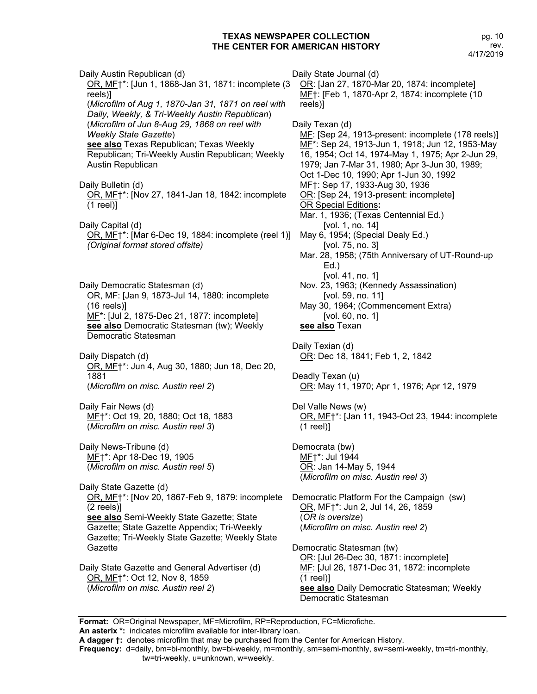pg. 10 rev. 4/17/2019

Daily Austin Republican (d) OR, MF†\*: [Jun 1, 1868-Jan 31, 1871: incomplete (3 reels)] (*Microfilm of Aug 1, 1870-Jan 31, 1871 on reel with Daily, Weekly, & Tri-Weekly Austin Republican*) (*Microfilm of Jun 8-Aug 29, 1868 on reel with Weekly State Gazette*) **see also** Texas Republican; Texas Weekly Republican; Tri-Weekly Austin Republican; Weekly Austin Republican Daily Bulletin (d) OR, MF†\*: [Nov 27, 1841-Jan 18, 1842: incomplete (1 reel)] Daily Capital (d) OR, MF†\*: [Mar 6-Dec 19, 1884: incomplete (reel 1)] *(Original format stored offsite)* Daily Democratic Statesman (d) OR, MF: [Jan 9, 1873-Jul 14, 1880: incomplete (16 reels)] MF<sup>\*</sup>: [Jul 2, 1875-Dec 21, 1877: incomplete] **see also** Democratic Statesman (tw); Weekly Democratic Statesman Daily Dispatch (d) OR, MF†\*: Jun 4, Aug 30, 1880; Jun 18, Dec 20, 1881 (*Microfilm on misc. Austin reel 2*) Daily Fair News (d) MF†\*: Oct 19, 20, 1880; Oct 18, 1883 (*Microfilm on misc. Austin reel 3*) Daily News-Tribune (d) MF†\*: Apr 18-Dec 19, 1905 (*Microfilm on misc. Austin reel 5*) Daily State Gazette (d) OR, MF†\*: [Nov 20, 1867-Feb 9, 1879: incomplete (2 reels)] **see also** Semi-Weekly State Gazette; State Gazette; State Gazette Appendix; Tri-Weekly Gazette; Tri-Weekly State Gazette; Weekly State **Gazette** Daily State Gazette and General Advertiser (d) OR, MF†\*: Oct 12, Nov 8, 1859 Daily State Journal (d) OR: [Jan 27, 1870-Mar 20, 1874: incomplete] MF†: [Feb 1, 1870-Apr 2, 1874: incomplete (10 reels)] Daily Texan (d) MF: [Sep 24, 1913-present: incomplete (178 reels)] MF\*: Sep 24, 1913-Jun 1, 1918; Jun 12, 1953-May 16, 1954; Oct 14, 1974-May 1, 1975; Apr 2-Jun 29, 1979; Jan 7-Mar 31, 1980; Apr 3-Jun 30, 1989; Oct 1-Dec 10, 1990; Apr 1-Jun 30, 1992 MF†: Sep 17, 1933-Aug 30, 1936 OR: [Sep 24, 1913-present: incomplete] OR Special Editions**:** Mar. 1, 1936; (Texas Centennial Ed.) [vol. 1, no. 14] May 6, 1954; (Special Dealy Ed.) [vol. 75, no. 3] Mar. 28, 1958; (75th Anniversary of UT-Round-up Ed.) [vol. 41, no. 1] Nov. 23, 1963; (Kennedy Assassination) [vol. 59, no. 11] May 30, 1964; (Commencement Extra) [vol. 60, no. 1] **see also** Texan Daily Texian (d) OR: Dec 18, 1841; Feb 1, 2, 1842 Deadly Texan (u) OR: May 11, 1970; Apr 1, 1976; Apr 12, 1979 Del Valle News (w) OR, MF†\*: [Jan 11, 1943-Oct 23, 1944: incomplete (1 reel)] Democrata (bw) MF†\*: Jul 1944 OR: Jan 14-May 5, 1944 (*Microfilm on misc. Austin reel 3*) Democratic Platform For the Campaign (sw) OR, MF†\*: Jun 2, Jul 14, 26, 1859 (*OR is oversize*) (*Microfilm on misc. Austin reel 2*) Democratic Statesman (tw) OR: [Jul 26-Dec 30, 1871: incomplete] ME: [Jul 26, 1871-Dec 31, 1872: incomplete (1 reel)]

**see also** Daily Democratic Statesman; Weekly Democratic Statesman

**Format:** OR=Original Newspaper, MF=Microfilm, RP=Reproduction, FC=Microfiche.

**An asterix \*:** indicates microfilm available for inter-library loan.

(*Microfilm on misc. Austin reel 2*)

**A dagger †:** denotes microfilm that may be purchased from the Center for American History.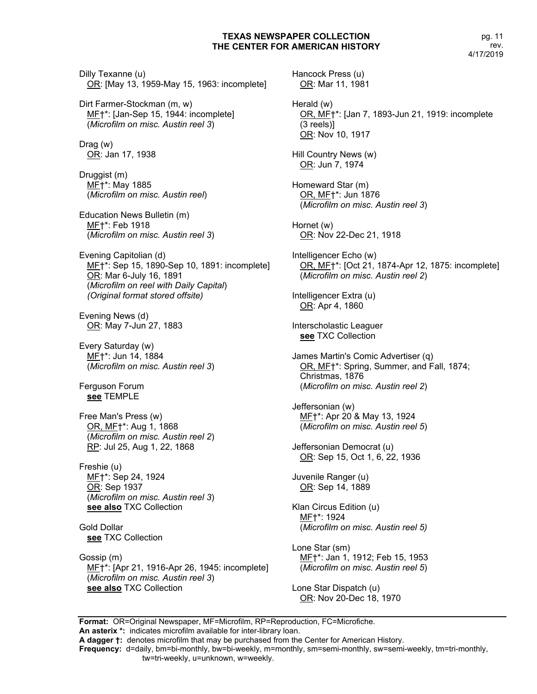Dilly Texanne (u) OR: [May 13, 1959-May 15, 1963: incomplete]

Dirt Farmer-Stockman (m, w) ME<sup>+\*</sup>: [Jan-Sep 15, 1944: incomplete] (*Microfilm on misc. Austin reel 3*)

Drag (w) OR: Jan 17, 1938

Druggist (m) MF†\*: May 1885 (*Microfilm on misc. Austin reel*)

Education News Bulletin (m) MF†\*: Feb 1918 (*Microfilm on misc. Austin reel 3*)

Evening Capitolian (d) MF†\*: Sep 15, 1890-Sep 10, 1891: incomplete] OR: Mar 6-July 16, 1891 (*Microfilm on reel with Daily Capital*) *(Original format stored offsite)*

Evening News (d) OR: May 7-Jun 27, 1883

Every Saturday (w) MF+\*: Jun 14, 1884 (*Microfilm on misc. Austin reel 3*)

Ferguson Forum **see** TEMPLE

Free Man's Press (w) OR, MF†\*: Aug 1, 1868 (*Microfilm on misc. Austin reel 2*) RP: Jul 25, Aug 1, 22, 1868

Freshie (u) ME+\*: Sep 24, 1924 <u>OR</u>: Sep 1937 (*Microfilm on misc. Austin reel 3*) **see also** TXC Collection

Gold Dollar **see** TXC Collection

Gossip (m) MF†\*: [Apr 21, 1916-Apr 26, 1945: incomplete] (*Microfilm on misc. Austin reel 3*) **see also** TXC Collection

Hancock Press (u) OR: Mar 11, 1981 Herald (w) OR, MF†\*: [Jan 7, 1893-Jun 21, 1919: incomplete (3 reels)] OR: Nov 10, 1917 Hill Country News (w) OR: Jun 7, 1974 Homeward Star (m) OR, MF†\*: Jun 1876 (*Microfilm on misc. Austin reel 3*) Hornet (w) OR: Nov 22-Dec 21, 1918 Intelligencer Echo (w) OR, MF†\*: [Oct 21, 1874-Apr 12, 1875: incomplete] (*Microfilm on misc. Austin reel 2*) Intelligencer Extra (u) OR: Apr 4, 1860 Interscholastic Leaguer **see** TXC Collection James Martin's Comic Advertiser (q) OR, MF†\*: Spring, Summer, and Fall, 1874; Christmas, 1876 (*Microfilm on misc. Austin reel 2*) Jeffersonian (w) MF†\*: Apr 20 & May 13, 1924 (*Microfilm on misc. Austin reel 5*) Jeffersonian Democrat (u) OR: Sep 15, Oct 1, 6, 22, 1936 Juvenile Ranger (u) OR: Sep 14, 1889 Klan Circus Edition (u) MF†\*: 1924 (*Microfilm on misc. Austin reel 5)* Lone Star (sm) MF†\*: Jan 1, 1912; Feb 15, 1953 (*Microfilm on misc. Austin reel 5*)

Lone Star Dispatch (u) OR: Nov 20-Dec 18, 1970

**Format:** OR=Original Newspaper, MF=Microfilm, RP=Reproduction, FC=Microfiche. **An asterix \*:** indicates microfilm available for inter-library loan. **A dagger †:** denotes microfilm that may be purchased from the Center for American History. **Frequency:** d=daily, bm=bi-monthly, bw=bi-weekly, m=monthly, sm=semi-monthly, sw=semi-weekly, tm=tri-monthly, tw=tri-weekly, u=unknown, w=weekly.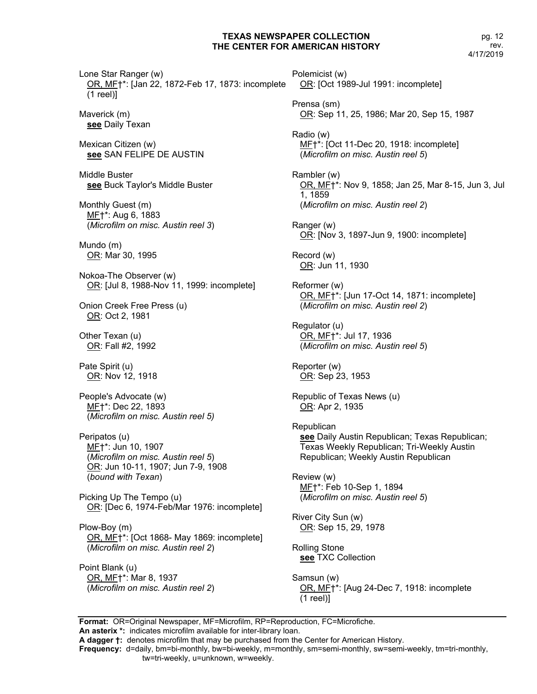pg. 12 rev. 4/17/2019

Lone Star Ranger (w) OR, MF†\*: [Jan 22, 1872-Feb 17, 1873: incomplete (1 reel)]

Maverick (m) **see** Daily Texan

Mexican Citizen (w) **see** SAN FELIPE DE AUSTIN

Middle Buster **see** Buck Taylor's Middle Buster

Monthly Guest (m) MF†\*: Aug 6, 1883 (*Microfilm on misc. Austin reel 3*)

Mundo (m) OR: Mar 30, 1995

Nokoa-The Observer (w) OR: [Jul 8, 1988-Nov 11, 1999: incomplete]

Onion Creek Free Press (u) OR: Oct 2, 1981

Other Texan (u) OR: Fall #2, 1992

Pate Spirit (u) OR: Nov 12, 1918

People's Advocate (w) MF†\*: Dec 22, 1893 (*Microfilm on misc. Austin reel 5)*

Peripatos (u) ME+\*: Jun 10, 1907 (*Microfilm on misc. Austin reel 5*) OR: Jun 10-11, 1907; Jun 7-9, 1908 (*bound with Texan*)

Picking Up The Tempo (u) OR: [Dec 6, 1974-Feb/Mar 1976: incomplete]

Plow-Boy (m) OR, MF†\*: [Oct 1868- May 1869: incomplete] (*Microfilm on misc. Austin reel 2*)

Point Blank (u) OR, MF†\*: Mar 8, 1937 (*Microfilm on misc. Austin reel 2*) Polemicist (w) OR: [Oct 1989-Jul 1991: incomplete] Prensa (sm) OR: Sep 11, 25, 1986; Mar 20, Sep 15, 1987 Radio (w) MF†\*: [Oct 11-Dec 20, 1918: incomplete] (*Microfilm on misc. Austin reel 5*) Rambler (w) OR, MF†\*: Nov 9, 1858; Jan 25, Mar 8-15, Jun 3, Jul 1, 1859 (*Microfilm on misc. Austin reel 2*) Ranger (w) OR: [Nov 3, 1897-Jun 9, 1900: incomplete] Record (w) OR: Jun 11, 1930 Reformer (w) OR, MF†\*: [Jun 17-Oct 14, 1871: incomplete] (*Microfilm on misc. Austin reel 2*) Regulator (u) OR, MF†\*: Jul 17, 1936 (*Microfilm on misc. Austin reel 5*) Reporter (w) OR: Sep 23, 1953 Republic of Texas News (u) OR: Apr 2, 1935 Republican **see** Daily Austin Republican; Texas Republican; Texas Weekly Republican; Tri-Weekly Austin Republican; Weekly Austin Republican Review (w) MF†\*: Feb 10-Sep 1, 1894 (*Microfilm on misc. Austin reel 5*) River City Sun (w) OR: Sep 15, 29, 1978 Rolling Stone **see** TXC Collection Samsun (w) OR, MF†\*: [Aug 24-Dec 7, 1918: incomplete

**Format:** OR=Original Newspaper, MF=Microfilm, RP=Reproduction, FC=Microfiche. **An asterix \*:** indicates microfilm available for inter-library loan.

**A dagger †:** denotes microfilm that may be purchased from the Center for American History.

**Frequency:** d=daily, bm=bi-monthly, bw=bi-weekly, m=monthly, sm=semi-monthly, sw=semi-weekly, tm=tri-monthly, tw=tri-weekly, u=unknown, w=weekly.

(1 reel)]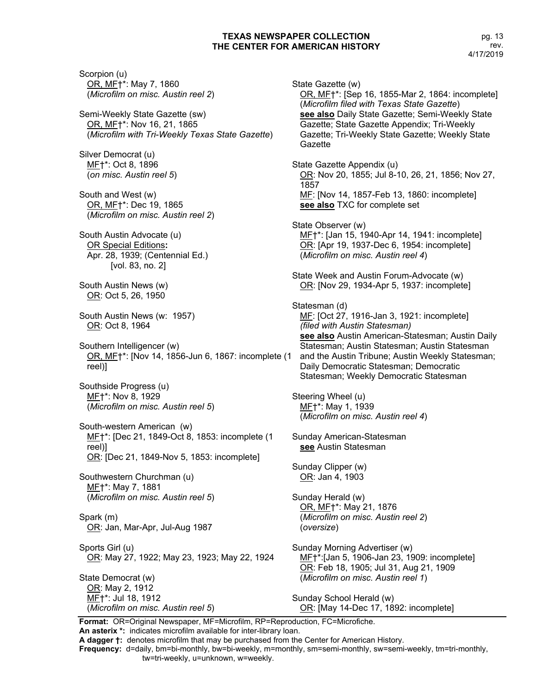Scorpion (u) OR, MF†\*: May 7, 1860 (*Microfilm on misc. Austin reel 2*) Semi-Weekly State Gazette (sw) OR, MF†\*: Nov 16, 21, 1865 (*Microfilm with Tri-Weekly Texas State Gazette*) Silver Democrat (u) MF†\*: Oct 8, 1896 (*on misc. Austin reel 5*) South and West (w) OR, MF†\*: Dec 19, 1865 (*Microfilm on misc. Austin reel 2*) South Austin Advocate (u) OR Special Editions**:** Apr. 28, 1939; (Centennial Ed.) [vol. 83, no. 2] South Austin News (w) OR: Oct 5, 26, 1950 South Austin News (w: 1957) OR: Oct 8, 1964 Southern Intelligencer (w) OR, MF†\*: [Nov 14, 1856-Jun 6, 1867: incomplete (1 reel)] Southside Progress (u) MF†\*: Nov 8, 1929 (*Microfilm on misc. Austin reel 5*) South-western American (w) MF†\*: [Dec 21, 1849-Oct 8, 1853: incomplete (1 reel)] OR: [Dec 21, 1849-Nov 5, 1853: incomplete] Southwestern Churchman (u) ME<sup>+</sup>\*: May 7, 1881 (*Microfilm on misc. Austin reel 5*) Spark (m) OR: Jan, Mar-Apr, Jul-Aug 1987 Sports Girl (u) OR: May 27, 1922; May 23, 1923; May 22, 1924 State Democrat (w) OR: May 2, 1912 MF†\*: Jul 18, 1912 (*Microfilm on misc. Austin reel 5*)

State Gazette (w) OR, MF†\*: [Sep 16, 1855-Mar 2, 1864: incomplete] (*Microfilm filed with Texas State Gazette*) **see also** Daily State Gazette; Semi-Weekly State Gazette; State Gazette Appendix; Tri-Weekly Gazette; Tri-Weekly State Gazette; Weekly State Gazette State Gazette Appendix (u) OR: Nov 20, 1855; Jul 8-10, 26, 21, 1856; Nov 27, 1857 MF: [Nov 14, 1857-Feb 13, 1860: incomplete] **see also** TXC for complete set State Observer (w) ME†\*: [Jan 15, 1940-Apr 14, 1941: incomplete] OR: [Apr 19, 1937-Dec 6, 1954: incomplete] (*Microfilm on misc. Austin reel 4*) State Week and Austin Forum-Advocate (w) OR: [Nov 29, 1934-Apr 5, 1937: incomplete] Statesman (d) MF: [Oct 27, 1916-Jan 3, 1921: incomplete] *(filed with Austin Statesman)* **see also** Austin American-Statesman; Austin Daily Statesman; Austin Statesman; Austin Statesman and the Austin Tribune; Austin Weekly Statesman; Daily Democratic Statesman; Democratic Statesman; Weekly Democratic Statesman Steering Wheel (u) MF†\*: May 1, 1939 (*Microfilm on misc. Austin reel 4*) Sunday American-Statesman **see** Austin Statesman Sunday Clipper (w) OR: Jan 4, 1903 Sunday Herald (w) OR, MF†\*: May 21, 1876 (*Microfilm on misc. Austin reel 2*) (*oversize*) Sunday Morning Advertiser (w) MF†\*:[Jan 5, 1906-Jan 23, 1909: incomplete] OR: Feb 18, 1905; Jul 31, Aug 21, 1909 (*Microfilm on misc. Austin reel 1*) Sunday School Herald (w) OR: [May 14-Dec 17, 1892: incomplete]

**Format:** OR=Original Newspaper, MF=Microfilm, RP=Reproduction, FC=Microfiche. **An asterix \*:** indicates microfilm available for inter-library loan.

**A dagger †:** denotes microfilm that may be purchased from the Center for American History.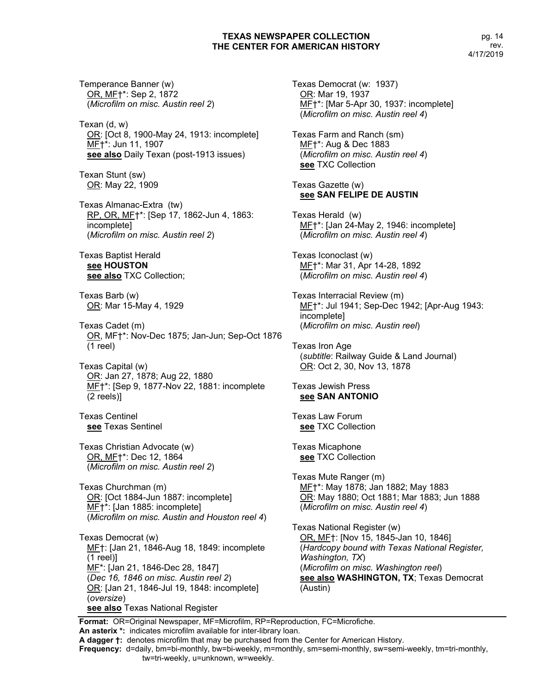Temperance Banner (w) OR, MF†\*: Sep 2, 1872 (*Microfilm on misc. Austin reel 2*)

Texan (d, w) OR: [Oct 8, 1900-May 24, 1913: incomplete] MF†\*: Jun 11, 1907 **see also** Daily Texan (post-1913 issues)

Texan Stunt (sw) OR: May 22, 1909

Texas Almanac-Extra (tw) RP, OR, MF†\*: [Sep 17, 1862-Jun 4, 1863: incomplete] (*Microfilm on misc. Austin reel 2*)

Texas Baptist Herald **see HOUSTON see also** TXC Collection;

Texas Barb (w) OR: Mar 15-May 4, 1929

Texas Cadet (m) OR, MF†\*: Nov-Dec 1875; Jan-Jun; Sep-Oct 1876 (1 reel)

Texas Capital (w) OR: Jan 27, 1878; Aug 22, 1880 MF†\*: [Sep 9, 1877-Nov 22, 1881: incomplete (2 reels)]

Texas Centinel **see** Texas Sentinel

Texas Christian Advocate (w) OR, MF†\*: Dec 12, 1864 (*Microfilm on misc. Austin reel 2*)

Texas Churchman (m) OR: [Oct 1884-Jun 1887: incomplete] MF†\*: [Jan 1885: incomplete] (*Microfilm on misc. Austin and Houston reel 4*)

Texas Democrat (w) ME†: [Jan 21, 1846-Aug 18, 1849: incomplete (1 reel)] ME<sup>\*</sup>: [Jan 21, 1846-Dec 28, 1847] (*Dec 16, 1846 on misc. Austin reel 2*) OR: [Jan 21, 1846-Jul 19, 1848: incomplete] (*oversize*) **see also** Texas National Register

Texas Democrat (w: 1937) OR: Mar 19, 1937 MF<sup>+\*</sup>: [Mar 5-Apr 30, 1937: incomplete] (*Microfilm on misc. Austin reel 4*)

Texas Farm and Ranch (sm) MF†\*: Aug & Dec 1883 (*Microfilm on misc. Austin reel 4*) **see** TXC Collection

Texas Gazette (w) **see SAN FELIPE DE AUSTIN**

Texas Herald (w) MF†\*: [Jan 24-May 2, 1946: incomplete] (*Microfilm on misc. Austin reel 4*)

Texas Iconoclast (w) MF†\*: Mar 31, Apr 14-28, 1892 (*Microfilm on misc. Austin reel 4*)

Texas Interracial Review (m) ME<sup>+\*</sup>: Jul 1941; Sep-Dec 1942; [Apr-Aug 1943: incomplete] (*Microfilm on misc. Austin reel*)

Texas Iron Age (*subtitle*: Railway Guide & Land Journal) OR: Oct 2, 30, Nov 13, 1878

Texas Jewish Press **see SAN ANTONIO**

Texas Law Forum **see** TXC Collection

Texas Micaphone **see** TXC Collection

Texas Mute Ranger (m) ME<sup>+\*</sup>: May 1878; Jan 1882; May 1883 OR: May 1880; Oct 1881; Mar 1883; Jun 1888 (*Microfilm on misc. Austin reel 4*)

Texas National Register (w) OR, MF†: [Nov 15, 1845-Jan 10, 1846] (*Hardcopy bound with Texas National Register, Washington, TX*) (*Microfilm on misc. Washington reel*) **see also WASHINGTON, TX**; Texas Democrat (Austin)

**Format:** OR=Original Newspaper, MF=Microfilm, RP=Reproduction, FC=Microfiche. **An asterix \*:** indicates microfilm available for inter-library loan.

**A dagger †:** denotes microfilm that may be purchased from the Center for American History.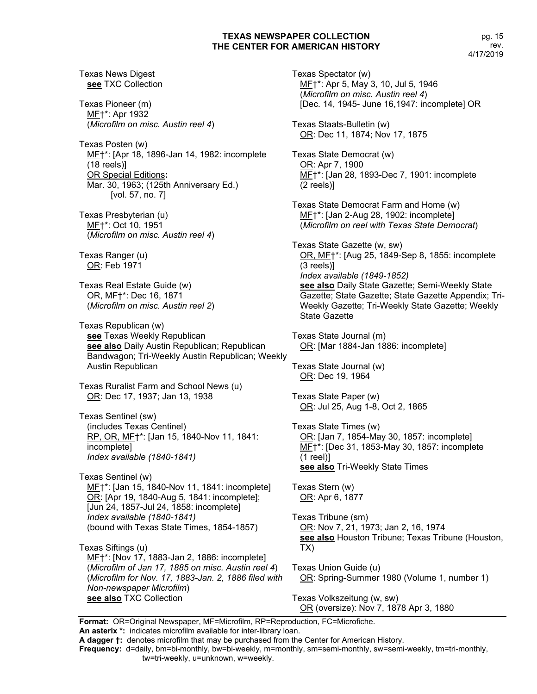Texas News Digest **see** TXC Collection

Texas Pioneer (m) MF†\*: Apr 1932 (*Microfilm on misc. Austin reel 4*)

Texas Posten (w) MF†\*: [Apr 18, 1896-Jan 14, 1982: incomplete (18 reels)] OR Special Editions**:** Mar. 30, 1963; (125th Anniversary Ed.) [vol. 57, no. 7]

Texas Presbyterian (u) MF†\*: Oct 10, 1951 (*Microfilm on misc. Austin reel 4*)

Texas Ranger (u) OR: Feb 1971

Texas Real Estate Guide (w) OR, MF†\*: Dec 16, 1871 (*Microfilm on misc. Austin reel 2*)

Texas Republican (w) **see** Texas Weekly Republican **see also** Daily Austin Republican; Republican Bandwagon; Tri-Weekly Austin Republican; Weekly Austin Republican

Texas Ruralist Farm and School News (u) OR: Dec 17, 1937; Jan 13, 1938

Texas Sentinel (sw) (includes Texas Centinel) RP, OR, MF†\*: [Jan 15, 1840-Nov 11, 1841: incomplete] *Index available (1840-1841)*

Texas Sentinel (w) ME<sup>+\*</sup>: [Jan 15, 1840-Nov 11, 1841: incomplete] OR: [Apr 19, 1840-Aug 5, 1841: incomplete]; [Jun 24, 1857-Jul 24, 1858: incomplete] *Index available (1840-1841)* (bound with Texas State Times, 1854-1857)

Texas Siftings (u) MF<sup>+\*</sup>: [Nov 17, 1883-Jan 2, 1886: incomplete] (*Microfilm of Jan 17, 1885 on misc. Austin reel 4*) (*Microfilm for Nov. 17, 1883-Jan. 2, 1886 filed with Non-newspaper Microfilm*) **see also** TXC Collection

Texas Spectator (w) MF†\*: Apr 5, May 3, 10, Jul 5, 1946 (*Microfilm on misc. Austin reel 4*) [Dec. 14, 1945- June 16,1947: incomplete] OR

Texas Staats-Bulletin (w) OR: Dec 11, 1874; Nov 17, 1875

Texas State Democrat (w) OR: Apr 7, 1900 MF†\*: [Jan 28, 1893-Dec 7, 1901: incomplete (2 reels)]

Texas State Democrat Farm and Home (w) MF†\*: [Jan 2-Aug 28, 1902: incomplete] (*Microfilm on reel with Texas State Democrat*)

Texas State Gazette (w, sw) OR, MF†\*: [Aug 25, 1849-Sep 8, 1855: incomplete (3 reels)] *Index available (1849-1852)* **see also** Daily State Gazette; Semi-Weekly State Gazette; State Gazette; State Gazette Appendix; Tri-Weekly Gazette; Tri-Weekly State Gazette; Weekly State Gazette

Texas State Journal (m) OR: [Mar 1884-Jan 1886: incomplete]

Texas State Journal (w) OR: Dec 19, 1964

Texas State Paper (w) OR: Jul 25, Aug 1-8, Oct 2, 1865

Texas State Times (w) OR: [Jan 7, 1854-May 30, 1857: incomplete] MF†\*: [Dec 31, 1853-May 30, 1857: incomplete (1 reel)] **see also** Tri-Weekly State Times

Texas Stern (w) OR: Apr 6, 1877

Texas Tribune (sm) OR: Nov 7, 21, 1973; Jan 2, 16, 1974 **see also** Houston Tribune; Texas Tribune (Houston, TX)

Texas Union Guide (u) OR: Spring-Summer 1980 (Volume 1, number 1)

Texas Volkszeitung (w, sw) OR (oversize): Nov 7, 1878 Apr 3, 1880

**Format:** OR=Original Newspaper, MF=Microfilm, RP=Reproduction, FC=Microfiche.

**An asterix \*:** indicates microfilm available for inter-library loan.

**A dagger †:** denotes microfilm that may be purchased from the Center for American History.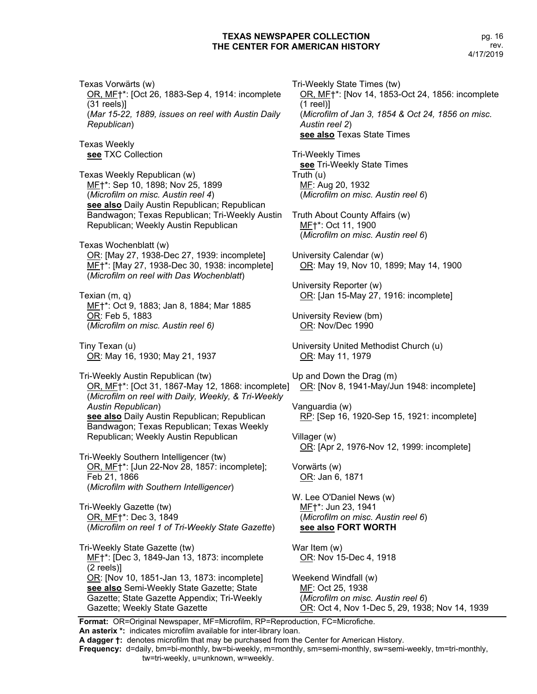Texas Vorwärts (w) OR, MF†\*: [Oct 26, 1883-Sep 4, 1914: incomplete (31 reels)] (*Mar 15-22, 1889, issues on reel with Austin Daily Republican*) Texas Weekly **see** TXC Collection Texas Weekly Republican (w)

ME+\*: Sep 10, 1898; Nov 25, 1899 (*Microfilm on misc. Austin reel 4*) **see also** Daily Austin Republican; Republican Bandwagon; Texas Republican; Tri-Weekly Austin Republican; Weekly Austin Republican

Texas Wochenblatt (w) OR: [May 27, 1938-Dec 27, 1939: incomplete] MF†\*: [May 27, 1938-Dec 30, 1938: incomplete] (*Microfilm on reel with Das Wochenblatt*)

Texian (m, q) MF†\*: Oct 9, 1883; Jan 8, 1884; Mar 1885 OR: Feb 5, 1883 (*Microfilm on misc. Austin reel 6)*

Tiny Texan (u) OR: May 16, 1930; May 21, 1937

Tri-Weekly Austin Republican (tw) OR, MF†\*: [Oct 31, 1867-May 12, 1868: incomplete] (*Microfilm on reel with Daily, Weekly, & Tri-Weekly Austin Republican*) **see also** Daily Austin Republican; Republican Bandwagon; Texas Republican; Texas Weekly Republican; Weekly Austin Republican

Tri-Weekly Southern Intelligencer (tw) OR, MF†\*: [Jun 22-Nov 28, 1857: incomplete]; Feb 21, 1866 (*Microfilm with Southern Intelligencer*)

Tri-Weekly Gazette (tw) OR, MF†\*: Dec 3, 1849 (*Microfilm on reel 1 of Tri-Weekly State Gazette*)

Tri-Weekly State Gazette (tw) MF†\*: [Dec 3, 1849-Jan 13, 1873: incomplete (2 reels)] OR: [Nov 10, 1851-Jan 13, 1873: incomplete] **see also** Semi-Weekly State Gazette; State Gazette; State Gazette Appendix; Tri-Weekly Gazette; Weekly State Gazette

Tri-Weekly State Times (tw) OR, MF†\*: [Nov 14, 1853-Oct 24, 1856: incomplete (1 reel)] (*Microfilm of Jan 3, 1854 & Oct 24, 1856 on misc. Austin reel 2*) **see also** Texas State Times

Tri-Weekly Times **see** Tri-Weekly State Times Truth (u) MF: Aug 20, 1932 (*Microfilm on misc. Austin reel 6*)

Truth About County Affairs (w) MF†\*: Oct 11, 1900 (*Microfilm on misc. Austin reel 6*)

University Calendar (w) OR: May 19, Nov 10, 1899; May 14, 1900

University Reporter (w) OR: [Jan 15-May 27, 1916: incomplete]

University Review (bm) OR: Nov/Dec 1990

University United Methodist Church (u) OR: May 11, 1979

Up and Down the Drag (m) OR: [Nov 8, 1941-May/Jun 1948: incomplete]

Vanguardia (w) RP: [Sep 16, 1920-Sep 15, 1921: incomplete]

Villager (w) OR: [Apr 2, 1976-Nov 12, 1999: incomplete]

Vorwärts (w) OR: Jan 6, 1871

W. Lee O'Daniel News (w) MF†\*: Jun 23, 1941 (*Microfilm on misc. Austin reel 6*) **see also FORT WORTH**

War Item (w) OR: Nov 15-Dec 4, 1918

Weekend Windfall (w) MF: Oct 25, 1938 (*Microfilm on misc. Austin reel 6*) OR: Oct 4, Nov 1-Dec 5, 29, 1938; Nov 14, 1939

**Format:** OR=Original Newspaper, MF=Microfilm, RP=Reproduction, FC=Microfiche. **An asterix \*:** indicates microfilm available for inter-library loan.

**A dagger †:** denotes microfilm that may be purchased from the Center for American History.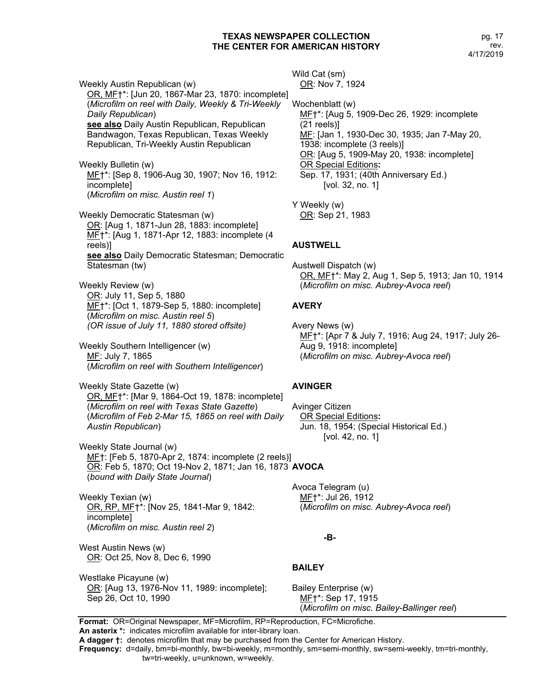Weekly Austin Republican (w) OR, MF†\*: [Jun 20, 1867-Mar 23, 1870: incomplete] (*Microfilm on reel with Daily, Weekly & Tri-Weekly Daily Republican*) **see also** Daily Austin Republican, Republican Bandwagon, Texas Republican, Texas Weekly Republican, Tri-Weekly Austin Republican

Weekly Bulletin (w) MF†\*: [Sep 8, 1906-Aug 30, 1907; Nov 16, 1912: incomplete] (*Microfilm on misc. Austin reel 1*)

Weekly Democratic Statesman (w) OR: [Aug 1, 1871-Jun 28, 1883: incomplete] MF†\*: [Aug 1, 1871-Apr 12, 1883: incomplete (4 reels)] **see also** Daily Democratic Statesman; Democratic Statesman (tw)

Weekly Review (w) OR: July 11, Sep 5, 1880 ME<sup>+\*</sup>: [Oct 1, 1879-Sep 5, 1880: incomplete] (*Microfilm on misc. Austin reel 5*) *(OR issue of July 11, 1880 stored offsite)*

Weekly Southern Intelligencer (w) MF: July 7, 1865 (*Microfilm on reel with Southern Intelligencer*)

Weekly State Gazette (w) OR, MF†\*: [Mar 9, 1864-Oct 19, 1878: incomplete] (*Microfilm on reel with Texas State Gazette*) (*Microfilm of Feb 2-Mar 15, 1865 on reel with Daily Austin Republican*)

Weekly State Journal (w) MF†: [Feb 5, 1870-Apr 2, 1874: incomplete (2 reels)] OR: Feb 5, 1870; Oct 19-Nov 2, 1871; Jan 16, 1873 **AVOCA** (*bound with Daily State Journal*)

Weekly Texian (w) OR, RP, MF†\*: [Nov 25, 1841-Mar 9, 1842: incomplete] (*Microfilm on misc. Austin reel 2*)

West Austin News (w) OR: Oct 25, Nov 8, Dec 6, 1990

Westlake Picayune (w) OR: [Aug 13, 1976-Nov 11, 1989: incomplete]; Sep 26, Oct 10, 1990

Wild Cat (sm) OR: Nov 7, 1924

Wochenblatt (w) MF†\*: [Aug 5, 1909-Dec 26, 1929: incomplete (21 reels)] MF: [Jan 1, 1930-Dec 30, 1935; Jan 7-May 20, 1938: incomplete (3 reels)] OR: [Aug 5, 1909-May 20, 1938: incomplete] OR Special Editions**:** Sep. 17, 1931; (40th Anniversary Ed.) [vol. 32, no. 1]

Y Weekly (w) OR: Sep 21, 1983

# **AUSTWELL**

Austwell Dispatch (w) OR, MF†\*: May 2, Aug 1, Sep 5, 1913; Jan 10, 1914 (*Microfilm on misc. Aubrey-Avoca reel*)

# **AVERY**

Avery News (w) MF†\*: [Apr 7 & July 7, 1916; Aug 24, 1917; July 26- Aug 9, 1918: incomplete] (*Microfilm on misc. Aubrey-Avoca reel*)

## **AVINGER**

Avinger Citizen OR Special Editions**:** Jun. 18, 1954; (Special Historical Ed.) [vol. 42, no. 1]

Avoca Telegram (u) MF†\*: Jul 26, 1912 (*Microfilm on misc. Aubrey-Avoca reel*)

## **-B-**

# **BAILEY**

Bailey Enterprise (w) MF†\*: Sep 17, 1915 (*Microfilm on misc. Bailey-Ballinger reel*)

**Format:** OR=Original Newspaper, MF=Microfilm, RP=Reproduction, FC=Microfiche. **An asterix \*:** indicates microfilm available for inter-library loan.

**A dagger †:** denotes microfilm that may be purchased from the Center for American History.

**Frequency:** d=daily, bm=bi-monthly, bw=bi-weekly, m=monthly, sm=semi-monthly, sw=semi-weekly, tm=tri-monthly,

#### tw=tri-weekly, u=unknown, w=weekly.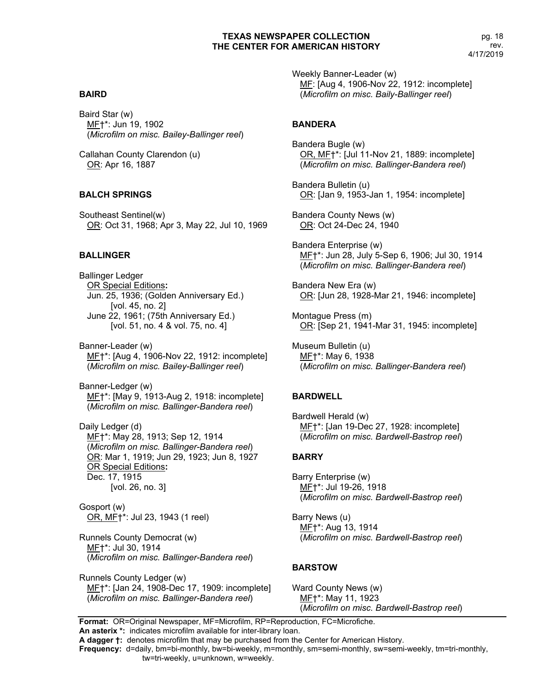## **BAIRD**

Baird Star (w) MF†\*: Jun 19, 1902 (*Microfilm on misc. Bailey-Ballinger reel*)

Callahan County Clarendon (u) OR: Apr 16, 1887

#### **BALCH SPRINGS**

Southeast Sentinel(w) OR: Oct 31, 1968; Apr 3, May 22, Jul 10, 1969

## **BALLINGER**

Ballinger Ledger OR Special Editions**:** Jun. 25, 1936; (Golden Anniversary Ed.) [vol. 45, no. 2] June 22, 1961; (75th Anniversary Ed.) [vol. 51, no. 4 & vol. 75, no. 4]

Banner-Leader (w) MF†\*: [Aug 4, 1906-Nov 22, 1912: incomplete] (*Microfilm on misc. Bailey-Ballinger reel*)

Banner-Ledger (w) MF†\*: [May 9, 1913-Aug 2, 1918: incomplete] (*Microfilm on misc. Ballinger-Bandera reel*)

Daily Ledger (d) MF†\*: May 28, 1913; Sep 12, 1914 (*Microfilm on misc. Ballinger-Bandera reel*) OR: Mar 1, 1919; Jun 29, 1923; Jun 8, 1927 OR Special Editions**:** Dec. 17, 1915 [vol. 26, no. 3]

Gosport (w) OR, MF†\*: Jul 23, 1943 (1 reel)

Runnels County Democrat (w) MF†\*: Jul 30, 1914 (*Microfilm on misc. Ballinger-Bandera reel*)

Runnels County Ledger (w) MF†\*: [Jan 24, 1908-Dec 17, 1909: incomplete] (*Microfilm on misc. Ballinger-Bandera reel*)

Weekly Banner-Leader (w) MF: [Aug 4, 1906-Nov 22, 1912: incomplete] (*Microfilm on misc. Baily-Ballinger reel*)

#### **BANDERA**

Bandera Bugle (w) OR, MF†\*: [Jul 11-Nov 21, 1889: incomplete] (*Microfilm on misc. Ballinger-Bandera reel*)

Bandera Bulletin (u) OR: [Jan 9, 1953-Jan 1, 1954: incomplete]

Bandera County News (w) OR: Oct 24-Dec 24, 1940

Bandera Enterprise (w) MF†\*: Jun 28, July 5-Sep 6, 1906; Jul 30, 1914 (*Microfilm on misc. Ballinger-Bandera reel*)

Bandera New Era (w) OR: [Jun 28, 1928-Mar 21, 1946: incomplete]

Montague Press (m) OR: [Sep 21, 1941-Mar 31, 1945: incomplete]

Museum Bulletin (u) ME<sup>+</sup>\*: May 6, 1938 (*Microfilm on misc. Ballinger-Bandera reel*)

#### **BARDWELL**

Bardwell Herald (w) MF†\*: [Jan 19-Dec 27, 1928: incomplete] (*Microfilm on misc. Bardwell-Bastrop reel*)

#### **BARRY**

Barry Enterprise (w) MF†\*: Jul 19-26, 1918 (*Microfilm on misc. Bardwell-Bastrop reel*)

Barry News (u) MF†\*: Aug 13, 1914 (*Microfilm on misc. Bardwell-Bastrop reel*)

#### **BARSTOW**

Ward County News (w) MF†\*: May 11, 1923 (*Microfilm on misc. Bardwell-Bastrop reel*)

**Format:** OR=Original Newspaper, MF=Microfilm, RP=Reproduction, FC=Microfiche. **An asterix \*:** indicates microfilm available for inter-library loan.

**A dagger †:** denotes microfilm that may be purchased from the Center for American History.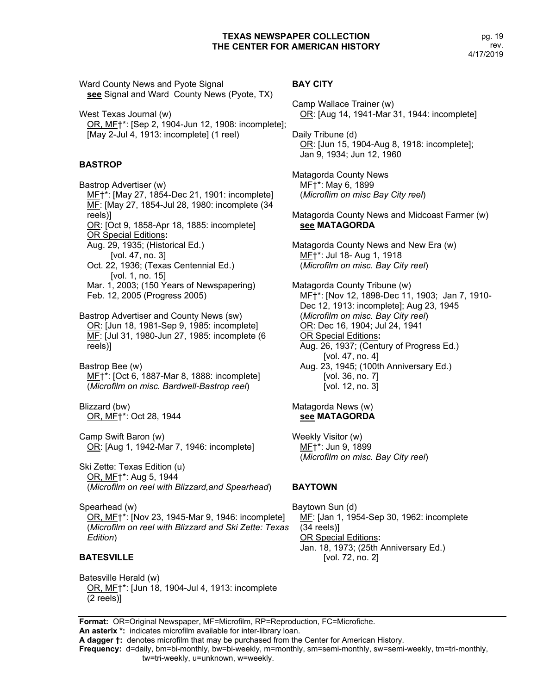Ward County News and Pyote Signal **see** Signal and Ward County News (Pyote, TX)

West Texas Journal (w) OR, MF†\*: [Sep 2, 1904-Jun 12, 1908: incomplete]; [May 2-Jul 4, 1913: incomplete] (1 reel)

## **BASTROP**

Bastrop Advertiser (w) MF†\*: [May 27, 1854-Dec 21, 1901: incomplete] MF: [May 27, 1854-Jul 28, 1980: incomplete (34 reels)] OR: [Oct 9, 1858-Apr 18, 1885: incomplete] OR Special Editions**:** Aug. 29, 1935; (Historical Ed.) [vol. 47, no. 3] Oct. 22, 1936; (Texas Centennial Ed.) [vol. 1, no. 15] Mar. 1, 2003; (150 Years of Newspapering) Feb. 12, 2005 (Progress 2005)

Bastrop Advertiser and County News (sw) OR: [Jun 18, 1981-Sep 9, 1985: incomplete] MF: [Jul 31, 1980-Jun 27, 1985: incomplete (6 reels)]

Bastrop Bee (w) MF†\*: [Oct 6, 1887-Mar 8, 1888: incomplete] (*Microfilm on misc. Bardwell-Bastrop reel*)

Blizzard (bw) OR, MF†\*: Oct 28, 1944

Camp Swift Baron (w) OR: [Aug 1, 1942-Mar 7, 1946: incomplete]

Ski Zette: Texas Edition (u) OR, MF†\*: Aug 5, 1944 (*Microfilm on reel with Blizzard,and Spearhead*)

Spearhead (w) OR, MF†\*: [Nov 23, 1945-Mar 9, 1946: incomplete] (*Microfilm on reel with Blizzard and Ski Zette: Texas Edition*)

## **BATESVILLE**

Batesville Herald (w) OR, MF†\*: [Jun 18, 1904-Jul 4, 1913: incomplete (2 reels)]

#### **BAY CITY**

Camp Wallace Trainer (w) OR: [Aug 14, 1941-Mar 31, 1944: incomplete]

Daily Tribune (d) OR: [Jun 15, 1904-Aug 8, 1918: incomplete]; Jan 9, 1934; Jun 12, 1960

Matagorda County News MF†\*: May 6, 1899 (*Microflim on misc Bay City reel*)

Matagorda County News and Midcoast Farmer (w) **see MATAGORDA**

Matagorda County News and New Era (w) MF†\*: Jul 18- Aug 1, 1918 (*Microfilm on misc. Bay City reel*)

Matagorda County Tribune (w) MF†\*: [Nov 12, 1898-Dec 11, 1903; Jan 7, 1910- Dec 12, 1913: incomplete]; Aug 23, 1945 (*Microfilm on misc. Bay City reel*) OR: Dec 16, 1904; Jul 24, 1941 OR Special Editions**:** Aug. 26, 1937; (Century of Progress Ed.) [vol. 47, no. 4] Aug. 23, 1945; (100th Anniversary Ed.) [vol. 36, no. 7] [vol. 12, no. 3]

#### Matagorda News (w) **see MATAGORDA**

Weekly Visitor (w) MF†\*: Jun 9, 1899 (*Microfilm on misc. Bay City reel*)

#### **BAYTOWN**

Baytown Sun (d) MF: [Jan 1, 1954-Sep 30, 1962: incomplete (34 reels)] OR Special Editions**:** Jan. 18, 1973; (25th Anniversary Ed.) [vol. 72, no. 2]

**Format:** OR=Original Newspaper, MF=Microfilm, RP=Reproduction, FC=Microfiche. **An asterix \*:** indicates microfilm available for inter-library loan.

**A dagger †:** denotes microfilm that may be purchased from the Center for American History.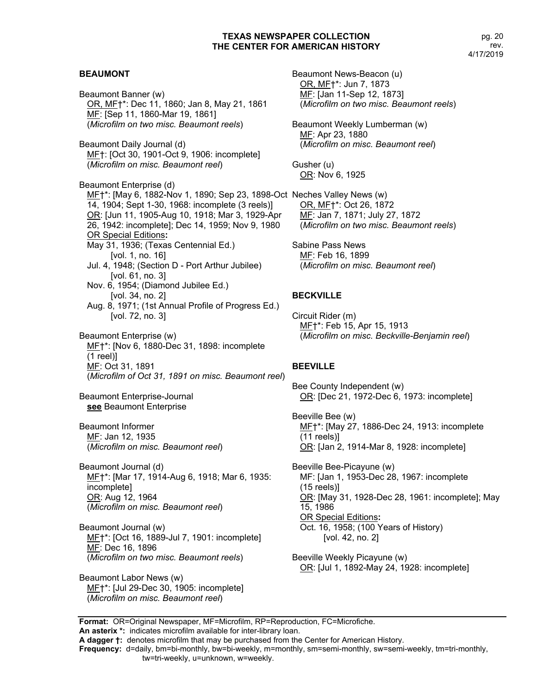#### **BEAUMONT**

Beaumont Banner (w) OR, MF†\*: Dec 11, 1860; Jan 8, May 21, 1861 MF: [Sep 11, 1860-Mar 19, 1861] (*Microfilm on two misc. Beaumont reels*)

Beaumont Daily Journal (d) MF†: [Oct 30, 1901-Oct 9, 1906: incomplete] (*Microfilm on misc. Beaumont reel*)

Beaumont Enterprise (d) ME<sup>+</sup>\*: [May 6, 1882-Nov 1, 1890; Sep 23, 1898-Oct Neches Valley News (w) 14, 1904; Sept 1-30, 1968: incomplete (3 reels)] OR: [Jun 11, 1905-Aug 10, 1918; Mar 3, 1929-Apr 26, 1942: incomplete]; Dec 14, 1959; Nov 9, 1980 OR Special Editions**:** May 31, 1936; (Texas Centennial Ed.) [vol. 1, no. 16] Jul. 4, 1948; (Section D - Port Arthur Jubilee) [vol. 61, no. 3] Nov. 6, 1954; (Diamond Jubilee Ed.) [vol. 34, no. 2] Aug. 8, 1971; (1st Annual Profile of Progress Ed.) [vol. 72, no. 3]

Beaumont Enterprise (w) MF†\*: [Nov 6, 1880-Dec 31, 1898: incomplete (1 reel)] MF: Oct 31, 1891 (*Microfilm of Oct 31, 1891 on misc. Beaumont reel*)

Beaumont Enterprise-Journal **see** Beaumont Enterprise

Beaumont Informer MF: Jan 12, 1935 (*Microfilm on misc. Beaumont reel*)

Beaumont Journal (d) MF†\*: [Mar 17, 1914-Aug 6, 1918; Mar 6, 1935: incomplete] OR: Aug 12, 1964 (*Microfilm on misc. Beaumont reel*)

Beaumont Journal (w) ME†\*: [Oct 16, 1889-Jul 7, 1901: incomplete] MF: Dec 16, 1896 (*Microfilm on two misc. Beaumont reels*)

Beaumont Labor News (w) MF†\*: [Jul 29-Dec 30, 1905: incomplete] (*Microfilm on misc. Beaumont reel*)

Beaumont News-Beacon (u) OR, MF†\*: Jun 7, 1873 MF: [Jan 11-Sep 12, 1873] (*Microfilm on two misc. Beaumont reels*)

Beaumont Weekly Lumberman (w) MF: Apr 23, 1880 (*Microfilm on misc. Beaumont reel*)

Gusher (u) OR: Nov 6, 1925

OR, MF†\*: Oct 26, 1872 MF: Jan 7, 1871; July 27, 1872 (*Microfilm on two misc. Beaumont reels*)

Sabine Pass News MF: Feb 16, 1899 (*Microfilm on misc. Beaumont reel*)

## **BECKVILLE**

Circuit Rider (m) MF†\*: Feb 15, Apr 15, 1913 (*Microfilm on misc. Beckville-Benjamin reel*)

#### **BEEVILLE**

Bee County Independent (w) OR: [Dec 21, 1972-Dec 6, 1973: incomplete]

Beeville Bee (w) MF†\*: [May 27, 1886-Dec 24, 1913: incomplete (11 reels)] OR: [Jan 2, 1914-Mar 8, 1928: incomplete]

Beeville Bee-Picayune (w) MF: [Jan 1, 1953-Dec 28, 1967: incomplete (15 reels)] OR: [May 31, 1928-Dec 28, 1961: incomplete]; May 15, 1986 OR Special Editions**:** Oct. 16, 1958; (100 Years of History) [vol. 42, no. 2]

Beeville Weekly Picayune (w) OR: [Jul 1, 1892-May 24, 1928: incomplete]

**Format:** OR=Original Newspaper, MF=Microfilm, RP=Reproduction, FC=Microfiche. **An asterix \*:** indicates microfilm available for inter-library loan.

**Frequency:** d=daily, bm=bi-monthly, bw=bi-weekly, m=monthly, sm=semi-monthly, sw=semi-weekly, tm=tri-monthly,

**A dagger †:** denotes microfilm that may be purchased from the Center for American History.

tw=tri-weekly, u=unknown, w=weekly.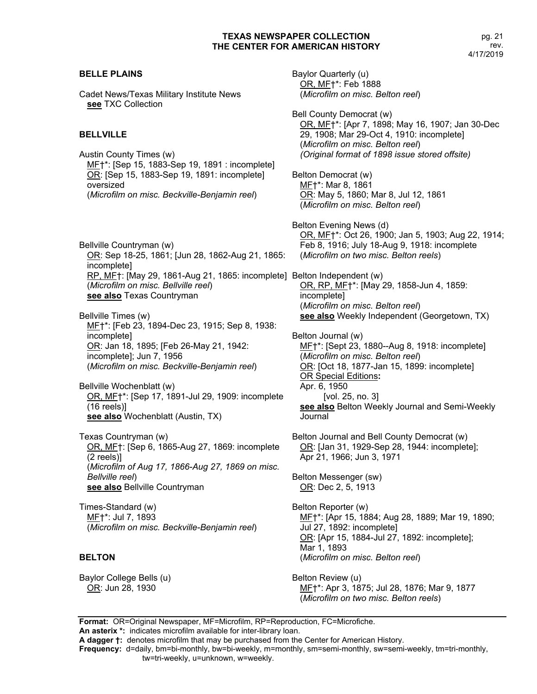# RP, MF†: [May 29, 1861-Aug 21, 1865: incomplete] Belton Independent (w) Baylor Quarterly (u) OR, MF†\*: Feb 1888 (*Microfilm on misc. Belton reel*) Bell County Democrat (w) OR, MF†\*: [Apr 7, 1898; May 16, 1907; Jan 30-Dec 29, 1908; Mar 29-Oct 4, 1910: incomplete] (*Microfilm on misc. Belton reel*) *(Original format of 1898 issue stored offsite)* Belton Democrat (w) MF†\*: Mar 8, 1861 OR: May 5, 1860; Mar 8, Jul 12, 1861 (*Microfilm on misc. Belton reel*) Belton Evening News (d) OR, MF†\*: Oct 26, 1900; Jan 5, 1903; Aug 22, 1914; Feb 8, 1916; July 18-Aug 9, 1918: incomplete (*Microfilm on two misc. Belton reels*) OR, RP, MF†\*: [May 29, 1858-Jun 4, 1859: incomplete] (*Microfilm on misc. Belton reel*) **see also** Weekly Independent (Georgetown, TX) Belton Journal (w) MF†\*: [Sept 23, 1880--Aug 8, 1918: incomplete] (*Microfilm on misc. Belton reel*) OR: [Oct 18, 1877-Jan 15, 1899: incomplete] OR Special Editions**:** Apr. 6, 1950 [vol. 25, no. 3] **see also** Belton Weekly Journal and Semi-Weekly Journal Belton Journal and Bell County Democrat (w) OR: [Jan 31, 1929-Sep 28, 1944: incomplete]; Apr 21, 1966; Jun 3, 1971 Belton Messenger (sw) OR: Dec 2, 5, 1913 Belton Reporter (w) MF†\*: [Apr 15, 1884; Aug 28, 1889; Mar 19, 1890; Jul 27, 1892: incomplete] OR: [Apr 15, 1884-Jul 27, 1892: incomplete]; Mar 1, 1893 (*Microfilm on misc. Belton reel*)

Baylor College Bells (u) OR: Jun 28, 1930

Belton Review (u) MF<sup>+\*</sup>: Apr 3, 1875; Jul 28, 1876; Mar 9, 1877 (*Microfilm on two misc. Belton reels*)

**Format:** OR=Original Newspaper, MF=Microfilm, RP=Reproduction, FC=Microfiche. **An asterix \*:** indicates microfilm available for inter-library loan.

**A dagger †:** denotes microfilm that may be purchased from the Center for American History.

**Frequency:** d=daily, bm=bi-monthly, bw=bi-weekly, m=monthly, sm=semi-monthly, sw=semi-weekly, tm=tri-monthly, tw=tri-weekly, u=unknown, w=weekly.

## **BELLE PLAINS**

Cadet News/Texas Military Institute News **see** TXC Collection

## **BELLVILLE**

Austin County Times (w) MF†\*: [Sep 15, 1883-Sep 19, 1891 : incomplete] OR: [Sep 15, 1883-Sep 19, 1891: incomplete] oversized (*Microfilm on misc. Beckville-Benjamin reel*)

Bellville Countryman (w) OR: Sep 18-25, 1861; [Jun 28, 1862-Aug 21, 1865: incomplete] (*Microfilm on misc. Bellville reel*) **see also** Texas Countryman

Bellville Times (w) ME†\*: [Feb 23, 1894-Dec 23, 1915; Sep 8, 1938: incomplete] OR: Jan 18, 1895; [Feb 26-May 21, 1942: incomplete]; Jun 7, 1956 (*Microfilm on misc. Beckville-Benjamin reel*)

Bellville Wochenblatt (w) OR, MF†\*: [Sep 17, 1891-Jul 29, 1909: incomplete (16 reels)] **see also** Wochenblatt (Austin, TX)

Texas Countryman (w) OR, MF†: [Sep 6, 1865-Aug 27, 1869: incomplete (2 reels)] (*Microfilm of Aug 17, 1866-Aug 27, 1869 on misc. Bellville reel*) **see also** Bellville Countryman

Times-Standard (w) MF†\*: Jul 7, 1893 (*Microfilm on misc. Beckville-Benjamin reel*)

## **BELTON**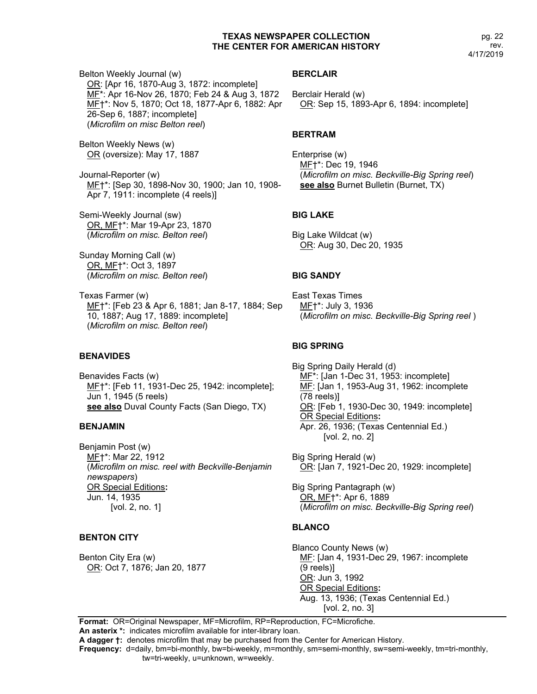Belton Weekly Journal (w) OR: [Apr 16, 1870-Aug 3, 1872: incomplete] MF\*: Apr 16-Nov 26, 1870; Feb 24 & Aug 3, 1872 MF†\*: Nov 5, 1870; Oct 18, 1877-Apr 6, 1882: Apr 26-Sep 6, 1887; incomplete] (*Microfilm on misc Belton reel*)

Belton Weekly News (w) OR (oversize): May 17, 1887

Journal-Reporter (w) MF†\*: [Sep 30, 1898-Nov 30, 1900; Jan 10, 1908- Apr 7, 1911: incomplete (4 reels)]

Semi-Weekly Journal (sw) OR, MF†\*: Mar 19-Apr 23, 1870 (*Microfilm on misc. Belton reel*)

Sunday Morning Call (w) OR, MF†\*: Oct 3, 1897 (*Microfilm on misc. Belton reel*)

Texas Farmer (w) ME<sup>+\*</sup>: [Feb 23 & Apr 6, 1881; Jan 8-17, 1884; Sep 10, 1887; Aug 17, 1889: incomplete] (*Microfilm on misc. Belton reel*)

#### **BENAVIDES**

Benavides Facts (w) MF†\*: [Feb 11, 1931-Dec 25, 1942: incomplete]; Jun 1, 1945 (5 reels) **see also** Duval County Facts (San Diego, TX)

#### **BENJAMIN**

Benjamin Post (w) MF†\*: Mar 22, 1912 (*Microfilm on misc. reel with Beckville-Benjamin newspapers*) OR Special Editions**:**  Jun. 14, 1935 [vol. 2, no. 1]

#### **BENTON CITY**

Benton City Era (w) OR: Oct 7, 1876; Jan 20, 1877

#### **BERCLAIR**

Berclair Herald (w) OR: Sep 15, 1893-Apr 6, 1894: incomplete]

#### **BERTRAM**

Enterprise (w) MF†\*: Dec 19, 1946 (*Microfilm on misc. Beckville-Big Spring reel*) **see also** Burnet Bulletin (Burnet, TX)

#### **BIG LAKE**

Big Lake Wildcat (w) OR: Aug 30, Dec 20, 1935

#### **BIG SANDY**

East Texas Times MF†\*: July 3, 1936 (*Microfilm on misc. Beckville-Big Spring reel* )

#### **BIG SPRING**

Big Spring Daily Herald (d) MF<sup>\*</sup>: [Jan 1-Dec 31, 1953: incomplete] MF: [Jan 1, 1953-Aug 31, 1962: incomplete (78 reels)] OR: [Feb 1, 1930-Dec 30, 1949: incomplete] OR Special Editions**:** Apr. 26, 1936; (Texas Centennial Ed.) [vol. 2, no. 2]

Big Spring Herald (w) OR: [Jan 7, 1921-Dec 20, 1929: incomplete]

Big Spring Pantagraph (w) OR, MF†\*: Apr 6, 1889 (*Microfilm on misc. Beckville-Big Spring reel*)

#### **BLANCO**

Blanco County News (w) MF: [Jan 4, 1931-Dec 29, 1967: incomplete (9 reels)] OR: Jun 3, 1992 OR Special Editions**:** Aug. 13, 1936; (Texas Centennial Ed.) [vol. 2, no. 3]

**Format:** OR=Original Newspaper, MF=Microfilm, RP=Reproduction, FC=Microfiche. **An asterix \*:** indicates microfilm available for inter-library loan.

**A dagger †:** denotes microfilm that may be purchased from the Center for American History.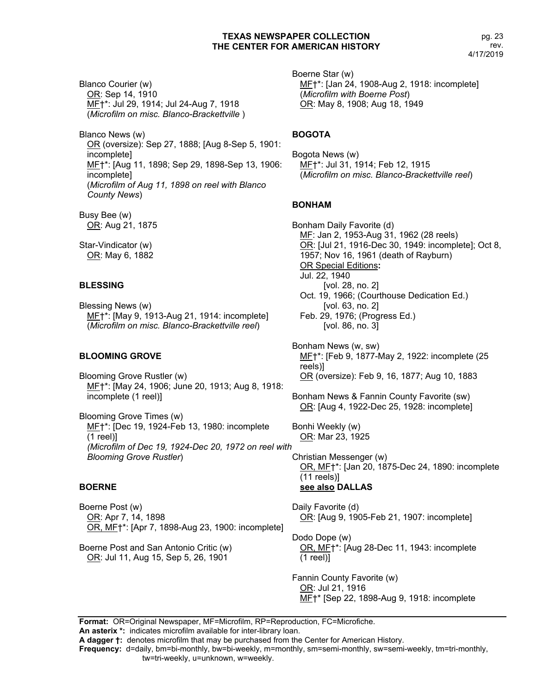Blanco Courier (w) OR: Sep 14, 1910 MF†\*: Jul 29, 1914; Jul 24-Aug 7, 1918 (*Microfilm on misc. Blanco-Brackettville* )

Blanco News (w) OR (oversize): Sep 27, 1888; [Aug 8-Sep 5, 1901: incomplete] MF†\*: [Aug 11, 1898; Sep 29, 1898-Sep 13, 1906: incomplete] (*Microfilm of Aug 11, 1898 on reel with Blanco County News*)

Busy Bee (w) OR: Aug 21, 1875

Star-Vindicator (w) OR: May 6, 1882

#### **BLESSING**

Blessing News (w) MF†\*: [May 9, 1913-Aug 21, 1914: incomplete] (*Microfilm on misc. Blanco-Brackettville reel*)

#### **BLOOMING GROVE**

Blooming Grove Rustler (w) MF†\*: [May 24, 1906; June 20, 1913; Aug 8, 1918: incomplete (1 reel)]

Blooming Grove Times (w) MF†\*: [Dec 19, 1924-Feb 13, 1980: incomplete (1 reel)] *(Microfilm of Dec 19, 1924-Dec 20, 1972 on reel with Blooming Grove Rustler*)

#### **BOERNE**

Boerne Post (w) OR: Apr 7, 14, 1898 OR, MF†\*: [Apr 7, 1898-Aug 23, 1900: incomplete]

Boerne Post and San Antonio Critic (w) OR: Jul 11, Aug 15, Sep 5, 26, 1901

Boerne Star (w) MF†\*: [Jan 24, 1908-Aug 2, 1918: incomplete] (*Microfilm with Boerne Post*) OR: May 8, 1908; Aug 18, 1949

#### **BOGOTA**

Bogota News (w) MF†\*: Jul 31, 1914; Feb 12, 1915 (*Microfilm on misc. Blanco-Brackettville reel*)

#### **BONHAM**

Bonham Daily Favorite (d) MF: Jan 2, 1953-Aug 31, 1962 (28 reels) OR: [Jul 21, 1916-Dec 30, 1949: incomplete]; Oct 8, 1957; Nov 16, 1961 (death of Rayburn) OR Special Editions**:** Jul. 22, 1940 [vol. 28, no. 2] Oct. 19, 1966; (Courthouse Dedication Ed.) [vol. 63, no. 2] Feb. 29, 1976; (Progress Ed.) [vol. 86, no. 3]

Bonham News (w, sw) MF†\*: [Feb 9, 1877-May 2, 1922: incomplete (25 reels)] OR (oversize): Feb 9, 16, 1877; Aug 10, 1883

Bonham News & Fannin County Favorite (sw) OR: [Aug 4, 1922-Dec 25, 1928: incomplete]

Bonhi Weekly (w) OR: Mar 23, 1925

Christian Messenger (w) OR, MF†\*: [Jan 20, 1875-Dec 24, 1890: incomplete (11 reels)] **see also DALLAS**

Daily Favorite (d) OR: [Aug 9, 1905-Feb 21, 1907: incomplete]

Dodo Dope (w) OR, MF†\*: [Aug 28-Dec 11, 1943: incomplete (1 reel)]

Fannin County Favorite (w) OR: Jul 21, 1916 MF†\* [Sep 22, 1898-Aug 9, 1918: incomplete

**Format:** OR=Original Newspaper, MF=Microfilm, RP=Reproduction, FC=Microfiche.

**An asterix \*:** indicates microfilm available for inter-library loan.

**A dagger †:** denotes microfilm that may be purchased from the Center for American History.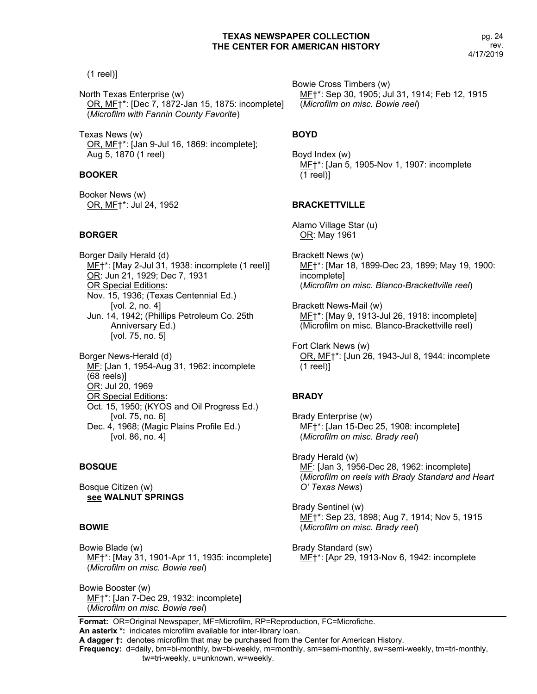(1 reel)]

North Texas Enterprise (w) OR, MF†\*: [Dec 7, 1872-Jan 15, 1875: incomplete] (*Microfilm with Fannin County Favorite*)

Texas News (w) OR, MF†\*: [Jan 9-Jul 16, 1869: incomplete]; Aug 5, 1870 (1 reel)

## **BOOKER**

Booker News (w) OR, MF†\*: Jul 24, 1952

## **BORGER**

Borger Daily Herald (d) MF†\*: [May 2-Jul 31, 1938: incomplete (1 reel)] OR: Jun 21, 1929; Dec 7, 1931 OR Special Editions**:** Nov. 15, 1936; (Texas Centennial Ed.) [vol. 2, no. 4] Jun. 14, 1942; (Phillips Petroleum Co. 25th Anniversary Ed.) [vol. 75, no. 5]

Borger News-Herald (d) MF: [Jan 1, 1954-Aug 31, 1962: incomplete (68 reels)] OR: Jul 20, 1969 OR Special Editions**:** Oct. 15, 1950; (KYOS and Oil Progress Ed.) [vol. 75, no. 6] Dec. 4, 1968; (Magic Plains Profile Ed.) [vol. 86, no. 4]

## **BOSQUE**

Bosque Citizen (w) **see WALNUT SPRINGS**

## **BOWIE**

Bowie Blade (w) MF†\*: [May 31, 1901-Apr 11, 1935: incomplete] (*Microfilm on misc. Bowie reel*)

Bowie Booster (w) MF†\*: [Jan 7-Dec 29, 1932: incomplete] (*Microfilm on misc. Bowie reel*)

Bowie Cross Timbers (w) MF†\*: Sep 30, 1905; Jul 31, 1914; Feb 12, 1915 (*Microfilm on misc. Bowie reel*)

## **BOYD**

Boyd Index (w) MF†\*: [Jan 5, 1905-Nov 1, 1907: incomplete (1 reel)]

## **BRACKETTVILLE**

Alamo Village Star (u) OR: May 1961

Brackett News (w) MF†\*: [Mar 18, 1899-Dec 23, 1899; May 19, 1900: incomplete] (*Microfilm on misc. Blanco-Brackettville reel*)

Brackett News-Mail (w) MF†\*: [May 9, 1913-Jul 26, 1918: incomplete] (Microfilm on misc. Blanco-Brackettville reel)

Fort Clark News (w) OR, MF†\*: [Jun 26, 1943-Jul 8, 1944: incomplete (1 reel)]

## **BRADY**

Brady Enterprise (w) MF†\*: [Jan 15-Dec 25, 1908: incomplete] (*Microfilm on misc. Brady reel*)

Brady Herald (w) MF: [Jan 3, 1956-Dec 28, 1962: incomplete] (*Microfilm on reels with Brady Standard and Heart O' Texas News*)

Brady Sentinel (w) MF†\*: Sep 23, 1898; Aug 7, 1914; Nov 5, 1915 (*Microfilm on misc. Brady reel*)

Brady Standard (sw) MF†\*: [Apr 29, 1913-Nov 6, 1942: incomplete

**Format:** OR=Original Newspaper, MF=Microfilm, RP=Reproduction, FC=Microfiche. **An asterix \*:** indicates microfilm available for inter-library loan.

**Frequency:** d=daily, bm=bi-monthly, bw=bi-weekly, m=monthly, sm=semi-monthly, sw=semi-weekly, tm=tri-monthly,

**A dagger †:** denotes microfilm that may be purchased from the Center for American History.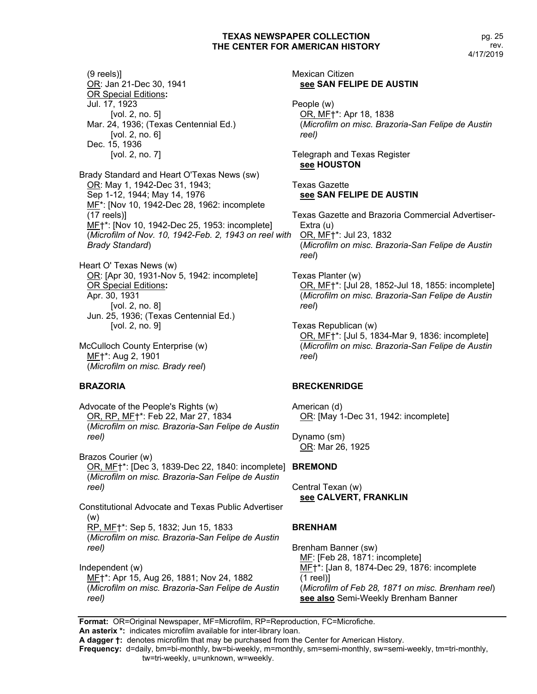Mexican Citizen

(9 reels)] OR: Jan 21-Dec 30, 1941 OR Special Editions**:**  Jul. 17, 1923 [vol. 2, no. 5] Mar. 24, 1936; (Texas Centennial Ed.) [vol. 2, no. 6] Dec. 15, 1936 [vol. 2, no. 7] Brady Standard and Heart O'Texas News (sw) OR: May 1, 1942-Dec 31, 1943; Sep 1-12, 1944; May 14, 1976 MF\*: [Nov 10, 1942-Dec 28, 1962: incomplete (17 reels)] MF†\*: [Nov 10, 1942-Dec 25, 1953: incomplete] (*Microfilm of Nov. 10, 1942-Feb. 2, 1943 on reel with Brady Standard*)

Heart O' Texas News (w) OR: [Apr 30, 1931-Nov 5, 1942: incomplete] OR Special Editions**:** Apr. 30, 1931 [vol. 2, no. 8] Jun. 25, 1936; (Texas Centennial Ed.) [vol. 2, no. 9]

McCulloch County Enterprise (w) ME<sup>+</sup>\*: Aug 2, 1901 (*Microfilm on misc. Brady reel*)

#### **BRAZORIA**

Advocate of the People's Rights (w) OR, RP, MF†\*: Feb 22, Mar 27, 1834 (*Microfilm on misc. Brazoria-San Felipe de Austin reel)*

Brazos Courier (w) OR, MF†\*: [Dec 3, 1839-Dec 22, 1840: incomplete] **BREMOND** (*Microfilm on misc. Brazoria-San Felipe de Austin reel)*

Constitutional Advocate and Texas Public Advertiser (w) RP, MF†\*: Sep 5, 1832; Jun 15, 1833 (*Microfilm on misc. Brazoria-San Felipe de Austin reel)*

Independent (w) MF†\*: Apr 15, Aug 26, 1881; Nov 24, 1882 (*Microfilm on misc. Brazoria-San Felipe de Austin reel)*

**see SAN FELIPE DE AUSTIN** People (w) OR, MF†\*: Apr 18, 1838 (*Microfilm on misc. Brazoria-San Felipe de Austin reel)*

Telegraph and Texas Register **see HOUSTON**

Texas Gazette **see SAN FELIPE DE AUSTIN**

Texas Gazette and Brazoria Commercial Advertiser-Extra (u) OR, MF†\*: Jul 23, 1832 (*Microfilm on misc. Brazoria-San Felipe de Austin reel*)

Texas Planter (w) OR, MF†\*: [Jul 28, 1852-Jul 18, 1855: incomplete] (*Microfilm on misc. Brazoria-San Felipe de Austin reel*)

Texas Republican (w) OR, MF†\*: [Jul 5, 1834-Mar 9, 1836: incomplete] (*Microfilm on misc. Brazoria-San Felipe de Austin reel*)

#### **BRECKENRIDGE**

American (d) OR: [May 1-Dec 31, 1942: incomplete]

Dynamo (sm) OR: Mar 26, 1925

Central Texan (w) **see CALVERT, FRANKLIN**

## **BRENHAM**

Brenham Banner (sw) MF: [Feb 28, 1871: incomplete] ME+\*: [Jan 8, 1874-Dec 29, 1876: incomplete (1 reel)] (*Microfilm of Feb 28, 1871 on misc. Brenham reel*) **see also** Semi-Weekly Brenham Banner

**Format:** OR=Original Newspaper, MF=Microfilm, RP=Reproduction, FC=Microfiche.

**An asterix \*:** indicates microfilm available for inter-library loan.

**A dagger †:** denotes microfilm that may be purchased from the Center for American History.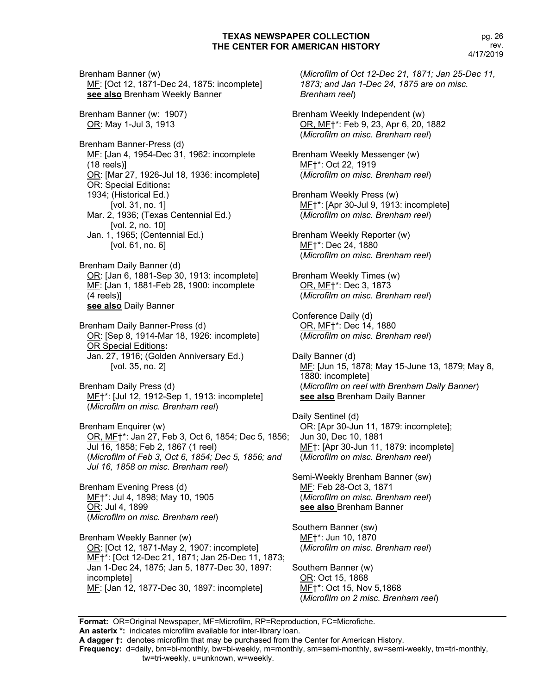Brenham Banner (w) MF: [Oct 12, 1871-Dec 24, 1875: incomplete] **see also** Brenham Weekly Banner Brenham Banner (w: 1907) OR: May 1-Jul 3, 1913 Brenham Banner-Press (d) MF: [Jan 4, 1954-Dec 31, 1962: incomplete (18 reels)] OR: [Mar 27, 1926-Jul 18, 1936: incomplete] OR: Special Editions**:** 1934; (Historical Ed.) [vol. 31, no. 1] Mar. 2, 1936; (Texas Centennial Ed.) [vol. 2, no. 10] Jan. 1, 1965; (Centennial Ed.) [vol. 61, no. 6] Brenham Daily Banner (d) OR: [Jan 6, 1881-Sep 30, 1913: incomplete] MF: [Jan 1, 1881-Feb 28, 1900: incomplete (4 reels)] **see also** Daily Banner Brenham Daily Banner-Press (d) OR: [Sep 8, 1914-Mar 18, 1926: incomplete] OR Special Editions**:** Jan. 27, 1916; (Golden Anniversary Ed.) [vol. 35, no. 2] Brenham Daily Press (d) MF†\*: [Jul 12, 1912-Sep 1, 1913: incomplete] (*Microfilm on misc. Brenham reel*) Brenham Enquirer (w) OR, MF†\*: Jan 27, Feb 3, Oct 6, 1854; Dec 5, 1856; Jul 16, 1858; Feb 2, 1867 (1 reel) (*Microfilm of Feb 3, Oct 6, 1854; Dec 5, 1856; and Jul 16, 1858 on misc. Brenham reel*) Brenham Evening Press (d) MF†\*: Jul 4, 1898; May 10, 1905 OR: Jul 4, 1899 (*Microfilm on misc. Brenham reel*) Brenham Weekly Banner (w) OR: [Oct 12, 1871-May 2, 1907: incomplete] MF†\*: [Oct 12-Dec 21, 1871; Jan 25-Dec 11, 1873; Jan 1-Dec 24, 1875; Jan 5, 1877-Dec 30, 1897: incomplete] MF: [Jan 12, 1877-Dec 30, 1897: incomplete]

(*Microfilm of Oct 12-Dec 21, 1871; Jan 25-Dec 11, 1873; and Jan 1-Dec 24, 1875 are on misc. Brenham reel*) Brenham Weekly Independent (w) OR, MF†\*: Feb 9, 23, Apr 6, 20, 1882 (*Microfilm on misc. Brenham reel*) Brenham Weekly Messenger (w) MF†\*: Oct 22, 1919 (*Microfilm on misc. Brenham reel*) Brenham Weekly Press (w) MF†\*: [Apr 30-Jul 9, 1913: incomplete] (*Microfilm on misc. Brenham reel*) Brenham Weekly Reporter (w) MF†\*: Dec 24, 1880 (*Microfilm on misc. Brenham reel*) Brenham Weekly Times (w) OR, MF†\*: Dec 3, 1873 (*Microfilm on misc. Brenham reel*) Conference Daily (d) OR, MF†\*: Dec 14, 1880 (*Microfilm on misc. Brenham reel*) Daily Banner (d) ME: [Jun 15, 1878; May 15-June 13, 1879; May 8, 1880: incomplete] (*Microfilm on reel with Brenham Daily Banner*) **see also** Brenham Daily Banner Daily Sentinel (d) OR: [Apr 30-Jun 11, 1879: incomplete]; Jun 30, Dec 10, 1881 MF<sub>†</sub>: [Apr 30-Jun 11, 1879: incomplete] (*Microfilm on misc. Brenham reel*) Semi-Weekly Brenham Banner (sw) MF: Feb 28-Oct 3, 1871 (*Microfilm on misc. Brenham reel*) **see also** Brenham Banner Southern Banner (sw) MF†\*: Jun 10, 1870 (*Microfilm on misc. Brenham reel*) Southern Banner (w)

OR: Oct 15, 1868 MF<sup>+</sup>\*: Oct 15, Nov 5,1868 (*Microfilm on 2 misc. Brenham reel*)

**Format:** OR=Original Newspaper, MF=Microfilm, RP=Reproduction, FC=Microfiche.

**An asterix \*:** indicates microfilm available for inter-library loan.

**A dagger †:** denotes microfilm that may be purchased from the Center for American History. **Frequency:** d=daily, bm=bi-monthly, bw=bi-weekly, m=monthly, sm=semi-monthly, sw=semi-weekly, tm=tri-monthly,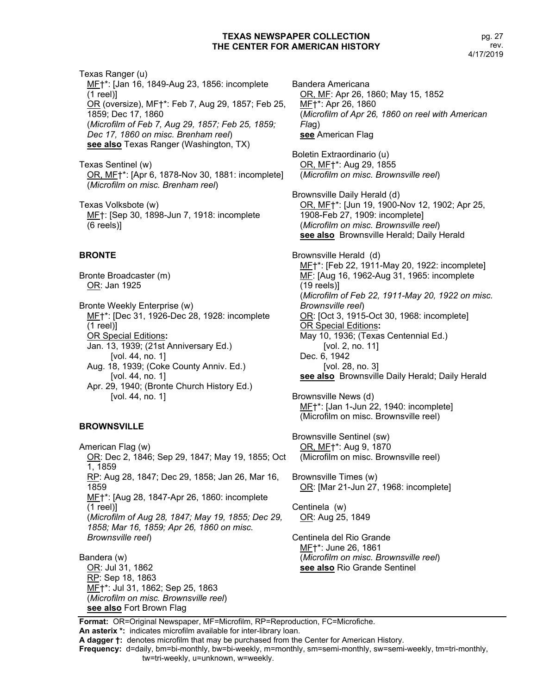Texas Ranger (u) MF†\*: [Jan 16, 1849-Aug 23, 1856: incomplete (1 reel)] OR (oversize), MF†\*: Feb 7, Aug 29, 1857; Feb 25, 1859; Dec 17, 1860 (*Microfilm of Feb 7, Aug 29, 1857; Feb 25, 1859; Dec 17, 1860 on misc. Brenham reel*) **see also** Texas Ranger (Washington, TX)

Texas Sentinel (w) OR, MF†\*: [Apr 6, 1878-Nov 30, 1881: incomplete] (*Microfilm on misc. Brenham reel*)

Texas Volksbote (w) ME†: [Sep 30, 1898-Jun 7, 1918: incomplete (6 reels)]

# **BRONTE**

Bronte Broadcaster (m) OR: Jan 1925

Bronte Weekly Enterprise (w) MF†\*: [Dec 31, 1926-Dec 28, 1928: incomplete (1 reel)] OR Special Editions**:** Jan. 13, 1939; (21st Anniversary Ed.) [vol. 44, no. 1] Aug. 18, 1939; (Coke County Anniv. Ed.) [vol. 44, no. 1] Apr. 29, 1940; (Bronte Church History Ed.) [vol. 44, no. 1]

# **BROWNSVILLE**

American Flag (w) OR: Dec 2, 1846; Sep 29, 1847; May 19, 1855; Oct 1, 1859 RP: Aug 28, 1847; Dec 29, 1858; Jan 26, Mar 16, 1859 MF†\*: [Aug 28, 1847-Apr 26, 1860: incomplete (1 reel)] (*Microfilm of Aug 28, 1847; May 19, 1855; Dec 29, 1858; Mar 16, 1859; Apr 26, 1860 on misc. Brownsville reel*)

Bandera (w) OR: Jul 31, 1862 RP: Sep 18, 1863 MF†\*: Jul 31, 1862; Sep 25, 1863 (*Microfilm on misc. Brownsville reel*) **see also** Fort Brown Flag

Bandera Americana OR, MF: Apr 26, 1860; May 15, 1852 MF†\*: Apr 26, 1860 (*Microfilm of Apr 26, 1860 on reel with American Fla*g) **see** American Flag

Boletin Extraordinario (u) OR, MF†\*: Aug 29, 1855 (*Microfilm on misc. Brownsville reel*)

Brownsville Daily Herald (d) OR, MF†\*: [Jun 19, 1900-Nov 12, 1902; Apr 25, 1908-Feb 27, 1909: incomplete] (*Microfilm on misc. Brownsville reel*) **see also** Brownsville Herald; Daily Herald

Brownsville Herald (d) MF†\*: [Feb 22, 1911-May 20, 1922: incomplete] MF: [Aug 16, 1962-Aug 31, 1965: incomplete (19 reels)] (*Microfilm of Feb 22, 1911-May 20, 1922 on misc. Brownsville reel*) OR: [Oct 3, 1915-Oct 30, 1968: incomplete] OR Special Editions**:** May 10, 1936; (Texas Centennial Ed.) [vol. 2, no. 11] Dec. 6, 1942 [vol. 28, no. 3] **see also** Brownsville Daily Herald; Daily Herald

Brownsville News (d) MF†\*: [Jan 1-Jun 22, 1940: incomplete] (Microfilm on misc. Brownsville reel)

Brownsville Sentinel (sw) OR, MF†\*: Aug 9, 1870 (Microfilm on misc. Brownsville reel)

Brownsville Times (w) OR: [Mar 21-Jun 27, 1968: incomplete]

Centinela (w) OR: Aug 25, 1849

Centinela del Rio Grande MF†\*: June 26, 1861 (*Microfilm on misc. Brownsville reel*) **see also** Rio Grande Sentinel

**Format:** OR=Original Newspaper, MF=Microfilm, RP=Reproduction, FC=Microfiche. **An asterix \*:** indicates microfilm available for inter-library loan.

**A dagger †:** denotes microfilm that may be purchased from the Center for American History.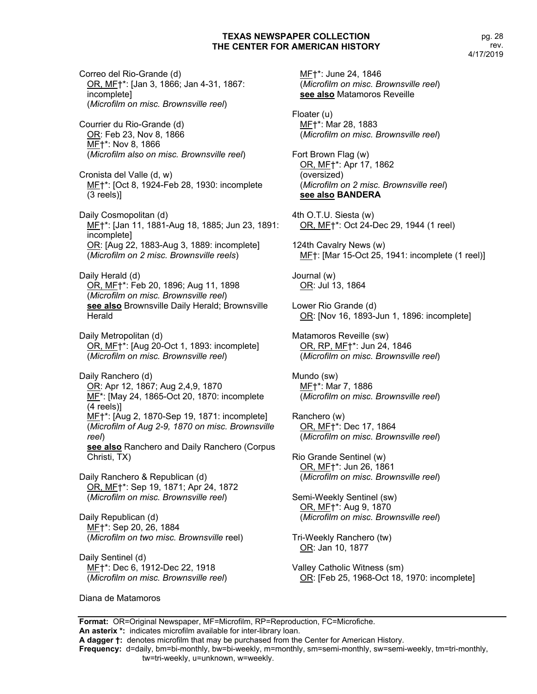Correo del Rio-Grande (d) OR, MF†\*: [Jan 3, 1866; Jan 4-31, 1867: incomplete] (*Microfilm on misc. Brownsville reel*)

Courrier du Rio-Grande (d) OR: Feb 23, Nov 8, 1866 MF†\*: Nov 8, 1866 (*Microfilm also on misc. Brownsville reel*)

Cronista del Valle (d, w) MF†\*: [Oct 8, 1924-Feb 28, 1930: incomplete (3 reels)]

Daily Cosmopolitan (d) MF†\*: [Jan 11, 1881-Aug 18, 1885; Jun 23, 1891: incomplete] OR: [Aug 22, 1883-Aug 3, 1889: incomplete] (*Microfilm on 2 misc. Brownsville reels*)

Daily Herald (d) OR, MF†\*: Feb 20, 1896; Aug 11, 1898 (*Microfilm on misc. Brownsville reel*) **see also** Brownsville Daily Herald; Brownsville **Herald** 

Daily Metropolitan (d) OR, MF†\*: [Aug 20-Oct 1, 1893: incomplete] (*Microfilm on misc. Brownsville reel*)

Daily Ranchero (d) OR: Apr 12, 1867; Aug 2,4,9, 1870 ME<sup>\*</sup>: [May 24, 1865-Oct 20, 1870: incomplete (4 reels)] MF†\*: [Aug 2, 1870-Sep 19, 1871: incomplete] (*Microfilm of Aug 2-9, 1870 on misc. Brownsville reel*) **see also** Ranchero and Daily Ranchero (Corpus Christi, TX)

Daily Ranchero & Republican (d) OR, MF†\*: Sep 19, 1871; Apr 24, 1872 (*Microfilm on misc. Brownsville reel*)

Daily Republican (d) MF†\*: Sep 20, 26, 1884 (*Microfilm on two misc. Brownsville* reel)

Daily Sentinel (d) MF†\*: Dec 6, 1912-Dec 22, 1918 (*Microfilm on misc. Brownsville reel*)

MF†\*: June 24, 1846 (*Microfilm on misc. Brownsville reel*) **see also** Matamoros Reveille

Floater (u) MF†\*: Mar 28, 1883 (*Microfilm on misc. Brownsville reel*)

Fort Brown Flag (w) OR, MF†\*: Apr 17, 1862 (oversized) (*Microfilm on 2 misc. Brownsville reel*) **see also BANDERA**

4th O.T.U. Siesta (w) OR, MF†\*: Oct 24-Dec 29, 1944 (1 reel)

124th Cavalry News (w) MF†: [Mar 15-Oct 25, 1941: incomplete (1 reel)]

Journal (w) OR: Jul 13, 1864

Lower Rio Grande (d) OR: [Nov 16, 1893-Jun 1, 1896: incomplete]

Matamoros Reveille (sw) OR, RP, MF†\*: Jun 24, 1846 (*Microfilm on misc. Brownsville reel*)

Mundo (sw) MF†\*: Mar 7, 1886 (*Microfilm on misc. Brownsville reel*)

Ranchero (w) OR, MF†\*: Dec 17, 1864 (*Microfilm on misc. Brownsville reel*)

Rio Grande Sentinel (w) OR, MF†\*: Jun 26, 1861 (*Microfilm on misc. Brownsville reel*)

Semi-Weekly Sentinel (sw) OR, MF†\*: Aug 9, 1870 (*Microfilm on misc. Brownsville reel*)

Tri-Weekly Ranchero (tw) OR: Jan 10, 1877

Valley Catholic Witness (sm) OR: [Feb 25, 1968-Oct 18, 1970: incomplete]

Diana de Matamoros

**Format:** OR=Original Newspaper, MF=Microfilm, RP=Reproduction, FC=Microfiche.

**An asterix \*:** indicates microfilm available for inter-library loan.

**A dagger †:** denotes microfilm that may be purchased from the Center for American History.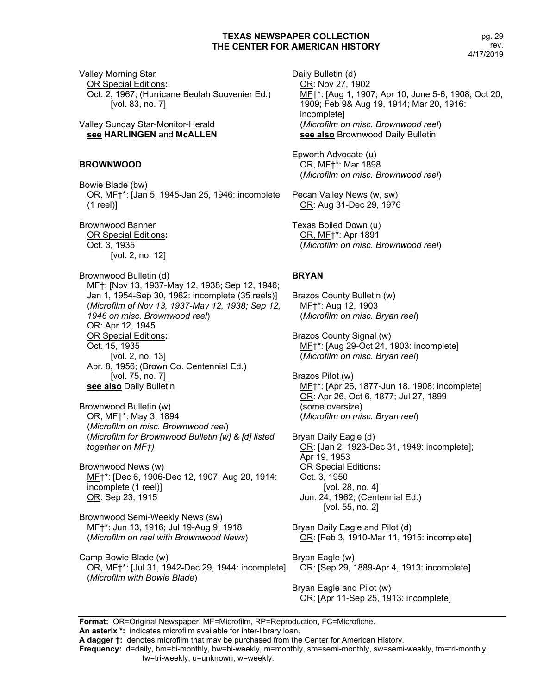Valley Morning Star OR Special Editions**:** Oct. 2, 1967; (Hurricane Beulah Souvenier Ed.) [vol. 83, no. 7]

Valley Sunday Star-Monitor-Herald **see HARLINGEN** and **McALLEN**

#### **BROWNWOOD**

Bowie Blade (bw) OR, MF†\*: [Jan 5, 1945-Jan 25, 1946: incomplete (1 reel)]

Brownwood Banner OR Special Editions**:** Oct. 3, 1935 [vol. 2, no. 12]

Brownwood Bulletin (d) MF†: [Nov 13, 1937-May 12, 1938; Sep 12, 1946; Jan 1, 1954-Sep 30, 1962: incomplete (35 reels)] (*Microfilm of Nov 13, 1937-May 12, 1938; Sep 12, 1946 on misc. Brownwood reel*) OR: Apr 12, 1945 OR Special Editions**:** Oct. 15, 1935 [vol. 2, no. 13] Apr. 8, 1956; (Brown Co. Centennial Ed.) [vol. 75, no. 7] **see also** Daily Bulletin

Brownwood Bulletin (w) OR, MF†\*: May 3, 1894 (*Microfilm on misc. Brownwood reel*) (*Microfilm for Brownwood Bulletin [w] & [d] listed together on MF†)*

Brownwood News (w) MF†\*: [Dec 6, 1906-Dec 12, 1907; Aug 20, 1914: incomplete (1 reel)] OR: Sep 23, 1915

Brownwood Semi-Weekly News (sw) MF†\*: Jun 13, 1916; Jul 19-Aug 9, 1918 (*Microfilm on reel with Brownwood News*)

Camp Bowie Blade (w) OR, MF†\*: [Jul 31, 1942-Dec 29, 1944: incomplete] (*Microfilm with Bowie Blade*)

Daily Bulletin (d) OR: Nov 27, 1902 MF†\*: [Aug 1, 1907; Apr 10, June 5-6, 1908; Oct 20, 1909; Feb 9& Aug 19, 1914; Mar 20, 1916: incomplete] (*Microfilm on misc. Brownwood reel*) **see also** Brownwood Daily Bulletin

Epworth Advocate (u) OR, MF†\*: Mar 1898 (*Microfilm on misc. Brownwood reel*)

Pecan Valley News (w, sw) OR: Aug 31-Dec 29, 1976

Texas Boiled Down (u) OR, MF†\*: Apr 1891 (*Microfilm on misc. Brownwood reel*)

## **BRYAN**

Brazos County Bulletin (w) MF†\*: Aug 12, 1903 (*Microfilm on misc. Bryan reel*)

Brazos County Signal (w) MF†\*: [Aug 29-Oct 24, 1903: incomplete] (*Microfilm on misc. Bryan reel*)

Brazos Pilot (w) MF†\*: [Apr 26, 1877-Jun 18, 1908: incomplete] OR: Apr 26, Oct 6, 1877; Jul 27, 1899 (some oversize) (*Microfilm on misc. Bryan reel*)

Bryan Daily Eagle (d) OR: [Jan 2, 1923-Dec 31, 1949: incomplete]; Apr 19, 1953 OR Special Editions**:** Oct. 3, 1950 [vol. 28, no. 4] Jun. 24, 1962; (Centennial Ed.) [vol. 55, no. 2]

Bryan Daily Eagle and Pilot (d) OR: [Feb 3, 1910-Mar 11, 1915: incomplete]

Bryan Eagle (w) OR: [Sep 29, 1889-Apr 4, 1913: incomplete]

Bryan Eagle and Pilot (w) OR: [Apr 11-Sep 25, 1913: incomplete]

**Format:** OR=Original Newspaper, MF=Microfilm, RP=Reproduction, FC=Microfiche. **An asterix \*:** indicates microfilm available for inter-library loan.

**A dagger †:** denotes microfilm that may be purchased from the Center for American History.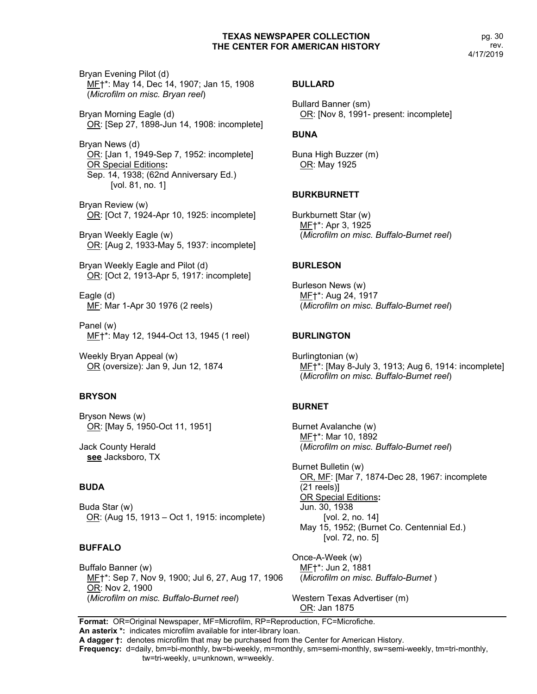Bryan Evening Pilot (d) MF†\*: May 14, Dec 14, 1907; Jan 15, 1908 (*Microfilm on misc. Bryan reel*)

Bryan Morning Eagle (d) OR: [Sep 27, 1898-Jun 14, 1908: incomplete]

Bryan News (d) OR: [Jan 1, 1949-Sep 7, 1952: incomplete] OR Special Editions**:** Sep. 14, 1938; (62nd Anniversary Ed.) [vol. 81, no. 1]

Bryan Review (w) OR: [Oct 7, 1924-Apr 10, 1925: incomplete]

Bryan Weekly Eagle (w) OR: [Aug 2, 1933-May 5, 1937: incomplete]

Bryan Weekly Eagle and Pilot (d) OR: [Oct 2, 1913-Apr 5, 1917: incomplete]

Eagle (d) MF: Mar 1-Apr 30 1976 (2 reels)

Panel (w) MF†\*: May 12, 1944-Oct 13, 1945 (1 reel)

Weekly Bryan Appeal (w) OR (oversize): Jan 9, Jun 12, 1874

#### **BRYSON**

Bryson News (w) OR: [May 5, 1950-Oct 11, 1951]

Jack County Herald **see** Jacksboro, TX

## **BUDA**

Buda Star (w) OR: (Aug 15, 1913 – Oct 1, 1915: incomplete)

#### **BUFFALO**

Buffalo Banner (w) MF†\*: Sep 7, Nov 9, 1900; Jul 6, 27, Aug 17, 1906 OR: Nov 2, 1900 (*Microfilm on misc. Buffalo-Burnet reel*)

#### **BULLARD**

Bullard Banner (sm) OR: [Nov 8, 1991- present: incomplete]

#### **BUNA**

Buna High Buzzer (m) OR: May 1925

#### **BURKBURNETT**

Burkburnett Star (w) MF†\*: Apr 3, 1925 (*Microfilm on misc. Buffalo-Burnet reel*)

#### **BURLESON**

Burleson News (w) MF†\*: Aug 24, 1917 (*Microfilm on misc. Buffalo-Burnet reel*)

#### **BURLINGTON**

Burlingtonian (w) MF†\*: [May 8-July 3, 1913; Aug 6, 1914: incomplete] (*Microfilm on misc. Buffalo-Burnet reel*)

#### **BURNET**

Burnet Avalanche (w) MF†\*: Mar 10, 1892 (*Microfilm on misc. Buffalo-Burnet reel*)

Burnet Bulletin (w) OR, MF: [Mar 7, 1874-Dec 28, 1967: incomplete (21 reels)] OR Special Editions**:** Jun. 30, 1938 [vol. 2, no. 14] May 15, 1952; (Burnet Co. Centennial Ed.) [vol. 72, no. 5]

Once-A-Week (w) MF†\*: Jun 2, 1881 (*Microfilm on misc. Buffalo-Burnet* )

Western Texas Advertiser (m) OR: Jan 1875

**Format:** OR=Original Newspaper, MF=Microfilm, RP=Reproduction, FC=Microfiche.

**An asterix \*:** indicates microfilm available for inter-library loan.

**A dagger †:** denotes microfilm that may be purchased from the Center for American History.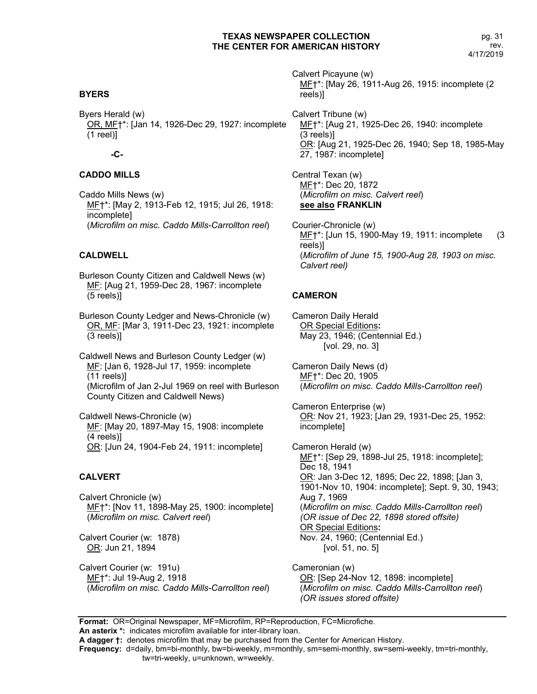## **BYERS**

Byers Herald (w) OR, MF†\*: [Jan 14, 1926-Dec 29, 1927: incomplete (1 reel)]

## **-C-**

## **CADDO MILLS**

Caddo Mills News (w) MF†\*: [May 2, 1913-Feb 12, 1915; Jul 26, 1918: incomplete] (*Microfilm on misc. Caddo Mills-Carrollton reel*)

## **CALDWELL**

Burleson County Citizen and Caldwell News (w) MF: [Aug 21, 1959-Dec 28, 1967: incomplete (5 reels)]

Burleson County Ledger and News-Chronicle (w) OR, MF: [Mar 3, 1911-Dec 23, 1921: incomplete (3 reels)]

Caldwell News and Burleson County Ledger (w) MF: [Jan 6, 1928-Jul 17, 1959: incomplete (11 reels)] (Microfilm of Jan 2-Jul 1969 on reel with Burleson County Citizen and Caldwell News)

Caldwell News-Chronicle (w) ME: [May 20, 1897-May 15, 1908: incomplete (4 reels)] OR: [Jun 24, 1904-Feb 24, 1911: incomplete]

#### **CALVERT**

Calvert Chronicle (w) MF†\*: [Nov 11, 1898-May 25, 1900: incomplete] (*Microfilm on misc. Calvert reel*)

Calvert Courier (w: 1878) OR: Jun 21, 1894

Calvert Courier (w: 191u) MF†\*: Jul 19-Aug 2, 1918 (*Microfilm on misc. Caddo Mills-Carrollton reel*) Calvert Picayune (w) MF†\*: [May 26, 1911-Aug 26, 1915: incomplete (2 reels)]

Calvert Tribune (w) ME<sup>+</sup>\*: [Aug 21, 1925-Dec 26, 1940: incomplete (3 reels)] OR: [Aug 21, 1925-Dec 26, 1940; Sep 18, 1985-May 27, 1987: incomplete]

Central Texan (w) MF†\*: Dec 20, 1872 (*Microfilm on misc. Calvert reel*) **see also FRANKLIN**

Courier-Chronicle (w) ME<sup>+\*</sup>: [Jun 15, 1900-May 19, 1911: incomplete (3 reels)] (*Microfilm of June 15, 1900-Aug 28, 1903 on misc. Calvert reel)*

## **CAMERON**

Cameron Daily Herald OR Special Editions**:** May 23, 1946; (Centennial Ed.) [vol. 29, no. 3]

Cameron Daily News (d) MF†\*: Dec 20, 1905 (*Microfilm on misc. Caddo Mills-Carrollton reel*)

Cameron Enterprise (w) OR: Nov 21, 1923; [Jan 29, 1931-Dec 25, 1952: incomplete]

Cameron Herald (w) MF†\*: [Sep 29, 1898-Jul 25, 1918: incomplete]; Dec 18, 1941 OR: Jan 3-Dec 12, 1895; Dec 22, 1898; [Jan 3, 1901-Nov 10, 1904: incomplete]; Sept. 9, 30, 1943; Aug 7, 1969 (*Microfilm on misc. Caddo Mills-Carrollton reel*) *(OR issue of Dec 22, 1898 stored offsite)* OR Special Editions**:** Nov. 24, 1960; (Centennial Ed.) [vol. 51, no. 5]

Cameronian (w) OR: [Sep 24-Nov 12, 1898: incomplete] (*Microfilm on misc. Caddo Mills-Carrollton reel*) *(OR issues stored offsite)*

**Format:** OR=Original Newspaper, MF=Microfilm, RP=Reproduction, FC=Microfiche.

**An asterix \*:** indicates microfilm available for inter-library loan.

**A dagger †:** denotes microfilm that may be purchased from the Center for American History.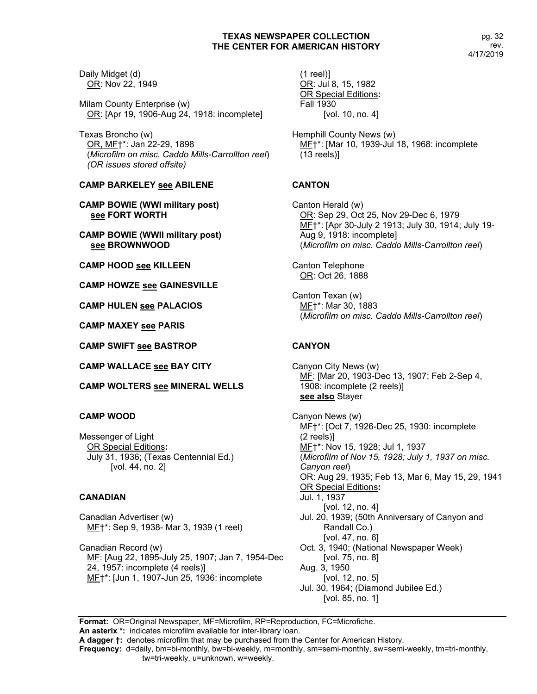Daily Midget (d) OR: Nov 22, 1949

Milam County Enterprise (w) OR: [Apr 19, 1906-Aug 24, 1918: incomplete]

Texas Broncho (w) OR, MF†\*: Jan 22-29, 1898 (*Microfilm on misc. Caddo Mills-Carrollton reel*) *(OR issues stored offsite)*

## **CAMP BARKELEY see ABILENE**

**CAMP BOWIE (WWI military post) see FORT WORTH**

**CAMP BOWIE (WWII military post) see BROWNWOOD**

**CAMP HOOD see KILLEEN**

**CAMP HOWZE see GAINESVILLE**

**CAMP HULEN see PALACIOS**

**CAMP MAXEY see PARIS**

**CAMP SWIFT see BASTROP**

**CAMP WALLACE see BAY CITY**

**CAMP WOLTERS see MINERAL WELLS**

## **CAMP WOOD**

Messenger of Light OR Special Editions**:** July 31, 1936; (Texas Centennial Ed.) [vol. 44, no. 2]

## **CANADIAN**

Canadian Advertiser (w) MF†\*: Sep 9, 1938- Mar 3, 1939 (1 reel)

Canadian Record (w) MF: [Aug 22, 1895-July 25, 1907; Jan 7, 1954-Dec 24, 1957: incomplete (4 reels)] MF†\*: [Jun 1, 1907-Jun 25, 1936: incomplete

 $(1$  reel) $]$ OR: Jul 8, 15, 1982 OR Special Editions**:** Fall 1930 [vol. 10, no. 4]

Hemphill County News (w) MF†\*: [Mar 10, 1939-Jul 18, 1968: incomplete (13 reels)]

# **CANTON**

Canton Herald (w) OR: Sep 29, Oct 25, Nov 29-Dec 6, 1979 MF†\*: [Apr 30-July 2 1913; July 30, 1914; July 19- Aug 9, 1918: incomplete] (*Microfilm on misc. Caddo Mills-Carrollton reel*)

Canton Telephone OR: Oct 26, 1888

Canton Texan (w) MF†\*: Mar 30, 1883 (*Microfilm on misc. Caddo Mills-Carrollton reel*)

# **CANYON**

Canyon City News (w) MF: [Mar 20, 1903-Dec 13, 1907; Feb 2-Sep 4, 1908: incomplete (2 reels)] **see also** Stayer

Canyon News (w) MF†\*: [Oct 7, 1926-Dec 25, 1930: incomplete (2 reels)] ME+\*: Nov 15, 1928; Jul 1, 1937 (*Microfilm of Nov 15, 1928; July 1, 1937 on misc. Canyon reel*) OR: Aug 29, 1935; Feb 13, Mar 6, May 15, 29, 1941 OR Special Editions**:** Jul. 1, 1937 [vol. 12, no. 4] Jul. 20, 1939; (50th Anniversary of Canyon and Randall Co.) [vol. 47, no. 6] Oct. 3, 1940; (National Newspaper Week) [vol. 75, no. 8] Aug. 3, 1950 [vol. 12, no. 5] Jul. 30, 1964; (Diamond Jubilee Ed.) [vol. 85, no. 1]

**Format:** OR=Original Newspaper, MF=Microfilm, RP=Reproduction, FC=Microfiche. **An asterix \*:** indicates microfilm available for inter-library loan.

**A dagger †:** denotes microfilm that may be purchased from the Center for American History.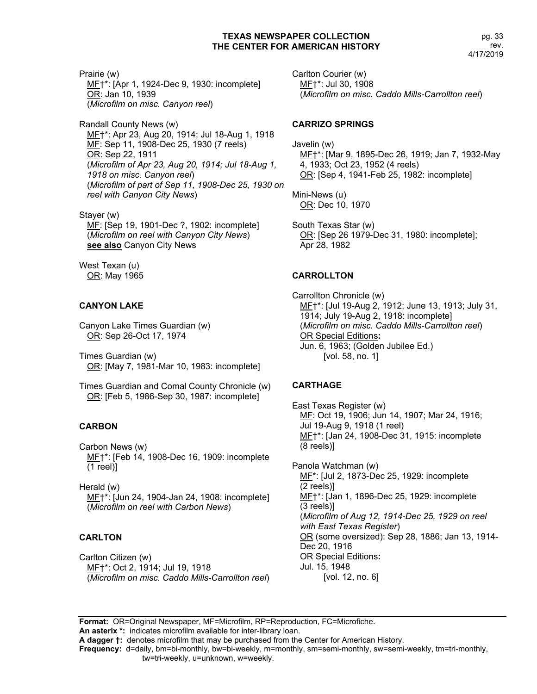Prairie (w) ME<sup>+\*</sup>: [Apr 1, 1924-Dec 9, 1930: incomplete] OR: Jan 10, 1939 (*Microfilm on misc. Canyon reel*)

Randall County News (w) MF†\*: Apr 23, Aug 20, 1914; Jul 18-Aug 1, 1918 MF: Sep 11, 1908-Dec 25, 1930 (7 reels) OR: Sep 22, 1911 (*Microfilm of Apr 23, Aug 20, 1914; Jul 18-Aug 1, 1918 on misc. Canyon reel*) (*Microfilm of part of Sep 11, 1908-Dec 25, 1930 on reel with Canyon City News*)

Stayer (w) MF: [Sep 19, 1901-Dec ?, 1902: incomplete] (*Microfilm on reel with Canyon City News*) **see also** Canyon City News

West Texan (u) OR: May 1965

# **CANYON LAKE**

Canyon Lake Times Guardian (w) OR: Sep 26-Oct 17, 1974

Times Guardian (w) OR: [May 7, 1981-Mar 10, 1983: incomplete]

Times Guardian and Comal County Chronicle (w) OR: [Feb 5, 1986-Sep 30, 1987: incomplete]

## **CARBON**

Carbon News (w) ME<sup>+</sup>\*: [Feb 14, 1908-Dec 16, 1909: incomplete (1 reel)]

Herald (w) MF†\*: [Jun 24, 1904-Jan 24, 1908: incomplete] (*Microfilm on reel with Carbon News*)

# **CARLTON**

Carlton Citizen (w) MF†\*: Oct 2, 1914; Jul 19, 1918 (*Microfilm on misc. Caddo Mills-Carrollton reel*) Carlton Courier (w) MF†\*: Jul 30, 1908 (*Microfilm on misc. Caddo Mills-Carrollton reel*)

## **CARRIZO SPRINGS**

Javelin (w) MF†\*: [Mar 9, 1895-Dec 26, 1919; Jan 7, 1932-May 4, 1933; Oct 23, 1952 (4 reels) OR: [Sep 4, 1941-Feb 25, 1982: incomplete]

Mini-News (u) OR: Dec 10, 1970

South Texas Star (w) OR: [Sep 26 1979-Dec 31, 1980: incomplete]; Apr 28, 1982

# **CARROLLTON**

Carrollton Chronicle (w) MF†\*: [Jul 19-Aug 2, 1912; June 13, 1913; July 31, 1914; July 19-Aug 2, 1918: incomplete] (*Microfilm on misc. Caddo Mills-Carrollton reel*) OR Special Editions**:** Jun. 6, 1963; (Golden Jubilee Ed.) [vol. 58, no. 1]

# **CARTHAGE**

East Texas Register (w) MF: Oct 19, 1906; Jun 14, 1907; Mar 24, 1916; Jul 19-Aug 9, 1918 (1 reel) MF†\*: [Jan 24, 1908-Dec 31, 1915: incomplete (8 reels)]

Panola Watchman (w) MF<sup>\*</sup>: [Jul 2, 1873-Dec 25, 1929: incomplete (2 reels)] MF†\*: [Jan 1, 1896-Dec 25, 1929: incomplete (3 reels)] (*Microfilm of Aug 12, 1914-Dec 25, 1929 on reel with East Texas Register*) OR (some oversized): Sep 28, 1886; Jan 13, 1914- Dec 20, 1916 OR Special Editions**:** Jul. 15, 1948 [vol. 12, no. 6]

**Format:** OR=Original Newspaper, MF=Microfilm, RP=Reproduction, FC=Microfiche. **An asterix \*:** indicates microfilm available for inter-library loan.

**A dagger †:** denotes microfilm that may be purchased from the Center for American History.

**Frequency:** d=daily, bm=bi-monthly, bw=bi-weekly, m=monthly, sm=semi-monthly, sw=semi-weekly, tm=tri-monthly,

tw=tri-weekly, u=unknown, w=weekly.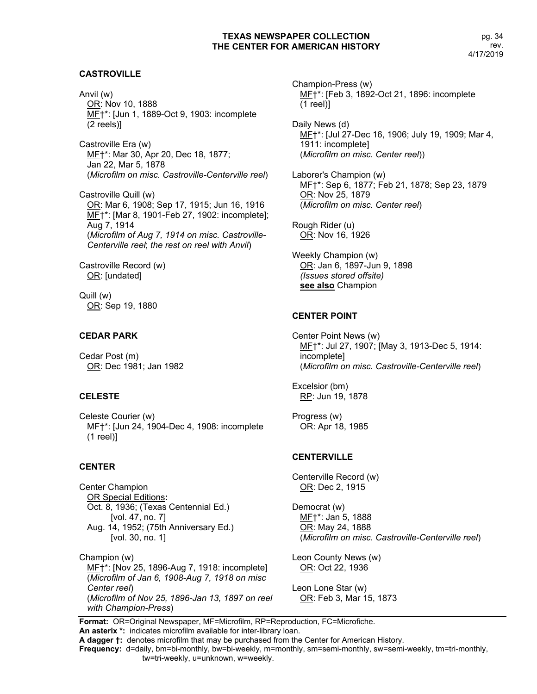## **CASTROVILLE**

Anvil (w) OR: Nov 10, 1888 MF†\*: [Jun 1, 1889-Oct 9, 1903: incomplete (2 reels)]

Castroville Era (w) MF†\*: Mar 30, Apr 20, Dec 18, 1877; Jan 22, Mar 5, 1878 (*Microfilm on misc. Castroville-Centerville reel*)

Castroville Quill (w) OR: Mar 6, 1908; Sep 17, 1915; Jun 16, 1916 MF†\*: [Mar 8, 1901-Feb 27, 1902: incomplete]; Aug 7, 1914 (*Microfilm of Aug 7, 1914 on misc. Castroville-Centerville reel*; *the rest on reel with Anvil*)

Castroville Record (w) OR: [undated]

Quill (w) OR: Sep 19, 1880

#### **CEDAR PARK**

Cedar Post (m) OR: Dec 1981; Jan 1982

#### **CELESTE**

Celeste Courier (w) MF†\*: [Jun 24, 1904-Dec 4, 1908: incomplete (1 reel)]

#### **CENTER**

Center Champion OR Special Editions**:** Oct. 8, 1936; (Texas Centennial Ed.) [vol. 47, no. 7] Aug. 14, 1952; (75th Anniversary Ed.) [vol. 30, no. 1]

Champion (w) MF†\*: [Nov 25, 1896-Aug 7, 1918: incomplete] (*Microfilm of Jan 6, 1908-Aug 7, 1918 on misc Center reel*) (*Microfilm of Nov 25, 1896-Jan 13, 1897 on reel with Champion-Press*)

Champion-Press (w) MF†\*: [Feb 3, 1892-Oct 21, 1896: incomplete (1 reel)]

Daily News (d) MF†\*: [Jul 27-Dec 16, 1906; July 19, 1909; Mar 4, 1911: incomplete] (*Microfilm on misc. Center reel*))

Laborer's Champion (w) MF†\*: Sep 6, 1877; Feb 21, 1878; Sep 23, 1879 OR: Nov 25, 1879 (*Microfilm on misc. Center reel*)

Rough Rider (u) OR: Nov 16, 1926

Weekly Champion (w) OR: Jan 6, 1897-Jun 9, 1898 *(Issues stored offsite)* **see also** Champion

#### **CENTER POINT**

Center Point News (w) MF†\*: Jul 27, 1907; [May 3, 1913-Dec 5, 1914: incomplete] (*Microfilm on misc. Castroville-Centerville reel*)

Excelsior (bm) RP: Jun 19, 1878

Progress (w) OR: Apr 18, 1985

#### **CENTERVILLE**

Centerville Record (w) OR: Dec 2, 1915

Democrat (w) MF†\*: Jan 5, 1888 OR: May 24, 1888 (*Microfilm on misc. Castroville-Centerville reel*)

Leon County News (w) OR: Oct 22, 1936

Leon Lone Star (w) OR: Feb 3, Mar 15, 1873

**Format:** OR=Original Newspaper, MF=Microfilm, RP=Reproduction, FC=Microfiche. **An asterix \*:** indicates microfilm available for inter-library loan.

**A dagger †:** denotes microfilm that may be purchased from the Center for American History.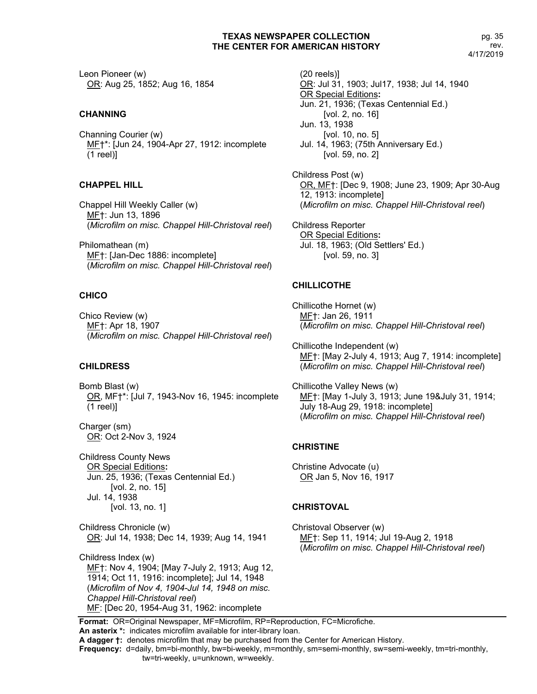Leon Pioneer (w) OR: Aug 25, 1852; Aug 16, 1854

## **CHANNING**

Channing Courier (w) MF†\*: [Jun 24, 1904-Apr 27, 1912: incomplete (1 reel)]

## **CHAPPEL HILL**

Chappel Hill Weekly Caller (w) MF†: Jun 13, 1896 (*Microfilm on misc. Chappel Hill-Christoval reel*)

Philomathean (m) MF†: [Jan-Dec 1886: incomplete] (*Microfilm on misc. Chappel Hill-Christoval reel*)

## **CHICO**

Chico Review (w) MF†: Apr 18, 1907 (*Microfilm on misc. Chappel Hill-Christoval reel*)

## **CHILDRESS**

Bomb Blast (w) OR, MF†\*: [Jul 7, 1943-Nov 16, 1945: incomplete (1 reel)]

Charger (sm) OR: Oct 2-Nov 3, 1924

Childress County News OR Special Editions**:** Jun. 25, 1936; (Texas Centennial Ed.) [vol. 2, no. 15] Jul. 14, 1938 [vol. 13, no. 1]

Childress Chronicle (w) OR: Jul 14, 1938; Dec 14, 1939; Aug 14, 1941

Childress Index (w) MF†: Nov 4, 1904; [May 7-July 2, 1913; Aug 12, 1914; Oct 11, 1916: incomplete]; Jul 14, 1948 (*Microfilm of Nov 4, 1904-Jul 14, 1948 on misc. Chappel Hill-Christoval reel*) MF: [Dec 20, 1954-Aug 31, 1962: incomplete

(20 reels)] OR: Jul 31, 1903; Jul17, 1938; Jul 14, 1940 OR Special Editions**:** Jun. 21, 1936; (Texas Centennial Ed.) [vol. 2, no. 16] Jun. 13, 1938 [vol. 10, no. 5] Jul. 14, 1963; (75th Anniversary Ed.) [vol. 59, no. 2]

Childress Post (w) OR, MF†: [Dec 9, 1908; June 23, 1909; Apr 30-Aug 12, 1913: incomplete] (*Microfilm on misc. Chappel Hill-Christoval reel*)

Childress Reporter OR Special Editions**:** Jul. 18, 1963; (Old Settlers' Ed.) [vol. 59, no. 3]

## **CHILLICOTHE**

Chillicothe Hornet (w) MF†: Jan 26, 1911 (*Microfilm on misc. Chappel Hill-Christoval reel*)

Chillicothe Independent (w) MF†: [May 2-July 4, 1913; Aug 7, 1914: incomplete] (*Microfilm on misc. Chappel Hill-Christoval reel*)

Chillicothe Valley News (w) MF†: [May 1-July 3, 1913; June 19&July 31, 1914; July 18-Aug 29, 1918: incomplete] (*Microfilm on misc. Chappel Hill-Christoval reel*)

## **CHRISTINE**

Christine Advocate (u) OR Jan 5, Nov 16, 1917

#### **CHRISTOVAL**

Christoval Observer (w) MF†: Sep 11, 1914; Jul 19-Aug 2, 1918 (*Microfilm on misc. Chappel Hill-Christoval reel*)

**Format:** OR=Original Newspaper, MF=Microfilm, RP=Reproduction, FC=Microfiche. **An asterix \*:** indicates microfilm available for inter-library loan.

**A dagger †:** denotes microfilm that may be purchased from the Center for American History.

**Frequency:** d=daily, bm=bi-monthly, bw=bi-weekly, m=monthly, sm=semi-monthly, sw=semi-weekly, tm=tri-monthly,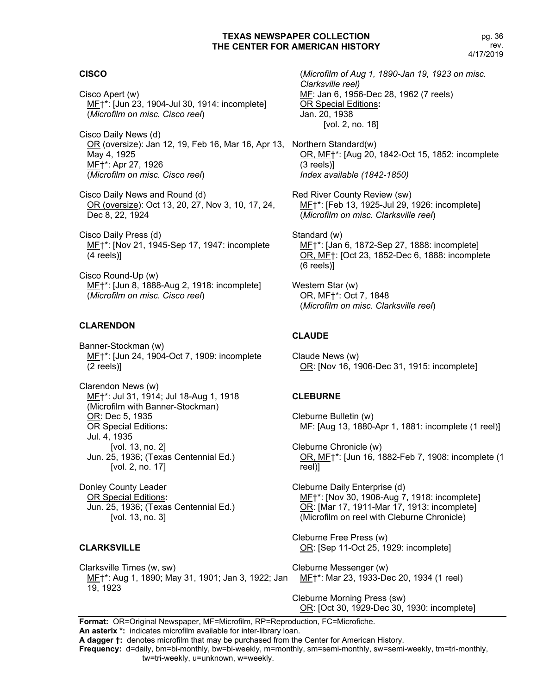## **CISCO**

Cisco Apert (w) MF†\*: [Jun 23, 1904-Jul 30, 1914: incomplete] (*Microfilm on misc. Cisco reel*)

Cisco Daily News (d) OR (oversize): Jan 12, 19, Feb 16, Mar 16, Apr 13, Northern Standard(w) May 4, 1925 MF†\*: Apr 27, 1926 (*Microfilm on misc. Cisco reel*)

Cisco Daily News and Round (d) OR (oversize): Oct 13, 20, 27, Nov 3, 10, 17, 24, Dec 8, 22, 1924

Cisco Daily Press (d) MF†\*: [Nov 21, 1945-Sep 17, 1947: incomplete (4 reels)]

Cisco Round-Up (w) MF†\*: [Jun 8, 1888-Aug 2, 1918: incomplete] (*Microfilm on misc. Cisco reel*)

## **CLARENDON**

Banner-Stockman (w) MF†\*: [Jun 24, 1904-Oct 7, 1909: incomplete (2 reels)]

Clarendon News (w) MF†\*: Jul 31, 1914; Jul 18-Aug 1, 1918 (Microfilm with Banner-Stockman) OR: Dec 5, 1935 OR Special Editions**:** Jul. 4, 1935 [vol. 13, no. 2] Jun. 25, 1936; (Texas Centennial Ed.) [vol. 2, no. 17]

Donley County Leader OR Special Editions**:** Jun. 25, 1936; (Texas Centennial Ed.) [vol. 13, no. 3]

#### **CLARKSVILLE**

Clarksville Times (w, sw) MF†\*: Aug 1, 1890; May 31, 1901; Jan 3, 1922; Jan 19, 1923

(*Microfilm of Aug 1, 1890-Jan 19, 1923 on misc. Clarksville reel)* MF: Jan 6, 1956-Dec 28, 1962 (7 reels) OR Special Editions**:** Jan. 20, 1938 [vol. 2, no. 18]

OR, MF†\*: [Aug 20, 1842-Oct 15, 1852: incomplete (3 reels)] *Index available (1842-1850)*

Red River County Review (sw) MF†\*: [Feb 13, 1925-Jul 29, 1926: incomplete] (*Microfilm on misc. Clarksville reel*)

Standard (w) MF†\*: [Jan 6, 1872-Sep 27, 1888: incomplete] OR, MF†: [Oct 23, 1852-Dec 6, 1888: incomplete (6 reels)]

Western Star (w) OR, MF†\*: Oct 7, 1848 (*Microfilm on misc. Clarksville reel*)

## **CLAUDE**

Claude News (w) OR: [Nov 16, 1906-Dec 31, 1915: incomplete]

#### **CLEBURNE**

Cleburne Bulletin (w) ME: [Aug 13, 1880-Apr 1, 1881: incomplete (1 reel)]

Cleburne Chronicle (w) OR, MF†\*: [Jun 16, 1882-Feb 7, 1908: incomplete (1 reel)]

Cleburne Daily Enterprise (d) MF†\*: [Nov 30, 1906-Aug 7, 1918: incomplete] OR: [Mar 17, 1911-Mar 17, 1913: incomplete] (Microfilm on reel with Cleburne Chronicle)

Cleburne Free Press (w) OR: [Sep 11-Oct 25, 1929: incomplete]

Cleburne Messenger (w) MF†\*: Mar 23, 1933-Dec 20, 1934 (1 reel)

Cleburne Morning Press (sw) OR: [Oct 30, 1929-Dec 30, 1930: incomplete]

**Format:** OR=Original Newspaper, MF=Microfilm, RP=Reproduction, FC=Microfiche. **An asterix \*:** indicates microfilm available for inter-library loan. **A dagger †:** denotes microfilm that may be purchased from the Center for American History.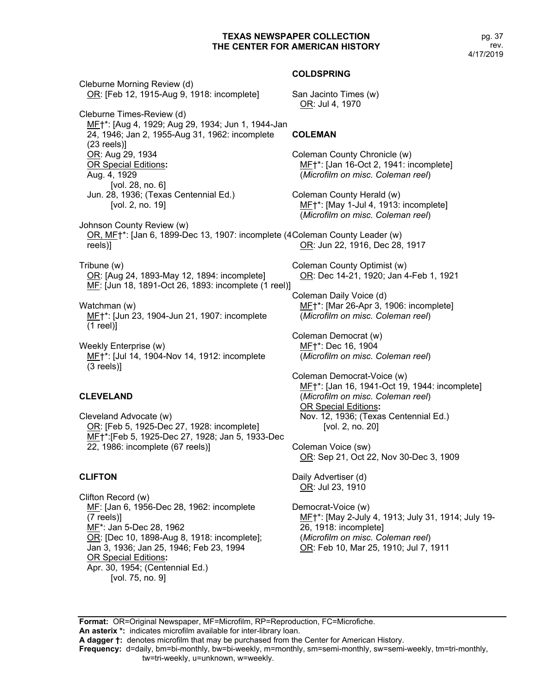Cleburne Morning Review (d) OR: [Feb 12, 1915-Aug 9, 1918: incomplete] Cleburne Times-Review (d) MF†\*: [Aug 4, 1929; Aug 29, 1934; Jun 1, 1944-Jan 24, 1946; Jan 2, 1955-Aug 31, 1962: incomplete (23 reels)] OR: Aug 29, 1934 OR Special Editions**:** Aug. 4, 1929 [vol. 28, no. 6] Jun. 28, 1936; (Texas Centennial Ed.) [vol. 2, no. 19] Johnson County Review (w) OR, MF+\*: [Jan 6, 1899-Dec 13, 1907: incomplete (4 Coleman County Leader (w) reels)] Tribune (w) OR: [Aug 24, 1893-May 12, 1894: incomplete] MF: [Jun 18, 1891-Oct 26, 1893: incomplete (1 reel)] Watchman (w) MF†\*: [Jun 23, 1904-Jun 21, 1907: incomplete (1 reel)] Weekly Enterprise (w) MF†\*: [Jul 14, 1904-Nov 14, 1912: incomplete (3 reels)] **CLEVELAND** San Jacinto Times (w) OR: Jul 4, 1970 **COLEMAN** Coleman County Chronicle (w) Coleman County Herald (w) OR: Jun 22, 1916, Dec 28, 1917 Coleman County Optimist (w) Coleman Daily Voice (d) Coleman Democrat (w) MF†\*: Dec 16, 1904 Coleman Democrat-Voice (w)

Cleveland Advocate (w) OR: [Feb 5, 1925-Dec 27, 1928: incomplete] MF†\*:[Feb 5, 1925-Dec 27, 1928; Jan 5, 1933-Dec 22, 1986: incomplete (67 reels)]

## **CLIFTON**

Clifton Record (w) MF: [Jan 6, 1956-Dec 28, 1962: incomplete (7 reels)] MF\*: Jan 5-Dec 28, 1962 OR: [Dec 10, 1898-Aug 8, 1918: incomplete]; Jan 3, 1936; Jan 25, 1946; Feb 23, 1994 OR Special Editions**:** Apr. 30, 1954; (Centennial Ed.) [vol. 75, no. 9]

#### **COLDSPRING**

MF†\*: [Jan 16-Oct 2, 1941: incomplete] (*Microfilm on misc. Coleman reel*)

MF†\*: [May 1-Jul 4, 1913: incomplete] (*Microfilm on misc. Coleman reel*)

OR: Dec 14-21, 1920; Jan 4-Feb 1, 1921

MF†\*: [Mar 26-Apr 3, 1906: incomplete] (*Microfilm on misc. Coleman reel*)

(*Microfilm on misc. Coleman reel*)

MF†\*: [Jan 16, 1941-Oct 19, 1944: incomplete] (*Microfilm on misc. Coleman reel*) OR Special Editions**:** Nov. 12, 1936; (Texas Centennial Ed.) [vol. 2, no. 20]

Coleman Voice (sw) OR: Sep 21, Oct 22, Nov 30-Dec 3, 1909

Daily Advertiser (d) OR: Jul 23, 1910

Democrat-Voice (w) MF†\*: [May 2-July 4, 1913; July 31, 1914; July 19- 26, 1918: incomplete] (*Microfilm on misc. Coleman reel*) OR: Feb 10, Mar 25, 1910; Jul 7, 1911

**Format:** OR=Original Newspaper, MF=Microfilm, RP=Reproduction, FC=Microfiche. **An asterix \*:** indicates microfilm available for inter-library loan.

**Frequency:** d=daily, bm=bi-monthly, bw=bi-weekly, m=monthly, sm=semi-monthly, sw=semi-weekly, tm=tri-monthly,

**A dagger †:** denotes microfilm that may be purchased from the Center for American History.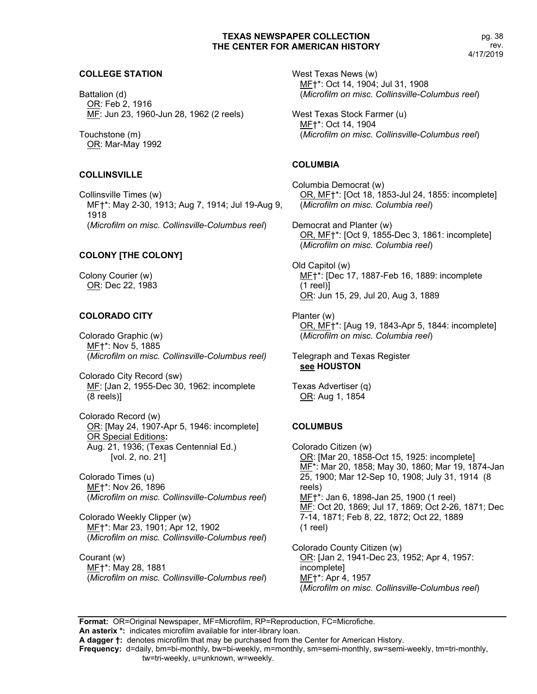#### **COLLEGE STATION**

Battalion (d) OR: Feb 2, 1916 MF: Jun 23, 1960-Jun 28, 1962 (2 reels)

Touchstone (m) OR: Mar-May 1992

#### **COLLINSVILLE**

Collinsville Times (w) MF†\*: May 2-30, 1913; Aug 7, 1914; Jul 19-Aug 9, 1918 (*Microfilm on misc. Collinsville-Columbus reel*)

## **COLONY [THE COLONY]**

Colony Courier (w) OR: Dec 22, 1983

## **COLORADO CITY**

Colorado Graphic (w) MF†\*: Nov 5, 1885 (*Microfilm on misc. Collinsville-Columbus reel)*

Colorado City Record (sw) MF: [Jan 2, 1955-Dec 30, 1962: incomplete (8 reels)]

Colorado Record (w) OR: [May 24, 1907-Apr 5, 1946: incomplete] OR Special Editions**:** Aug. 21, 1936; (Texas Centennial Ed.) [vol. 2, no. 21]

Colorado Times (u) MF†\*: Nov 26, 1896 (*Microfilm on misc. Collinsville-Columbus reel*)

Colorado Weekly Clipper (w) MF†\*: Mar 23, 1901; Apr 12, 1902 (*Microfilm on misc. Collinsville-Columbus reel*)

Courant (w) MF†\*: May 28, 1881 (*Microfilm on misc. Collinsville-Columbus reel*) West Texas News (w) MF†\*: Oct 14, 1904; Jul 31, 1908 (*Microfilm on misc. Collinsville-Columbus reel*)

West Texas Stock Farmer (u) MF†\*: Oct 14, 1904 (*Microfilm on misc. Collinsville-Columbus reel*)

#### **COLUMBIA**

Columbia Democrat (w) OR, MF†\*: [Oct 18, 1853-Jul 24, 1855: incomplete] (*Microfilm on misc. Columbia reel*)

Democrat and Planter (w) OR, MF†\*: [Oct 9, 1855-Dec 3, 1861: incomplete] (*Microfilm on misc. Columbia reel*)

Old Capitol (w) MF†\*: [Dec 17, 1887-Feb 16, 1889: incomplete (1 reel)] OR: Jun 15, 29, Jul 20, Aug 3, 1889

Planter (w) OR, MF†\*: [Aug 19, 1843-Apr 5, 1844: incomplete] (*Microfilm on misc. Columbia reel*)

Telegraph and Texas Register **see HOUSTON**

Texas Advertiser (q) OR: Aug 1, 1854

## **COLUMBUS**

Colorado Citizen (w) OR: [Mar 20, 1858-Oct 15, 1925: incomplete] MF\*: Mar 20, 1858; May 30, 1860; Mar 19, 1874-Jan 25, 1900; Mar 12-Sep 10, 1908; July 31, 1914 (8 reels) MF†\*: Jan 6, 1898-Jan 25, 1900 (1 reel) MF: Oct 20, 1869; Jul 17, 1869; Oct 2-26, 1871; Dec 7-14, 1871; Feb 8, 22, 1872; Oct 22, 1889 (1 reel)

Colorado County Citizen (w) OR: [Jan 2, 1941-Dec 23, 1952; Apr 4, 1957: incomplete] MF†\*: Apr 4, 1957 (*Microfilm on misc. Collinsville-Columbus reel*)

**Format:** OR=Original Newspaper, MF=Microfilm, RP=Reproduction, FC=Microfiche.

**An asterix \*:** indicates microfilm available for inter-library loan.

**A dagger †:** denotes microfilm that may be purchased from the Center for American History.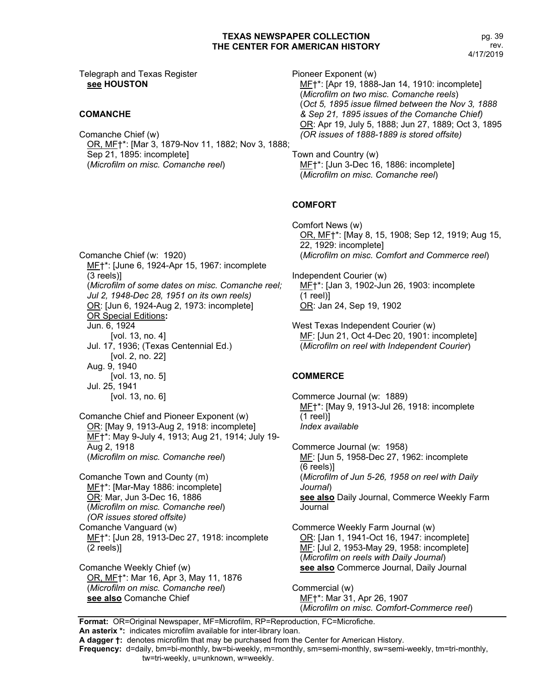Telegraph and Texas Register **see HOUSTON**

## **COMANCHE**

Comanche Chief (w) OR, MF†\*: [Mar 3, 1879-Nov 11, 1882; Nov 3, 1888; Sep 21, 1895: incomplete] (*Microfilm on misc. Comanche reel*)

Pioneer Exponent (w) MF†\*: [Apr 19, 1888-Jan 14, 1910: incomplete] (*Microfilm on two misc. Comanche reels*) (*Oct 5, 1895 issue filmed between the Nov 3, 1888 & Sep 21, 1895 issues of the Comanche Chief)* OR: Apr 19, July 5, 1888; Jun 27, 1889; Oct 3, 1895 *(OR issues of 1888-1889 is stored offsite)*

Town and Country (w) MF†\*: [Jun 3-Dec 16, 1886: incomplete] (*Microfilm on misc. Comanche reel*)

## **COMFORT**

Comfort News (w) OR, MF†\*: [May 8, 15, 1908; Sep 12, 1919; Aug 15, 22, 1929: incomplete] (*Microfilm on misc. Comfort and Commerce reel*)

Independent Courier (w) MF†\*: [Jan 3, 1902-Jun 26, 1903: incomplete (1 reel)] OR: Jan 24, Sep 19, 1902

West Texas Independent Courier (w) MF: [Jun 21, Oct 4-Dec 20, 1901: incomplete] (*Microfilm on reel with Independent Courier*)

## **COMMERCE**

Commerce Journal (w: 1889) MF†\*: [May 9, 1913-Jul 26, 1918: incomplete (1 reel)] *Index available*

Commerce Journal (w: 1958) ME: [Jun 5, 1958-Dec 27, 1962: incomplete (6 reels)] (*Microfilm of Jun 5-26, 1958 on reel with Daily Journal*) **see also** Daily Journal, Commerce Weekly Farm Journal

Commerce Weekly Farm Journal (w) OR: [Jan 1, 1941-Oct 16, 1947: incomplete] MF: [Jul 2, 1953-May 29, 1958: incomplete] (*Microfilm on reels with Daily Journal*) **see also** Commerce Journal, Daily Journal

Commercial (w) MF†\*: Mar 31, Apr 26, 1907 (*Microfilm on misc. Comfort-Commerce reel*)

**Format:** OR=Original Newspaper, MF=Microfilm, RP=Reproduction, FC=Microfiche.

**Frequency:** d=daily, bm=bi-monthly, bw=bi-weekly, m=monthly, sm=semi-monthly, sw=semi-weekly, tm=tri-monthly, tw=tri-weekly, u=unknown, w=weekly.

Comanche Chief (w: 1920) MF†\*: [June 6, 1924-Apr 15, 1967: incomplete (3 reels)] (*Microfilm of some dates on misc. Comanche reel; Jul 2, 1948-Dec 28, 1951 on its own reels)* OR: [Jun 6, 1924-Aug 2, 1973: incomplete] OR Special Editions**:** Jun. 6, 1924 [vol. 13, no. 4] Jul. 17, 1936; (Texas Centennial Ed.) [vol. 2, no. 22] Aug. 9, 1940 [vol. 13, no. 5] Jul. 25, 1941 [vol. 13, no. 6]

Comanche Chief and Pioneer Exponent (w) OR: [May 9, 1913-Aug 2, 1918: incomplete] MF†\*: May 9-July 4, 1913; Aug 21, 1914; July 19- Aug 2, 1918 (*Microfilm on misc. Comanche reel*)

Comanche Town and County (m) MF†\*: [Mar-May 1886: incomplete] OR: Mar, Jun 3-Dec 16, 1886 (*Microfilm on misc. Comanche reel*) *(OR issues stored offsite)* Comanche Vanguard (w) MF†\*: [Jun 28, 1913-Dec 27, 1918: incomplete (2 reels)]

Comanche Weekly Chief (w) OR, MF†\*: Mar 16, Apr 3, May 11, 1876 (*Microfilm on misc. Comanche reel*) **see also** Comanche Chief

**An asterix \*:** indicates microfilm available for inter-library loan.

**A dagger †:** denotes microfilm that may be purchased from the Center for American History.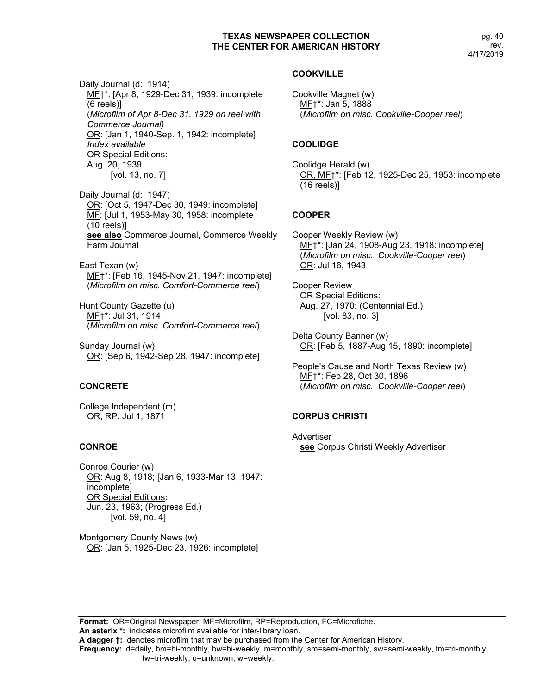pg. 40 rev. 4/17/2019

Daily Journal (d: 1914) MF†\*: [Apr 8, 1929-Dec 31, 1939: incomplete (6 reels)] (*Microfilm of Apr 8-Dec 31, 1929 on reel with Commerce Journal)* OR: [Jan 1, 1940-Sep. 1, 1942: incomplete] *Index available* OR Special Editions**:** Aug. 20, 1939

[vol. 13, no. 7]

Daily Journal (d: 1947) OR: [Oct 5, 1947-Dec 30, 1949: incomplete] MF: [Jul 1, 1953-May 30, 1958: incomplete (10 reels)] **see also** Commerce Journal, Commerce Weekly Farm Journal

East Texan (w) MF†\*: [Feb 16, 1945-Nov 21, 1947: incomplete] (*Microfilm on misc. Comfort-Commerce reel*)

Hunt County Gazette (u) MF†\*: Jul 31, 1914 (*Microfilm on misc. Comfort-Commerce reel*)

Sunday Journal (w) OR: [Sep 6, 1942-Sep 28, 1947: incomplete]

## **CONCRETE**

College Independent (m) OR, RP: Jul 1, 1871

## **CONROE**

Conroe Courier (w) OR: Aug 8, 1918; [Jan 6, 1933-Mar 13, 1947: incomplete] OR Special Editions**:** Jun. 23, 1963; (Progress Ed.) [vol. 59, no. 4]

Montgomery County News (w) OR: [Jan 5, 1925-Dec 23, 1926: incomplete]

#### **COOKVILLE**

Cookville Magnet (w) MF†\*: Jan 5, 1888 (*Microfilm on misc. Cookville-Cooper reel*)

## **COOLIDGE**

Coolidge Herald (w) OR, MF†\*: [Feb 12, 1925-Dec 25, 1953: incomplete (16 reels)]

## **COOPER**

Cooper Weekly Review (w) MF†\*: [Jan 24, 1908-Aug 23, 1918: incomplete] (*Microfilm on misc. Cookville-Cooper reel*) OR: Jul 16, 1943

Cooper Review OR Special Editions**:** Aug. 27, 1970; (Centennial Ed.) [vol. 83, no. 3]

Delta County Banner (w) OR: [Feb 5, 1887-Aug 15, 1890: incomplete]

People's Cause and North Texas Review (w) MF†\*: Feb 28, Oct 30, 1896 (*Microfilm on misc. Cookville-Cooper reel*)

## **CORPUS CHRISTI**

Advertiser **see** Corpus Christi Weekly Advertiser

**Format:** OR=Original Newspaper, MF=Microfilm, RP=Reproduction, FC=Microfiche. **An asterix \*:** indicates microfilm available for inter-library loan.

**A dagger †:** denotes microfilm that may be purchased from the Center for American History.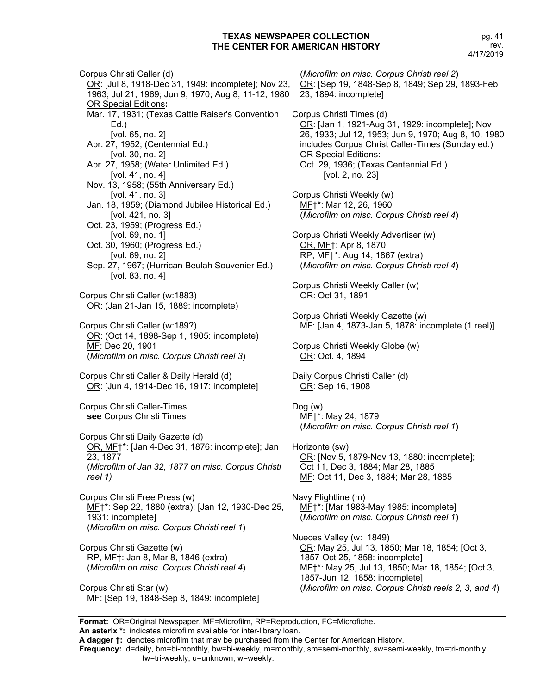Corpus Christi Caller (d) OR: [Jul 8, 1918-Dec 31, 1949: incomplete]; Nov 23, 1963; Jul 21, 1969; Jun 9, 1970; Aug 8, 11-12, 1980 OR Special Editions**:** Mar. 17, 1931; (Texas Cattle Raiser's Convention Ed.) [vol. 65, no. 2] Apr. 27, 1952; (Centennial Ed.) [vol. 30, no. 2] Apr. 27, 1958; (Water Unlimited Ed.) [vol. 41, no. 4] Nov. 13, 1958; (55th Anniversary Ed.) [vol. 41, no. 3] Jan. 18, 1959; (Diamond Jubilee Historical Ed.) [vol. 421, no. 3] Oct. 23, 1959; (Progress Ed.) [vol. 69, no. 1] Oct. 30, 1960; (Progress Ed.) [vol. 69, no. 2] Sep. 27, 1967; (Hurrican Beulah Souvenier Ed.) [vol. 83, no. 4] Corpus Christi Caller (w:1883) OR: (Jan 21-Jan 15, 1889: incomplete) Corpus Christi Caller (w:189?) OR: (Oct 14, 1898-Sep 1, 1905: incomplete) MF: Dec 20, 1901 (*Microfilm on misc. Corpus Christi reel 3*) Corpus Christi Caller & Daily Herald (d) OR: [Jun 4, 1914-Dec 16, 1917: incomplete] Corpus Christi Caller-Times **see** Corpus Christi Times Corpus Christi Daily Gazette (d) OR, MF†\*: [Jan 4-Dec 31, 1876: incomplete]; Jan 23, 1877 (*Microfilm of Jan 32, 1877 on misc. Corpus Christi reel 1)* Corpus Christi Free Press (w) MF†\*: Sep 22, 1880 (extra); [Jan 12, 1930-Dec 25, 1931: incomplete] (*Microfilm on misc. Corpus Christi reel 1*) Corpus Christi Gazette (w) RP, MF†: Jan 8, Mar 8, 1846 (extra) (*Microfilm on misc. Corpus Christi reel 4*)

Corpus Christi Star (w)

MF: [Sep 19, 1848-Sep 8, 1849: incomplete]

(*Microfilm on misc. Corpus Christi reel 2*) OR: [Sep 19, 1848-Sep 8, 1849; Sep 29, 1893-Feb 23, 1894: incomplete] Corpus Christi Times (d) OR: [Jan 1, 1921-Aug 31, 1929: incomplete]; Nov 26, 1933; Jul 12, 1953; Jun 9, 1970; Aug 8, 10, 1980 includes Corpus Christ Caller-Times (Sunday ed.) OR Special Editions**:** Oct. 29, 1936; (Texas Centennial Ed.) [vol. 2, no. 23] Corpus Christi Weekly (w) MF†\*: Mar 12, 26, 1960 (*Microfilm on misc. Corpus Christi reel 4*) Corpus Christi Weekly Advertiser (w) OR, MF†: Apr 8, 1870 RP, MF†\*: Aug 14, 1867 (extra) (*Microfilm on misc. Corpus Christi reel 4*) Corpus Christi Weekly Caller (w) OR: Oct 31, 1891 Corpus Christi Weekly Gazette (w) MF: [Jan 4, 1873-Jan 5, 1878: incomplete (1 reel)] Corpus Christi Weekly Globe (w) OR: Oct. 4, 1894 Daily Corpus Christi Caller (d) OR: Sep 16, 1908 Dog (w) MF†\*: May 24, 1879 (*Microfilm on misc. Corpus Christi reel 1*) Horizonte (sw) OR: [Nov 5, 1879-Nov 13, 1880: incomplete]; Oct 11, Dec 3, 1884; Mar 28, 1885 MF: Oct 11, Dec 3, 1884; Mar 28, 1885 Navy Flightline (m) MF†\*: [Mar 1983-May 1985: incomplete] (*Microfilm on misc. Corpus Christi reel 1*) Nueces Valley (w: 1849) OR: May 25, Jul 13, 1850; Mar 18, 1854; [Oct 3, 1857-Oct 25, 1858: incomplete] MF†\*: May 25, Jul 13, 1850; Mar 18, 1854; [Oct 3, 1857-Jun 12, 1858: incomplete] (*Microfilm on misc. Corpus Christi reels 2, 3, and 4*)

**Format:** OR=Original Newspaper, MF=Microfilm, RP=Reproduction, FC=Microfiche.

**An asterix \*:** indicates microfilm available for inter-library loan.

**A dagger †:** denotes microfilm that may be purchased from the Center for American History.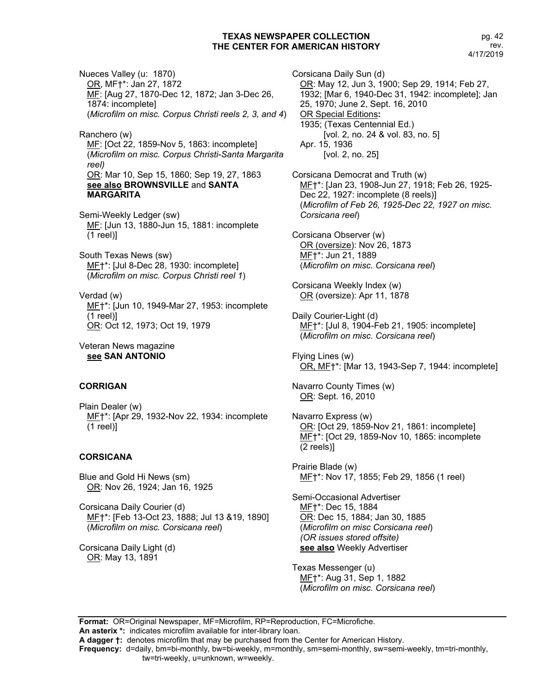Nueces Valley (u: 1870) OR, MF†\*: Jan 27, 1872 MF: [Aug 27, 1870-Dec 12, 1872; Jan 3-Dec 26, 1874: incomplete] (*Microfilm on misc. Corpus Christi reels 2, 3, and 4*)

Ranchero (w) MF: [Oct 22, 1859-Nov 5, 1863: incomplete] (*Microfilm on misc. Corpus Christi-Santa Margarita reel)* OR: Mar 10, Sep 15, 1860; Sep 19, 27, 1863 **see also BROWNSVILLE** and **SANTA MARGARITA**

Semi-Weekly Ledger (sw) MF: [Jun 13, 1880-Jun 15, 1881: incomplete (1 reel)]

South Texas News (sw) MF†\*: [Jul 8-Dec 28, 1930: incomplete] (*Microfilm on misc. Corpus Christi reel 1*)

Verdad (w) ME<sup>+\*</sup>: [Jun 10, 1949-Mar 27, 1953: incomplete (1 reel)] OR: Oct 12, 1973; Oct 19, 1979

Veteran News magazine **see SAN ANTONIO**

#### **CORRIGAN**

Plain Dealer (w) ME†\*: [Apr 29, 1932-Nov 22, 1934: incomplete (1 reel)]

## **CORSICANA**

Blue and Gold Hi News (sm) OR: Nov 26, 1924; Jan 16, 1925

Corsicana Daily Courier (d) MF†\*: [Feb 13-Oct 23, 1888; Jul 13 &19, 1890] (*Microfilm on misc. Corsicana reel*)

Corsicana Daily Light (d) OR: May 13, 1891

Corsicana Daily Sun (d) OR: May 12, Jun 3, 1900; Sep 29, 1914; Feb 27, 1932; [Mar 6, 1940-Dec 31, 1942: incomplete]; Jan 25, 1970; June 2, Sept. 16, 2010 OR Special Editions**:** 1935; (Texas Centennial Ed.) [vol. 2, no. 24 & vol. 83, no. 5] Apr. 15, 1936 [vol. 2, no. 25]

Corsicana Democrat and Truth (w) MF†\*: [Jan 23, 1908-Jun 27, 1918; Feb 26, 1925- Dec 22, 1927: incomplete (8 reels)] (*Microfilm of Feb 26, 1925-Dec 22, 1927 on misc. Corsicana reel*)

Corsicana Observer (w) OR (oversize): Nov 26, 1873 MF†\*: Jun 21, 1889 (*Microfilm on misc. Corsicana reel*)

Corsicana Weekly Index (w) OR (oversize): Apr 11, 1878

Daily Courier-Light (d) MF†\*: [Jul 8, 1904-Feb 21, 1905: incomplete] (*Microfilm on misc. Corsicana reel*)

Flying Lines (w) OR, MF†\*: [Mar 13, 1943-Sep 7, 1944: incomplete]

Navarro County Times (w) OR: Sept. 16, 2010

Navarro Express (w) OR: [Oct 29, 1859-Nov 21, 1861: incomplete] MF†\*: [Oct 29, 1859-Nov 10, 1865: incomplete (2 reels)]

Prairie Blade (w) MF†\*: Nov 17, 1855; Feb 29, 1856 (1 reel)

Semi-Occasional Advertiser MF†\*: Dec 15, 1884 OR: Dec 15, 1884; Jan 30, 1885 (*Microfilm on misc Corsicana reel*) *(OR issues stored offsite)* **see also** Weekly Advertiser

Texas Messenger (u) MF†\*: Aug 31, Sep 1, 1882 (*Microfilm on misc. Corsicana reel*)

**Format:** OR=Original Newspaper, MF=Microfilm, RP=Reproduction, FC=Microfiche. **An asterix \*:** indicates microfilm available for inter-library loan.

**A dagger †:** denotes microfilm that may be purchased from the Center for American History.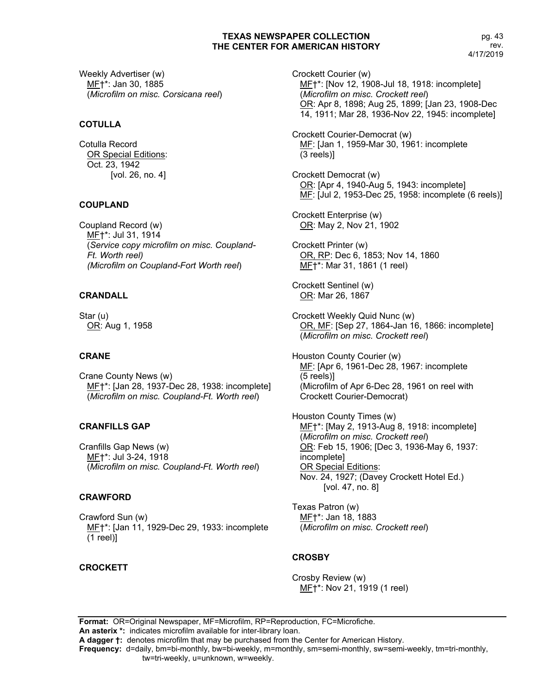Weekly Advertiser (w) MF†\*: Jan 30, 1885 (*Microfilm on misc. Corsicana reel*)

## **COTULLA**

Cotulla Record OR Special Editions: Oct. 23, 1942 [vol. 26, no. 4]

## **COUPLAND**

Coupland Record (w) MF†\*: Jul 31, 1914 (*Service copy microfilm on misc. Coupland-Ft. Worth reel) (Microfilm on Coupland-Fort Worth reel*)

## **CRANDALL**

Star (u) OR: Aug 1, 1958

## **CRANE**

Crane County News (w) MF†\*: [Jan 28, 1937-Dec 28, 1938: incomplete] (*Microfilm on misc. Coupland-Ft. Worth reel*)

## **CRANFILLS GAP**

Cranfills Gap News (w) MF†\*: Jul 3-24, 1918 (*Microfilm on misc. Coupland-Ft. Worth reel*)

## **CRAWFORD**

Crawford Sun (w) MF<sup>+</sup>: [Jan 11, 1929-Dec 29, 1933: incomplete (1 reel)]

#### **CROCKETT**

Crockett Courier (w) MF†\*: [Nov 12, 1908-Jul 18, 1918: incomplete] (*Microfilm on misc. Crockett reel*) OR: Apr 8, 1898; Aug 25, 1899; [Jan 23, 1908-Dec 14, 1911; Mar 28, 1936-Nov 22, 1945: incomplete]

Crockett Courier-Democrat (w) MF: [Jan 1, 1959-Mar 30, 1961: incomplete (3 reels)]

Crockett Democrat (w) OR: [Apr 4, 1940-Aug 5, 1943: incomplete] MF: [Jul 2, 1953-Dec 25, 1958: incomplete (6 reels)]

Crockett Enterprise (w) OR: May 2, Nov 21, 1902

Crockett Printer (w) OR, RP: Dec 6, 1853; Nov 14, 1860 MF†\*: Mar 31, 1861 (1 reel)

Crockett Sentinel (w) OR: Mar 26, 1867

Crockett Weekly Quid Nunc (w) OR, MF: [Sep 27, 1864-Jan 16, 1866: incomplete] (*Microfilm on misc. Crockett reel*)

Houston County Courier (w) MF: [Apr 6, 1961-Dec 28, 1967: incomplete (5 reels)] (Microfilm of Apr 6-Dec 28, 1961 on reel with Crockett Courier-Democrat)

Houston County Times (w) ME<sup>+\*</sup>: [May 2, 1913-Aug 8, 1918: incomplete] (*Microfilm on misc. Crockett reel*) OR: Feb 15, 1906; [Dec 3, 1936-May 6, 1937: incomplete] OR Special Editions: Nov. 24, 1927; (Davey Crockett Hotel Ed.) [vol. 47, no. 8]

Texas Patron (w) MF†\*: Jan 18, 1883 (*Microfilm on misc. Crockett reel*)

## **CROSBY**

Crosby Review (w) MF†\*: Nov 21, 1919 (1 reel)

**Format:** OR=Original Newspaper, MF=Microfilm, RP=Reproduction, FC=Microfiche. **An asterix \*:** indicates microfilm available for inter-library loan.

**A dagger †:** denotes microfilm that may be purchased from the Center for American History.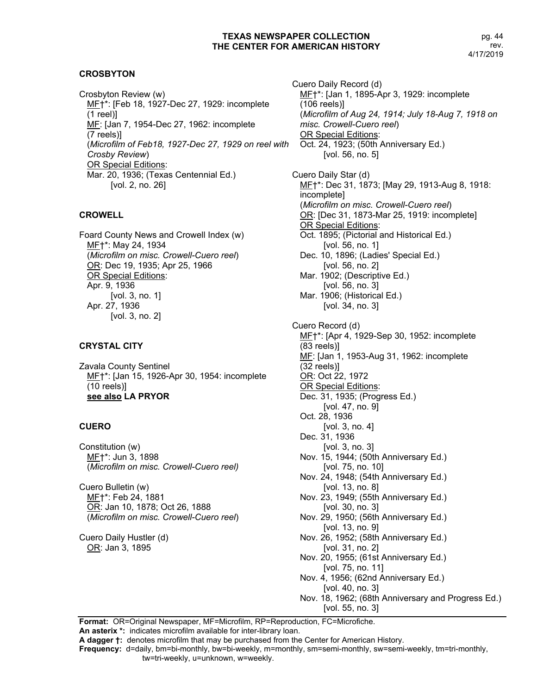## **CROSBYTON**

Crosbyton Review (w) MF†\*: [Feb 18, 1927-Dec 27, 1929: incomplete (1 reel)] MF: [Jan 7, 1954-Dec 27, 1962: incomplete (7 reels)] (*Microfilm of Feb18, 1927-Dec 27, 1929 on reel with Crosby Review*) OR Special Editions: Mar. 20, 1936; (Texas Centennial Ed.) [vol. 2, no. 26]

#### **CROWELL**

Foard County News and Crowell Index (w) MF†\*: May 24, 1934 (*Microfilm on misc. Crowell-Cuero reel*) OR: Dec 19, 1935; Apr 25, 1966 OR Special Editions: Apr. 9, 1936 [vol. 3, no. 1] Apr. 27, 1936 [vol. 3, no. 2]

## **CRYSTAL CITY**

Zavala County Sentinel MF†\*: [Jan 15, 1926-Apr 30, 1954: incomplete (10 reels)] **see also LA PRYOR**

## **CUERO**

Constitution (w) MF†\*: Jun 3, 1898 (*Microfilm on misc. Crowell-Cuero reel)*

Cuero Bulletin (w) MF†\*: Feb 24, 1881 OR: Jan 10, 1878; Oct 26, 1888 (*Microfilm on misc. Crowell-Cuero reel*)

Cuero Daily Hustler (d) OR: Jan 3, 1895

Cuero Daily Record (d) MF†\*: [Jan 1, 1895-Apr 3, 1929: incomplete (106 reels)] (*Microfilm of Aug 24, 1914; July 18-Aug 7, 1918 on misc. Crowell-Cuero reel*) OR Special Editions: Oct. 24, 1923; (50th Anniversary Ed.) [vol. 56, no. 5] Cuero Daily Star (d) MF†\*: Dec 31, 1873; [May 29, 1913-Aug 8, 1918: incomplete] (*Microfilm on misc. Crowell-Cuero reel*) OR: [Dec 31, 1873-Mar 25, 1919: incomplete] OR Special Editions: Oct. 1895; (Pictorial and Historical Ed.) [vol. 56, no. 1] Dec. 10, 1896; (Ladies' Special Ed.) [vol. 56, no. 2] Mar. 1902; (Descriptive Ed.) [vol. 56, no. 3] Mar. 1906; (Historical Ed.) [vol. 34, no. 3] Cuero Record (d) ME<sup>+\*</sup>: [Apr 4, 1929-Sep 30, 1952: incomplete (83 reels)] MF: [Jan 1, 1953-Aug 31, 1962: incomplete (32 reels)] OR: Oct 22, 1972 OR Special Editions: Dec. 31, 1935; (Progress Ed.) [vol. 47, no. 9] Oct. 28, 1936 [vol. 3, no. 4] Dec. 31, 1936 [vol. 3, no. 3] Nov. 15, 1944; (50th Anniversary Ed.) [vol. 75, no. 10] Nov. 24, 1948; (54th Anniversary Ed.) [vol. 13, no. 8] Nov. 23, 1949; (55th Anniversary Ed.) [vol. 30, no. 3] Nov. 29, 1950; (56th Anniversary Ed.) [vol. 13, no. 9] Nov. 26, 1952; (58th Anniversary Ed.) [vol. 31, no. 2] Nov. 20, 1955; (61st Anniversary Ed.) [vol. 75, no. 11] Nov. 4, 1956; (62nd Anniversary Ed.) [vol. 40, no. 3] Nov. 18, 1962; (68th Anniversary and Progress Ed.) [vol. 55, no. 3]

**Format:** OR=Original Newspaper, MF=Microfilm, RP=Reproduction, FC=Microfiche. **An asterix \*:** indicates microfilm available for inter-library loan.

**A dagger †:** denotes microfilm that may be purchased from the Center for American History.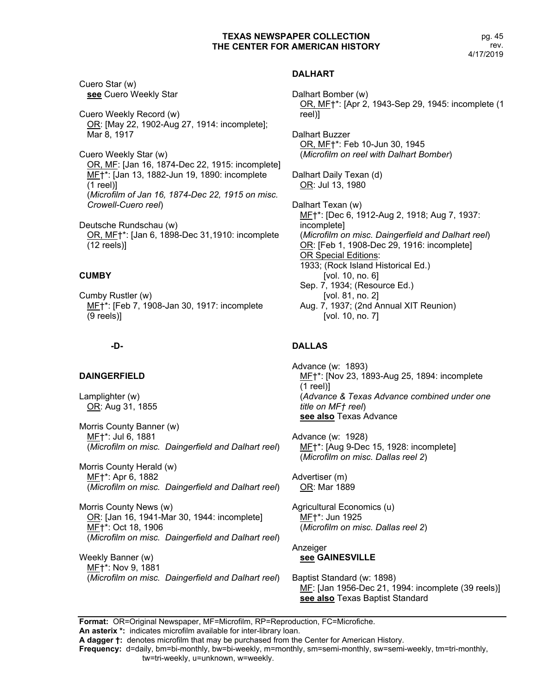pg. 45 rev. 4/17/2019

Cuero Star (w) **see** Cuero Weekly Star

Cuero Weekly Record (w) OR: [May 22, 1902-Aug 27, 1914: incomplete]; Mar 8, 1917

Cuero Weekly Star (w) OR, MF: [Jan 16, 1874-Dec 22, 1915: incomplete] MF†\*: [Jan 13, 1882-Jun 19, 1890: incomplete (1 reel)] (*Microfilm of Jan 16, 1874-Dec 22, 1915 on misc. Crowell-Cuero reel*)

Deutsche Rundschau (w) OR, MF†\*: [Jan 6, 1898-Dec 31,1910: incomplete (12 reels)]

## **CUMBY**

Cumby Rustler (w) ME<sup>+\*</sup>: [Feb 7, 1908-Jan 30, 1917: incomplete (9 reels)]

## **-D-**

#### **DAINGERFIELD**

Lamplighter (w) OR: Aug 31, 1855

Morris County Banner (w) MF†\*: Jul 6, 1881 (*Microfilm on misc. Daingerfield and Dalhart reel*)

Morris County Herald (w) ME†\*: Apr 6, 1882 (*Microfilm on misc. Daingerfield and Dalhart reel*)

Morris County News (w) OR: [Jan 16, 1941-Mar 30, 1944: incomplete] MF†\*: Oct 18, 1906 (*Microfilm on misc. Daingerfield and Dalhart reel*)

Weekly Banner (w) MF†\*: Nov 9, 1881 (*Microfilm on misc. Daingerfield and Dalhart reel*)

## **DALHART**

Dalhart Bomber (w) OR, MF†\*: [Apr 2, 1943-Sep 29, 1945: incomplete (1 reel)]

Dalhart Buzzer OR, MF†\*: Feb 10-Jun 30, 1945 (*Microfilm on reel with Dalhart Bomber*)

Dalhart Daily Texan (d) OR: Jul 13, 1980

Dalhart Texan (w) ME<sup>+\*</sup>: [Dec 6, 1912-Aug 2, 1918; Aug 7, 1937: incomplete] (*Microfilm on misc. Daingerfield and Dalhart reel*) OR: [Feb 1, 1908-Dec 29, 1916: incomplete] OR Special Editions: 1933; (Rock Island Historical Ed.) [vol. 10, no. 6] Sep. 7, 1934; (Resource Ed.) [vol. 81, no. 2] Aug. 7, 1937; (2nd Annual XIT Reunion) [vol. 10, no. 7]

# **DALLAS**

Advance (w: 1893) MF<sup>+\*</sup>: [Nov 23, 1893-Aug 25, 1894: incomplete (1 reel)] (*Advance & Texas Advance combined under one title on MF† reel*) **see also** Texas Advance

Advance (w: 1928) MF†\*: [Aug 9-Dec 15, 1928: incomplete] (*Microfilm on misc. Dallas reel 2*)

Advertiser (m) OR: Mar 1889

Agricultural Economics (u) MF†\*: Jun 1925 (*Microfilm on misc. Dallas reel 2*)

Anzeiger **see GAINESVILLE**

Baptist Standard (w: 1898) MF: [Jan 1956-Dec 21, 1994: incomplete (39 reels)] **see also** Texas Baptist Standard

**Format:** OR=Original Newspaper, MF=Microfilm, RP=Reproduction, FC=Microfiche.

**An asterix \*:** indicates microfilm available for inter-library loan. **A dagger †:** denotes microfilm that may be purchased from the Center for American History.

**Frequency:** d=daily, bm=bi-monthly, bw=bi-weekly, m=monthly, sm=semi-monthly, sw=semi-weekly, tm=tri-monthly,

tw=tri-weekly, u=unknown, w=weekly.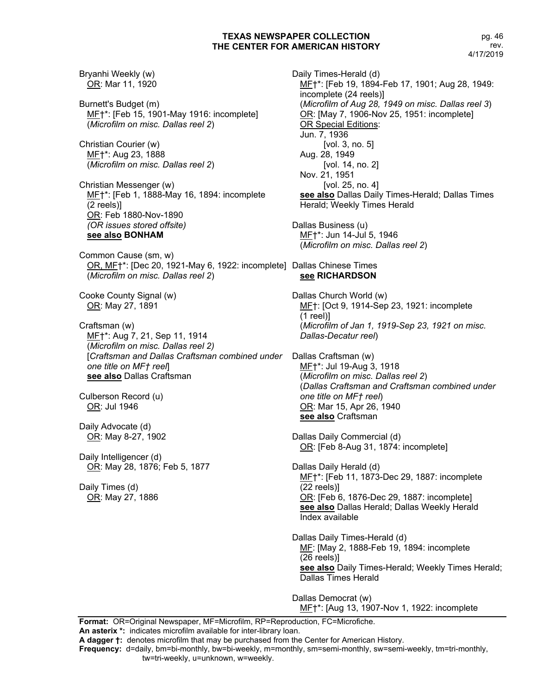Bryanhi Weekly (w) OR: Mar 11, 1920 Burnett's Budget (m) MF†\*: [Feb 15, 1901-May 1916: incomplete] (*Microfilm on misc. Dallas reel 2*) Christian Courier (w) MF†\*: Aug 23, 1888 (*Microfilm on misc. Dallas reel 2*) Christian Messenger (w) MF†\*: [Feb 1, 1888-May 16, 1894: incomplete (2 reels)] OR: Feb 1880-Nov-1890 *(OR issues stored offsite)* **see also BONHAM** Common Cause (sm, w) OR, MF†\*: [Dec 20, 1921-May 6, 1922: incomplete] Dallas Chinese Times (*Microfilm on misc. Dallas reel 2*) Cooke County Signal (w) OR: May 27, 1891 Craftsman (w) MF†\*: Aug 7, 21, Sep 11, 1914 (*Microfilm on misc. Dallas reel 2)* [*Craftsman and Dallas Craftsman combined under*  Dallas Craftsman (w) *one title on MF† reel*] **see also** Dallas Craftsman Culberson Record (u) OR: Jul 1946 Daily Advocate (d) OR: May 8-27, 1902 Daily Intelligencer (d) OR: May 28, 1876; Feb 5, 1877 Daily Times (d) OR: May 27, 1886

Daily Times-Herald (d) MF†\*: [Feb 19, 1894-Feb 17, 1901; Aug 28, 1949: incomplete (24 reels)] (*Microfilm of Aug 28, 1949 on misc. Dallas reel 3*) OR: [May 7, 1906-Nov 25, 1951: incomplete] OR Special Editions: Jun. 7, 1936 [vol. 3, no. 5] Aug. 28, 1949 [vol. 14, no. 2] Nov. 21, 1951 [vol. 25, no. 4] **see also** Dallas Daily Times-Herald; Dallas Times Herald; Weekly Times Herald Dallas Business (u) MF†\*: Jun 14-Jul 5, 1946 (*Microfilm on misc. Dallas reel 2*) **see RICHARDSON** Dallas Church World (w) MF†: [Oct 9, 1914-Sep 23, 1921: incomplete (1 reel)] (*Microfilm of Jan 1, 1919-Sep 23, 1921 on misc. Dallas-Decatur reel*) MF†\*: Jul 19-Aug 3, 1918 (*Microfilm on misc. Dallas reel 2*) (*Dallas Craftsman and Craftsman combined under one title on MF† reel*) OR: Mar 15, Apr 26, 1940 **see also** Craftsman Dallas Daily Commercial (d) OR: [Feb 8-Aug 31, 1874: incomplete] Dallas Daily Herald (d) ME<sup>+</sup>\*: [Feb 11, 1873-Dec 29, 1887: incomplete (22 reels)] OR: [Feb 6, 1876-Dec 29, 1887: incomplete] **see also** Dallas Herald; Dallas Weekly Herald Index available Dallas Daily Times-Herald (d) MF: [May 2, 1888-Feb 19, 1894: incomplete (26 reels)] **see also** Daily Times-Herald; Weekly Times Herald; Dallas Times Herald Dallas Democrat (w) ME<sup>+\*</sup>: [Aug 13, 1907-Nov 1, 1922: incomplete

**Format:** OR=Original Newspaper, MF=Microfilm, RP=Reproduction, FC=Microfiche. **An asterix \*:** indicates microfilm available for inter-library loan.

**A dagger †:** denotes microfilm that may be purchased from the Center for American History.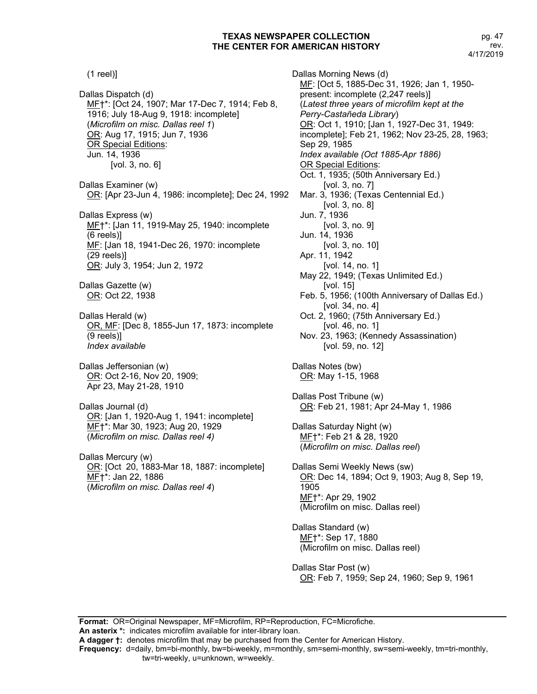(1 reel)] Dallas Dispatch (d) MF†\*: [Oct 24, 1907; Mar 17-Dec 7, 1914; Feb 8, 1916; July 18-Aug 9, 1918: incomplete] (*Microfilm on misc. Dallas reel 1*) OR: Aug 17, 1915; Jun 7, 1936 OR Special Editions: Jun. 14, 1936 [vol. 3, no. 6] Dallas Examiner (w) OR: [Apr 23-Jun 4, 1986: incomplete]; Dec 24, 1992 Dallas Express (w) MF†\*: [Jan 11, 1919-May 25, 1940: incomplete (6 reels)] MF: [Jan 18, 1941-Dec 26, 1970: incomplete (29 reels)] OR: July 3, 1954; Jun 2, 1972 Dallas Gazette (w) OR: Oct 22, 1938 Dallas Herald (w) OR, MF: [Dec 8, 1855-Jun 17, 1873: incomplete (9 reels)] *Index available* Dallas Jeffersonian (w) OR: Oct 2-16, Nov 20, 1909; Apr 23, May 21-28, 1910 Dallas Journal (d) OR: [Jan 1, 1920-Aug 1, 1941: incomplete] MF†\*: Mar 30, 1923; Aug 20, 1929 (*Microfilm on misc. Dallas reel 4)* Dallas Mercury (w) OR: [Oct 20, 1883-Mar 18, 1887: incomplete] ME+\*: Jan 22, 1886 (*Microfilm on misc. Dallas reel 4*)

Dallas Morning News (d) MF: [Oct 5, 1885-Dec 31, 1926; Jan 1, 1950 present: incomplete (2,247 reels)] (*Latest three years of microfilm kept at the Perry-Castañeda Library*) OR: Oct 1, 1910; [Jan 1, 1927-Dec 31, 1949: incomplete]; Feb 21, 1962; Nov 23-25, 28, 1963; Sep 29, 1985 *Index available (Oct 1885-Apr 1886)* OR Special Editions: Oct. 1, 1935; (50th Anniversary Ed.) [vol. 3, no. 7] Mar. 3, 1936; (Texas Centennial Ed.) [vol. 3, no. 8] Jun. 7, 1936 [vol. 3, no. 9] Jun. 14, 1936 [vol. 3, no. 10] Apr. 11, 1942 [vol. 14, no. 1] May 22, 1949; (Texas Unlimited Ed.) [vol. 15] Feb. 5, 1956; (100th Anniversary of Dallas Ed.) [vol. 34, no. 4] Oct. 2, 1960; (75th Anniversary Ed.) [vol. 46, no. 1] Nov. 23, 1963; (Kennedy Assassination) [vol. 59, no. 12] Dallas Notes (bw) OR: May 1-15, 1968 Dallas Post Tribune (w) OR: Feb 21, 1981; Apr 24-May 1, 1986 Dallas Saturday Night (w) MF†\*: Feb 21 & 28, 1920 (*Microfilm on misc. Dallas reel*) Dallas Semi Weekly News (sw) OR: Dec 14, 1894; Oct 9, 1903; Aug 8, Sep 19, 1905 MF†\*: Apr 29, 1902 (Microfilm on misc. Dallas reel) Dallas Standard (w) MF†\*: Sep 17, 1880 (Microfilm on misc. Dallas reel)

Dallas Star Post (w) OR: Feb 7, 1959; Sep 24, 1960; Sep 9, 1961

**Format:** OR=Original Newspaper, MF=Microfilm, RP=Reproduction, FC=Microfiche. **An asterix \*:** indicates microfilm available for inter-library loan.

**A dagger †:** denotes microfilm that may be purchased from the Center for American History.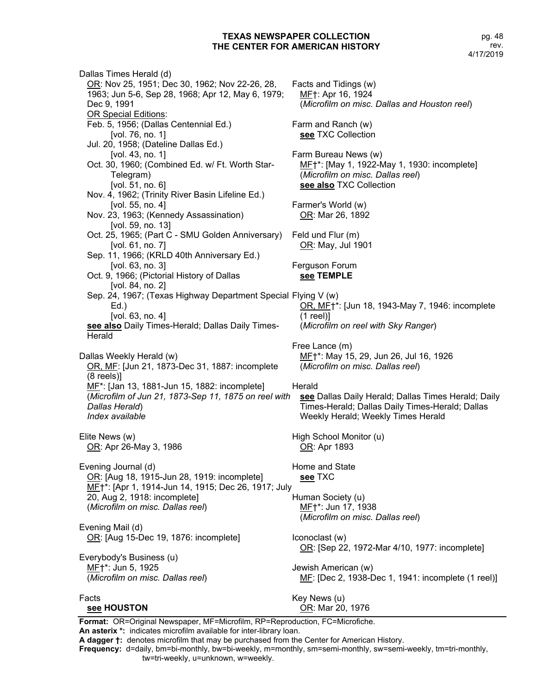Dallas Times Herald (d) OR: Nov 25, 1951; Dec 30, 1962; Nov 22-26, 28, 1963; Jun 5-6, Sep 28, 1968; Apr 12, May 6, 1979; Dec 9, 1991 OR Special Editions: Feb. 5, 1956; (Dallas Centennial Ed.) [vol. 76, no. 1] Jul. 20, 1958; (Dateline Dallas Ed.) [vol. 43, no. 1] Oct. 30, 1960; (Combined Ed. w/ Ft. Worth Star-Telegram) [vol. 51, no. 6] Nov. 4, 1962; (Trinity River Basin Lifeline Ed.) [vol. 55, no. 4] Nov. 23, 1963; (Kennedy Assassination) [vol. 59, no. 13] Oct. 25, 1965; (Part C - SMU Golden Anniversary) [vol. 61, no. 7] Sep. 11, 1966; (KRLD 40th Anniversary Ed.) [vol. 63, no. 3] Oct. 9, 1966; (Pictorial History of Dallas [vol. 84, no. 2] Sep. 24, 1967; (Texas Highway Department Special Flying V (w) Ed.) [vol. 63, no. 4] **see also** Daily Times-Herald; Dallas Daily Times-**Herald** Dallas Weekly Herald (w) OR, MF: [Jun 21, 1873-Dec 31, 1887: incomplete (8 reels)] MF\*: [Jan 13, 1881-Jun 15, 1882: incomplete] (*Microfilm of Jun 21, 1873-Sep 11, 1875 on reel with Dallas Herald*) *Index available* Elite News (w) OR: Apr 26-May 3, 1986 Evening Journal (d) OR: [Aug 18, 1915-Jun 28, 1919: incomplete] MF†\*: [Apr 1, 1914-Jun 14, 1915; Dec 26, 1917; July 20, Aug 2, 1918: incomplete] (*Microfilm on misc. Dallas reel*) Evening Mail (d) OR: [Aug 15-Dec 19, 1876: incomplete] Everybody's Business (u) MF†\*: Jun 5, 1925 (*Microfilm on misc. Dallas reel*) Facts **see HOUSTON** Facts and Tidings (w) MF†: Apr 16, 1924 (*Microfilm on misc. Dallas and Houston reel*) Farm and Ranch (w) **see** TXC Collection Farm Bureau News (w) MF†\*: [May 1, 1922-May 1, 1930: incomplete] (*Microfilm on misc. Dallas reel*) **see also** TXC Collection Farmer's World (w) OR: Mar 26, 1892 Feld und Flur (m) OR: May, Jul 1901 Ferguson Forum **see TEMPLE** OR, MF†\*: [Jun 18, 1943-May 7, 1946: incomplete (1 reel)] (*Microfilm on reel with Sky Ranger*) Free Lance (m) MF<sup>+</sup>: May 15, 29, Jun 26, Jul 16, 1926 (*Microfilm on misc. Dallas reel*) Herald **see** Dallas Daily Herald; Dallas Times Herald; Daily Times-Herald; Dallas Daily Times-Herald; Dallas Weekly Herald; Weekly Times Herald High School Monitor (u) OR: Apr 1893 Home and State **see** TXC Human Society (u) MF†\*: Jun 17, 1938 (*Microfilm on misc. Dallas reel*) Iconoclast (w) OR: [Sep 22, 1972-Mar 4/10, 1977: incomplete] Jewish American (w) ME: [Dec 2, 1938-Dec 1, 1941: incomplete (1 reel)] Key News (u) OR: Mar 20, 1976

**Format:** OR=Original Newspaper, MF=Microfilm, RP=Reproduction, FC=Microfiche. **An asterix \*:** indicates microfilm available for inter-library loan.

**A dagger †:** denotes microfilm that may be purchased from the Center for American History.

**Frequency:** d=daily, bm=bi-monthly, bw=bi-weekly, m=monthly, sm=semi-monthly, sw=semi-weekly, tm=tri-monthly,

tw=tri-weekly, u=unknown, w=weekly.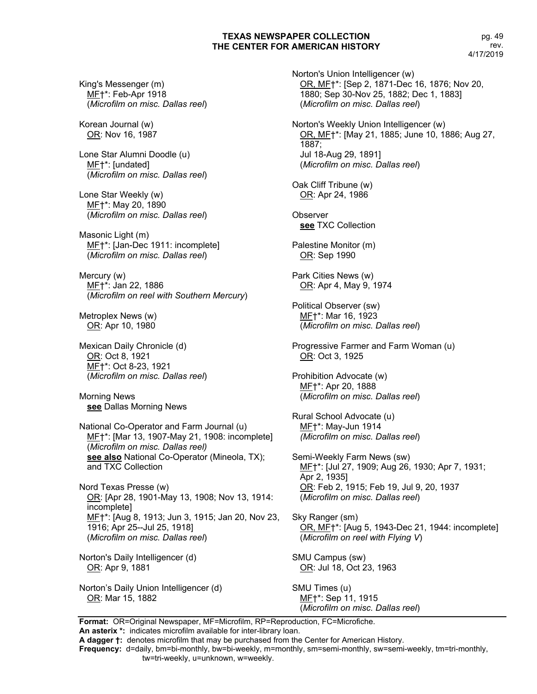King's Messenger (m) MF†\*: Feb-Apr 1918 (*Microfilm on misc. Dallas reel*)

Korean Journal (w) OR: Nov 16, 1987

Lone Star Alumni Doodle (u) MF†\*: [undated] (*Microfilm on misc. Dallas reel*)

Lone Star Weekly (w) MF†\*: May 20, 1890 (*Microfilm on misc. Dallas reel*)

Masonic Light (m) ME<sup>+\*</sup>: [Jan-Dec 1911: incomplete] (*Microfilm on misc. Dallas reel*)

Mercury (w) MF†\*: Jan 22, 1886 (*Microfilm on reel with Southern Mercury*)

Metroplex News (w) OR: Apr 10, 1980

Mexican Daily Chronicle (d) OR: Oct 8, 1921 MF†\*: Oct 8-23, 1921 (*Microfilm on misc. Dallas reel*)

Morning News **see** Dallas Morning News

National Co-Operator and Farm Journal (u) MF†\*: [Mar 13, 1907-May 21, 1908: incomplete] (*Microfilm on misc. Dallas reel)* **see also** National Co-Operator (Mineola, TX); and TXC Collection

Nord Texas Presse (w) OR: [Apr 28, 1901-May 13, 1908; Nov 13, 1914: incomplete] MF†\*: [Aug 8, 1913; Jun 3, 1915; Jan 20, Nov 23, 1916; Apr 25--Jul 25, 1918] (*Microfilm on misc. Dallas reel*)

Norton's Daily Intelligencer (d) OR: Apr 9, 1881

Norton's Daily Union Intelligencer (d) OR: Mar 15, 1882

Norton's Union Intelligencer (w) OR, MF†\*: [Sep 2, 1871-Dec 16, 1876; Nov 20, 1880; Sep 30-Nov 25, 1882; Dec 1, 1883] (*Microfilm on misc. Dallas reel*) Norton's Weekly Union Intelligencer (w)

OR, MF†\*: [May 21, 1885; June 10, 1886; Aug 27, 1887; Jul 18-Aug 29, 1891] (*Microfilm on misc. Dallas reel*)

Oak Cliff Tribune (w) OR: Apr 24, 1986

**Observer see** TXC Collection

Palestine Monitor (m) OR: Sep 1990

Park Cities News (w) OR: Apr 4, May 9, 1974

Political Observer (sw) MF†\*: Mar 16, 1923 (*Microfilm on misc. Dallas reel*)

Progressive Farmer and Farm Woman (u) OR: Oct 3, 1925

Prohibition Advocate (w) MF†\*: Apr 20, 1888 (*Microfilm on misc. Dallas reel*)

Rural School Advocate (u) MF†\*: May-Jun 1914 *(Microfilm on misc. Dallas reel*)

Semi-Weekly Farm News (sw) MF†\*: [Jul 27, 1909; Aug 26, 1930; Apr 7, 1931; Apr 2, 1935] OR: Feb 2, 1915; Feb 19, Jul 9, 20, 1937 (*Microfilm on misc. Dallas reel*)

Sky Ranger (sm) OR, MF†\*: [Aug 5, 1943-Dec 21, 1944: incomplete] (*Microfilm on reel with Flying V*)

SMU Campus (sw) OR: Jul 18, Oct 23, 1963

SMU Times (u) MF†\*: Sep 11, 1915 (*Microfilm on misc. Dallas reel*)

**Format:** OR=Original Newspaper, MF=Microfilm, RP=Reproduction, FC=Microfiche. **An asterix \*:** indicates microfilm available for inter-library loan.

**A dagger †:** denotes microfilm that may be purchased from the Center for American History.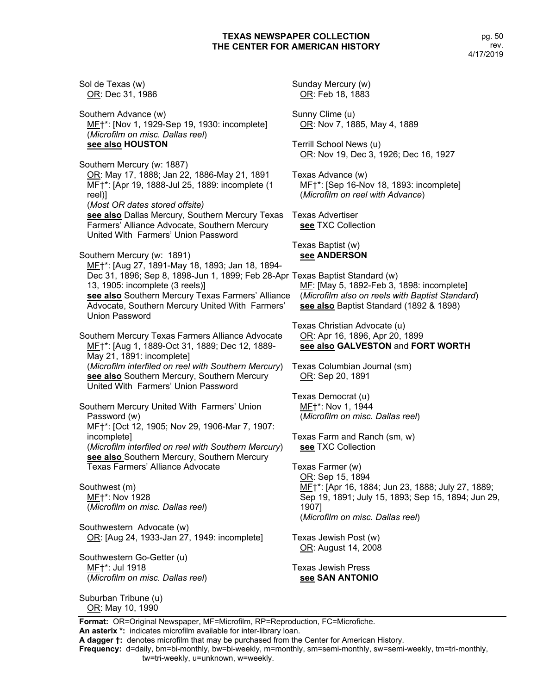**Format:** OR=Original Newspaper, MF=Microfilm, RP=Reproduction, FC=Microfiche. Sol de Texas (w) OR: Dec 31, 1986 Southern Advance (w) MF†\*: [Nov 1, 1929-Sep 19, 1930: incomplete] (*Microfilm on misc. Dallas reel*) **see also HOUSTON** Southern Mercury (w: 1887) OR: May 17, 1888; Jan 22, 1886-May 21, 1891 MF†\*: [Apr 19, 1888-Jul 25, 1889: incomplete (1 reel)] (*Most OR dates stored offsite)* **see also** Dallas Mercury, Southern Mercury Texas Farmers' Alliance Advocate, Southern Mercury United With Farmers' Union Password Southern Mercury (w: 1891) MF†\*: [Aug 27, 1891-May 18, 1893; Jan 18, 1894- Dec 31, 1896; Sep 8, 1898-Jun 1, 1899; Feb 28-Apr Texas Baptist Standard (w) 13, 1905: incomplete (3 reels)] **see also** Southern Mercury Texas Farmers' Alliance Advocate, Southern Mercury United With Farmers' Union Password Southern Mercury Texas Farmers Alliance Advocate MF†\*: [Aug 1, 1889-Oct 31, 1889; Dec 12, 1889- May 21, 1891: incomplete] (*Microfilm interfiled on reel with Southern Mercury*) **see also** Southern Mercury, Southern Mercury United With Farmers' Union Password Southern Mercury United With Farmers' Union Password (w) MF†\*: [Oct 12, 1905; Nov 29, 1906-Mar 7, 1907: incomplete] (*Microfilm interfiled on reel with Southern Mercury*) **see also** Southern Mercury, Southern Mercury Texas Farmers' Alliance Advocate Southwest (m) MF†\*: Nov 1928 (*Microfilm on misc. Dallas reel*) Southwestern Advocate (w) OR: [Aug 24, 1933-Jan 27, 1949: incomplete] Southwestern Go-Getter (u) MF†\*: Jul 1918 (*Microfilm on misc. Dallas reel*) Suburban Tribune (u) OR: May 10, 1990 Sunday Mercury (w) OR: Feb 18, 1883 Sunny Clime (u) OR: Nov 7, 1885, May 4, 1889 Terrill School News (u) OR: Nov 19, Dec 3, 1926; Dec 16, 1927 Texas Advance (w) MF†\*: [Sep 16-Nov 18, 1893: incomplete] (*Microfilm on reel with Advance*) Texas Advertiser **see** TXC Collection Texas Baptist (w) **see ANDERSON** MF: [May 5, 1892-Feb 3, 1898: incomplete] (*Microfilm also on reels with Baptist Standard*) **see also** Baptist Standard (1892 & 1898) Texas Christian Advocate (u) OR: Apr 16, 1896, Apr 20, 1899 **see also GALVESTON** and **FORT WORTH** Texas Columbian Journal (sm) OR: Sep 20, 1891 Texas Democrat (u) MF†\*: Nov 1, 1944 (*Microfilm on misc. Dallas reel*) Texas Farm and Ranch (sm, w) **see** TXC Collection Texas Farmer (w) OR: Sep 15, 1894 ME<sup>+</sup>\*: [Apr 16, 1884; Jun 23, 1888; July 27, 1889; Sep 19, 1891; July 15, 1893; Sep 15, 1894; Jun 29, 1907] (*Microfilm on misc. Dallas reel*) Texas Jewish Post (w) OR: August 14, 2008 Texas Jewish Press **see SAN ANTONIO**

**An asterix \*:** indicates microfilm available for inter-library loan. **A dagger †:** denotes microfilm that may be purchased from the Center for American History.

**Frequency:** d=daily, bm=bi-monthly, bw=bi-weekly, m=monthly, sm=semi-monthly, sw=semi-weekly, tm=tri-monthly,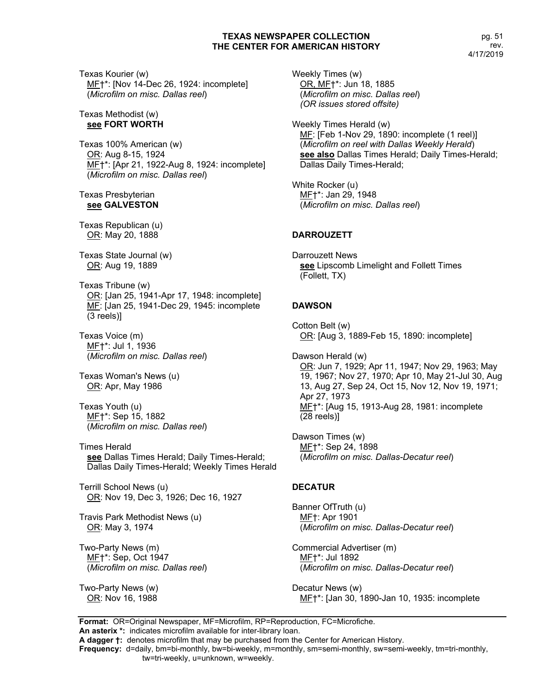Texas Kourier (w) ME+\*: [Nov 14-Dec 26, 1924: incomplete] (*Microfilm on misc. Dallas reel*)

Texas Methodist (w) **see FORT WORTH**

Texas 100% American (w) OR: Aug 8-15, 1924 MF†\*: [Apr 21, 1922-Aug 8, 1924: incomplete] (*Microfilm on misc. Dallas reel*)

#### Texas Presbyterian **see GALVESTON**

Texas Republican (u) OR: May 20, 1888

Texas State Journal (w) OR: Aug 19, 1889

Texas Tribune (w) OR: [Jan 25, 1941-Apr 17, 1948: incomplete] MF: [Jan 25, 1941-Dec 29, 1945: incomplete (3 reels)]

Texas Voice (m) MF†\*: Jul 1, 1936 (*Microfilm on misc. Dallas reel*)

Texas Woman's News (u) OR: Apr, May 1986

Texas Youth (u) MF†\*: Sep 15, 1882 (*Microfilm on misc. Dallas reel*)

Times Herald **see** Dallas Times Herald; Daily Times-Herald; Dallas Daily Times-Herald; Weekly Times Herald

Terrill School News (u) OR: Nov 19, Dec 3, 1926; Dec 16, 1927

Travis Park Methodist News (u) OR: May 3, 1974

Two-Party News (m) MF†\*: Sep, Oct 1947 (*Microfilm on misc. Dallas reel*)

Two-Party News (w) OR: Nov 16, 1988

Weekly Times (w) OR, MF†\*: Jun 18, 1885 (*Microfilm on misc. Dallas reel*) *(OR issues stored offsite)*

Weekly Times Herald (w) MF: [Feb 1-Nov 29, 1890: incomplete (1 reel)] (*Microfilm on reel with Dallas Weekly Herald*) **see also** Dallas Times Herald; Daily Times-Herald; Dallas Daily Times-Herald;

White Rocker (u) MF†\*: Jan 29, 1948 (*Microfilm on misc. Dallas reel*)

## **DARROUZETT**

Darrouzett News **see** Lipscomb Limelight and Follett Times (Follett, TX)

## **DAWSON**

Cotton Belt (w) OR: [Aug 3, 1889-Feb 15, 1890: incomplete]

Dawson Herald (w) OR: Jun 7, 1929; Apr 11, 1947; Nov 29, 1963; May 19, 1967; Nov 27, 1970; Apr 10, May 21-Jul 30, Aug 13, Aug 27, Sep 24, Oct 15, Nov 12, Nov 19, 1971; Apr 27, 1973 MF†\*: [Aug 15, 1913-Aug 28, 1981: incomplete (28 reels)]

Dawson Times (w) MF†\*: Sep 24, 1898 (*Microfilm on misc. Dallas-Decatur reel*)

## **DECATUR**

Banner OfTruth (u) MF†: Apr 1901 (*Microfilm on misc. Dallas-Decatur reel*)

Commercial Advertiser (m) MF†\*: Jul 1892 (*Microfilm on misc. Dallas-Decatur reel*)

Decatur News (w) MF†\*: [Jan 30, 1890-Jan 10, 1935: incomplete

**Format:** OR=Original Newspaper, MF=Microfilm, RP=Reproduction, FC=Microfiche. **An asterix \*:** indicates microfilm available for inter-library loan.

**A dagger †:** denotes microfilm that may be purchased from the Center for American History.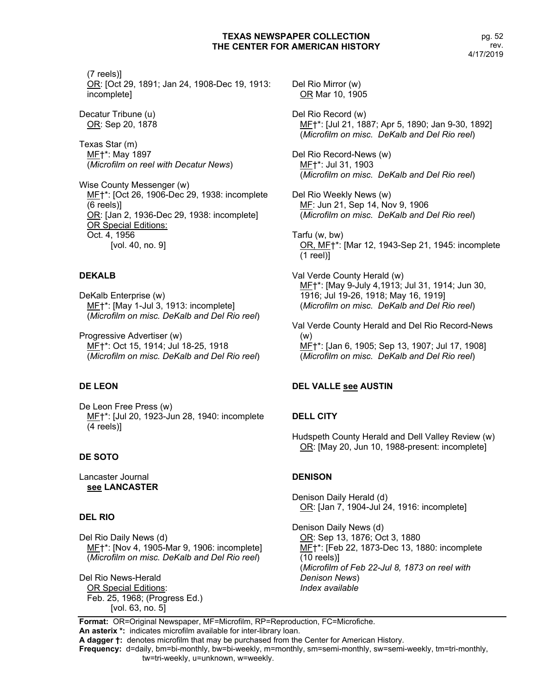(7 reels)] OR: [Oct 29, 1891; Jan 24, 1908-Dec 19, 1913: incomplete]

Decatur Tribune (u) OR: Sep 20, 1878

Texas Star (m) MF†\*: May 1897 (*Microfilm on reel with Decatur News*)

Wise County Messenger (w) MF†\*: [Oct 26, 1906-Dec 29, 1938: incomplete (6 reels)] OR: [Jan 2, 1936-Dec 29, 1938: incomplete] OR Special Editions: Oct. 4, 1956 [vol. 40, no. 9]

## **DEKALB**

DeKalb Enterprise (w) ME<sup>+\*</sup>: [May 1-Jul 3, 1913: incomplete] (*Microfilm on misc. DeKalb and Del Rio reel*)

Progressive Advertiser (w) MF†\*: Oct 15, 1914; Jul 18-25, 1918 (*Microfilm on misc. DeKalb and Del Rio reel*)

## **DE LEON**

De Leon Free Press (w) ME†\*: [Jul 20, 1923-Jun 28, 1940: incomplete (4 reels)]

## **DE SOTO**

Lancaster Journal **see LANCASTER**

## **DEL RIO**

Del Rio Daily News (d) MF†\*: [Nov 4, 1905-Mar 9, 1906: incomplete] (*Microfilm on misc. DeKalb and Del Rio reel*)

Del Rio News-Herald OR Special Editions: Feb. 25, 1968; (Progress Ed.) [vol. 63, no. 5]

Del Rio Mirror (w) OR Mar 10, 1905

Del Rio Record (w) MF†\*: [Jul 21, 1887; Apr 5, 1890; Jan 9-30, 1892] (*Microfilm on misc. DeKalb and Del Rio reel*)

Del Rio Record-News (w) MF†\*: Jul 31, 1903 (*Microfilm on misc. DeKalb and Del Rio reel*)

Del Rio Weekly News (w) MF: Jun 21, Sep 14, Nov 9, 1906 (*Microfilm on misc. DeKalb and Del Rio reel*)

Tarfu (w, bw) OR, MF†\*: [Mar 12, 1943-Sep 21, 1945: incomplete (1 reel)]

Val Verde County Herald (w) MF†\*: [May 9-July 4,1913; Jul 31, 1914; Jun 30, 1916; Jul 19-26, 1918; May 16, 1919] (*Microfilm on misc. DeKalb and Del Rio reel*)

Val Verde County Herald and Del Rio Record-News (w) MF†\*: [Jan 6, 1905; Sep 13, 1907; Jul 17, 1908] (*Microfilm on misc. DeKalb and Del Rio reel*)

# **DEL VALLE see AUSTIN**

# **DELL CITY**

Hudspeth County Herald and Dell Valley Review (w) OR: [May 20, Jun 10, 1988-present: incomplete]

# **DENISON**

Denison Daily Herald (d) OR: [Jan 7, 1904-Jul 24, 1916: incomplete]

Denison Daily News (d) OR: Sep 13, 1876; Oct 3, 1880 ME<sup>+\*</sup>: [Feb 22, 1873-Dec 13, 1880: incomplete (10 reels)] (*Microfilm of Feb 22-Jul 8, 1873 on reel with Denison News*) *Index available*

**Format:** OR=Original Newspaper, MF=Microfilm, RP=Reproduction, FC=Microfiche. **An asterix \*:** indicates microfilm available for inter-library loan.

**A dagger †:** denotes microfilm that may be purchased from the Center for American History.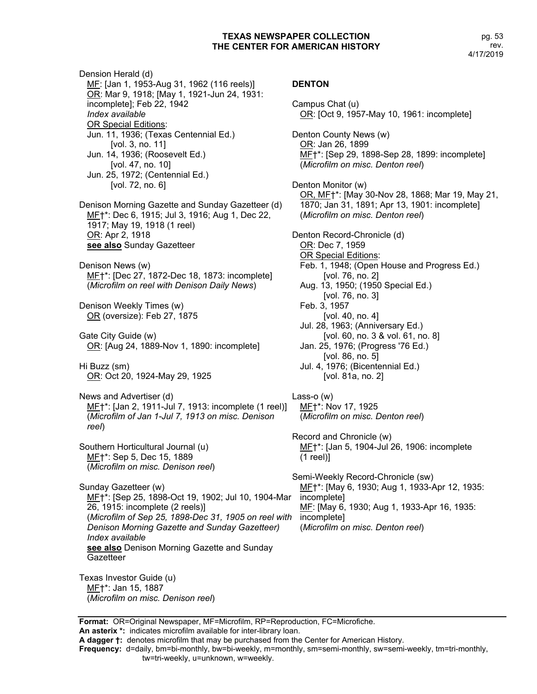Dension Herald (d) ME: [Jan 1, 1953-Aug 31, 1962 (116 reels)] OR: Mar 9, 1918; [May 1, 1921-Jun 24, 1931: incomplete]; Feb 22, 1942 *Index available* OR Special Editions: Jun. 11, 1936; (Texas Centennial Ed.) [vol. 3, no. 11] Jun. 14, 1936; (Roosevelt Ed.) [vol. 47, no. 10] Jun. 25, 1972; (Centennial Ed.) [vol. 72, no. 6] Denison Morning Gazette and Sunday Gazetteer (d) MF†\*: Dec 6, 1915; Jul 3, 1916; Aug 1, Dec 22, 1917; May 19, 1918 (1 reel) OR: Apr 2, 1918 **see also** Sunday Gazetteer Denison News (w) MF†\*: [Dec 27, 1872-Dec 18, 1873: incomplete] (*Microfilm on reel with Denison Daily News*) Denison Weekly Times (w) OR (oversize): Feb 27, 1875 Gate City Guide (w) OR: [Aug 24, 1889-Nov 1, 1890: incomplete] Hi Buzz (sm) OR: Oct 20, 1924-May 29, 1925 News and Advertiser (d) MF†\*: [Jan 2, 1911-Jul 7, 1913: incomplete (1 reel)] (*Microfilm of Jan 1-Jul 7, 1913 on misc. Denison reel*) Southern Horticultural Journal (u) MF†\*: Sep 5, Dec 15, 1889 (*Microfilm on misc. Denison reel*) Sunday Gazetteer (w) MF†\*: [Sep 25, 1898-Oct 19, 1902; Jul 10, 1904-Mar 26, 1915: incomplete (2 reels)] (*Microfilm of Sep 25, 1898-Dec 31, 1905 on reel with Denison Morning Gazette and Sunday Gazetteer) Index available* **see also** Denison Morning Gazette and Sunday **Gazetteer** Texas Investor Guide (u) MF†\*: Jan 15, 1887 (*Microfilm on misc. Denison reel*)

## **DENTON**

Campus Chat (u) OR: [Oct 9, 1957-May 10, 1961: incomplete] Denton County News (w) OR: Jan 26, 1899 MF†\*: [Sep 29, 1898-Sep 28, 1899: incomplete] (*Microfilm on misc. Denton reel*) Denton Monitor (w) OR, MF†\*: [May 30-Nov 28, 1868; Mar 19, May 21, 1870; Jan 31, 1891; Apr 13, 1901: incomplete] (*Microfilm on misc. Denton reel*) Denton Record-Chronicle (d) OR: Dec 7, 1959 OR Special Editions: Feb. 1, 1948; (Open House and Progress Ed.) [vol. 76, no. 2] Aug. 13, 1950; (1950 Special Ed.) [vol. 76, no. 3] Feb. 3, 1957 [vol. 40, no. 4] Jul. 28, 1963; (Anniversary Ed.) [vol. 60, no. 3 & vol. 61, no. 8] Jan. 25, 1976; (Progress '76 Ed.) [vol. 86, no. 5] Jul. 4, 1976; (Bicentennial Ed.) [vol. 81a, no. 2] Lass-o (w) MF†\*: Nov 17, 1925 (*Microfilm on misc. Denton reel*) Record and Chronicle (w) MF†\*: [Jan 5, 1904-Jul 26, 1906: incomplete (1 reel)] Semi-Weekly Record-Chronicle (sw) ME<sup>+\*</sup>: [May 6, 1930; Aug 1, 1933-Apr 12, 1935: incomplete] MF: [May 6, 1930; Aug 1, 1933-Apr 16, 1935: incomplete] (*Microfilm on misc. Denton reel*)

**Format:** OR=Original Newspaper, MF=Microfilm, RP=Reproduction, FC=Microfiche.

**An asterix \*:** indicates microfilm available for inter-library loan.

**A dagger †:** denotes microfilm that may be purchased from the Center for American History.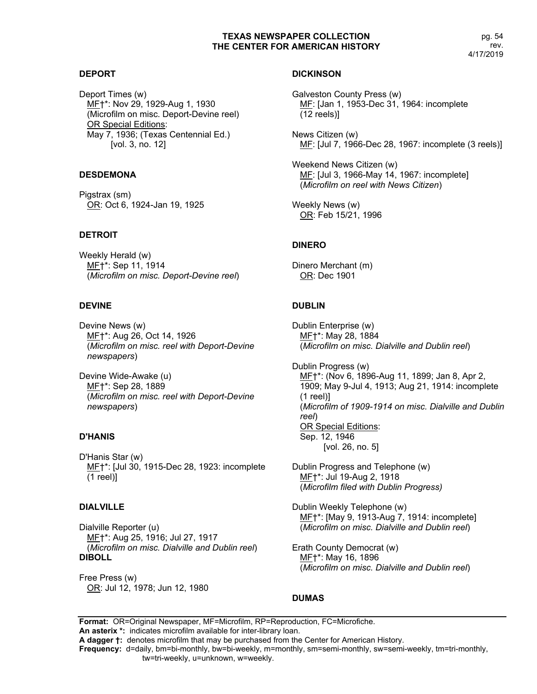pg. 54 rev. 4/17/2019

#### **DEPORT**

Deport Times (w) MF†\*: Nov 29, 1929-Aug 1, 1930 (Microfilm on misc. Deport-Devine reel) OR Special Editions: May 7, 1936; (Texas Centennial Ed.) [vol. 3, no. 12]

#### **DESDEMONA**

Pigstrax (sm) OR: Oct 6, 1924-Jan 19, 1925

## **DETROIT**

Weekly Herald (w) MF†\*: Sep 11, 1914 (*Microfilm on misc. Deport-Devine reel*)

## **DEVINE**

Devine News (w) MF†\*: Aug 26, Oct 14, 1926 (*Microfilm on misc. reel with Deport-Devine newspapers*)

Devine Wide-Awake (u) MF†\*: Sep 28, 1889 (*Microfilm on misc. reel with Deport-Devine newspapers*)

## **D'HANIS**

D'Hanis Star (w) MF†\*: [Jul 30, 1915-Dec 28, 1923: incomplete (1 reel)]

## **DIALVILLE**

Dialville Reporter (u) MF†\*: Aug 25, 1916; Jul 27, 1917 (*Microfilm on misc. Dialville and Dublin reel*) **DIBOLL**

Free Press (w) OR: Jul 12, 1978; Jun 12, 1980

#### **DICKINSON**

Galveston County Press (w) MF: [Jan 1, 1953-Dec 31, 1964: incomplete (12 reels)]

News Citizen (w) ME: [Jul 7, 1966-Dec 28, 1967: incomplete (3 reels)]

Weekend News Citizen (w) MF: [Jul 3, 1966-May 14, 1967: incomplete] (*Microfilm on reel with News Citizen*)

Weekly News (w) OR: Feb 15/21, 1996

# **DINERO**

Dinero Merchant (m) OR: Dec 1901

# **DUBLIN**

Dublin Enterprise (w) MF†\*: May 28, 1884 (*Microfilm on misc. Dialville and Dublin reel*)

Dublin Progress (w) MF†\*: (Nov 6, 1896-Aug 11, 1899; Jan 8, Apr 2, 1909; May 9-Jul 4, 1913; Aug 21, 1914: incomplete (1 reel)] (*Microfilm of 1909-1914 on misc. Dialville and Dublin reel*) OR Special Editions: Sep. 12, 1946 [vol. 26, no. 5]

Dublin Progress and Telephone (w) MF†\*: Jul 19-Aug 2, 1918 (*Microfilm filed with Dublin Progress)*

Dublin Weekly Telephone (w) MF†\*: [May 9, 1913-Aug 7, 1914: incomplete] (*Microfilm on misc. Dialville and Dublin reel*)

Erath County Democrat (w) MF†\*: May 16, 1896 (*Microfilm on misc. Dialville and Dublin reel*)

# **DUMAS**

**Format:** OR=Original Newspaper, MF=Microfilm, RP=Reproduction, FC=Microfiche. **An asterix \*:** indicates microfilm available for inter-library loan. **A dagger †:** denotes microfilm that may be purchased from the Center for American History.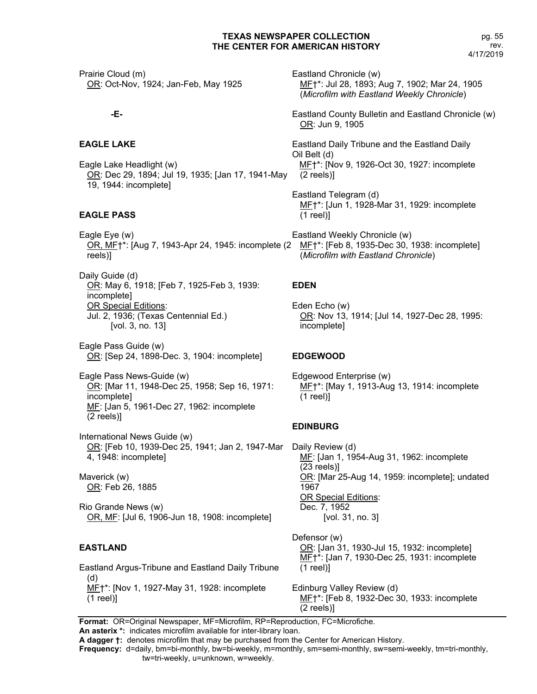Prairie Cloud (m) OR: Oct-Nov, 1924; Jan-Feb, May 1925

## **-E-**

## **EAGLE LAKE**

Eagle Lake Headlight (w) OR: Dec 29, 1894; Jul 19, 1935; [Jan 17, 1941-May 19, 1944: incomplete]

# **EAGLE PASS**

Eagle Eye (w) OR, MF†\*: [Aug 7, 1943-Apr 24, 1945: incomplete (2 reels)]

Daily Guide (d) OR: May 6, 1918; [Feb 7, 1925-Feb 3, 1939: incomplete] OR Special Editions: Jul. 2, 1936; (Texas Centennial Ed.) [vol. 3, no. 13]

Eagle Pass Guide (w) OR: [Sep 24, 1898-Dec. 3, 1904: incomplete]

Eagle Pass News-Guide (w) OR: [Mar 11, 1948-Dec 25, 1958; Sep 16, 1971: incomplete] MF: [Jan 5, 1961-Dec 27, 1962: incomplete (2 reels)]

International News Guide (w) OR: [Feb 10, 1939-Dec 25, 1941; Jan 2, 1947-Mar 4, 1948: incomplete]

Maverick (w) OR: Feb 26, 1885

Rio Grande News (w) OR, MF: [Jul 6, 1906-Jun 18, 1908: incomplete]

## **EASTLAND**

Eastland Argus-Tribune and Eastland Daily Tribune (d) MF<sup>+\*</sup>: [Nov 1, 1927-May 31, 1928: incomplete (1 reel)]

Eastland Chronicle (w) MF†\*: Jul 28, 1893; Aug 7, 1902; Mar 24, 1905 (*Microfilm with Eastland Weekly Chronicle*)

Eastland County Bulletin and Eastland Chronicle (w) OR: Jun 9, 1905

Eastland Daily Tribune and the Eastland Daily Oil Belt (d) MF†\*: [Nov 9, 1926-Oct 30, 1927: incomplete (2 reels)]

Eastland Telegram (d) MF†\*: [Jun 1, 1928-Mar 31, 1929: incomplete (1 reel)]

Eastland Weekly Chronicle (w) MF†\*: [Feb 8, 1935-Dec 30, 1938: incomplete] (*Microfilm with Eastland Chronicle*)

## **EDEN**

Eden Echo (w) OR: Nov 13, 1914; [Jul 14, 1927-Dec 28, 1995: incomplete]

## **EDGEWOOD**

Edgewood Enterprise (w) MF†\*: [May 1, 1913-Aug 13, 1914: incomplete (1 reel)]

## **EDINBURG**

Daily Review (d) MF: [Jan 1, 1954-Aug 31, 1962: incomplete (23 reels)] OR: [Mar 25-Aug 14, 1959: incomplete]; undated 1967 OR Special Editions: Dec. 7, 1952 [vol. 31, no. 3]

Defensor (w) OR: [Jan 31, 1930-Jul 15, 1932: incomplete] MF†\*: [Jan 7, 1930-Dec 25, 1931: incomplete (1 reel)]

Edinburg Valley Review (d) MF†\*: [Feb 8, 1932-Dec 30, 1933: incomplete (2 reels)]

**Format:** OR=Original Newspaper, MF=Microfilm, RP=Reproduction, FC=Microfiche.

**An asterix \*:** indicates microfilm available for inter-library loan.

**A dagger †:** denotes microfilm that may be purchased from the Center for American History.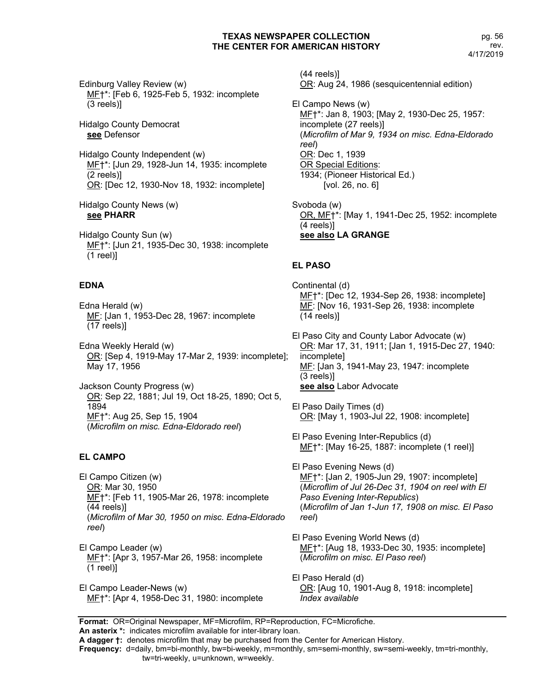Edinburg Valley Review (w) MF†\*: [Feb 6, 1925-Feb 5, 1932: incomplete (3 reels)]

Hidalgo County Democrat **see** Defensor

Hidalgo County Independent (w) MF†\*: [Jun 29, 1928-Jun 14, 1935: incomplete (2 reels)] OR: [Dec 12, 1930-Nov 18, 1932: incomplete]

Hidalgo County News (w) **see PHARR**

Hidalgo County Sun (w) MF†\*: [Jun 21, 1935-Dec 30, 1938: incomplete (1 reel)]

## **EDNA**

Edna Herald (w) MF: [Jan 1, 1953-Dec 28, 1967: incomplete (17 reels)]

Edna Weekly Herald (w) OR: [Sep 4, 1919-May 17-Mar 2, 1939: incomplete]; May 17, 1956

Jackson County Progress (w) OR: Sep 22, 1881; Jul 19, Oct 18-25, 1890; Oct 5, 1894 MF†\*: Aug 25, Sep 15, 1904 (*Microfilm on misc. Edna-Eldorado reel*)

#### **EL CAMPO**

El Campo Citizen (w) OR: Mar 30, 1950 MF†\*: [Feb 11, 1905-Mar 26, 1978: incomplete (44 reels)] (*Microfilm of Mar 30, 1950 on misc. Edna-Eldorado reel*)

El Campo Leader (w) MF†\*: [Apr 3, 1957-Mar 26, 1958: incomplete (1 reel)]

El Campo Leader-News (w) MF†\*: [Apr 4, 1958-Dec 31, 1980: incomplete

(44 reels)] OR: Aug 24, 1986 (sesquicentennial edition)

El Campo News (w) MF<sup>+</sup>\*: Jan 8, 1903; [May 2, 1930-Dec 25, 1957: incomplete (27 reels)] (*Microfilm of Mar 9, 1934 on misc. Edna-Eldorado reel*) OR: Dec 1, 1939 OR Special Editions: 1934; (Pioneer Historical Ed.) [vol. 26, no. 6]

Svoboda (w) OR, MF†\*: [May 1, 1941-Dec 25, 1952: incomplete (4 reels)] **see also LA GRANGE**

## **EL PASO**

Continental (d) MF†\*: [Dec 12, 1934-Sep 26, 1938: incomplete] MF: [Nov 16, 1931-Sep 26, 1938: incomplete (14 reels)]

El Paso City and County Labor Advocate (w) OR: Mar 17, 31, 1911; [Jan 1, 1915-Dec 27, 1940: incomplete] ME: [Jan 3, 1941-May 23, 1947: incomplete (3 reels)] **see also** Labor Advocate

El Paso Daily Times (d) OR: [May 1, 1903-Jul 22, 1908: incomplete]

El Paso Evening Inter-Republics (d) ME<sup>+\*</sup>: [May 16-25, 1887: incomplete (1 reel)]

El Paso Evening News (d) MF†\*: [Jan 2, 1905-Jun 29, 1907: incomplete] (*Microflim of Jul 26-Dec 31, 1904 on reel with El Paso Evening Inter-Republics*) (*Microfilm of Jan 1-Jun 17, 1908 on misc. El Paso reel*)

El Paso Evening World News (d) MF†\*: [Aug 18, 1933-Dec 30, 1935: incomplete] (*Microfilm on misc. El Paso reel*)

El Paso Herald (d) OR: [Aug 10, 1901-Aug 8, 1918: incomplete] *Index available*

**Format:** OR=Original Newspaper, MF=Microfilm, RP=Reproduction, FC=Microfiche.

**An asterix \*:** indicates microfilm available for inter-library loan.

**A dagger †:** denotes microfilm that may be purchased from the Center for American History.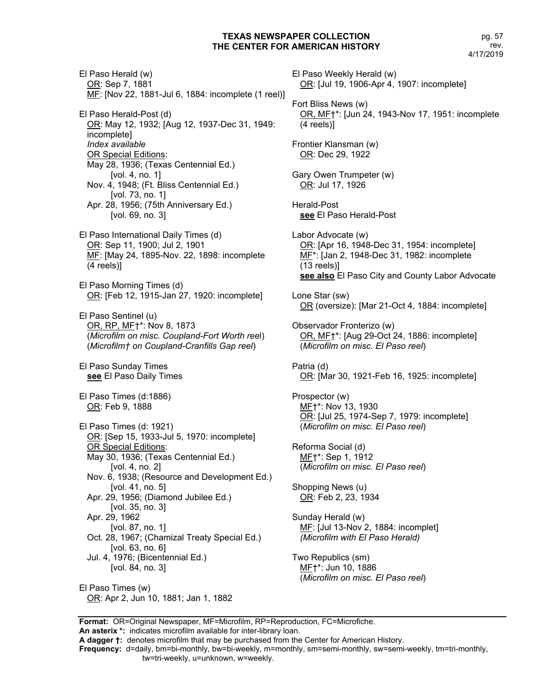El Paso Herald (w) OR: Sep 7, 1881 MF: [Nov 22, 1881-Jul 6, 1884: incomplete (1 reel)] El Paso Herald-Post (d) OR: May 12, 1932; [Aug 12, 1937-Dec 31, 1949: incomplete] *Index available* OR Special Editions: May 28, 1936; (Texas Centennial Ed.) [vol. 4, no. 1] Nov. 4, 1948; (Ft. Bliss Centennial Ed.) [vol. 73, no. 1] Apr. 28, 1956; (75th Anniversary Ed.) [vol. 69, no. 3] El Paso International Daily Times (d) OR: Sep 11, 1900; Jul 2, 1901 MF: [May 24, 1895-Nov. 22, 1898: incomplete (4 reels)] El Paso Morning Times (d) OR: [Feb 12, 1915-Jan 27, 1920: incomplete] El Paso Sentinel (u) OR, RP, MF†\*: Nov 8, 1873 (*Microfilm on misc. Coupland-Fort Worth ree*l) (*Microfilm† on Coupland-Cranfills Gap reel*) El Paso Sunday Times **see** El Paso Daily Times El Paso Times (d:1886) OR: Feb 9, 1888 El Paso Times (d: 1921) OR: [Sep 15, 1933-Jul 5, 1970: incomplete] OR Special Editions: May 30, 1936; (Texas Centennial Ed.) [vol. 4, no. 2] Nov. 6, 1938; (Resource and Development Ed.) [vol. 41, no. 5] Apr. 29, 1956; (Diamond Jubilee Ed.) [vol. 35, no. 3] Apr. 29, 1962 [vol. 87, no. 1] Oct. 28, 1967; (Chamizal Treaty Special Ed.) [vol. 63, no. 6] Jul. 4, 1976; (Bicentennial Ed.) [vol. 84, no. 3]

El Paso Times (w) OR: Apr 2, Jun 10, 1881; Jan 1, 1882

El Paso Weekly Herald (w) OR: [Jul 19, 1906-Apr 4, 1907: incomplete] Fort Bliss News (w) OR, MF†\*: [Jun 24, 1943-Nov 17, 1951: incomplete (4 reels)] Frontier Klansman (w) OR: Dec 29, 1922 Gary Owen Trumpeter (w) OR: Jul 17, 1926 Herald-Post **see** El Paso Herald-Post Labor Advocate (w) OR: [Apr 16, 1948-Dec 31, 1954: incomplete] MF<sup>\*</sup>: [Jan 2, 1948-Dec 31, 1982: incomplete (13 reels)] **see also** El Paso City and County Labor Advocate Lone Star (sw) OR (oversize): [Mar 21-Oct 4, 1884: incomplete] Observador Fronterizo (w) OR, MF†\*: [Aug 29-Oct 24, 1886: incomplete] (*Microfilm on misc. El Paso reel*) Patria (d) OR: [Mar 30, 1921-Feb 16, 1925: incomplete] Prospector (w) MF†\*: Nov 13, 1930 OR: [Jul 25, 1974-Sep 7, 1979: incomplete] (*Microfilm on misc. El Paso reel*) Reforma Social (d) MF†\*: Sep 1, 1912 (*Microfilm on misc. El Paso reel*) Shopping News (u) OR: Feb 2, 23, 1934 Sunday Herald (w) MF: [Jul 13-Nov 2, 1884: incomplet] *(Microfilm with El Paso Herald)* Two Republics (sm) MF†\*: Jun 10, 1886 (*Microfilm on misc. El Paso reel*)

**Format:** OR=Original Newspaper, MF=Microfilm, RP=Reproduction, FC=Microfiche.

**An asterix \*:** indicates microfilm available for inter-library loan. **A dagger †:** denotes microfilm that may be purchased from the Center for American History.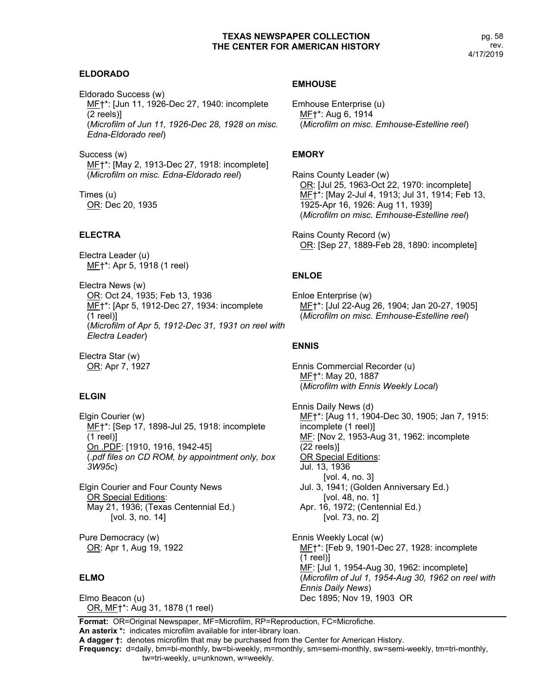## **ELDORADO**

Eldorado Success (w) MF†\*: [Jun 11, 1926-Dec 27, 1940: incomplete (2 reels)] (*Microfilm of Jun 11, 1926-Dec 28, 1928 on misc. Edna-Eldorado reel*)

Success (w) MF†\*: [May 2, 1913-Dec 27, 1918: incomplete] (*Microfilm on misc. Edna-Eldorado reel*)

Times (u) OR: Dec 20, 1935

## **ELECTRA**

Electra Leader (u) MF†\*: Apr 5, 1918 (1 reel)

Electra News (w) OR: Oct 24, 1935; Feb 13, 1936 MF†\*: [Apr 5, 1912-Dec 27, 1934: incomplete (1 reel)] (*Microfilm of Apr 5, 1912-Dec 31, 1931 on reel with Electra Leader*)

Electra Star (w) OR: Apr 7, 1927

## **ELGIN**

Elgin Courier (w) MF†\*: [Sep 17, 1898-Jul 25, 1918: incomplete (1 reel)] On .PDF: [1910, 1916, 1942-45] (*.pdf files on CD ROM, by appointment only, box 3W95c*)

Elgin Courier and Four County News OR Special Editions: May 21, 1936; (Texas Centennial Ed.) [vol. 3, no. 14]

Pure Democracy (w) OR: Apr 1, Aug 19, 1922

#### **ELMO**

Elmo Beacon (u) OR, MF†\*: Aug 31, 1878 (1 reel)

#### **EMHOUSE**

Emhouse Enterprise (u) MF†\*: Aug 6, 1914 (*Microfilm on misc. Emhouse-Estelline reel*)

## **EMORY**

Rains County Leader (w) OR: [Jul 25, 1963-Oct 22, 1970: incomplete] MF†\*: [May 2-Jul 4, 1913; Jul 31, 1914; Feb 13, 1925-Apr 16, 1926: Aug 11, 1939] (*Microfilm on misc. Emhouse-Estelline reel*)

Rains County Record (w) OR: [Sep 27, 1889-Feb 28, 1890: incomplete]

## **ENLOE**

Enloe Enterprise (w) ME<sup>+\*</sup>: [Jul 22-Aug 26, 1904; Jan 20-27, 1905] (*Microfilm on misc. Emhouse-Estelline reel*)

## **ENNIS**

Ennis Commercial Recorder (u) MF†\*: May 20, 1887 (*Microfilm with Ennis Weekly Local*)

Ennis Daily News (d) MF†\*: [Aug 11, 1904-Dec 30, 1905; Jan 7, 1915: incomplete (1 reel)] MF: [Nov 2, 1953-Aug 31, 1962: incomplete (22 reels)] OR Special Editions: Jul. 13, 1936 [vol. 4, no. 3] Jul. 3, 1941; (Golden Anniversary Ed.) [vol. 48, no. 1] Apr. 16, 1972; (Centennial Ed.) [vol. 73, no. 2] Ennis Weekly Local (w) MF†\*: [Feb 9, 1901-Dec 27, 1928: incomplete (1 reel)] MF: [Jul 1, 1954-Aug 30, 1962: incomplete] (*Microfilm of Jul 1, 1954-Aug 30, 1962 on reel with Ennis Daily News*) Dec 1895; Nov 19, 1903 OR

**Format:** OR=Original Newspaper, MF=Microfilm, RP=Reproduction, FC=Microfiche.

**An asterix \*:** indicates microfilm available for inter-library loan. **A dagger †:** denotes microfilm that may be purchased from the Center for American History.

**Frequency:** d=daily, bm=bi-monthly, bw=bi-weekly, m=monthly, sm=semi-monthly, sw=semi-weekly, tm=tri-monthly,

tw=tri-weekly, u=unknown, w=weekly.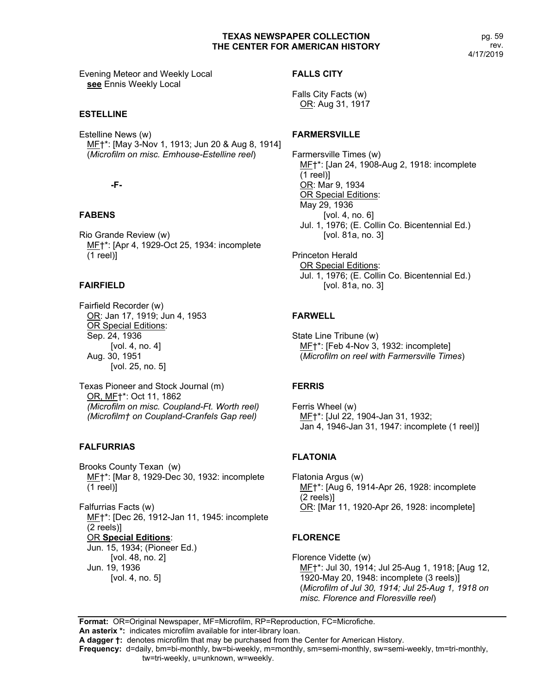pg. 59 rev. 4/17/2019

Evening Meteor and Weekly Local **see** Ennis Weekly Local

## **ESTELLINE**

Estelline News (w) MF†\*: [May 3-Nov 1, 1913; Jun 20 & Aug 8, 1914] (*Microfilm on misc. Emhouse-Estelline reel*)

## **-F-**

## **FABENS**

Rio Grande Review (w) MF†\*: [Apr 4, 1929-Oct 25, 1934: incomplete (1 reel)]

## **FAIRFIELD**

Fairfield Recorder (w) OR: Jan 17, 1919; Jun 4, 1953 OR Special Editions: Sep. 24, 1936 [vol. 4, no. 4] Aug. 30, 1951 [vol. 25, no. 5]

Texas Pioneer and Stock Journal (m) OR, MF†\*: Oct 11, 1862 *(Microfilm on misc. Coupland-Ft. Worth reel) (Microfilm† on Coupland-Cranfels Gap reel)*

## **FALFURRIAS**

Brooks County Texan (w) MF†\*: [Mar 8, 1929-Dec 30, 1932: incomplete (1 reel)]

Falfurrias Facts (w) MF†\*: [Dec 26, 1912-Jan 11, 1945: incomplete (2 reels)] OR **Special Editions**: Jun. 15, 1934; (Pioneer Ed.) [vol. 48, no. 2] Jun. 19, 1936 [vol. 4, no. 5]

## **FALLS CITY**

Falls City Facts (w) OR: Aug 31, 1917

## **FARMERSVILLE**

Farmersville Times (w) MF†\*: [Jan 24, 1908-Aug 2, 1918: incomplete (1 reel)] OR: Mar 9, 1934 OR Special Editions: May 29, 1936 [vol. 4, no. 6] Jul. 1, 1976; (E. Collin Co. Bicentennial Ed.) [vol. 81a, no. 3]

Princeton Herald OR Special Editions: Jul. 1, 1976; (E. Collin Co. Bicentennial Ed.) [vol. 81a, no. 3]

# **FARWELL**

State Line Tribune (w) MF†\*: [Feb 4-Nov 3, 1932: incomplete] (*Microfilm on reel with Farmersville Times*)

## **FERRIS**

Ferris Wheel (w) MF†\*: [Jul 22, 1904-Jan 31, 1932; Jan 4, 1946-Jan 31, 1947: incomplete (1 reel)]

## **FLATONIA**

Flatonia Argus (w) MF†\*: [Aug 6, 1914-Apr 26, 1928: incomplete (2 reels)] OR: [Mar 11, 1920-Apr 26, 1928: incomplete]

## **FLORENCE**

Florence Vidette (w) MF†\*: Jul 30, 1914; Jul 25-Aug 1, 1918; [Aug 12, 1920-May 20, 1948: incomplete (3 reels)] (*Microfilm of Jul 30, 1914; Jul 25-Aug 1, 1918 on misc. Florence and Floresville reel*)

**Format:** OR=Original Newspaper, MF=Microfilm, RP=Reproduction, FC=Microfiche.

**An asterix \*:** indicates microfilm available for inter-library loan.

**A dagger †:** denotes microfilm that may be purchased from the Center for American History.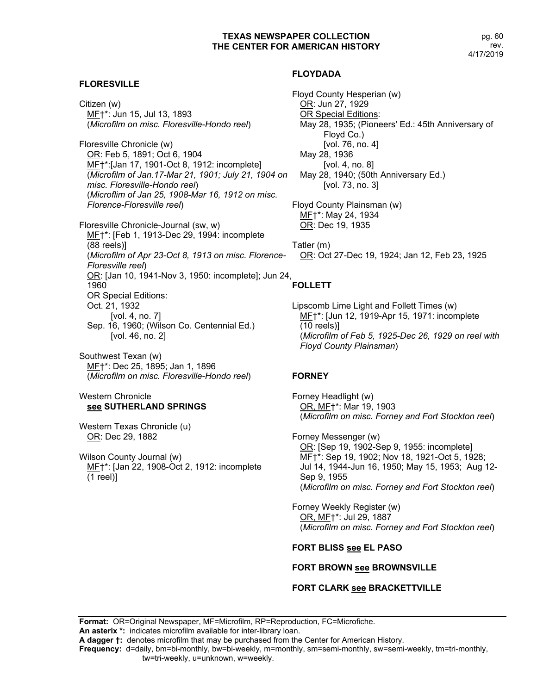pg. 60 rev. 4/17/2019

## **FLORESVILLE**

Citizen (w) MF†\*: Jun 15, Jul 13, 1893 (*Microfilm on misc. Floresville-Hondo reel*)

Floresville Chronicle (w) OR: Feb 5, 1891; Oct 6, 1904 MF†\*:[Jan 17, 1901-Oct 8, 1912: incomplete] (*Microfilm of Jan.17-Mar 21, 1901; July 21, 1904 on misc. Floresville-Hondo reel*) (*Microflim of Jan 25, 1908-Mar 16, 1912 on misc. Florence-Floresville reel*)

Floresville Chronicle-Journal (sw, w) ME<sup>+\*</sup>: [Feb 1, 1913-Dec 29, 1994: incomplete (88 reels)] (*Microfilm of Apr 23-Oct 8, 1913 on misc. Florence-Floresville reel*) OR: [Jan 10, 1941-Nov 3, 1950: incomplete]; Jun 24, 1960 OR Special Editions: Oct. 21, 1932 [vol. 4, no. 7] Sep. 16, 1960; (Wilson Co. Centennial Ed.) [vol. 46, no. 2]

Southwest Texan (w) MF†\*: Dec 25, 1895; Jan 1, 1896 (*Microfilm on misc. Floresville-Hondo reel*)

## Western Chronicle **see SUTHERLAND SPRINGS**

Western Texas Chronicle (u) OR: Dec 29, 1882

Wilson County Journal (w) MF<sup>+\*</sup>: [Jan 22, 1908-Oct 2, 1912: incomplete (1 reel)]

#### **FLOYDADA**

Floyd County Hesperian (w) OR: Jun 27, 1929 OR Special Editions: May 28, 1935; (Pioneers' Ed.: 45th Anniversary of Floyd Co.) [vol. 76, no. 4] May 28, 1936 [vol. 4, no. 8] May 28, 1940; (50th Anniversary Ed.) [vol. 73, no. 3]

Floyd County Plainsman (w) MF†\*: May 24, 1934 OR: Dec 19, 1935

Tatler (m) OR: Oct 27-Dec 19, 1924; Jan 12, Feb 23, 1925

# **FOLLETT**

Lipscomb Lime Light and Follett Times (w) MF<sup>+</sup>\*: [Jun 12, 1919-Apr 15, 1971: incomplete (10 reels)] (*Microfilm of Feb 5, 1925-Dec 26, 1929 on reel with Floyd County Plainsman*)

## **FORNEY**

Forney Headlight (w) OR, MF†\*: Mar 19, 1903 (*Microfilm on misc. Forney and Fort Stockton reel*)

Forney Messenger (w) OR: [Sep 19, 1902-Sep 9, 1955: incomplete] ME<sup>+\*</sup>: Sep 19, 1902; Nov 18, 1921-Oct 5, 1928; Jul 14, 1944-Jun 16, 1950; May 15, 1953; Aug 12- Sep 9, 1955 (*Microfilm on misc. Forney and Fort Stockton reel*)

Forney Weekly Register (w) OR, MF†\*: Jul 29, 1887 (*Microfilm on misc. Forney and Fort Stockton reel*)

#### **FORT BLISS see EL PASO**

#### **FORT BROWN see BROWNSVILLE**

## **FORT CLARK see BRACKETTVILLE**

**Format:** OR=Original Newspaper, MF=Microfilm, RP=Reproduction, FC=Microfiche. **An asterix \*:** indicates microfilm available for inter-library loan. **A dagger †:** denotes microfilm that may be purchased from the Center for American History.

**Frequency:** d=daily, bm=bi-monthly, bw=bi-weekly, m=monthly, sm=semi-monthly, sw=semi-weekly, tm=tri-monthly,

tw=tri-weekly, u=unknown, w=weekly.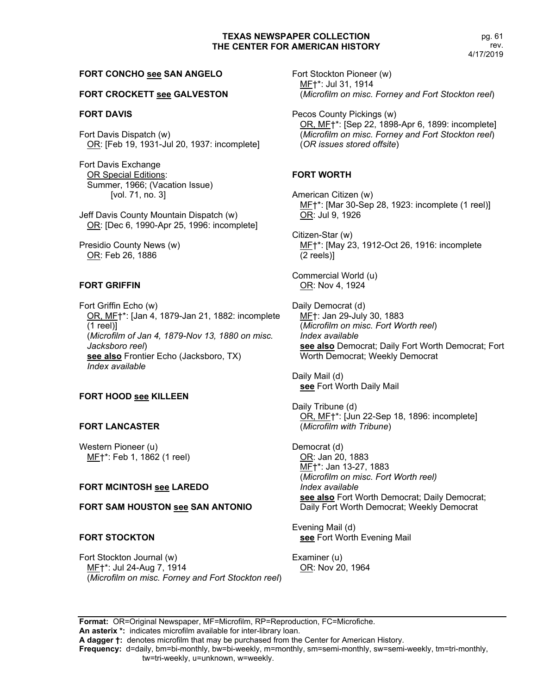#### **FORT CONCHO see SAN ANGELO**

#### **FORT CROCKETT see GALVESTON**

#### **FORT DAVIS**

Fort Davis Dispatch (w) OR: [Feb 19, 1931-Jul 20, 1937: incomplete]

Fort Davis Exchange OR Special Editions: Summer, 1966; (Vacation Issue) [vol. 71, no. 3]

Jeff Davis County Mountain Dispatch (w) OR: [Dec 6, 1990-Apr 25, 1996: incomplete]

Presidio County News (w) OR: Feb 26, 1886

#### **FORT GRIFFIN**

Fort Griffin Echo (w) OR, MF†\*: [Jan 4, 1879-Jan 21, 1882: incomplete (1 reel)] (*Microfilm of Jan 4, 1879-Nov 13, 1880 on misc. Jacksboro reel*) **see also** Frontier Echo (Jacksboro, TX) *Index available*

#### **FORT HOOD see KILLEEN**

#### **FORT LANCASTER**

Western Pioneer (u) MF†\*: Feb 1, 1862 (1 reel)

## **FORT MCINTOSH see LAREDO**

#### **FORT SAM HOUSTON see SAN ANTONIO**

#### **FORT STOCKTON**

Fort Stockton Journal (w) MF†\*: Jul 24-Aug 7, 1914 (*Microfilm on misc. Forney and Fort Stockton reel*) Fort Stockton Pioneer (w) MF†\*: Jul 31, 1914 (*Microfilm on misc. Forney and Fort Stockton reel*)

Pecos County Pickings (w) OR, MF†\*: [Sep 22, 1898-Apr 6, 1899: incomplete] (*Microfilm on misc. Forney and Fort Stockton reel*) (*OR issues stored offsite*)

#### **FORT WORTH**

American Citizen (w) MF†\*: [Mar 30-Sep 28, 1923: incomplete (1 reel)] OR: Jul 9, 1926

Citizen-Star (w) ME<sup>+</sup>\*: [May 23, 1912-Oct 26, 1916: incomplete (2 reels)]

Commercial World (u) OR: Nov 4, 1924

Daily Democrat (d) MF†: Jan 29-July 30, 1883 (*Microfilm on misc. Fort Worth reel*) *Index available* **see also** Democrat; Daily Fort Worth Democrat; Fort Worth Democrat; Weekly Democrat

Daily Mail (d) **see** Fort Worth Daily Mail

Daily Tribune (d) OR, MF†\*: [Jun 22-Sep 18, 1896: incomplete] (*Microfilm with Tribune*)

Democrat (d) OR: Jan 20, 1883 MF†\*: Jan 13-27, 1883 (*Microfilm on misc. Fort Worth reel) Index available* **see also** Fort Worth Democrat; Daily Democrat; Daily Fort Worth Democrat; Weekly Democrat

Evening Mail (d) **see** Fort Worth Evening Mail

Examiner (u) OR: Nov 20, 1964

**Format:** OR=Original Newspaper, MF=Microfilm, RP=Reproduction, FC=Microfiche. **An asterix \*:** indicates microfilm available for inter-library loan.

**A dagger †:** denotes microfilm that may be purchased from the Center for American History.

**Frequency:** d=daily, bm=bi-monthly, bw=bi-weekly, m=monthly, sm=semi-monthly, sw=semi-weekly, tm=tri-monthly,

tw=tri-weekly, u=unknown, w=weekly.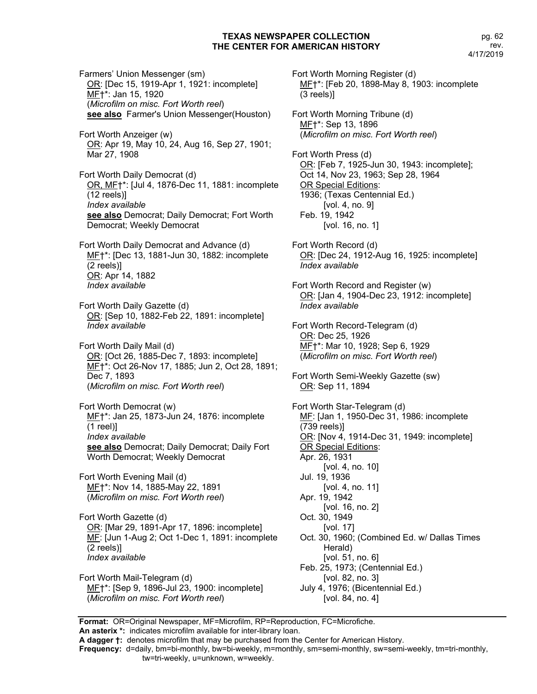Fort Worth Morning Register (d)

**An asterix \*:** indicates microfilm available for inter-library loan. Farmers' Union Messenger (sm) OR: [Dec 15, 1919-Apr 1, 1921: incomplete] MF†\*: Jan 15, 1920 (*Microfilm on misc. Fort Worth reel*) **see also** Farmer's Union Messenger(Houston) Fort Worth Anzeiger (w) OR: Apr 19, May 10, 24, Aug 16, Sep 27, 1901; Mar 27, 1908 Fort Worth Daily Democrat (d) OR, MF†\*: [Jul 4, 1876-Dec 11, 1881: incomplete (12 reels)] *Index available* **see also** Democrat; Daily Democrat; Fort Worth Democrat; Weekly Democrat Fort Worth Daily Democrat and Advance (d) MF†\*: [Dec 13, 1881-Jun 30, 1882: incomplete (2 reels)] OR: Apr 14, 1882 *Index available* Fort Worth Daily Gazette (d) OR: [Sep 10, 1882-Feb 22, 1891: incomplete] *Index available* Fort Worth Daily Mail (d) OR: [Oct 26, 1885-Dec 7, 1893: incomplete] MF†\*: Oct 26-Nov 17, 1885; Jun 2, Oct 28, 1891; Dec 7, 1893 (*Microfilm on misc. Fort Worth reel*) Fort Worth Democrat (w) MF†\*: Jan 25, 1873-Jun 24, 1876: incomplete (1 reel)] *Index available* **see also** Democrat; Daily Democrat; Daily Fort Worth Democrat; Weekly Democrat Fort Worth Evening Mail (d) MF†\*: Nov 14, 1885-May 22, 1891 (*Microfilm on misc. Fort Worth reel*) Fort Worth Gazette (d) OR: [Mar 29, 1891-Apr 17, 1896: incomplete] MF: [Jun 1-Aug 2; Oct 1-Dec 1, 1891: incomplete (2 reels)] *Index available* Fort Worth Mail-Telegram (d) MF†\*: [Sep 9, 1896-Jul 23, 1900: incomplete] (*Microfilm on misc. Fort Worth reel*)

MF†\*: [Feb 20, 1898-May 8, 1903: incomplete (3 reels)] Fort Worth Morning Tribune (d) MF†\*: Sep 13, 1896 (*Microfilm on misc. Fort Worth reel*) Fort Worth Press (d) OR: [Feb 7, 1925-Jun 30, 1943: incomplete]; Oct 14, Nov 23, 1963; Sep 28, 1964 OR Special Editions: 1936; (Texas Centennial Ed.) [vol. 4, no. 9] Feb. 19, 1942 [vol. 16, no. 1] Fort Worth Record (d) OR: [Dec 24, 1912-Aug 16, 1925: incomplete] *Index available* Fort Worth Record and Register (w) OR: [Jan 4, 1904-Dec 23, 1912: incomplete] *Index available* Fort Worth Record-Telegram (d) OR: Dec 25, 1926 MF<sup>+\*</sup>: Mar 10, 1928; Sep 6, 1929 (*Microfilm on misc. Fort Worth reel*) Fort Worth Semi-Weekly Gazette (sw) OR: Sep 11, 1894 Fort Worth Star-Telegram (d) MF: [Jan 1, 1950-Dec 31, 1986: incomplete (739 reels)] OR: [Nov 4, 1914-Dec 31, 1949: incomplete] OR Special Editions: Apr. 26, 1931 [vol. 4, no. 10] Jul. 19, 1936 [vol. 4, no. 11] Apr. 19, 1942 [vol. 16, no. 2] Oct. 30, 1949 [vol. 17] Oct. 30, 1960; (Combined Ed. w/ Dallas Times Herald) [vol. 51, no. 6] Feb. 25, 1973; (Centennial Ed.) [vol. 82, no. 3] July 4, 1976; (Bicentennial Ed.) [vol. 84, no. 4]

**Format:** OR=Original Newspaper, MF=Microfilm, RP=Reproduction, FC=Microfiche.

**A dagger †:** denotes microfilm that may be purchased from the Center for American History.

**Frequency:** d=daily, bm=bi-monthly, bw=bi-weekly, m=monthly, sm=semi-monthly, sw=semi-weekly, tm=tri-monthly, tw=tri-weekly, u=unknown, w=weekly.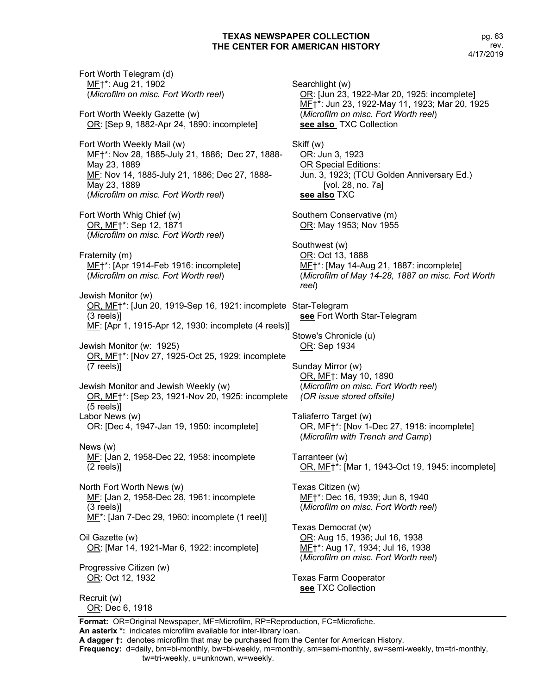pg. 63 rev. 4/17/2019

Fort Worth Telegram (d) MF†\*: Aug 21, 1902 (*Microfilm on misc. Fort Worth reel*) Fort Worth Weekly Gazette (w) OR: [Sep 9, 1882-Apr 24, 1890: incomplete] Fort Worth Weekly Mail (w) MF†\*: Nov 28, 1885-July 21, 1886; Dec 27, 1888- May 23, 1889 MF: Nov 14, 1885-July 21, 1886; Dec 27, 1888- May 23, 1889 (*Microfilm on misc. Fort Worth reel*) Fort Worth Whig Chief (w) OR, MF†\*: Sep 12, 1871 (*Microfilm on misc. Fort Worth reel*) Fraternity (m) MF†\*: [Apr 1914-Feb 1916: incomplete] (*Microfilm on misc. Fort Worth reel*) Jewish Monitor (w) OR, MF†\*: [Jun 20, 1919-Sep 16, 1921: incomplete Star-Telegram (3 reels)] ME: [Apr 1, 1915-Apr 12, 1930: incomplete (4 reels)] Jewish Monitor (w: 1925) OR, MF†\*: [Nov 27, 1925-Oct 25, 1929: incomplete (7 reels)] Jewish Monitor and Jewish Weekly (w) OR, MF†\*: [Sep 23, 1921-Nov 20, 1925: incomplete (5 reels)] Labor News (w) OR: [Dec 4, 1947-Jan 19, 1950: incomplete] News (w) MF: [Jan 2, 1958-Dec 22, 1958: incomplete (2 reels)] North Fort Worth News (w) MF: [Jan 2, 1958-Dec 28, 1961: incomplete (3 reels)] MF\*: [Jan 7-Dec 29, 1960: incomplete (1 reel)] Oil Gazette (w) OR: [Mar 14, 1921-Mar 6, 1922: incomplete] Progressive Citizen (w) OR: Oct 12, 1932 Recruit (w) OR: Dec 6, 1918

Searchlight (w) OR: [Jun 23, 1922-Mar 20, 1925: incomplete] MF†\*: Jun 23, 1922-May 11, 1923; Mar 20, 1925 (*Microfilm on misc. Fort Worth reel*) **see also** TXC Collection Skiff (w) OR: Jun 3, 1923 OR Special Editions: Jun. 3, 1923; (TCU Golden Anniversary Ed.) [vol. 28, no. 7a] **see also** TXC Southern Conservative (m) OR: May 1953; Nov 1955 Southwest (w) OR: Oct 13, 1888 MF†\*: [May 14-Aug 21, 1887: incomplete] (*Microfilm of May 14-28, 1887 on misc. Fort Worth reel*) **see** Fort Worth Star-Telegram Stowe's Chronicle (u) OR: Sep 1934 Sunday Mirror (w) OR, MF†: May 10, 1890 (*Microfilm on misc. Fort Worth reel*) *(OR issue stored offsite)* Taliaferro Target (w) OR, MF†\*: [Nov 1-Dec 27, 1918: incomplete] (*Microfilm with Trench and Camp*) Tarranteer (w) OR, MF†\*: [Mar 1, 1943-Oct 19, 1945: incomplete] Texas Citizen (w) MF†\*: Dec 16, 1939; Jun 8, 1940 (*Microfilm on misc. Fort Worth reel*) Texas Democrat (w) OR: Aug 15, 1936; Jul 16, 1938 MF†\*: Aug 17, 1934; Jul 16, 1938 (*Microfilm on misc. Fort Worth reel*) Texas Farm Cooperator **see** TXC Collection

**Format:** OR=Original Newspaper, MF=Microfilm, RP=Reproduction, FC=Microfiche. **An asterix \*:** indicates microfilm available for inter-library loan.

**A dagger †:** denotes microfilm that may be purchased from the Center for American History.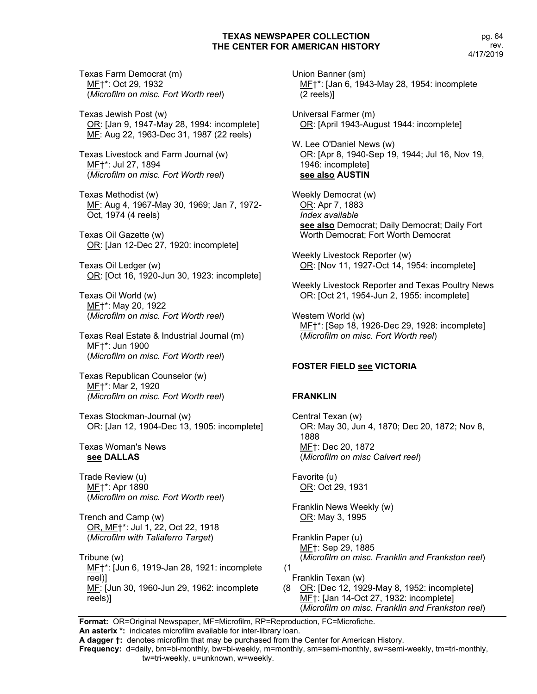Texas Farm Democrat (m) MF†\*: Oct 29, 1932 (*Microfilm on misc. Fort Worth reel*)

Texas Jewish Post (w) OR: [Jan 9, 1947-May 28, 1994: incomplete] MF: Aug 22, 1963-Dec 31, 1987 (22 reels)

Texas Livestock and Farm Journal (w) MF†\*: Jul 27, 1894 (*Microfilm on misc. Fort Worth reel*)

Texas Methodist (w) MF: Aug 4, 1967-May 30, 1969; Jan 7, 1972- Oct, 1974 (4 reels)

Texas Oil Gazette (w) OR: [Jan 12-Dec 27, 1920: incomplete]

Texas Oil Ledger (w) OR: [Oct 16, 1920-Jun 30, 1923: incomplete]

Texas Oil World (w) MF†\*: May 20, 1922 (*Microfilm on misc. Fort Worth reel*)

Texas Real Estate & Industrial Journal (m) MF†\*: Jun 1900 (*Microfilm on misc. Fort Worth reel*)

Texas Republican Counselor (w) MF†\*: Mar 2, 1920 *(Microfilm on misc. Fort Worth reel*)

Texas Stockman-Journal (w) OR: [Jan 12, 1904-Dec 13, 1905: incomplete]

#### Texas Woman's News **see DALLAS**

Trade Review (u) MF†\*: Apr 1890 (*Microfilm on misc. Fort Worth reel*)

Trench and Camp (w) OR, MF†\*: Jul 1, 22, Oct 22, 1918 (*Microfilm with Taliaferro Target*)

Tribune (w) MF†\*: [Jun 6, 1919-Jan 28, 1921: incomplete (1 reel)] MF: [Jun 30, 1960-Jun 29, 1962: incomplete reels)]

Union Banner (sm) MF†\*: [Jan 6, 1943-May 28, 1954: incomplete (2 reels)]

Universal Farmer (m) OR: [April 1943-August 1944: incomplete]

W. Lee O'Daniel News (w) OR: [Apr 8, 1940-Sep 19, 1944; Jul 16, Nov 19, 1946: incomplete] **see also AUSTIN**

Weekly Democrat (w) OR: Apr 7, 1883 *Index available* **see also** Democrat; Daily Democrat; Daily Fort Worth Democrat; Fort Worth Democrat

Weekly Livestock Reporter (w) OR: [Nov 11, 1927-Oct 14, 1954: incomplete]

Weekly Livestock Reporter and Texas Poultry News OR: [Oct 21, 1954-Jun 2, 1955: incomplete]

Western World (w) ME<sup>+\*</sup>: [Sep 18, 1926-Dec 29, 1928: incomplete] (*Microfilm on misc. Fort Worth reel*)

## **FOSTER FIELD see VICTORIA**

## **FRANKLIN**

Central Texan (w) OR: May 30, Jun 4, 1870; Dec 20, 1872; Nov 8, 1888 MF†: Dec 20, 1872 (*Microfilm on misc Calvert reel*)

Favorite (u) OR: Oct 29, 1931

Franklin News Weekly (w) OR: May 3, 1995

Franklin Paper (u) MF†: Sep 29, 1885 (*Microfilm on misc. Franklin and Frankston reel*)

Franklin Texan (w) (8 OR: [Dec 12, 1929-May 8, 1952: incomplete] MF†: [Jan 14-Oct 27, 1932: incomplete] (*Microfilm on misc. Franklin and Frankston reel*)

**Format:** OR=Original Newspaper, MF=Microfilm, RP=Reproduction, FC=Microfiche. **An asterix \*:** indicates microfilm available for inter-library loan.

**A dagger †:** denotes microfilm that may be purchased from the Center for American History.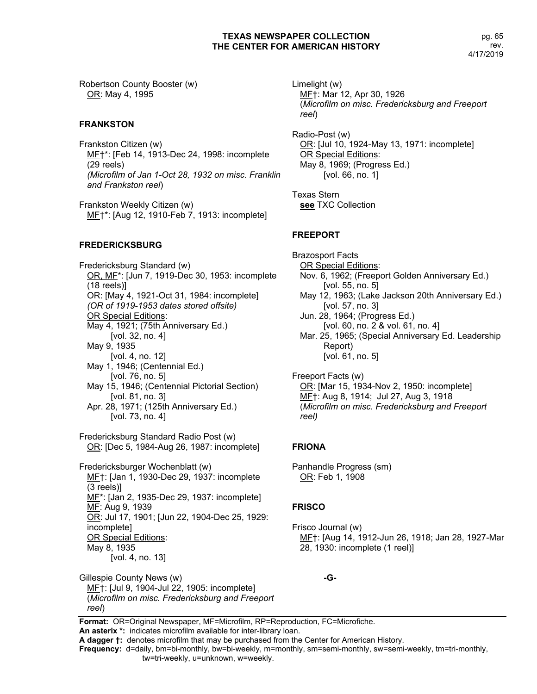Robertson County Booster (w) OR: May 4, 1995

#### **FRANKSTON**

Frankston Citizen (w) ME<sup>+\*</sup>: [Feb 14, 1913-Dec 24, 1998: incomplete (29 reels) *(Microfilm of Jan 1-Oct 28, 1932 on misc. Franklin and Frankston reel*)

Frankston Weekly Citizen (w) MF†\*: [Aug 12, 1910-Feb 7, 1913: incomplete]

## **FREDERICKSBURG**

Fredericksburg Standard (w) OR, MF\*: [Jun 7, 1919-Dec 30, 1953: incomplete (18 reels)] OR: [May 4, 1921-Oct 31, 1984: incomplete] *(OR of 1919-1953 dates stored offsite)* OR Special Editions: May 4, 1921; (75th Anniversary Ed.) [vol. 32, no. 4] May 9, 1935 [vol. 4, no. 12] May 1, 1946; (Centennial Ed.) [vol. 76, no. 5] May 15, 1946; (Centennial Pictorial Section) [vol. 81, no. 3] Apr. 28, 1971; (125th Anniversary Ed.) [vol. 73, no. 4] Fredericksburg Standard Radio Post (w) OR: [Dec 5, 1984-Aug 26, 1987: incomplete] Fredericksburger Wochenblatt (w) MF†: [Jan 1, 1930-Dec 29, 1937: incomplete (3 reels)] MF\*: [Jan 2, 1935-Dec 29, 1937: incomplete] MF: Aug 9, 1939

OR: Jul 17, 1901; [Jun 22, 1904-Dec 25, 1929: incomplete] OR Special Editions:

May 8, 1935

[vol. 4, no. 13]

Gillespie County News (w) MF†: [Jul 9, 1904-Jul 22, 1905: incomplete] (*Microfilm on misc. Fredericksburg and Freeport reel*)

Limelight (w) MF†: Mar 12, Apr 30, 1926 (*Microfilm on misc. Fredericksburg and Freeport reel*)

Radio-Post (w) OR: [Jul 10, 1924-May 13, 1971: incomplete] OR Special Editions: May 8, 1969; (Progress Ed.) [vol. 66, no. 1]

Texas Stern **see** TXC Collection

## **FREEPORT**

Brazosport Facts OR Special Editions: Nov. 6, 1962; (Freeport Golden Anniversary Ed.) [vol. 55, no. 5] May 12, 1963; (Lake Jackson 20th Anniversary Ed.) [vol. 57, no. 3] Jun. 28, 1964; (Progress Ed.) [vol. 60, no. 2 & vol. 61, no. 4] Mar. 25, 1965; (Special Anniversary Ed. Leadership Report) [vol. 61, no. 5] Freeport Facts (w)

OR: [Mar 15, 1934-Nov 2, 1950: incomplete] MF†: Aug 8, 1914; Jul 27, Aug 3, 1918 (*Microfilm on misc. Fredericksburg and Freeport reel)*

## **FRIONA**

Panhandle Progress (sm) OR: Feb 1, 1908

## **FRISCO**

Frisco Journal (w) MF†: [Aug 14, 1912-Jun 26, 1918; Jan 28, 1927-Mar 28, 1930: incomplete (1 reel)]

**-G-**

**Format:** OR=Original Newspaper, MF=Microfilm, RP=Reproduction, FC=Microfiche. **An asterix \*:** indicates microfilm available for inter-library loan.

**A dagger †:** denotes microfilm that may be purchased from the Center for American History.

**Frequency:** d=daily, bm=bi-monthly, bw=bi-weekly, m=monthly, sm=semi-monthly, sw=semi-weekly, tm=tri-monthly,

#### tw=tri-weekly, u=unknown, w=weekly.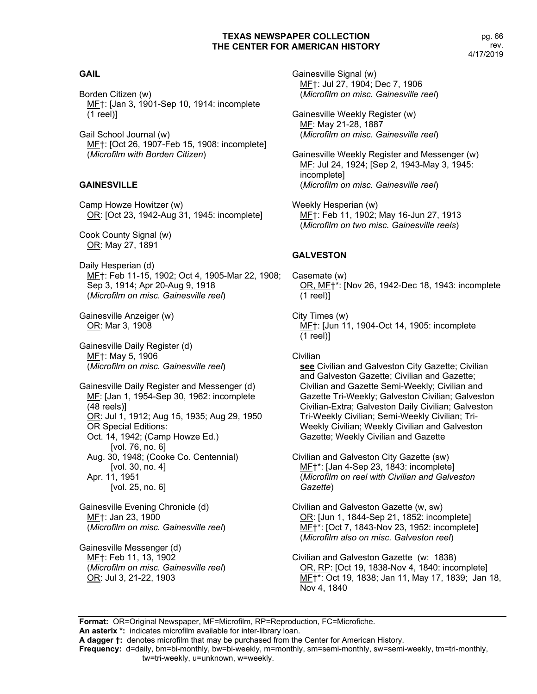## **GAIL**

Borden Citizen (w) MF†: [Jan 3, 1901-Sep 10, 1914: incomplete (1 reel)]

Gail School Journal (w) MF†: [Oct 26, 1907-Feb 15, 1908: incomplete] (*Microfilm with Borden Citizen*)

# **GAINESVILLE**

Camp Howze Howitzer (w) OR: [Oct 23, 1942-Aug 31, 1945: incomplete]

Cook County Signal (w) OR: May 27, 1891

Daily Hesperian (d) MF†: Feb 11-15, 1902; Oct 4, 1905-Mar 22, 1908; Sep 3, 1914; Apr 20-Aug 9, 1918 (*Microfilm on misc. Gainesville reel*)

Gainesville Anzeiger (w) OR: Mar 3, 1908

Gainesville Daily Register (d) MF†: May 5, 1906 (*Microfilm on misc. Gainesville reel*)

Gainesville Daily Register and Messenger (d) MF: [Jan 1, 1954-Sep 30, 1962: incomplete (48 reels)] OR: Jul 1, 1912; Aug 15, 1935; Aug 29, 1950 OR Special Editions: Oct. 14, 1942; (Camp Howze Ed.) [vol. 76, no. 6] Aug. 30, 1948; (Cooke Co. Centennial) [vol. 30, no. 4] Apr. 11, 1951 [vol. 25, no. 6]

Gainesville Evening Chronicle (d) MF†: Jan 23, 1900 (*Microfilm on misc. Gainesville reel*)

Gainesville Messenger (d) MF†: Feb 11, 13, 1902 (*Microfilm on misc. Gainesville reel*) OR: Jul 3, 21-22, 1903

Gainesville Signal (w) MF†: Jul 27, 1904; Dec 7, 1906 (*Microfilm on misc. Gainesville reel*)

Gainesville Weekly Register (w) MF: May 21-28, 1887 (*Microfilm on misc. Gainesville reel*)

Gainesville Weekly Register and Messenger (w) MF: Jul 24, 1924; [Sep 2, 1943-May 3, 1945: incomplete] (*Microfilm on misc. Gainesville reel*)

Weekly Hesperian (w) MF†: Feb 11, 1902; May 16-Jun 27, 1913 (*Microfilm on two misc. Gainesville reels*)

# **GALVESTON**

Casemate (w) OR, MF†\*: [Nov 26, 1942-Dec 18, 1943: incomplete (1 reel)]

City Times (w) MF†: [Jun 11, 1904-Oct 14, 1905: incomplete (1 reel)]

**Civilian see** Civilian and Galveston City Gazette; Civilian and Galveston Gazette; Civilian and Gazette; Civilian and Gazette Semi-Weekly; Civilian and Gazette Tri-Weekly; Galveston Civilian; Galveston Civilian-Extra; Galveston Daily Civilian; Galveston Tri-Weekly Civilian; Semi-Weekly Civilian; Tri-Weekly Civilian; Weekly Civilian and Galveston Gazette; Weekly Civilian and Gazette

Civilian and Galveston City Gazette (sw) MF†\*: [Jan 4-Sep 23, 1843: incomplete] (*Microfilm on reel with Civilian and Galveston Gazette*)

Civilian and Galveston Gazette (w, sw) OR: [Jun 1, 1844-Sep 21, 1852: incomplete] MF†\*: [Oct 7, 1843-Nov 23, 1952: incomplete] (*Microfilm also on misc. Galveston reel*)

Civilian and Galveston Gazette (w: 1838) OR, RP: [Oct 19, 1838-Nov 4, 1840: incomplete] ME<sup>+</sup>\*: Oct 19, 1838; Jan 11, May 17, 1839; Jan 18, Nov 4, 1840

**Format:** OR=Original Newspaper, MF=Microfilm, RP=Reproduction, FC=Microfiche. **An asterix \*:** indicates microfilm available for inter-library loan.

**A dagger †:** denotes microfilm that may be purchased from the Center for American History.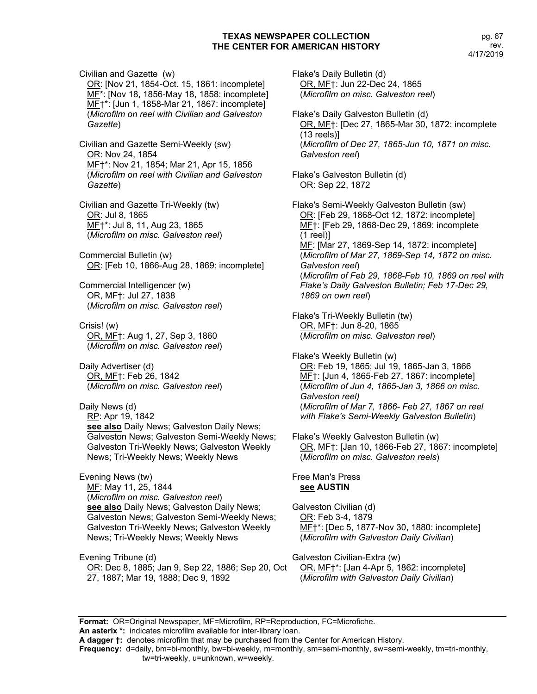Civilian and Gazette (w) OR: [Nov 21, 1854-Oct. 15, 1861: incomplete] MF\*: [Nov 18, 1856-May 18, 1858: incomplete] MF†\*: [Jun 1, 1858-Mar 21, 1867: incomplete] (*Microfilm on reel with Civilian and Galveston Gazette*)

Civilian and Gazette Semi-Weekly (sw) OR: Nov 24, 1854 MF†\*: Nov 21, 1854; Mar 21, Apr 15, 1856 (*Microfilm on reel with Civilian and Galveston Gazette*)

Civilian and Gazette Tri-Weekly (tw) OR: Jul 8, 1865 MF†\*: Jul 8, 11, Aug 23, 1865 (*Microfilm on misc. Galveston reel*)

Commercial Bulletin (w) OR: [Feb 10, 1866-Aug 28, 1869: incomplete]

Commercial Intelligencer (w) OR, MF†: Jul 27, 1838 (*Microfilm on misc. Galveston reel*)

Crisis! (w) OR, MF†: Aug 1, 27, Sep 3, 1860 (*Microfilm on misc. Galveston reel*)

Daily Advertiser (d) OR, MF†: Feb 26, 1842 (*Microfilm on misc. Galveston reel*)

Daily News (d) RP: Apr 19, 1842 **see also** Daily News; Galveston Daily News; Galveston News; Galveston Semi-Weekly News; Galveston Tri-Weekly News; Galveston Weekly News; Tri-Weekly News; Weekly News

Evening News (tw) MF: May 11, 25, 1844 (*Microfilm on misc. Galveston reel*) **see also** Daily News; Galveston Daily News; Galveston News; Galveston Semi-Weekly News; Galveston Tri-Weekly News; Galveston Weekly News; Tri-Weekly News; Weekly News

Evening Tribune (d) OR: Dec 8, 1885; Jan 9, Sep 22, 1886; Sep 20, Oct 27, 1887; Mar 19, 1888; Dec 9, 1892

Flake's Daily Bulletin (d) OR, MF†: Jun 22-Dec 24, 1865 (*Microfilm on misc. Galveston reel*)

Flake's Daily Galveston Bulletin (d) OR, MF†: [Dec 27, 1865-Mar 30, 1872: incomplete (13 reels)] (*Microfilm of Dec 27, 1865-Jun 10, 1871 on misc. Galveston reel*)

Flake's Galveston Bulletin (d) OR: Sep 22, 1872

Flake's Semi-Weekly Galveston Bulletin (sw) OR: [Feb 29, 1868-Oct 12, 1872: incomplete] MF†: [Feb 29, 1868-Dec 29, 1869: incomplete (1 reel)] MF: [Mar 27, 1869-Sep 14, 1872: incomplete] (*Microfilm of Mar 27, 1869-Sep 14, 1872 on misc. Galveston reel*) (*Microfilm of Feb 29, 1868-Feb 10, 1869 on reel with Flake's Daily Galveston Bulletin; Feb 17-Dec 29, 1869 on own reel*)

Flake's Tri-Weekly Bulletin (tw) OR, MF†: Jun 8-20, 1865 (*Microfilm on misc. Galveston reel*)

Flake's Weekly Bulletin (w) OR: Feb 19, 1865; Jul 19, 1865-Jan 3, 1866 MF†: [Jun 4, 1865-Feb 27, 1867: incomplete] (*Microfilm of Jun 4, 1865-Jan 3, 1866 on misc. Galveston reel)* (*Microfilm of Mar 7, 1866- Feb 27, 1867 on reel with Flake's Semi-Weekly Galveston Bulletin*)

Flake's Weekly Galveston Bulletin (w) OR, MF†: [Jan 10, 1866-Feb 27, 1867: incomplete] (*Microfilm on misc. Galveston reels*)

Free Man's Press **see AUSTIN**

Galveston Civilian (d) OR: Feb 3-4, 1879 MF<sup>+</sup>\*: [Dec 5, 1877-Nov 30, 1880: incomplete] (*Microfilm with Galveston Daily Civilian*)

Galveston Civilian-Extra (w) OR, MF†\*: [Jan 4-Apr 5, 1862: incomplete] (*Microfilm with Galveston Daily Civilian*)

**Format:** OR=Original Newspaper, MF=Microfilm, RP=Reproduction, FC=Microfiche. **An asterix \*:** indicates microfilm available for inter-library loan. **A dagger †:** denotes microfilm that may be purchased from the Center for American History. **Frequency:** d=daily, bm=bi-monthly, bw=bi-weekly, m=monthly, sm=semi-monthly, sw=semi-weekly, tm=tri-monthly, tw=tri-weekly, u=unknown, w=weekly.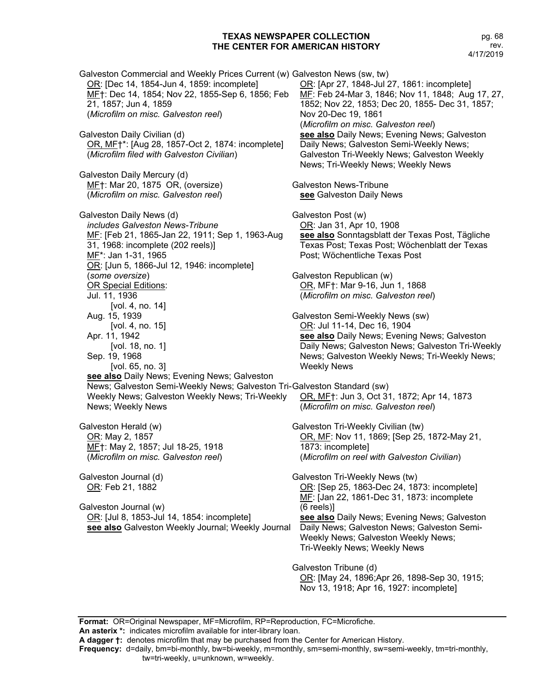pg. 68 rev. 4/17/2019

Galveston Commercial and Weekly Prices Current (w) Galveston News (sw, tw) OR: [Dec 14, 1854-Jun 4, 1859: incomplete] MF†: Dec 14, 1854; Nov 22, 1855-Sep 6, 1856; Feb 21, 1857; Jun 4, 1859 (*Microfilm on misc. Galveston reel*) Galveston Daily Civilian (d) OR, MF†\*: [Aug 28, 1857-Oct 2, 1874: incomplete] (*Microfilm filed with Galveston Civilian*) Galveston Daily Mercury (d) MF†: Mar 20, 1875 OR, (oversize) (*Microfilm on misc. Galveston reel*) Galveston Daily News (d) *includes Galveston News-Tribune* MF: [Feb 21, 1865-Jan 22, 1911; Sep 1, 1963-Aug 31, 1968: incomplete (202 reels)] MF\*: Jan 1-31, 1965 OR: [Jun 5, 1866-Jul 12, 1946: incomplete] (*some oversize*) OR Special Editions: Jul. 11, 1936 [vol. 4, no. 14] Aug. 15, 1939 [vol. 4, no. 15] Apr. 11, 1942 [vol. 18, no. 1] Sep. 19, 1968 [vol. 65, no. 3] **see also** Daily News; Evening News; Galveston News; Galveston Semi-Weekly News; Galveston Tri-Galveston Standard (sw) Weekly News; Galveston Weekly News; Tri-Weekly News; Weekly News Galveston Herald (w) OR: May 2, 1857 MF†: May 2, 1857; Jul 18-25, 1918 (*Microfilm on misc. Galveston reel*) Galveston Journal (d) OR: Feb 21, 1882 Galveston Journal (w) OR: [Jul 8, 1853-Jul 14, 1854: incomplete] **see also** Galveston Weekly Journal; Weekly Journal OR: [Apr 27, 1848-Jul 27, 1861: incomplete] MF: Feb 24-Mar 3, 1846; Nov 11, 1848; Aug 17, 27, 1852; Nov 22, 1853; Dec 20, 1855- Dec 31, 1857; Nov 20-Dec 19, 1861 (*Microfilm on misc. Galveston reel*) **see also** Daily News; Evening News; Galveston Daily News; Galveston Semi-Weekly News; Galveston Tri-Weekly News; Galveston Weekly News; Tri-Weekly News; Weekly News Galveston News-Tribune **see** Galveston Daily News Galveston Post (w) OR: Jan 31, Apr 10, 1908 **see also** Sonntagsblatt der Texas Post, Tägliche Texas Post; Texas Post; Wöchenblatt der Texas Post; Wöchentliche Texas Post Galveston Republican (w) OR, MF†: Mar 9-16, Jun 1, 1868 (*Microfilm on misc. Galveston reel*) Galveston Semi-Weekly News (sw) OR: Jul 11-14, Dec 16, 1904 **see also** Daily News; Evening News; Galveston Daily News; Galveston News; Galveston Tri-Weekly News; Galveston Weekly News; Tri-Weekly News; Weekly News OR, MF†: Jun 3, Oct 31, 1872; Apr 14, 1873 (*Microfilm on misc. Galveston reel*) Galveston Tri-Weekly Civilian (tw) OR, MF: Nov 11, 1869; [Sep 25, 1872-May 21, 1873: incomplete] (*Microfilm on reel with Galveston Civilian*) Galveston Tri-Weekly News (tw) OR: [Sep 25, 1863-Dec 24, 1873: incomplete] MF: [Jan 22, 1861-Dec 31, 1873: incomplete (6 reels)] **see also** Daily News; Evening News; Galveston Daily News; Galveston News; Galveston Semi-Weekly News; Galveston Weekly News; Tri-Weekly News; Weekly News Galveston Tribune (d) OR: [May 24, 1896;Apr 26, 1898-Sep 30, 1915; Nov 13, 1918; Apr 16, 1927: incomplete]

**Format:** OR=Original Newspaper, MF=Microfilm, RP=Reproduction, FC=Microfiche. **An asterix \*:** indicates microfilm available for inter-library loan.

**A dagger †:** denotes microfilm that may be purchased from the Center for American History.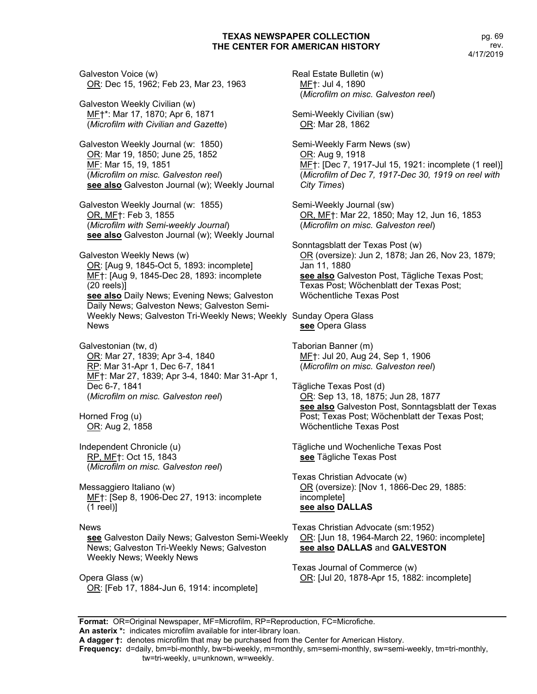Galveston Voice (w) OR: Dec 15, 1962; Feb 23, Mar 23, 1963

Galveston Weekly Civilian (w) MF†\*: Mar 17, 1870; Apr 6, 1871 (*Microfilm with Civilian and Gazette*)

Galveston Weekly Journal (w: 1850) OR: Mar 19, 1850; June 25, 1852 MF: Mar 15, 19, 1851 (*Microfilm on misc. Galveston reel*) **see also** Galveston Journal (w); Weekly Journal

Galveston Weekly Journal (w: 1855) OR, MF†: Feb 3, 1855 (*Microfilm with Semi-weekly Journal*) **see also** Galveston Journal (w); Weekly Journal

Galveston Weekly News (w) OR: [Aug 9, 1845-Oct 5, 1893: incomplete] MF†: [Aug 9, 1845-Dec 28, 1893: incomplete (20 reels)] **see also** Daily News; Evening News; Galveston Daily News; Galveston News; Galveston Semi-Weekly News; Galveston Tri-Weekly News; Weekly Sunday Opera Glass News

Galvestonian (tw, d) OR: Mar 27, 1839; Apr 3-4, 1840 RP: Mar 31-Apr 1, Dec 6-7, 1841 MF†: Mar 27, 1839; Apr 3-4, 1840: Mar 31-Apr 1, Dec 6-7, 1841 (*Microfilm on misc. Galveston reel*)

Horned Frog (u) OR: Aug 2, 1858

Independent Chronicle (u) RP, MF†: Oct 15, 1843 (*Microfilm on misc. Galveston reel*)

Messaggiero Italiano (w) MF†: [Sep 8, 1906-Dec 27, 1913: incomplete (1 reel)]

#### News

**see** Galveston Daily News; Galveston Semi-Weekly News; Galveston Tri-Weekly News; Galveston Weekly News; Weekly News

Opera Glass (w) OR: [Feb 17, 1884-Jun 6, 1914: incomplete] Real Estate Bulletin (w) MF†: Jul 4, 1890 (*Microfilm on misc. Galveston reel*) Semi-Weekly Civilian (sw) OR: Mar 28, 1862 Semi-Weekly Farm News (sw) OR: Aug 9, 1918 MF†: [Dec 7, 1917-Jul 15, 1921: incomplete (1 reel)] (*Microfilm of Dec 7, 1917-Dec 30, 1919 on reel with City Times*) Semi-Weekly Journal (sw) OR, MF†: Mar 22, 1850; May 12, Jun 16, 1853 (*Microfilm on misc. Galveston reel*) Sonntagsblatt der Texas Post (w) OR (oversize): Jun 2, 1878; Jan 26, Nov 23, 1879; Jan 11, 1880 **see also** Galveston Post, Tägliche Texas Post; Texas Post; Wöchenblatt der Texas Post; Wöchentliche Texas Post **see** Opera Glass Taborian Banner (m) MF†: Jul 20, Aug 24, Sep 1, 1906 (*Microfilm on misc. Galveston reel*) Tägliche Texas Post (d) OR: Sep 13, 18, 1875; Jun 28, 1877 **see also** Galveston Post, Sonntagsblatt der Texas Post; Texas Post; Wöchenblatt der Texas Post;

Tägliche und Wochenliche Texas Post **see** Tägliche Texas Post

Wöchentliche Texas Post

Texas Christian Advocate (w) OR (oversize): [Nov 1, 1866-Dec 29, 1885: incomplete] **see also DALLAS**

Texas Christian Advocate (sm:1952) OR: [Jun 18, 1964-March 22, 1960: incomplete] **see also DALLAS** and **GALVESTON**

Texas Journal of Commerce (w) OR: [Jul 20, 1878-Apr 15, 1882: incomplete]

**Format:** OR=Original Newspaper, MF=Microfilm, RP=Reproduction, FC=Microfiche. **An asterix \*:** indicates microfilm available for inter-library loan.

**A dagger †:** denotes microfilm that may be purchased from the Center for American History.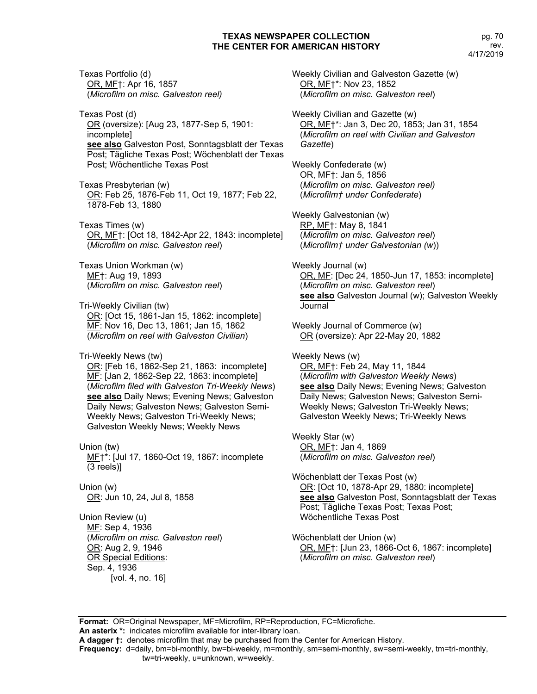Texas Portfolio (d) OR, MF†: Apr 16, 1857 (*Microfilm on misc. Galveston reel)*

Texas Post (d) OR (oversize): [Aug 23, 1877-Sep 5, 1901: incomplete] **see also** Galveston Post, Sonntagsblatt der Texas Post; Tägliche Texas Post; Wöchenblatt der Texas Post; Wöchentliche Texas Post

Texas Presbyterian (w) OR: Feb 25, 1876-Feb 11, Oct 19, 1877; Feb 22, 1878-Feb 13, 1880

Texas Times (w) OR, MF†: [Oct 18, 1842-Apr 22, 1843: incomplete] (*Microfilm on misc. Galveston reel*)

Texas Union Workman (w) MF†: Aug 19, 1893 (*Microfilm on misc. Galveston reel*)

Tri-Weekly Civilian (tw) OR: [Oct 15, 1861-Jan 15, 1862: incomplete] MF: Nov 16, Dec 13, 1861; Jan 15, 1862 (*Microfilm on reel with Galveston Civilian*)

Tri-Weekly News (tw) OR: [Feb 16, 1862-Sep 21, 1863: incomplete] MF: [Jan 2, 1862-Sep 22, 1863: incomplete] (*Microfilm filed with Galveston Tri-Weekly News*) **see also** Daily News; Evening News; Galveston Daily News; Galveston News; Galveston Semi-Weekly News; Galveston Tri-Weekly News; Galveston Weekly News; Weekly News

Union (tw) MF†\*: [Jul 17, 1860-Oct 19, 1867: incomplete (3 reels)]

Union (w) OR: Jun 10, 24, Jul 8, 1858

Union Review (u) MF: Sep 4, 1936 (*Microfilm on misc. Galveston reel*) OR: Aug 2, 9, 1946 OR Special Editions: Sep. 4, 1936 [vol. 4, no. 16]

Weekly Civilian and Galveston Gazette (w) OR, MF†\*: Nov 23, 1852 (*Microfilm on misc. Galveston reel*)

Weekly Civilian and Gazette (w) OR, MF†\*: Jan 3, Dec 20, 1853; Jan 31, 1854 (*Microfilm on reel with Civilian and Galveston Gazette*)

Weekly Confederate (w) OR, MF†: Jan 5, 1856 (*Microfilm on misc. Galveston reel)* (*Microfilm† under Confederate*)

Weekly Galvestonian (w) RP, MF†: May 8, 1841 (*Microfilm on misc. Galveston reel*) (*Microfilm† under Galvestonian (w*))

Weekly Journal (w) OR, MF: [Dec 24, 1850-Jun 17, 1853: incomplete] (*Microfilm on misc. Galveston reel*) **see also** Galveston Journal (w); Galveston Weekly Journal

Weekly Journal of Commerce (w) OR (oversize): Apr 22-May 20, 1882

Weekly News (w) OR, MF†: Feb 24, May 11, 1844 (*Microfilm with Galveston Weekly News*) **see also** Daily News; Evening News; Galveston Daily News; Galveston News; Galveston Semi-Weekly News; Galveston Tri-Weekly News; Galveston Weekly News; Tri-Weekly News

Weekly Star (w) OR, MF†: Jan 4, 1869 (*Microfilm on misc. Galveston reel*)

Wöchenblatt der Texas Post (w) OR: [Oct 10, 1878-Apr 29, 1880: incomplete] **see also** Galveston Post, Sonntagsblatt der Texas Post; Tägliche Texas Post; Texas Post; Wöchentliche Texas Post

Wöchenblatt der Union (w) OR, MF†: [Jun 23, 1866-Oct 6, 1867: incomplete] (*Microfilm on misc. Galveston reel*)

**Format:** OR=Original Newspaper, MF=Microfilm, RP=Reproduction, FC=Microfiche. **An asterix \*:** indicates microfilm available for inter-library loan.

**A dagger †:** denotes microfilm that may be purchased from the Center for American History.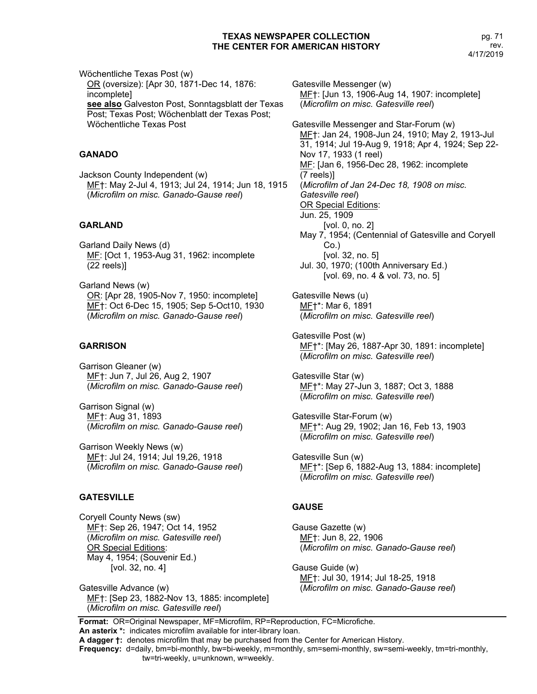Wöchentliche Texas Post (w) OR (oversize): [Apr 30, 1871-Dec 14, 1876: incomplete] **see also** Galveston Post, Sonntagsblatt der Texas Post; Texas Post; Wöchenblatt der Texas Post; Wöchentliche Texas Post

# **GANADO**

Jackson County Independent (w) MF†: May 2-Jul 4, 1913; Jul 24, 1914; Jun 18, 1915 (*Microfilm on misc. Ganado-Gause reel*)

# **GARLAND**

Garland Daily News (d) MF: [Oct 1, 1953-Aug 31, 1962: incomplete (22 reels)]

Garland News (w) OR: [Apr 28, 1905-Nov 7, 1950: incomplete] MF†: Oct 6-Dec 15, 1905; Sep 5-Oct10, 1930 (*Microfilm on misc. Ganado-Gause reel*)

## **GARRISON**

Garrison Gleaner (w) MF†: Jun 7, Jul 26, Aug 2, 1907 (*Microfilm on misc. Ganado-Gause reel*)

Garrison Signal (w) MF†: Aug 31, 1893 (*Microfilm on misc. Ganado-Gause reel*)

Garrison Weekly News (w) MF†: Jul 24, 1914; Jul 19,26, 1918 (*Microfilm on misc. Ganado-Gause reel*)

# **GATESVILLE**

Coryell County News (sw) MF†: Sep 26, 1947; Oct 14, 1952 (*Microfilm on misc. Gatesville reel*) OR Special Editions: May 4, 1954; (Souvenir Ed.) [vol. 32, no. 4]

Gatesville Advance (w) MF†: [Sep 23, 1882-Nov 13, 1885: incomplete] (*Microfilm on misc. Gatesville reel*)

Gatesville Messenger (w) MF†: [Jun 13, 1906-Aug 14, 1907: incomplete] (*Microfilm on misc. Gatesville reel*) Gatesville Messenger and Star-Forum (w) MF†: Jan 24, 1908-Jun 24, 1910; May 2, 1913-Jul 31, 1914; Jul 19-Aug 9, 1918; Apr 4, 1924; Sep 22- Nov 17, 1933 (1 reel) MF: [Jan 6, 1956-Dec 28, 1962: incomplete (7 reels)] (*Microfilm of Jan 24-Dec 18, 1908 on misc. Gatesville reel*) OR Special Editions: Jun. 25, 1909 [vol. 0, no. 2] May 7, 1954; (Centennial of Gatesville and Coryell Co.) [vol. 32, no. 5] Jul. 30, 1970; (100th Anniversary Ed.) [vol. 69, no. 4 & vol. 73, no. 5] Gatesville News (u) MF†\*: Mar 6, 1891 (*Microfilm on misc. Gatesville reel*) Gatesville Post (w) MF†\*: [May 26, 1887-Apr 30, 1891: incomplete] (*Microfilm on misc. Gatesville reel*) Gatesville Star (w) MF†\*: May 27-Jun 3, 1887; Oct 3, 1888 (*Microfilm on misc. Gatesville reel*) Gatesville Star-Forum (w) MF†\*: Aug 29, 1902; Jan 16, Feb 13, 1903 (*Microfilm on misc. Gatesville reel*) Gatesville Sun (w) MF†\*: [Sep 6, 1882-Aug 13, 1884: incomplete]

# **GAUSE**

Gause Gazette (w) MF†: Jun 8, 22, 1906 (*Microfilm on misc. Ganado-Gause reel*)

(*Microfilm on misc. Gatesville reel*)

Gause Guide (w) MF†: Jul 30, 1914; Jul 18-25, 1918 (*Microfilm on misc. Ganado-Gause reel*)

**Format:** OR=Original Newspaper, MF=Microfilm, RP=Reproduction, FC=Microfiche. **An asterix \*:** indicates microfilm available for inter-library loan. **A dagger †:** denotes microfilm that may be purchased from the Center for American History.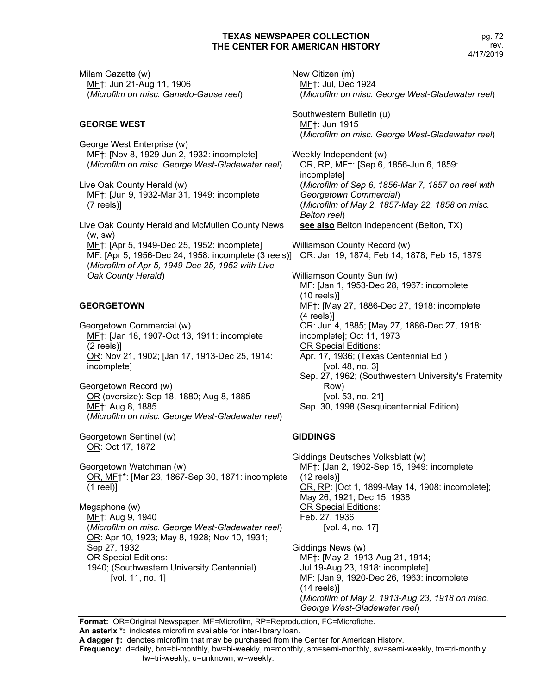Milam Gazette (w) MF†: Jun 21-Aug 11, 1906 (*Microfilm on misc. Ganado-Gause reel*)

## **GEORGE WEST**

George West Enterprise (w) MF†: [Nov 8, 1929-Jun 2, 1932: incomplete] (*Microfilm on misc. George West-Gladewater reel*)

Live Oak County Herald (w) MF†: [Jun 9, 1932-Mar 31, 1949: incomplete (7 reels)]

Live Oak County Herald and McMullen County News (w, sw) MF†: [Apr 5, 1949-Dec 25, 1952: incomplete] MF: [Apr 5, 1956-Dec 24, 1958: incomplete (3 reels)] <u>OR</u>: Jan 19, 1874; Feb 14, 1878; Feb 15, 1879 (*Microfilm of Apr 5, 1949-Dec 25, 1952 with Live Oak County Herald*)

## **GEORGETOWN**

Georgetown Commercial (w) MF†: [Jan 18, 1907-Oct 13, 1911: incomplete (2 reels)] OR: Nov 21, 1902; [Jan 17, 1913-Dec 25, 1914: incomplete]

Georgetown Record (w) OR (oversize): Sep 18, 1880; Aug 8, 1885 MF†: Aug 8, 1885 (*Microfilm on misc. George West-Gladewater reel*)

Georgetown Sentinel (w) OR: Oct 17, 1872

Georgetown Watchman (w) OR, MF†\*: [Mar 23, 1867-Sep 30, 1871: incomplete (1 reel)]

Megaphone (w) MF†: Aug 9, 1940 (*Microfilm on misc. George West-Gladewater reel*) OR: Apr 10, 1923; May 8, 1928; Nov 10, 1931; Sep 27, 1932 OR Special Editions: 1940; (Southwestern University Centennial) [vol. 11, no. 1]

New Citizen (m) MF†: Jul, Dec 1924 (*Microfilm on misc. George West-Gladewater reel*) Southwestern Bulletin (u) MF†: Jun 1915 (*Microfilm on misc. George West-Gladewater reel*) Weekly Independent (w) OR, RP, MF†: [Sep 6, 1856-Jun 6, 1859: incomplete] (*Microfilm of Sep 6, 1856-Mar 7, 1857 on reel with Georgetown Commercial*) (*Microfilm of May 2, 1857-May 22, 1858 on misc. Belton reel*) see also Belton Independent (Belton, TX) Williamson County Record (w) Williamson County Sun (w) MF: [Jan 1, 1953-Dec 28, 1967: incomplete (10 reels)] MF†: [May 27, 1886-Dec 27, 1918: incomplete (4 reels)] OR: Jun 4, 1885; [May 27, 1886-Dec 27, 1918: incomplete]; Oct 11, 1973 OR Special Editions: Apr. 17, 1936; (Texas Centennial Ed.) [vol. 48, no. 3] Sep. 27, 1962; (Southwestern University's Fraternity Row) [vol. 53, no. 21]

Sep. 30, 1998 (Sesquicentennial Edition)

## **GIDDINGS**

Giddings Deutsches Volksblatt (w) MF†: [Jan 2, 1902-Sep 15, 1949: incomplete (12 reels)] OR, RP: [Oct 1, 1899-May 14, 1908: incomplete]; May 26, 1921; Dec 15, 1938 OR Special Editions: Feb. 27, 1936 [vol. 4, no. 17]

Giddings News (w) MF†: [May 2, 1913-Aug 21, 1914; Jul 19-Aug 23, 1918: incomplete] ME: [Jan 9, 1920-Dec 26, 1963: incomplete (14 reels)] (*Microfilm of May 2, 1913-Aug 23, 1918 on misc. George West-Gladewater reel*)

**Format:** OR=Original Newspaper, MF=Microfilm, RP=Reproduction, FC=Microfiche.

**An asterix \*:** indicates microfilm available for inter-library loan.

**A dagger †:** denotes microfilm that may be purchased from the Center for American History.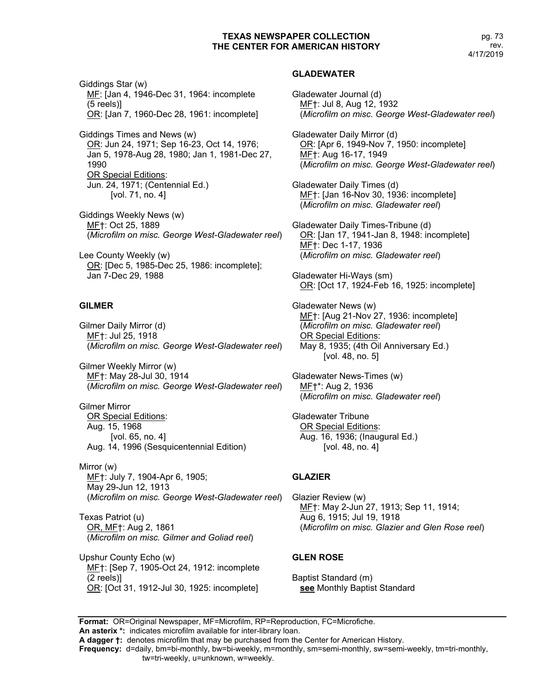pg. 73 rev. 4/17/2019

Giddings Star (w) MF: [Jan 4, 1946-Dec 31, 1964: incomplete (5 reels)] OR: [Jan 7, 1960-Dec 28, 1961: incomplete]

Giddings Times and News (w) OR: Jun 24, 1971; Sep 16-23, Oct 14, 1976; Jan 5, 1978-Aug 28, 1980; Jan 1, 1981-Dec 27, 1990 OR Special Editions: Jun. 24, 1971; (Centennial Ed.) [vol. 71, no. 4]

Giddings Weekly News (w) MF†: Oct 25, 1889 (*Microfilm on misc. George West-Gladewater reel*)

Lee County Weekly (w) OR: [Dec 5, 1985-Dec 25, 1986: incomplete]; Jan 7-Dec 29, 1988

# **GILMER**

Gilmer Daily Mirror (d) MF†: Jul 25, 1918 (*Microfilm on misc. George West-Gladewater reel*)

Gilmer Weekly Mirror (w) MF†: May 28-Jul 30, 1914 (*Microfilm on misc. George West-Gladewater reel*)

Gilmer Mirror OR Special Editions: Aug. 15, 1968 [vol. 65, no. 4] Aug. 14, 1996 (Sesquicentennial Edition)

Mirror (w) MF†: July 7, 1904-Apr 6, 1905; May 29-Jun 12, 1913 (*Microfilm on misc. George West-Gladewater reel*)

Texas Patriot (u) OR, MF†: Aug 2, 1861 (*Microfilm on misc. Gilmer and Goliad reel*)

Upshur County Echo (w) MF†: [Sep 7, 1905-Oct 24, 1912: incomplete (2 reels)] OR: [Oct 31, 1912-Jul 30, 1925: incomplete]

#### **GLADEWATER**

Gladewater Journal (d) MF†: Jul 8, Aug 12, 1932 (*Microfilm on misc. George West-Gladewater reel*)

Gladewater Daily Mirror (d) OR: [Apr 6, 1949-Nov 7, 1950: incomplete] MF†: Aug 16-17, 1949 (*Microfilm on misc. George West-Gladewater reel*)

Gladewater Daily Times (d) MF†: [Jan 16-Nov 30, 1936: incomplete] (*Microfilm on misc. Gladewater reel*)

Gladewater Daily Times-Tribune (d) OR: [Jan 17, 1941-Jan 8, 1948: incomplete] MF†: Dec 1-17, 1936 (*Microfilm on misc. Gladewater reel*)

Gladewater Hi-Ways (sm) OR: [Oct 17, 1924-Feb 16, 1925: incomplete]

Gladewater News (w) MF†: [Aug 21-Nov 27, 1936: incomplete] (*Microfilm on misc. Gladewater reel*) **OR Special Editions:** May 8, 1935; (4th Oil Anniversary Ed.) [vol. 48, no. 5]

Gladewater News-Times (w) MF†\*: Aug 2, 1936 (*Microfilm on misc. Gladewater reel*)

Gladewater Tribune OR Special Editions: Aug. 16, 1936; (Inaugural Ed.) [vol. 48, no. 4]

#### **GLAZIER**

Glazier Review (w) MF†: May 2-Jun 27, 1913; Sep 11, 1914; Aug 6, 1915; Jul 19, 1918 (*Microfilm on misc. Glazier and Glen Rose reel*)

#### **GLEN ROSE**

Baptist Standard (m) **see** Monthly Baptist Standard

**Format:** OR=Original Newspaper, MF=Microfilm, RP=Reproduction, FC=Microfiche. **An asterix \*:** indicates microfilm available for inter-library loan.

**A dagger †:** denotes microfilm that may be purchased from the Center for American History.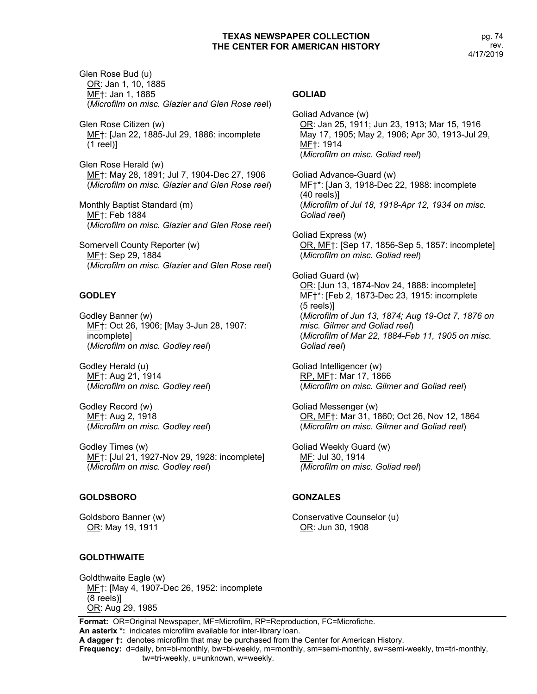Glen Rose Bud (u) OR: Jan 1, 10, 1885 MF†: Jan 1, 1885 (*Microfilm on misc. Glazier and Glen Rose ree*l)

Glen Rose Citizen (w) MF†: [Jan 22, 1885-Jul 29, 1886: incomplete (1 reel)]

Glen Rose Herald (w) MF†: May 28, 1891; Jul 7, 1904-Dec 27, 1906 (*Microfilm on misc. Glazier and Glen Rose reel*)

Monthly Baptist Standard (m) MF†: Feb 1884 (*Microfilm on misc. Glazier and Glen Rose reel*)

Somervell County Reporter (w) MF†: Sep 29, 1884 (*Microfilm on misc. Glazier and Glen Rose reel*)

# **GODLEY**

Godley Banner (w) ME<sup>+</sup>: Oct 26, 1906; [May 3-Jun 28, 1907: incomplete] (*Microfilm on misc. Godley reel*)

Godley Herald (u) MF†: Aug 21, 1914 (*Microfilm on misc. Godley reel*)

Godley Record (w) MF†: Aug 2, 1918 (*Microfilm on misc. Godley reel*)

Godley Times (w) MF†: [Jul 21, 1927-Nov 29, 1928: incomplete] (*Microfilm on misc. Godley reel*)

# **GOLDSBORO**

Goldsboro Banner (w) OR: May 19, 1911

# **GOLDTHWAITE**

#### **GOLIAD**

Goliad Advance (w) OR: Jan 25, 1911; Jun 23, 1913; Mar 15, 1916 May 17, 1905; May 2, 1906; Apr 30, 1913-Jul 29, MF†: 1914 (*Microfilm on misc. Goliad reel*)

Goliad Advance-Guard (w) ME<sup>+</sup>\*: [Jan 3, 1918-Dec 22, 1988: incomplete (40 reels)] (*Microfilm of Jul 18, 1918-Apr 12, 1934 on misc. Goliad reel*)

Goliad Express (w) OR, MF†: [Sep 17, 1856-Sep 5, 1857: incomplete] (*Microfilm on misc. Goliad reel*)

Goliad Guard (w) OR: [Jun 13, 1874-Nov 24, 1888: incomplete] MF†\*: [Feb 2, 1873-Dec 23, 1915: incomplete (5 reels)] (*Microfilm of Jun 13, 1874; Aug 19-Oct 7, 1876 on misc. Gilmer and Goliad reel*) (*Microfilm of Mar 22, 1884-Feb 11, 1905 on misc. Goliad reel*)

Goliad Intelligencer (w) RP, MF†: Mar 17, 1866 (*Microfilm on misc. Gilmer and Goliad reel*)

Goliad Messenger (w) OR, MF†: Mar 31, 1860; Oct 26, Nov 12, 1864 (*Microfilm on misc. Gilmer and Goliad reel*)

Goliad Weekly Guard (w) MF: Jul 30, 1914 *(Microfilm on misc. Goliad reel*)

# **GONZALES**

Conservative Counselor (u) OR: Jun 30, 1908

Goldthwaite Eagle (w) MF†: [May 4, 1907-Dec 26, 1952: incomplete (8 reels)] OR: Aug 29, 1985

**Format:** OR=Original Newspaper, MF=Microfilm, RP=Reproduction, FC=Microfiche. **An asterix \*:** indicates microfilm available for inter-library loan. **A dagger †:** denotes microfilm that may be purchased from the Center for American History. **Frequency:** d=daily, bm=bi-monthly, bw=bi-weekly, m=monthly, sm=semi-monthly, sw=semi-weekly, tm=tri-monthly, tw=tri-weekly, u=unknown, w=weekly.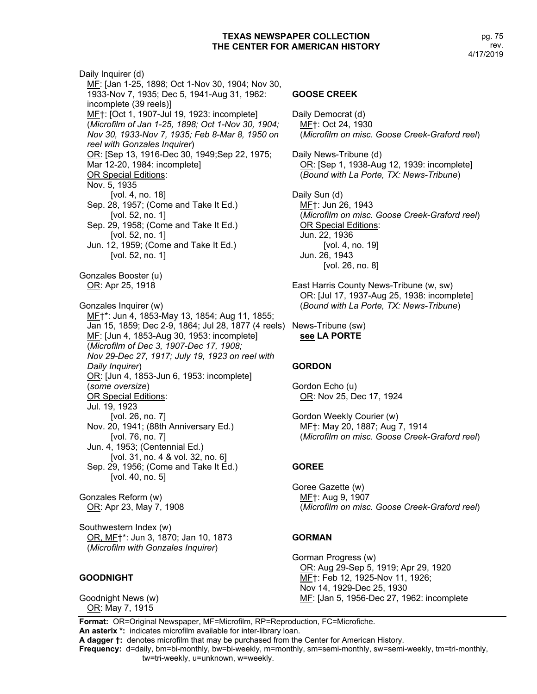Daily Inquirer (d) MF: [Jan 1-25, 1898; Oct 1-Nov 30, 1904; Nov 30, 1933-Nov 7, 1935; Dec 5, 1941-Aug 31, 1962: incomplete (39 reels)] MF†: [Oct 1, 1907-Jul 19, 1923: incomplete] (*Microfilm of Jan 1-25, 1898; Oct 1-Nov 30, 1904; Nov 30, 1933-Nov 7, 1935; Feb 8-Mar 8, 1950 on reel with Gonzales Inquirer*) OR: [Sep 13, 1916-Dec 30, 1949;Sep 22, 1975; Mar 12-20, 1984: incomplete] OR Special Editions: Nov. 5, 1935 [vol. 4, no. 18] Sep. 28, 1957; (Come and Take It Ed.) [vol. 52, no. 1] Sep. 29, 1958; (Come and Take It Ed.) [vol. 52, no. 1] Jun. 12, 1959; (Come and Take It Ed.) [vol. 52, no. 1] Gonzales Booster (u) OR: Apr 25, 1918 Gonzales Inquirer (w) MF†\*: Jun 4, 1853-May 13, 1854; Aug 11, 1855; Jan 15, 1859; Dec 2-9, 1864; Jul 28, 1877 (4 reels) News-Tribune (sw) MF: [Jun 4, 1853-Aug 30, 1953: incomplete] (*Microfilm of Dec 3, 1907-Dec 17, 1908; Nov 29-Dec 27, 1917; July 19, 1923 on reel with Daily Inquirer*) OR: [Jun 4, 1853-Jun 6, 1953: incomplete] (*some oversize*) OR Special Editions: Jul. 19, 1923 [vol. 26, no. 7] Nov. 20, 1941; (88th Anniversary Ed.) [vol. 76, no. 7] Jun. 4, 1953; (Centennial Ed.) [vol. 31, no. 4 & vol. 32, no. 6] Sep. 29, 1956; (Come and Take It Ed.) [vol. 40, no. 5]

Gonzales Reform (w) OR: Apr 23, May 7, 1908

Southwestern Index (w) OR, MF†\*: Jun 3, 1870; Jan 10, 1873 (*Microfilm with Gonzales Inquirer*)

# **GOODNIGHT**

Goodnight News (w) OR: May 7, 1915

#### **GOOSE CREEK**

Daily Democrat (d) MF†: Oct 24, 1930 (*Microfilm on misc. Goose Creek-Graford reel*)

Daily News-Tribune (d) OR: [Sep 1, 1938-Aug 12, 1939: incomplete] (*Bound with La Porte, TX: News-Tribune*)

Daily Sun (d) MF†: Jun 26, 1943 (*Microfilm on misc. Goose Creek-Graford reel*) OR Special Editions: Jun. 22, 1936 [vol. 4, no. 19] Jun. 26, 1943 [vol. 26, no. 8]

East Harris County News-Tribune (w, sw) OR: [Jul 17, 1937-Aug 25, 1938: incomplete] (*Bound with La Porte, TX: News-Tribune*)

**see LA PORTE**

#### **GORDON**

Gordon Echo (u) OR: Nov 25, Dec 17, 1924

Gordon Weekly Courier (w) MF†: May 20, 1887; Aug 7, 1914 (*Microfilm on misc. Goose Creek-Graford reel*)

#### **GOREE**

Goree Gazette (w) MF†: Aug 9, 1907 (*Microfilm on misc. Goose Creek-Graford reel*)

#### **GORMAN**

Gorman Progress (w) OR: Aug 29-Sep 5, 1919; Apr 29, 1920 MF†: Feb 12, 1925-Nov 11, 1926; Nov 14, 1929-Dec 25, 1930 MF: [Jan 5, 1956-Dec 27, 1962: incomplete

**Format:** OR=Original Newspaper, MF=Microfilm, RP=Reproduction, FC=Microfiche. **An asterix \*:** indicates microfilm available for inter-library loan.

**A dagger †:** denotes microfilm that may be purchased from the Center for American History.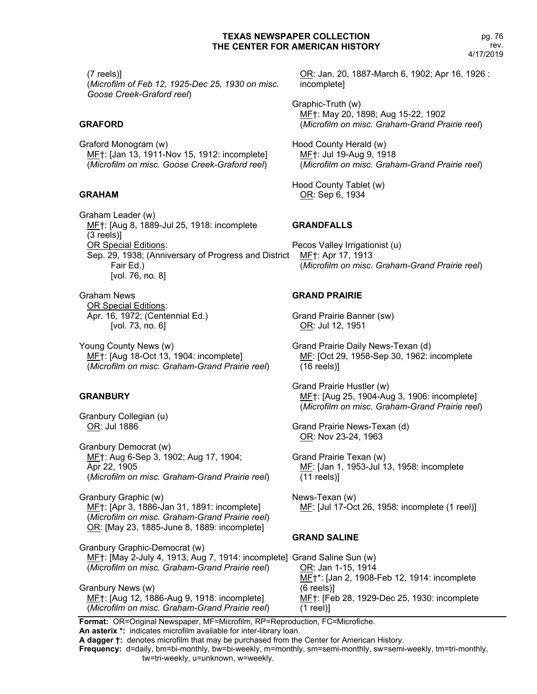(7 reels)]

(*Microfilm of Feb 12, 1925-Dec 25, 1930 on misc. Goose Creek-Graford reel*)

# **GRAFORD**

Graford Monogram (w) MF†: [Jan 13, 1911-Nov 15, 1912: incomplete] (*Microfilm on misc. Goose Creek-Graford reel*)

# **GRAHAM**

Graham Leader (w) MF†: [Aug 8, 1889-Jul 25, 1918: incomplete (3 reels)] OR Special Editions: Sep. 29, 1938; (Anniversary of Progress and District Fair Ed.) [vol. 76, no. 8]

Graham News OR Special Editions: Apr. 16, 1972; (Centennial Ed.) [vol. 73, no. 6]

Young County News (w) MF†: [Aug 18-Oct 13, 1904: incomplete] (*Microfilm on misc. Graham-Grand Prairie reel*)

# **GRANBURY**

Granbury Collegian (u) OR: Jul 1886

Granbury Democrat (w) MF†: Aug 6-Sep 3, 1902; Aug 17, 1904; Apr 22, 1905 (*Microfilm on misc. Graham-Grand Prairie reel*)

Granbury Graphic (w) MF†: [Apr 3, 1886-Jan 31, 1891: incomplete] (*Microfilm on misc. Graham-Grand Prairie reel*) OR: [May 23, 1885-June 8, 1889: incomplete]

OR: Jan. 20, 1887-March 6, 1902; Apr 16, 1926 : incomplete]

Graphic-Truth (w) MF<sub>1</sub>: May 20, 1898; Aug 15-22, 1902 (*Microfilm on misc. Graham-Grand Prairie reel*)

Hood County Herald (w) MF†: Jul 19-Aug 9, 1918 (*Microfilm on misc. Graham-Grand Prairie reel*)

Hood County Tablet (w) OR: Sep 6, 1934

# **GRANDFALLS**

Pecos Valley Irrigationist (u) MF†: Apr 17, 1913 (*Microfilm on misc. Graham-Grand Prairie reel*)

# **GRAND PRAIRIE**

Grand Prairie Banner (sw) OR: Jul 12, 1951

Grand Prairie Daily News-Texan (d) MF: [Oct 29, 1958-Sep 30, 1962: incomplete (16 reels)]

Grand Prairie Hustler (w) MF†: [Aug 25, 1904-Aug 3, 1906: incomplete] (*Microfilm on misc. Graham-Grand Prairie reel*)

Grand Prairie News-Texan (d) OR: Nov 23-24, 1963

Grand Prairie Texan (w) MF: [Jan 1, 1953-Jul 13, 1958: incomplete (11 reels)]

News-Texan (w) ME: [Jul 17-Oct 26, 1958: incomplete (1 reel)]

# **GRAND SALINE**

| Granbury Graphic-Democrat (w)                                           |                                                          |
|-------------------------------------------------------------------------|----------------------------------------------------------|
| MF†: [May 2-July 4, 1913; Aug 7, 1914: incomplete] Grand Saline Sun (w) |                                                          |
| (Microfilm on misc. Graham-Grand Prairie reel)                          | OR: Jan 1-15, 1914                                       |
|                                                                         | MF <sup>+*</sup> : [Jan 2, 1908-Feb 12, 1914: incomplete |
| Granbury News (w)                                                       | $(6$ reels $)$                                           |
| MF†: [Aug 12, 1886-Aug 9, 1918: incomplete]                             | MF†: [Feb 28, 1929-Dec 25, 1930: incomplete              |
| (Microfilm on misc. Graham-Grand Prairie reel)                          | $(1$ reel)                                               |

**Format:** OR=Original Newspaper, MF=Microfilm, RP=Reproduction, FC=Microfiche.

**An asterix \*:** indicates microfilm available for inter-library loan.

**A dagger †:** denotes microfilm that may be purchased from the Center for American History.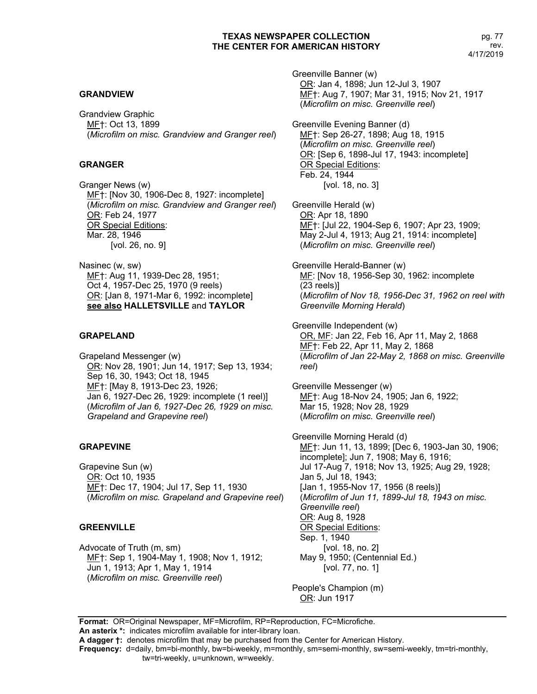#### **GRANDVIEW**

Grandview Graphic MF†: Oct 13, 1899 (*Microfilm on misc. Grandview and Granger reel*)

#### **GRANGER**

Granger News (w) MF†: [Nov 30, 1906-Dec 8, 1927: incomplete] (*Microfilm on misc. Grandview and Granger reel*) OR: Feb 24, 1977 OR Special Editions: Mar. 28, 1946 [vol. 26, no. 9]

Nasinec (w, sw) MF†: Aug 11, 1939-Dec 28, 1951; Oct 4, 1957-Dec 25, 1970 (9 reels) OR: [Jan 8, 1971-Mar 6, 1992: incomplete] **see also HALLETSVILLE** and **TAYLOR**

#### **GRAPELAND**

Grapeland Messenger (w) OR: Nov 28, 1901; Jun 14, 1917; Sep 13, 1934; Sep 16, 30, 1943; Oct 18, 1945 MF†: [May 8, 1913-Dec 23, 1926; Jan 6, 1927-Dec 26, 1929: incomplete (1 reel)] (*Microfilm of Jan 6, 1927-Dec 26, 1929 on misc. Grapeland and Grapevine reel*)

#### **GRAPEVINE**

Grapevine Sun (w) OR: Oct 10, 1935 MF†: Dec 17, 1904; Jul 17, Sep 11, 1930 (*Microfilm on misc. Grapeland and Grapevine reel*)

#### **GREENVILLE**

Advocate of Truth (m, sm) MF†: Sep 1, 1904-May 1, 1908; Nov 1, 1912; Jun 1, 1913; Apr 1, May 1, 1914 (*Microfilm on misc. Greenville reel*)

Greenville Banner (w) OR: Jan 4, 1898; Jun 12-Jul 3, 1907 MF†: Aug 7, 1907; Mar 31, 1915; Nov 21, 1917 (*Microfilm on misc. Greenville reel*)

Greenville Evening Banner (d) MF<sub>1</sub>: Sep 26-27, 1898; Aug 18, 1915 (*Microfilm on misc. Greenville reel*) OR: [Sep 6, 1898-Jul 17, 1943: incomplete] OR Special Editions: Feb. 24, 1944 [vol. 18, no. 3]

Greenville Herald (w) OR: Apr 18, 1890 MF†: [Jul 22, 1904-Sep 6, 1907; Apr 23, 1909; May 2-Jul 4, 1913; Aug 21, 1914: incomplete] (*Microfilm on misc. Greenville reel*)

Greenville Herald-Banner (w) MF: [Nov 18, 1956-Sep 30, 1962: incomplete (23 reels)] (*Microfilm of Nov 18, 1956-Dec 31, 1962 on reel with Greenville Morning Herald*)

Greenville Independent (w) OR, MF: Jan 22, Feb 16, Apr 11, May 2, 1868 MF†: Feb 22, Apr 11, May 2, 1868 (*Microfilm of Jan 22-May 2, 1868 on misc. Greenville reel*)

Greenville Messenger (w) MF†: Aug 18-Nov 24, 1905; Jan 6, 1922; Mar 15, 1928; Nov 28, 1929 (*Microfilm on misc. Greenville reel*)

Greenville Morning Herald (d) MF†: Jun 11, 13, 1899; [Dec 6, 1903-Jan 30, 1906; incomplete]; Jun 7, 1908; May 6, 1916; Jul 17-Aug 7, 1918; Nov 13, 1925; Aug 29, 1928; Jan 5, Jul 18, 1943; [Jan 1, 1955-Nov 17, 1956 (8 reels)] (*Microfilm of Jun 11, 1899-Jul 18, 1943 on misc. Greenville reel*) OR: Aug 8, 1928 OR Special Editions: Sep. 1, 1940 [vol. 18, no. 2] May 9, 1950; (Centennial Ed.) [vol. 77, no. 1]

People's Champion (m) OR: Jun 1917

**Format:** OR=Original Newspaper, MF=Microfilm, RP=Reproduction, FC=Microfiche. **An asterix \*:** indicates microfilm available for inter-library loan.

**A dagger †:** denotes microfilm that may be purchased from the Center for American History.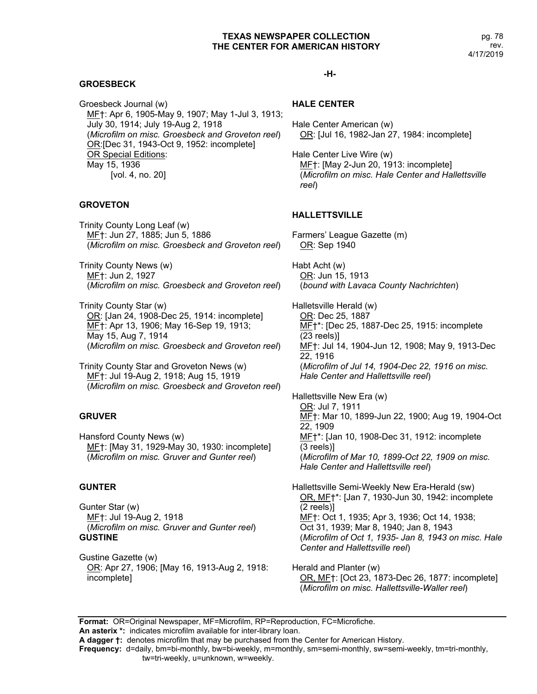#### pg. 78 rev. 4/17/2019

# **GROESBECK**

Groesbeck Journal (w) MF†: Apr 6, 1905-May 9, 1907; May 1-Jul 3, 1913; July 30, 1914; July 19-Aug 2, 1918 (*Microfilm on misc. Groesbeck and Groveton reel*) OR:[Dec 31, 1943-Oct 9, 1952: incomplete] OR Special Editions: May 15, 1936 [vol. 4, no. 20]

# **GROVETON**

Trinity County Long Leaf (w) MF†: Jun 27, 1885; Jun 5, 1886 (*Microfilm on misc. Groesbeck and Groveton reel*)

Trinity County News (w) MF†: Jun 2, 1927 (*Microfilm on misc. Groesbeck and Groveton reel*)

Trinity County Star (w) OR: [Jan 24, 1908-Dec 25, 1914: incomplete] MF†: Apr 13, 1906; May 16-Sep 19, 1913; May 15, Aug 7, 1914 (*Microfilm on misc. Groesbeck and Groveton reel*)

Trinity County Star and Groveton News (w) MF†: Jul 19-Aug 2, 1918; Aug 15, 1919 (*Microfilm on misc. Groesbeck and Groveton reel*)

# **GRUVER**

Hansford County News (w) MF†: [May 31, 1929-May 30, 1930: incomplete] (*Microfilm on misc. Gruver and Gunter reel*)

#### **GUNTER**

Gunter Star (w) MF†: Jul 19-Aug 2, 1918 (*Microfilm on misc. Gruver and Gunter reel*) **GUSTINE**

Gustine Gazette (w) OR: Apr 27, 1906; [May 16, 1913-Aug 2, 1918: incomplete]

#### **-H-**

#### **HALE CENTER**

Hale Center American (w) OR: [Jul 16, 1982-Jan 27, 1984: incomplete]

Hale Center Live Wire (w) MF†: [May 2-Jun 20, 1913: incomplete] (*Microfilm on misc. Hale Center and Hallettsville reel*)

#### **HALLETTSVILLE**

Farmers' League Gazette (m) OR: Sep 1940

Habt Acht (w) OR: Jun 15, 1913 (*bound with Lavaca County Nachrichten*)

Halletsville Herald (w) OR: Dec 25, 1887 MF†\*: [Dec 25, 1887-Dec 25, 1915: incomplete (23 reels)] MF†: Jul 14, 1904-Jun 12, 1908; May 9, 1913-Dec 22, 1916 (*Microfilm of Jul 14, 1904-Dec 22, 1916 on misc. Hale Center and Hallettsville reel*)

Hallettsville New Era (w) OR: Jul 7, 1911 MF†: Mar 10, 1899-Jun 22, 1900; Aug 19, 1904-Oct 22, 1909 MF†\*: [Jan 10, 1908-Dec 31, 1912: incomplete (3 reels)] (*Microfilm of Mar 10, 1899-Oct 22, 1909 on misc. Hale Center and Hallettsville reel*)

Hallettsville Semi-Weekly New Era-Herald (sw) OR, MF†\*: [Jan 7, 1930-Jun 30, 1942: incomplete (2 reels)] MF†: Oct 1, 1935; Apr 3, 1936; Oct 14, 1938; Oct 31, 1939; Mar 8, 1940; Jan 8, 1943 (*Microfilm of Oct 1, 1935- Jan 8, 1943 on misc. Hale Center and Hallettsville reel*)

Herald and Planter (w) OR, MF†: [Oct 23, 1873-Dec 26, 1877: incomplete] (*Microfilm on misc. Hallettsville-Waller reel*)

**Format:** OR=Original Newspaper, MF=Microfilm, RP=Reproduction, FC=Microfiche.

**An asterix \*:** indicates microfilm available for inter-library loan. **A dagger †:** denotes microfilm that may be purchased from the Center for American History.

**Frequency:** d=daily, bm=bi-monthly, bw=bi-weekly, m=monthly, sm=semi-monthly, sw=semi-weekly, tm=tri-monthly,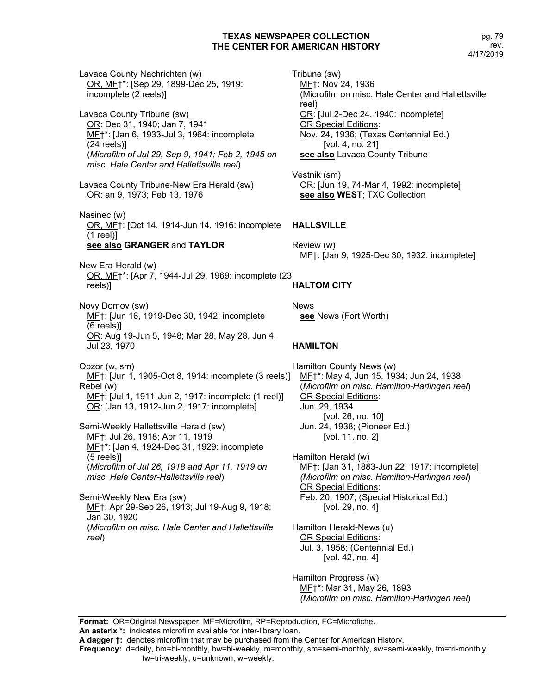Lavaca County Nachrichten (w) OR, MF†\*: [Sep 29, 1899-Dec 25, 1919: incomplete (2 reels)] Lavaca County Tribune (sw) OR: Dec 31, 1940; Jan 7, 1941 MF†\*: [Jan 6, 1933-Jul 3, 1964: incomplete (24 reels)] (*Microfilm of Jul 29, Sep 9, 1941; Feb 2, 1945 on misc. Hale Center and Hallettsville reel*) Lavaca County Tribune-New Era Herald (sw) OR: an 9, 1973; Feb 13, 1976 Nasinec (w) OR, MF†: [Oct 14, 1914-Jun 14, 1916: incomplete (1 reel)] **see also GRANGER** and **TAYLOR** New Era-Herald (w) OR, MF†\*: [Apr 7, 1944-Jul 29, 1969: incomplete (23 reels)] Novy Domov (sw) MF†: [Jun 16, 1919-Dec 30, 1942: incomplete (6 reels)] OR: Aug 19-Jun 5, 1948; Mar 28, May 28, Jun 4, Jul 23, 1970 Obzor (w, sm) MF†: [Jun 1, 1905-Oct 8, 1914: incomplete (3 reels)] Rebel (w) MF†: [Jul 1, 1911-Jun 2, 1917: incomplete (1 reel)] OR: [Jan 13, 1912-Jun 2, 1917: incomplete] Semi-Weekly Hallettsville Herald (sw) MF†: Jul 26, 1918; Apr 11, 1919 MF†\*: [Jan 4, 1924-Dec 31, 1929: incomplete (5 reels)] (*Microfilm of Jul 26, 1918 and Apr 11, 1919 on misc. Hale Center-Hallettsville reel*) Semi-Weekly New Era (sw) MF†: Apr 29-Sep 26, 1913; Jul 19-Aug 9, 1918; Jan 30, 1920 (*Microfilm on misc. Hale Center and Hallettsville reel*) News

Tribune (sw) MF†: Nov 24, 1936 (Microfilm on misc. Hale Center and Hallettsville reel) OR: [Jul 2-Dec 24, 1940: incomplete] OR Special Editions: Nov. 24, 1936; (Texas Centennial Ed.) [vol. 4, no. 21] **see also** Lavaca County Tribune

Vestnik (sm) OR: [Jun 19, 74-Mar 4, 1992: incomplete] **see also WEST**; TXC Collection

# **HALLSVILLE**

Review (w) MF†: [Jan 9, 1925-Dec 30, 1932: incomplete]

# **HALTOM CITY**

**see** News (Fort Worth)

# **HAMILTON**

Hamilton County News (w) MF†\*: May 4, Jun 15, 1934; Jun 24, 1938 (*Microfilm on misc. Hamilton-Harlingen reel*) OR Special Editions: Jun. 29, 1934 [vol. 26, no. 10] Jun. 24, 1938; (Pioneer Ed.) [vol. 11, no. 2]

Hamilton Herald (w) MF†: [Jan 31, 1883-Jun 22, 1917: incomplete] *(Microfilm on misc. Hamilton-Harlingen reel*) OR Special Editions: Feb. 20, 1907; (Special Historical Ed.) [vol. 29, no. 4]

Hamilton Herald-News (u) OR Special Editions: Jul. 3, 1958; (Centennial Ed.) [vol. 42, no. 4]

Hamilton Progress (w) MF†\*: Mar 31, May 26, 1893 *(Microfilm on misc. Hamilton-Harlingen reel*)

**Format:** OR=Original Newspaper, MF=Microfilm, RP=Reproduction, FC=Microfiche. **An asterix \*:** indicates microfilm available for inter-library loan.

**A dagger †:** denotes microfilm that may be purchased from the Center for American History.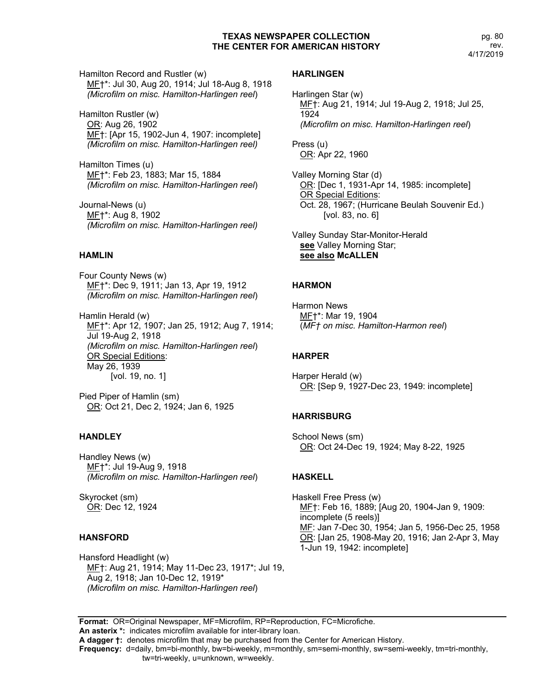Hamilton Record and Rustler (w) MF†\*: Jul 30, Aug 20, 1914; Jul 18-Aug 8, 1918 *(Microfilm on misc. Hamilton-Harlingen reel*)

Hamilton Rustler (w) OR: Aug 26, 1902 MF†: [Apr 15, 1902-Jun 4, 1907: incomplete] *(Microfilm on misc. Hamilton-Harlingen reel)*

Hamilton Times (u) MF†\*: Feb 23, 1883; Mar 15, 1884 *(Microfilm on misc. Hamilton-Harlingen reel*)

Journal-News (u) MF†\*: Aug 8, 1902 *(Microfilm on misc. Hamilton-Harlingen reel)*

# **HAMLIN**

Four County News (w) MF†\*: Dec 9, 1911; Jan 13, Apr 19, 1912 *(Microfilm on misc. Hamilton-Harlingen reel*)

Hamlin Herald (w) ME†\*: Apr 12, 1907; Jan 25, 1912; Aug 7, 1914; Jul 19-Aug 2, 1918 *(Microfilm on misc. Hamilton-Harlingen reel*) OR Special Editions: May 26, 1939 [vol. 19, no. 1]

Pied Piper of Hamlin (sm) OR: Oct 21, Dec 2, 1924; Jan 6, 1925

#### **HANDLEY**

Handley News (w) MF†\*: Jul 19-Aug 9, 1918 *(Microfilm on misc. Hamilton-Harlingen reel*)

Skyrocket (sm) OR: Dec 12, 1924

# **HANSFORD**

Hansford Headlight (w) MF†: Aug 21, 1914; May 11-Dec 23, 1917\*; Jul 19, Aug 2, 1918; Jan 10-Dec 12, 1919\* *(Microfilm on misc. Hamilton-Harlingen reel*)

#### **HARLINGEN**

Harlingen Star (w) MF†: Aug 21, 1914; Jul 19-Aug 2, 1918; Jul 25, 1924 *(Microfilm on misc. Hamilton-Harlingen reel*)

Press (u) OR: Apr 22, 1960

Valley Morning Star (d) OR: [Dec 1, 1931-Apr 14, 1985: incomplete] OR Special Editions: Oct. 28, 1967; (Hurricane Beulah Souvenir Ed.) [vol. 83, no. 6]

Valley Sunday Star-Monitor-Herald **see** Valley Morning Star; **see also McALLEN**

# **HARMON**

Harmon News MF†\*: Mar 19, 1904 (*MF† on misc. Hamilton-Harmon reel*)

# **HARPER**

Harper Herald (w) OR: [Sep 9, 1927-Dec 23, 1949: incomplete]

# **HARRISBURG**

School News (sm) OR: Oct 24-Dec 19, 1924; May 8-22, 1925

#### **HASKELL**

Haskell Free Press (w) MF†: Feb 16, 1889; [Aug 20, 1904-Jan 9, 1909: incomplete (5 reels)] MF: Jan 7-Dec 30, 1954; Jan 5, 1956-Dec 25, 1958 OR: [Jan 25, 1908-May 20, 1916; Jan 2-Apr 3, May 1-Jun 19, 1942: incomplete]

**Format:** OR=Original Newspaper, MF=Microfilm, RP=Reproduction, FC=Microfiche. **An asterix \*:** indicates microfilm available for inter-library loan.

**A dagger †:** denotes microfilm that may be purchased from the Center for American History.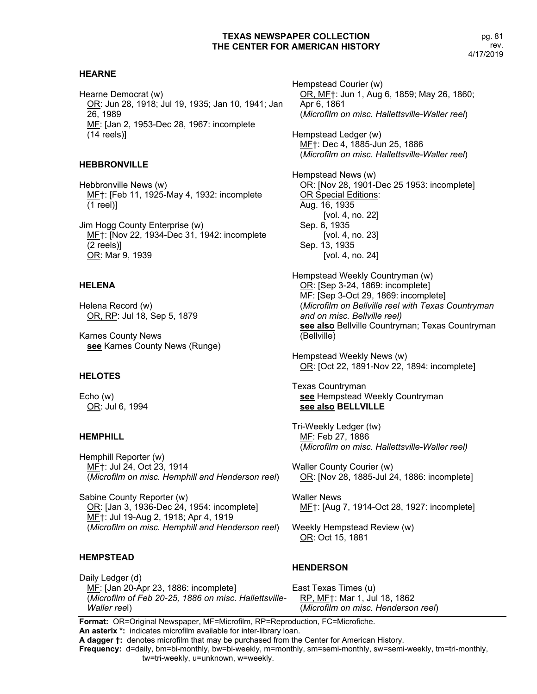# **HEARNE**

Hearne Democrat (w) OR: Jun 28, 1918; Jul 19, 1935; Jan 10, 1941; Jan 26, 1989 MF: [Jan 2, 1953-Dec 28, 1967: incomplete (14 reels)]

# **HEBBRONVILLE**

Hebbronville News (w) MF†: [Feb 11, 1925-May 4, 1932: incomplete (1 reel)]

Jim Hogg County Enterprise (w) MF†: [Nov 22, 1934-Dec 31, 1942: incomplete (2 reels)] OR: Mar 9, 1939

# **HELENA**

Helena Record (w) OR, RP: Jul 18, Sep 5, 1879

Karnes County News **see** Karnes County News (Runge)

#### **HELOTES**

Echo (w) OR: Jul 6, 1994

# **HEMPHILL**

Hemphill Reporter (w) MF†: Jul 24, Oct 23, 1914 (*Microfilm on misc. Hemphill and Henderson reel*)

Sabine County Reporter (w) OR: [Jan 3, 1936-Dec 24, 1954: incomplete] MF†: Jul 19-Aug 2, 1918; Apr 4, 1919 (*Microfilm on misc. Hemphill and Henderson reel*)

# **HEMPSTEAD**

Daily Ledger (d) MF: [Jan 20-Apr 23, 1886: incomplete] (*Microfilm of Feb 20-25, 1886 on misc. Hallettsville-Waller ree*l)

Hempstead Courier (w) OR, MF†: Jun 1, Aug 6, 1859; May 26, 1860; Apr 6, 1861 (*Microfilm on misc. Hallettsville-Waller reel*)

Hempstead Ledger (w) MF†: Dec 4, 1885-Jun 25, 1886 (*Microfilm on misc. Hallettsville-Waller reel*)

Hempstead News (w) OR: [Nov 28, 1901-Dec 25 1953: incomplete] OR Special Editions: Aug. 16, 1935 [vol. 4, no. 22] Sep. 6, 1935 [vol. 4, no. 23] Sep. 13, 1935 [vol. 4, no. 24]

Hempstead Weekly Countryman (w) OR: [Sep 3-24, 1869: incomplete] MF: [Sep 3-Oct 29, 1869: incomplete] (*Microfilm on Bellville reel with Texas Countryman and on misc. Bellville reel)* **see also** Bellville Countryman; Texas Countryman (Bellville)

Hempstead Weekly News (w) OR: [Oct 22, 1891-Nov 22, 1894: incomplete]

Texas Countryman **see** Hempstead Weekly Countryman **see also BELLVILLE**

Tri-Weekly Ledger (tw) MF: Feb 27, 1886 (*Microfilm on misc. Hallettsville-Waller reel)*

Waller County Courier (w) OR: [Nov 28, 1885-Jul 24, 1886: incomplete]

Waller News MF†: [Aug 7, 1914-Oct 28, 1927: incomplete]

Weekly Hempstead Review (w) OR: Oct 15, 1881

# **HENDERSON**

East Texas Times (u) RP, MF†: Mar 1, Jul 18, 1862 (*Microfilm on misc. Henderson reel*)

**Format:** OR=Original Newspaper, MF=Microfilm, RP=Reproduction, FC=Microfiche. **An asterix \*:** indicates microfilm available for inter-library loan.

**A dagger †:** denotes microfilm that may be purchased from the Center for American History.

**Frequency:** d=daily, bm=bi-monthly, bw=bi-weekly, m=monthly, sm=semi-monthly, sw=semi-weekly, tm=tri-monthly,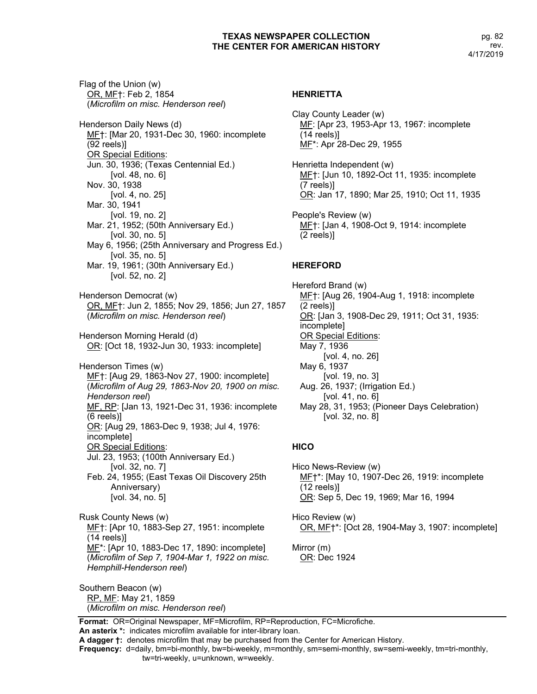Flag of the Union (w) OR, MF†: Feb 2, 1854 (*Microfilm on misc. Henderson reel*) Henderson Daily News (d) MF†: [Mar 20, 1931-Dec 30, 1960: incomplete (92 reels)] OR Special Editions: Jun. 30, 1936; (Texas Centennial Ed.) [vol. 48, no. 6] Nov. 30, 1938 [vol. 4, no. 25] Mar. 30, 1941 [vol. 19, no. 2] Mar. 21, 1952; (50th Anniversary Ed.) [vol. 30, no. 5] May 6, 1956; (25th Anniversary and Progress Ed.) [vol. 35, no. 5] Mar. 19, 1961; (30th Anniversary Ed.) [vol. 52, no. 2] Henderson Democrat (w) OR, MF†: Jun 2, 1855; Nov 29, 1856; Jun 27, 1857 (*Microfilm on misc. Henderson reel*) Henderson Morning Herald (d) OR: [Oct 18, 1932-Jun 30, 1933: incomplete] Henderson Times (w) MF†: [Aug 29, 1863-Nov 27, 1900: incomplete] (*Microfilm of Aug 29, 1863-Nov 20, 1900 on misc. Henderson reel*) MF, RP: [Jan 13, 1921-Dec 31, 1936: incomplete (6 reels)] OR: [Aug 29, 1863-Dec 9, 1938; Jul 4, 1976: incomplete] OR Special Editions: Jul. 23, 1953; (100th Anniversary Ed.) [vol. 32, no. 7] Feb. 24, 1955; (East Texas Oil Discovery 25th Anniversary) [vol. 34, no. 5] Rusk County News (w) MF†: [Apr 10, 1883-Sep 27, 1951: incomplete (14 reels)] MF\*: [Apr 10, 1883-Dec 17, 1890: incomplete] (*Microfilm of Sep 7, 1904-Mar 1, 1922 on misc. Hemphill-Henderson reel*)

Southern Beacon (w) RP, MF: May 21, 1859 (*Microfilm on misc. Henderson reel*)

#### **HENRIETTA**

Clay County Leader (w) ME: [Apr 23, 1953-Apr 13, 1967: incomplete (14 reels)] MF\*: Apr 28-Dec 29, 1955 Henrietta Independent (w) MF†: [Jun 10, 1892-Oct 11, 1935: incomplete (7 reels)] OR: Jan 17, 1890; Mar 25, 1910; Oct 11, 1935 People's Review (w) MF†: [Jan 4, 1908-Oct 9, 1914: incomplete (2 reels)]

# **HEREFORD**

Hereford Brand (w) MF†: [Aug 26, 1904-Aug 1, 1918: incomplete (2 reels)] OR: [Jan 3, 1908-Dec 29, 1911; Oct 31, 1935: incomplete] OR Special Editions: May 7, 1936 [vol. 4, no. 26] May 6, 1937 [vol. 19, no. 3] Aug. 26, 1937; (Irrigation Ed.) [vol. 41, no. 6] May 28, 31, 1953; (Pioneer Days Celebration) [vol. 32, no. 8]

# **HICO**

Hico News-Review (w) MF†\*: [May 10, 1907-Dec 26, 1919: incomplete (12 reels)] OR: Sep 5, Dec 19, 1969; Mar 16, 1994

Hico Review (w) OR, MF†\*: [Oct 28, 1904-May 3, 1907: incomplete]

Mirror (m) OR: Dec 1924

**Format:** OR=Original Newspaper, MF=Microfilm, RP=Reproduction, FC=Microfiche.

**An asterix \*:** indicates microfilm available for inter-library loan.

**Frequency:** d=daily, bm=bi-monthly, bw=bi-weekly, m=monthly, sm=semi-monthly, sw=semi-weekly, tm=tri-monthly,

**A dagger †:** denotes microfilm that may be purchased from the Center for American History.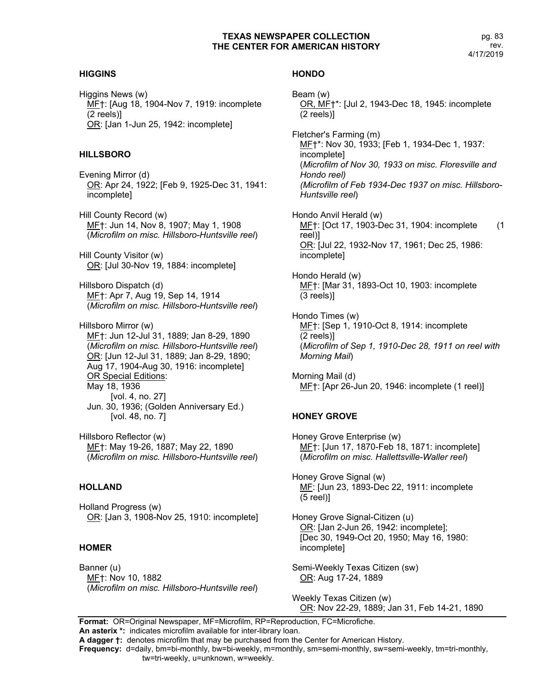# **HIGGINS**

Higgins News (w) MF†: [Aug 18, 1904-Nov 7, 1919: incomplete (2 reels)] OR: [Jan 1-Jun 25, 1942: incomplete]

# **HILLSBORO**

Evening Mirror (d) OR: Apr 24, 1922; [Feb 9, 1925-Dec 31, 1941: incomplete]

Hill County Record (w) MF†: Jun 14, Nov 8, 1907; May 1, 1908 (*Microfilm on misc. Hillsboro-Huntsville reel*)

Hill County Visitor (w) OR: [Jul 30-Nov 19, 1884: incomplete]

Hillsboro Dispatch (d) MF†: Apr 7, Aug 19, Sep 14, 1914 (*Microfilm on misc. Hillsboro-Huntsville reel*)

Hillsboro Mirror (w) MF†: Jun 12-Jul 31, 1889; Jan 8-29, 1890 (*Microfilm on misc. Hillsboro-Huntsville reel*) OR: [Jun 12-Jul 31, 1889; Jan 8-29, 1890; Aug 17, 1904-Aug 30, 1916: incomplete] OR Special Editions: May 18, 1936 [vol. 4, no. 27] Jun. 30, 1936; (Golden Anniversary Ed.) [vol. 48, no. 7]

Hillsboro Reflector (w) MF†: May 19-26, 1887; May 22, 1890 (*Microfilm on misc. Hillsboro-Huntsville reel*)

# **HOLLAND**

Holland Progress (w) OR: [Jan 3, 1908-Nov 25, 1910: incomplete]

# **HOMER**

Banner (u) MF†: Nov 10, 1882 (*Microfilm on misc. Hillsboro-Huntsville reel*)

# **HONDO**

Beam (w) OR, MF†\*: [Jul 2, 1943-Dec 18, 1945: incomplete (2 reels)] Fletcher's Farming (m) ME†\*: Nov 30, 1933; [Feb 1, 1934-Dec 1, 1937: incomplete] (*Microfilm of Nov 30, 1933 on misc. Floresville and Hondo reel) (Microfilm of Feb 1934-Dec 1937 on misc. Hillsboro-Huntsville reel*) Hondo Anvil Herald (w) MF†: [Oct 17, 1903-Dec 31, 1904: incomplete (1 reel)] OR: [Jul 22, 1932-Nov 17, 1961; Dec 25, 1986: incomplete] Hondo Herald (w) MF†: [Mar 31, 1893-Oct 10, 1903: incomplete (3 reels)] Hondo Times (w) ME†: [Sep 1, 1910-Oct 8, 1914: incomplete (2 reels)] (*Microfilm of Sep 1, 1910-Dec 28, 1911 on reel with Morning Mail*) Morning Mail (d) ME†: [Apr 26-Jun 20, 1946: incomplete (1 reel)] **HONEY GROVE**

Honey Grove Enterprise (w) MF†: [Jun 17, 1870-Feb 18, 1871: incomplete] (*Microfilm on misc. Hallettsville-Waller reel*)

Honey Grove Signal (w) MF: [Jun 23, 1893-Dec 22, 1911: incomplete (5 reel)]

Honey Grove Signal-Citizen (u) OR: [Jan 2-Jun 26, 1942: incomplete]; [Dec 30, 1949-Oct 20, 1950; May 16, 1980: incomplete]

Semi-Weekly Texas Citizen (sw) OR: Aug 17-24, 1889

Weekly Texas Citizen (w) OR: Nov 22-29, 1889; Jan 31, Feb 14-21, 1890

**Format:** OR=Original Newspaper, MF=Microfilm, RP=Reproduction, FC=Microfiche. **An asterix \*:** indicates microfilm available for inter-library loan.

**A dagger †:** denotes microfilm that may be purchased from the Center for American History.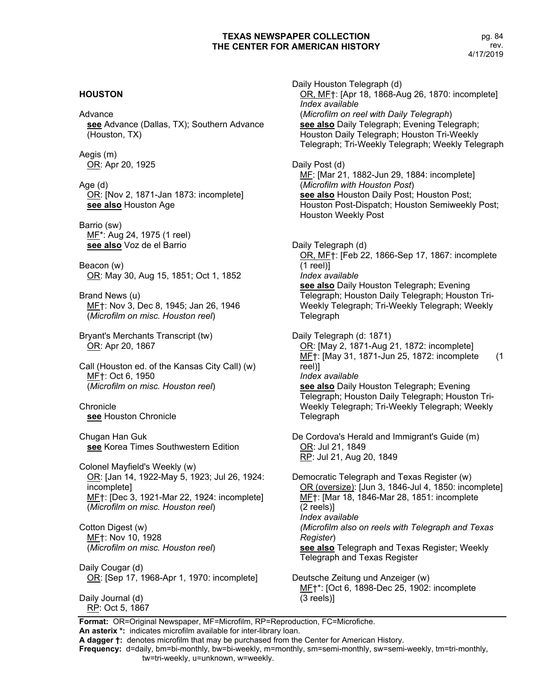# **HOUSTON**

#### Advance

**see** Advance (Dallas, TX); Southern Advance (Houston, TX)

Aegis (m) OR: Apr 20, 1925

Age (d) OR: [Nov 2, 1871-Jan 1873: incomplete] **see also** Houston Age

Barrio (sw) MF\*: Aug 24, 1975 (1 reel) **see also** Voz de el Barrio

Beacon (w) OR: May 30, Aug 15, 1851; Oct 1, 1852

Brand News (u) MF†: Nov 3, Dec 8, 1945; Jan 26, 1946 (*Microfilm on misc. Houston reel*)

Bryant's Merchants Transcript (tw) OR: Apr 20, 1867

Call (Houston ed. of the Kansas City Call) (w) MF†: Oct 6, 1950 (*Microfilm on misc. Houston reel*)

**Chronicle see** Houston Chronicle

Chugan Han Guk **see** Korea Times Southwestern Edition

Colonel Mayfield's Weekly (w) OR: [Jan 14, 1922-May 5, 1923; Jul 26, 1924: incomplete] MF†: [Dec 3, 1921-Mar 22, 1924: incomplete] (*Microfilm on misc. Houston reel*)

Cotton Digest (w) MF†: Nov 10, 1928 (*Microfilm on misc. Houston reel*)

Daily Cougar (d) OR: [Sep 17, 1968-Apr 1, 1970: incomplete]

Daily Journal (d) RP: Oct 5, 1867

Daily Houston Telegraph (d) OR, MF†: [Apr 18, 1868-Aug 26, 1870: incomplete] *Index available* (*Microfilm on reel with Daily Telegraph*) **see also** Daily Telegraph; Evening Telegraph; Houston Daily Telegraph; Houston Tri-Weekly Telegraph; Tri-Weekly Telegraph; Weekly Telegraph Daily Post (d) MF: [Mar 21, 1882-Jun 29, 1884: incomplete] (*Microfilm with Houston Post*) **see also** Houston Daily Post; Houston Post; Houston Post-Dispatch; Houston Semiweekly Post; Houston Weekly Post Daily Telegraph (d) OR, MF†: [Feb 22, 1866-Sep 17, 1867: incomplete (1 reel)] *Index available* **see also** Daily Houston Telegraph; Evening Telegraph; Houston Daily Telegraph; Houston Tri-Weekly Telegraph; Tri-Weekly Telegraph; Weekly Telegraph Daily Telegraph (d: 1871) OR: [May 2, 1871-Aug 21, 1872: incomplete] MF<sub>1</sub>: [May 31, 1871-Jun 25, 1872: incomplete (1 reel)] *Index available* **see also** Daily Houston Telegraph; Evening Telegraph; Houston Daily Telegraph; Houston Tri-Weekly Telegraph; Tri-Weekly Telegraph; Weekly Telegraph De Cordova's Herald and Immigrant's Guide (m) OR: Jul 21, 1849 RP: Jul 21, Aug 20, 1849 Democratic Telegraph and Texas Register (w) OR (oversize): [Jun 3, 1846-Jul 4, 1850: incomplete] MF†: [Mar 18, 1846-Mar 28, 1851: incomplete (2 reels)] *Index available (Microfilm also on reels with Telegraph and Texas Register*)

**see also** Telegraph and Texas Register; Weekly Telegraph and Texas Register

Deutsche Zeitung und Anzeiger (w) MF<sup>+\*</sup>: [Oct 6, 1898-Dec 25, 1902: incomplete (3 reels)]

**Format:** OR=Original Newspaper, MF=Microfilm, RP=Reproduction, FC=Microfiche. **An asterix \*:** indicates microfilm available for inter-library loan.

**A dagger †:** denotes microfilm that may be purchased from the Center for American History.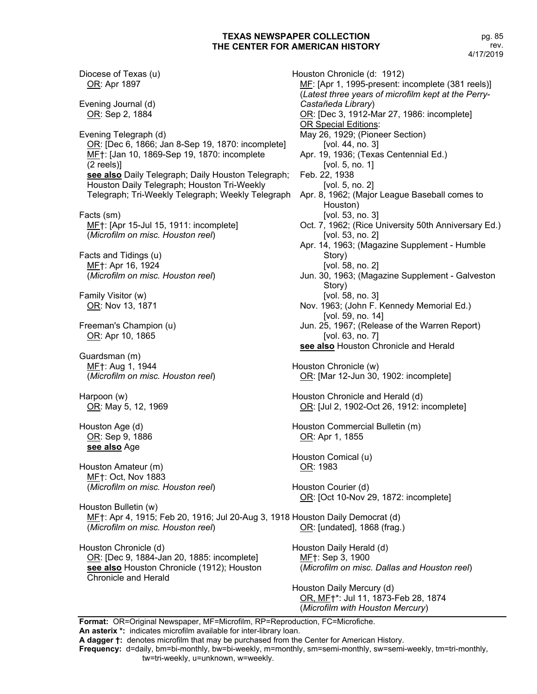Diocese of Texas (u) OR: Apr 1897 Evening Journal (d) OR: Sep 2, 1884 Evening Telegraph (d) OR: [Dec 6, 1866; Jan 8-Sep 19, 1870: incomplete] ME†: [Jan 10, 1869-Sep 19, 1870: incomplete (2 reels)] **see also** Daily Telegraph; Daily Houston Telegraph; Houston Daily Telegraph; Houston Tri-Weekly Telegraph; Tri-Weekly Telegraph; Weekly Telegraph Facts (sm) MF<sup>†:</sup> [Apr 15-Jul 15, 1911: incomplete] (*Microfilm on misc. Houston reel*) Facts and Tidings (u) MF†: Apr 16, 1924 (*Microfilm on misc. Houston reel*) Family Visitor (w) OR: Nov 13, 1871 Freeman's Champion (u) OR: Apr 10, 1865 Guardsman (m) MF†: Aug 1, 1944 (*Microfilm on misc. Houston reel*) Harpoon (w) OR: May 5, 12, 1969 Houston Age (d) OR: Sep 9, 1886 **see also** Age Houston Amateur (m) MF†: Oct, Nov 1883 (*Microfilm on misc. Houston reel*) Houston Bulletin (w) MF†: Apr 4, 1915; Feb 20, 1916; Jul 20-Aug 3, 1918 Houston Daily Democrat (d) (*Microfilm on misc. Houston reel*) Houston Chronicle (d) OR: [Dec 9, 1884-Jan 20, 1885: incomplete] **see also** Houston Chronicle (1912); Houston Chronicle and Herald

Houston Chronicle (d: 1912) MF: [Apr 1, 1995-present: incomplete (381 reels)] (*Latest three years of microfilm kept at the Perry-Castañeda Library*) OR: [Dec 3, 1912-Mar 27, 1986: incomplete] OR Special Editions: May 26, 1929; (Pioneer Section) [vol. 44, no. 3] Apr. 19, 1936; (Texas Centennial Ed.) [vol. 5, no. 1] Feb. 22, 1938 [vol. 5, no. 2] Apr. 8, 1962; (Major League Baseball comes to Houston) [vol. 53, no. 3] Oct. 7, 1962; (Rice University 50th Anniversary Ed.) [vol. 53, no. 2] Apr. 14, 1963; (Magazine Supplement - Humble Story) [vol. 58, no. 2] Jun. 30, 1963; (Magazine Supplement - Galveston Story) [vol. 58, no. 3] Nov. 1963; (John F. Kennedy Memorial Ed.) [vol. 59, no. 14] Jun. 25, 1967; (Release of the Warren Report) [vol. 63, no. 7] **see also** Houston Chronicle and Herald Houston Chronicle (w) OR: [Mar 12-Jun 30, 1902: incomplete] Houston Chronicle and Herald (d) OR: [Jul 2, 1902-Oct 26, 1912: incomplete] Houston Commercial Bulletin (m) OR: Apr 1, 1855 Houston Comical (u) OR: 1983 Houston Courier (d) OR: [Oct 10-Nov 29, 1872: incomplete] OR: [undated], 1868 (frag.) Houston Daily Herald (d) ME<sub>T</sub>: Sep 3, 1900 (*Microfilm on misc. Dallas and Houston reel*) Houston Daily Mercury (d) OR, MF†\*: Jul 11, 1873-Feb 28, 1874

(*Microfilm with Houston Mercury*)

**Format:** OR=Original Newspaper, MF=Microfilm, RP=Reproduction, FC=Microfiche. **An asterix \*:** indicates microfilm available for inter-library loan.

**A dagger †:** denotes microfilm that may be purchased from the Center for American History.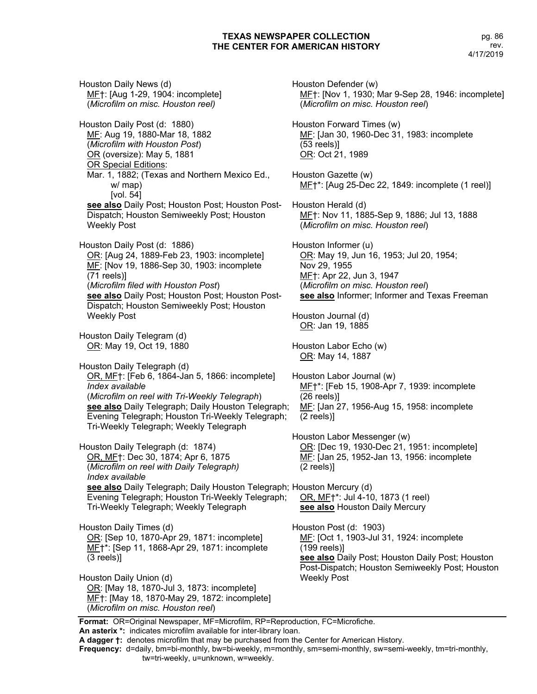Houston Daily News (d) MF†: [Aug 1-29, 1904: incomplete] (*Microfilm on misc. Houston reel)* Houston Daily Post (d: 1880) MF: Aug 19, 1880-Mar 18, 1882 (*Microfilm with Houston Post*) OR (oversize): May 5, 1881 OR Special Editions: Mar. 1, 1882; (Texas and Northern Mexico Ed., w/ map) [vol. 54] **see also** Daily Post; Houston Post; Houston Post-Dispatch; Houston Semiweekly Post; Houston Weekly Post Houston Daily Post (d: 1886) OR: [Aug 24, 1889-Feb 23, 1903: incomplete] MF: [Nov 19, 1886-Sep 30, 1903: incomplete (71 reels)] (*Microfilm filed with Houston Post*) **see also** Daily Post; Houston Post; Houston Post-Dispatch; Houston Semiweekly Post; Houston Weekly Post Houston Daily Telegram (d) OR: May 19, Oct 19, 1880 Houston Daily Telegraph (d) OR, MF†: [Feb 6, 1864-Jan 5, 1866: incomplete] *Index available* (*Microfilm on reel with Tri-Weekly Telegraph*) **see also** Daily Telegraph; Daily Houston Telegraph; Evening Telegraph; Houston Tri-Weekly Telegraph; Tri-Weekly Telegraph; Weekly Telegraph Houston Daily Telegraph (d: 1874) OR, MF†: Dec 30, 1874; Apr 6, 1875 (*Microfilm on reel with Daily Telegraph) Index available* **see also** Daily Telegraph; Daily Houston Telegraph; Houston Mercury (d) Evening Telegraph; Houston Tri-Weekly Telegraph; Tri-Weekly Telegraph; Weekly Telegraph Houston Daily Times (d) OR: [Sep 10, 1870-Apr 29, 1871: incomplete] MF†\*: [Sep 11, 1868-Apr 29, 1871: incomplete (3 reels)] Houston Daily Union (d) OR: [May 18, 1870-Jul 3, 1873: incomplete] MF†: [May 18, 1870-May 29, 1872: incomplete] (*Microfilm on misc. Houston reel*)

Houston Defender (w) MF†: [Nov 1, 1930; Mar 9-Sep 28, 1946: incomplete] (*Microfilm on misc. Houston reel*) Houston Forward Times (w) MF: [Jan 30, 1960-Dec 31, 1983: incomplete (53 reels)] OR: Oct 21, 1989 Houston Gazette (w) MF†\*: [Aug 25-Dec 22, 1849: incomplete (1 reel)] Houston Herald (d) MF†: Nov 11, 1885-Sep 9, 1886; Jul 13, 1888 (*Microfilm on misc. Houston reel*) Houston Informer (u) OR: May 19, Jun 16, 1953; Jul 20, 1954; Nov 29, 1955 MF†: Apr 22, Jun 3, 1947 (*Microfilm on misc. Houston reel*) **see also** Informer; Informer and Texas Freeman Houston Journal (d) OR: Jan 19, 1885 Houston Labor Echo (w) OR: May 14, 1887 Houston Labor Journal (w) MF†\*: [Feb 15, 1908-Apr 7, 1939: incomplete (26 reels)] MF: [Jan 27, 1956-Aug 15, 1958: incomplete (2 reels)] Houston Labor Messenger (w) OR: [Dec 19, 1930-Dec 21, 1951: incomplete] ME: [Jan 25, 1952-Jan 13, 1956: incomplete (2 reels)] OR, MF†\*: Jul 4-10, 1873 (1 reel) **see also** Houston Daily Mercury Houston Post (d: 1903) MF: [Oct 1, 1903-Jul 31, 1924: incomplete (199 reels)] **see also** Daily Post; Houston Daily Post; Houston Post-Dispatch; Houston Semiweekly Post; Houston Weekly Post

**Format:** OR=Original Newspaper, MF=Microfilm, RP=Reproduction, FC=Microfiche.

**An asterix \*:** indicates microfilm available for inter-library loan. **A dagger †:** denotes microfilm that may be purchased from the Center for American History.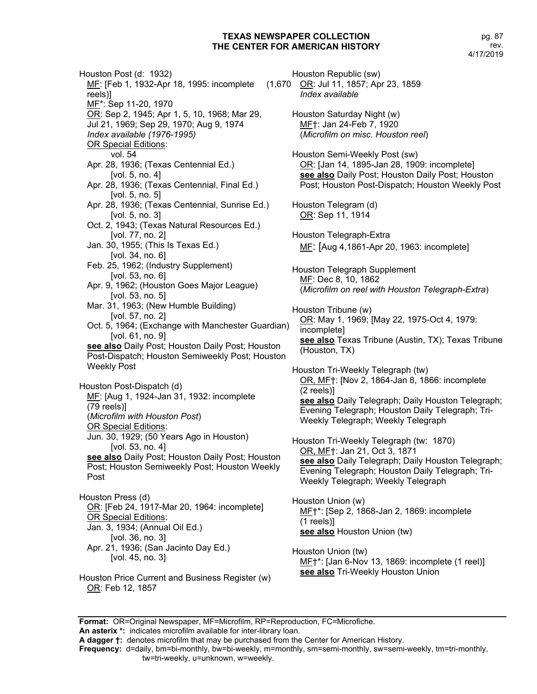Houston Post (d: 1932) MF: [Feb 1, 1932-Apr 18, 1995: incomplete reels)] MF\*: Sep 11-20, 1970 OR: Sep 2, 1945; Apr 1, 5, 10, 1968; Mar 29, Jul 21, 1969; Sep 29, 1970; Aug 9, 1974 *Index available (1976-1995)* **OR Special Editions:** vol. 54 Apr. 28, 1936; (Texas Centennial Ed.) [vol. 5, no. 4] Apr. 28, 1936; (Texas Centennial, Final Ed.) [vol. 5, no. 5] Apr. 28, 1936; (Texas Centennial, Sunrise Ed.) [vol. 5, no. 3] Oct. 2, 1943; (Texas Natural Resources Ed.) [vol. 77, no. 2] Jan. 30, 1955; (This Is Texas Ed.) [vol. 34, no. 6] Feb. 25, 1962; (Industry Supplement) [vol. 53, no. 6] Apr. 9, 1962; (Houston Goes Major League) [vol. 53, no. 5] Mar. 31, 1963; (New Humble Building) [vol. 57, no. 2] Oct. 5, 1964; (Exchange with Manchester Guardian) [vol. 61, no. 9] **see also** Daily Post; Houston Daily Post; Houston Post-Dispatch; Houston Semiweekly Post; Houston Weekly Post Houston Post-Dispatch (d) MF: [Aug 1, 1924-Jan 31, 1932: incomplete (79 reels)] (*Microfilm with Houston Post*) OR Special Editions: Jun. 30, 1929; (50 Years Ago in Houston) [vol. 53, no. 4] **see also** Daily Post; Houston Daily Post; Houston Post; Houston Semiweekly Post; Houston Weekly Post Houston Press (d) OR: [Feb 24, 1917-Mar 20, 1964: incomplete] OR Special Editions: Jan. 3, 1934; (Annual Oil Ed.) [vol. 36, no. 3] Apr. 21, 1936; (San Jacinto Day Ed.)

- [vol. 45, no. 3]
- Houston Price Current and Business Register (w) OR: Feb 12, 1857

Houston Republic (sw) OR: Jul 11, 1857; Apr 23, 1859 *Index available* Houston Saturday Night (w) MF†: Jan 24-Feb 7, 1920 (*Microfilm on misc. Houston reel*) Houston Semi-Weekly Post (sw) OR: [Jan 14, 1895-Jan 28, 1909: incomplete] **see also** Daily Post; Houston Daily Post; Houston Post; Houston Post-Dispatch; Houston Weekly Post Houston Telegram (d) OR: Sep 11, 1914 Houston Telegraph-Extra MF: [Aug 4,1861-Apr 20, 1963: incomplete] Houston Telegraph Supplement MF: Dec 8, 10, 1862 (*Microfilm on reel with Houston Telegraph-Extra*) Houston Tribune (w) OR: May 1, 1969; [May 22, 1975-Oct 4, 1979: incomplete] **see also** Texas Tribune (Austin, TX); Texas Tribune (Houston, TX) Houston Tri-Weekly Telegraph (tw) OR, MF†: [Nov 2, 1864-Jan 8, 1866: incomplete (2 reels)] **see also** Daily Telegraph; Daily Houston Telegraph; Evening Telegraph; Houston Daily Telegraph; Tri-Weekly Telegraph; Weekly Telegraph

Houston Tri-Weekly Telegraph (tw: 1870) OR, MF†: Jan 21, Oct 3, 1871 **see also** Daily Telegraph; Daily Houston Telegraph; Evening Telegraph; Houston Daily Telegraph; Tri-Weekly Telegraph; Weekly Telegraph

Houston Union (w) MF†\*: [Sep 2, 1868-Jan 2, 1869: incomplete (1 reels)] **see also** Houston Union (tw)

Houston Union (tw) MF†\*: [Jan 6-Nov 13, 1869: incomplete (1 reel)] **see also** Tri-Weekly Houston Union

**Format:** OR=Original Newspaper, MF=Microfilm, RP=Reproduction, FC=Microfiche.

**An asterix \*:** indicates microfilm available for inter-library loan.

**A dagger †:** denotes microfilm that may be purchased from the Center for American History.

**Frequency:** d=daily, bm=bi-monthly, bw=bi-weekly, m=monthly, sm=semi-monthly, sw=semi-weekly, tm=tri-monthly, tw=tri-weekly, u=unknown, w=weekly.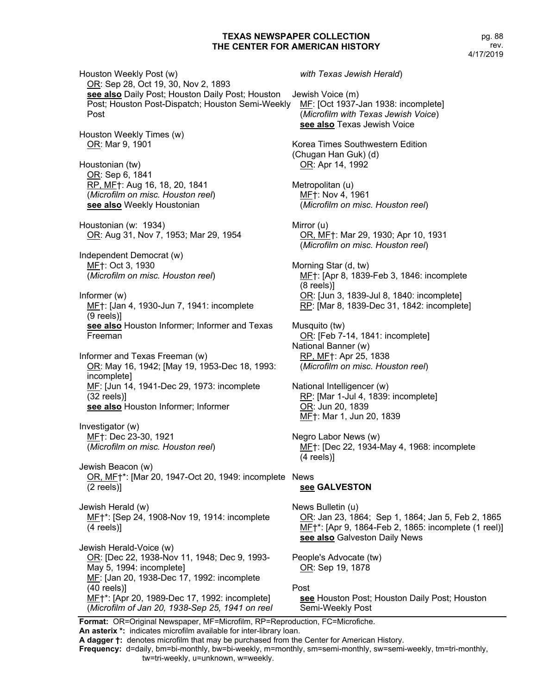pg. 88 rev. 4/17/2019

Houston Weekly Post (w) OR: Sep 28, Oct 19, 30, Nov 2, 1893 **see also** Daily Post; Houston Daily Post; Houston Post; Houston Post-Dispatch; Houston Semi-Weekly Post Houston Weekly Times (w) OR: Mar 9, 1901 Houstonian (tw) OR: Sep 6, 1841 RP, MF†: Aug 16, 18, 20, 1841 (*Microfilm on misc. Houston reel*) **see also** Weekly Houstonian Houstonian (w: 1934) OR: Aug 31, Nov 7, 1953; Mar 29, 1954 Independent Democrat (w) MF†: Oct 3, 1930 (*Microfilm on misc. Houston reel*) Informer (w) MF†: [Jan 4, 1930-Jun 7, 1941: incomplete (9 reels)] **see also** Houston Informer; Informer and Texas Freeman Informer and Texas Freeman (w) OR: May 16, 1942; [May 19, 1953-Dec 18, 1993: incomplete] MF: [Jun 14, 1941-Dec 29, 1973: incomplete (32 reels)] **see also** Houston Informer; Informer Investigator (w) MF†: Dec 23-30, 1921 (*Microfilm on misc. Houston reel*) Jewish Beacon (w) OR, ME†\*: [Mar 20, 1947-Oct 20, 1949: incomplete News (2 reels)] Jewish Herald (w) MF†\*: [Sep 24, 1908-Nov 19, 1914: incomplete (4 reels)] Jewish Herald-Voice (w) OR: [Dec 22, 1938-Nov 11, 1948; Dec 9, 1993- May 5, 1994: incomplete] MF: [Jan 20, 1938-Dec 17, 1992: incomplete (40 reels)] MF†\*: [Apr 20, 1989-Dec 17, 1992: incomplete] (*Microfilm of Jan 20, 1938-Sep 25, 1941 on reel* 

*with Texas Jewish Herald*) Jewish Voice (m) MF: [Oct 1937-Jan 1938: incomplete] (*Microfilm with Texas Jewish Voice*) **see also** Texas Jewish Voice Korea Times Southwestern Edition (Chugan Han Guk) (d) OR: Apr 14, 1992 Metropolitan (u) MF†: Nov 4, 1961 (*Microfilm on misc. Houston reel*) Mirror (u) OR, MF†: Mar 29, 1930; Apr 10, 1931 (*Microfilm on misc. Houston reel*) Morning Star (d, tw) MF†: [Apr 8, 1839-Feb 3, 1846: incomplete (8 reels)] OR: [Jun 3, 1839-Jul 8, 1840: incomplete] RP: [Mar 8, 1839-Dec 31, 1842: incomplete] Musquito (tw) OR: [Feb 7-14, 1841: incomplete] National Banner (w) RP, MF†: Apr 25, 1838 (*Microfilm on misc. Houston reel*) National Intelligencer (w) RP: [Mar 1-Jul 4, 1839: incomplete] OR: Jun 20, 1839 MF†: Mar 1, Jun 20, 1839 Negro Labor News (w) MF†: [Dec 22, 1934-May 4, 1968: incomplete (4 reels)] **see GALVESTON** News Bulletin (u) OR: Jan 23, 1864; Sep 1, 1864; Jan 5, Feb 2, 1865 MF<sup>+</sup>\*: [Apr 9, 1864-Feb 2, 1865: incomplete (1 reel)] **see also** Galveston Daily News People's Advocate (tw) OR: Sep 19, 1878 Post **see** Houston Post; Houston Daily Post; Houston Semi-Weekly Post

**Format:** OR=Original Newspaper, MF=Microfilm, RP=Reproduction, FC=Microfiche. **An asterix \*:** indicates microfilm available for inter-library loan.

**A dagger †:** denotes microfilm that may be purchased from the Center for American History.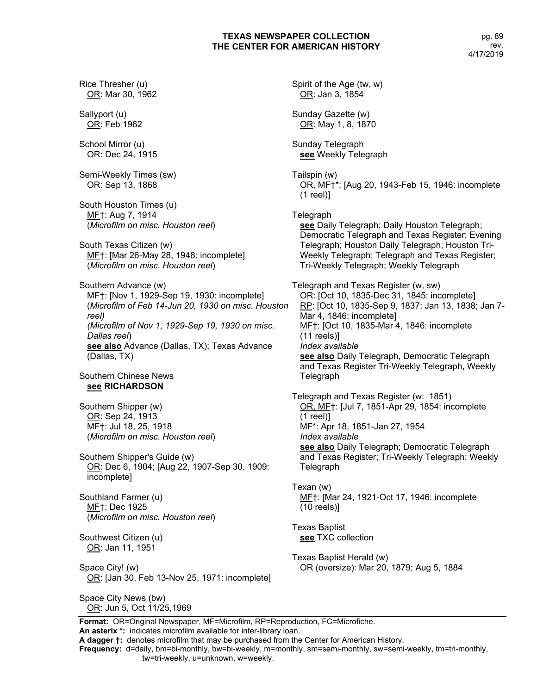Rice Thresher (u) OR: Mar 30, 1962 Sallyport (u) OR: Feb 1962 School Mirror (u) OR: Dec 24, 1915 Semi-Weekly Times (sw) OR: Sep 13, 1868 South Houston Times (u) MF†: Aug 7, 1914 (*Microfilm on misc. Houston reel*) South Texas Citizen (w) MF†: [Mar 26-May 28, 1948: incomplete] (*Microfilm on misc. Houston reel*) Southern Advance (w) ME†: [Nov 1, 1929-Sep 19, 1930: incomplete] (*Microfilm of Feb 14-Jun 20, 1930 on misc. Houston reel) (Microfilm of Nov 1, 1929-Sep 19, 1930 on misc. Dallas reel*) **see also** Advance (Dallas, TX); Texas Advance (Dallas, TX) Southern Chinese News **see RICHARDSON** Southern Shipper (w) OR: Sep 24, 1913 MF†: Jul 18, 25, 1918 (*Microfilm on misc. Houston reel*) Southern Shipper's Guide (w) OR: Dec 6, 1904; [Aug 22, 1907-Sep 30, 1909: incomplete] Southland Farmer (u) ME<sub>T</sub>: Dec 1925 (*Microfilm on misc. Houston reel*) Southwest Citizen (u) OR: Jan 11, 1951 Space City! (w) OR: [Jan 30, Feb 13-Nov 25, 1971: incomplete] Space City News (bw) OR: Jun 5, Oct 11/25,1969

Spirit of the Age (tw, w) OR: Jan 3, 1854 Sunday Gazette (w) OR: May 1, 8, 1870 Sunday Telegraph **see** Weekly Telegraph Tailspin (w) OR, MF†\*: [Aug 20, 1943-Feb 15, 1946: incomplete (1 reel)] **Telegraph see** Daily Telegraph; Daily Houston Telegraph; Democratic Telegraph and Texas Register; Evening Telegraph; Houston Daily Telegraph; Houston Tri-Weekly Telegraph; Telegraph and Texas Register; Tri-Weekly Telegraph; Weekly Telegraph Telegraph and Texas Register (w, sw) OR: [Oct 10, 1835-Dec 31, 1845: incomplete] RP: [Oct 10, 1835-Sep 9, 1837; Jan 13, 1838; Jan 7- Mar 4, 1846: incomplete] MF†: [Oct 10, 1835-Mar 4, 1846: incomplete (11 reels)] *Index available* **see also** Daily Telegraph, Democratic Telegraph and Texas Register Tri-Weekly Telegraph, Weekly **Telegraph** Telegraph and Texas Register (w: 1851) OR, MF†: [Jul 7, 1851-Apr 29, 1854: incomplete (1 reel)] MF\*: Apr 18, 1851-Jan 27, 1954 *Index available* **see also** Daily Telegraph; Democratic Telegraph and Texas Register; Tri-Weekly Telegraph; Weekly Telegraph Texan (w) MF†: [Mar 24, 1921-Oct 17, 1946: incomplete (10 reels)] Texas Baptist **see** TXC collection Texas Baptist Herald (w) OR (oversize): Mar 20, 1879; Aug 5, 1884

**Format:** OR=Original Newspaper, MF=Microfilm, RP=Reproduction, FC=Microfiche. **An asterix \*:** indicates microfilm available for inter-library loan.

**A dagger †:** denotes microfilm that may be purchased from the Center for American History.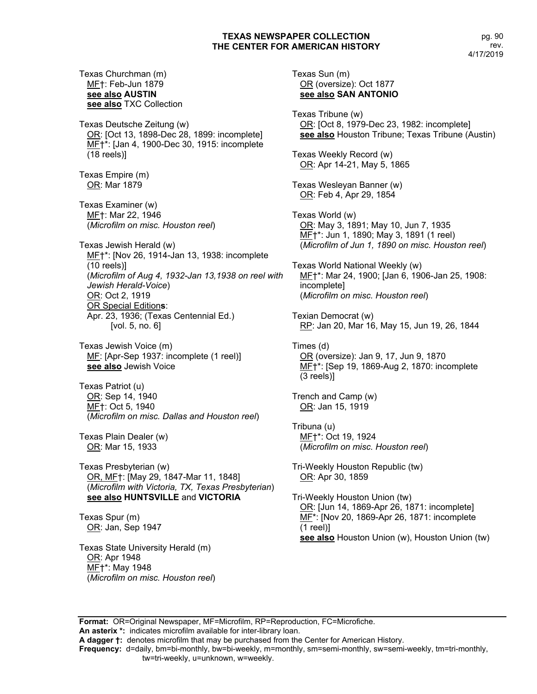Texas Churchman (m) MF†: Feb-Jun 1879 **see also AUSTIN see also** TXC Collection

Texas Deutsche Zeitung (w) OR: [Oct 13, 1898-Dec 28, 1899: incomplete] ME†\*: [Jan 4, 1900-Dec 30, 1915: incomplete (18 reels)]

Texas Empire (m) OR: Mar 1879

Texas Examiner (w) MF†: Mar 22, 1946 (*Microfilm on misc. Houston reel*)

Texas Jewish Herald (w) MF†\*: [Nov 26, 1914-Jan 13, 1938: incomplete (10 reels)] (*Microfilm of Aug 4, 1932-Jan 13,1938 on reel with Jewish Herald-Voice*) OR: Oct 2, 1919 OR Special Edition**s**: Apr. 23, 1936; (Texas Centennial Ed.) [vol. 5, no. 6]

Texas Jewish Voice (m) MF: [Apr-Sep 1937: incomplete (1 reel)] **see also** Jewish Voice

Texas Patriot (u) OR: Sep 14, 1940 MF†: Oct 5, 1940 (*Microfilm on misc. Dallas and Houston reel*)

Texas Plain Dealer (w) OR: Mar 15, 1933

Texas Presbyterian (w) OR, MF†: [May 29, 1847-Mar 11, 1848] (*Microfilm with Victoria, TX, Texas Presbyterian*) **see also HUNTSVILLE** and **VICTORIA**

Texas Spur (m) OR: Jan, Sep 1947

Texas State University Herald (m) OR: Apr 1948 MF†\*: May 1948 (*Microfilm on misc. Houston reel*) Texas Sun (m) OR (oversize): Oct 1877 **see also SAN ANTONIO**

Texas Tribune (w) OR: [Oct 8, 1979-Dec 23, 1982: incomplete] **see also** Houston Tribune; Texas Tribune (Austin)

Texas Weekly Record (w) OR: Apr 14-21, May 5, 1865

Texas Wesleyan Banner (w) OR: Feb 4, Apr 29, 1854

Texas World (w) OR: May 3, 1891; May 10, Jun 7, 1935 MF†\*: Jun 1, 1890; May 3, 1891 (1 reel) (*Microfilm of Jun 1, 1890 on misc. Houston reel*)

Texas World National Weekly (w) MF†\*: Mar 24, 1900; [Jan 6, 1906-Jan 25, 1908: incomplete] (*Microfilm on misc. Houston reel*)

Texian Democrat (w) RP: Jan 20, Mar 16, May 15, Jun 19, 26, 1844

Times (d) OR (oversize): Jan 9, 17, Jun 9, 1870 ME<sup>+\*</sup>: [Sep 19, 1869-Aug 2, 1870: incomplete (3 reels)]

Trench and Camp (w) OR: Jan 15, 1919

Tribuna (u) MF†\*: Oct 19, 1924 (*Microfilm on misc. Houston reel*)

Tri-Weekly Houston Republic (tw) OR: Apr 30, 1859

Tri-Weekly Houston Union (tw) OR: [Jun 14, 1869-Apr 26, 1871: incomplete] MF\*: [Nov 20, 1869-Apr 26, 1871: incomplete (1 reel)] **see also** Houston Union (w), Houston Union (tw)

**Format:** OR=Original Newspaper, MF=Microfilm, RP=Reproduction, FC=Microfiche. **An asterix \*:** indicates microfilm available for inter-library loan.

**A dagger †:** denotes microfilm that may be purchased from the Center for American History.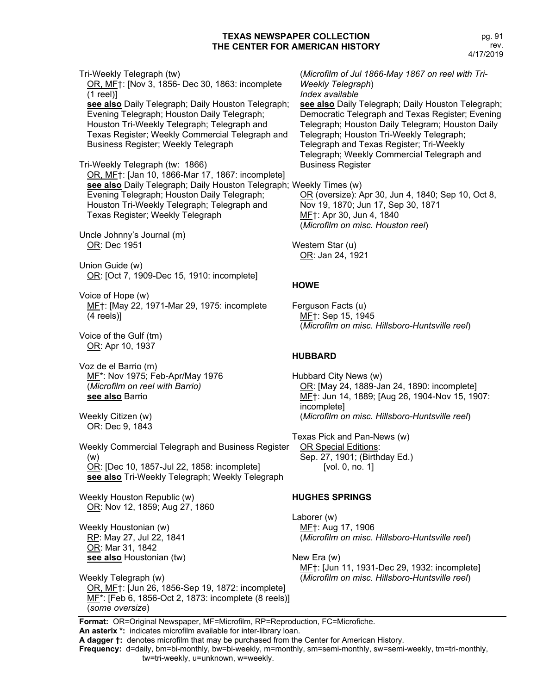Tri-Weekly Telegraph (tw) OR, MF†: [Nov 3, 1856- Dec 30, 1863: incomplete (1 reel)] **see also** Daily Telegraph; Daily Houston Telegraph; Evening Telegraph; Houston Daily Telegraph; Houston Tri-Weekly Telegraph; Telegraph and Texas Register; Weekly Commercial Telegraph and Business Register; Weekly Telegraph

Tri-Weekly Telegraph (tw: 1866) OR, MF†: [Jan 10, 1866-Mar 17, 1867: incomplete] **see also** Daily Telegraph; Daily Houston Telegraph; Weekly Times (w) Evening Telegraph; Houston Daily Telegraph; Houston Tri-Weekly Telegraph; Telegraph and Texas Register; Weekly Telegraph

Uncle Johnny's Journal (m) OR: Dec 1951

Union Guide (w) OR: [Oct 7, 1909-Dec 15, 1910: incomplete]

Voice of Hope (w) MF†: [May 22, 1971-Mar 29, 1975: incomplete (4 reels)]

Voice of the Gulf (tm) OR: Apr 10, 1937

Voz de el Barrio (m) MF\*: Nov 1975; Feb-Apr/May 1976 (*Microfilm on reel with Barrio)* **see also** Barrio

Weekly Citizen (w) OR: Dec 9, 1843

Weekly Commercial Telegraph and Business Register (w) OR: [Dec 10, 1857-Jul 22, 1858: incomplete] **see also** Tri-Weekly Telegraph; Weekly Telegraph

Weekly Houston Republic (w) OR: Nov 12, 1859; Aug 27, 1860

Weekly Houstonian (w) RP: May 27, Jul 22, 1841 OR: Mar 31, 1842 **see also** Houstonian (tw)

Weekly Telegraph (w) OR, MF†: [Jun 26, 1856-Sep 19, 1872: incomplete] MF\*: [Feb 6, 1856-Oct 2, 1873: incomplete (8 reels)] (*some oversize*)

(*Microfilm of Jul 1866-May 1867 on reel with Tri-Weekly Telegraph*) *Index available*

**see also** Daily Telegraph; Daily Houston Telegraph; Democratic Telegraph and Texas Register; Evening Telegraph; Houston Daily Telegram; Houston Daily Telegraph; Houston Tri-Weekly Telegraph; Telegraph and Texas Register; Tri-Weekly Telegraph; Weekly Commercial Telegraph and Business Register

OR (oversize): Apr 30, Jun 4, 1840; Sep 10, Oct 8, Nov 19, 1870; Jun 17, Sep 30, 1871 MF†: Apr 30, Jun 4, 1840 (*Microfilm on misc. Houston reel*)

Western Star (u) OR: Jan 24, 1921

# **HOWE**

Ferguson Facts (u) MF†: Sep 15, 1945 (*Microfilm on misc. Hillsboro-Huntsville reel*)

# **HUBBARD**

Hubbard City News (w) OR: [May 24, 1889-Jan 24, 1890: incomplete] MF†: Jun 14, 1889; [Aug 26, 1904-Nov 15, 1907: incomplete] (*Microfilm on misc. Hillsboro-Huntsville reel*)

Texas Pick and Pan-News (w) OR Special Editions: Sep. 27, 1901; (Birthday Ed.) [vol. 0, no. 1]

# **HUGHES SPRINGS**

Laborer (w) MF†: Aug 17, 1906 (*Microfilm on misc. Hillsboro-Huntsville reel*)

New Era (w) MF†: [Jun 11, 1931-Dec 29, 1932: incomplete] (*Microfilm on misc. Hillsboro-Huntsville reel*)

**Format:** OR=Original Newspaper, MF=Microfilm, RP=Reproduction, FC=Microfiche. **An asterix \*:** indicates microfilm available for inter-library loan.

**A dagger †:** denotes microfilm that may be purchased from the Center for American History.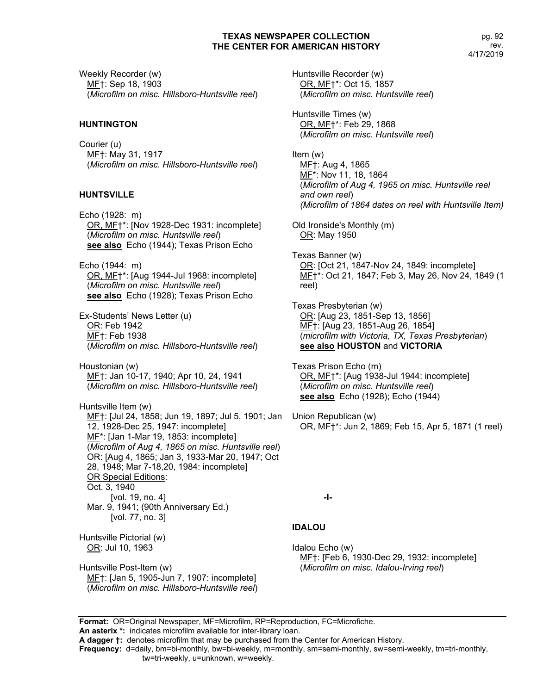Weekly Recorder (w) MF†: Sep 18, 1903 (*Microfilm on misc. Hillsboro-Huntsville reel*)

# **HUNTINGTON**

Courier (u) MF†: May 31, 1917 (*Microfilm on misc. Hillsboro-Huntsville reel*)

# **HUNTSVILLE**

Echo (1928: m) OR, MF†\*: [Nov 1928-Dec 1931: incomplete] (*Microfilm on misc. Huntsville reel*) **see also** Echo (1944); Texas Prison Echo

Echo (1944: m) OR, MF†\*: [Aug 1944-Jul 1968: incomplete] (*Microfilm on misc. Huntsville reel*) **see also** Echo (1928); Texas Prison Echo

Ex-Students' News Letter (u) OR: Feb 1942 MF†: Feb 1938 (*Microfilm on misc. Hillsboro-Huntsville reel*)

Houstonian (w) MF<sub>†</sub>: Jan 10-17, 1940; Apr 10, 24, 1941 (*Microfilm on misc. Hillsboro-Huntsville reel*)

Huntsville Item (w) ME†: [Jul 24, 1858; Jun 19, 1897; Jul 5, 1901; Jan Union Republican (w) 12, 1928-Dec 25, 1947: incomplete] MF\*: [Jan 1-Mar 19, 1853: incomplete] (*Microfilm of Aug 4, 1865 on misc. Huntsville reel*) OR: [Aug 4, 1865; Jan 3, 1933-Mar 20, 1947; Oct 28, 1948; Mar 7-18,20, 1984: incomplete] OR Special Editions: Oct. 3, 1940 [vol. 19, no. 4] Mar. 9, 1941; (90th Anniversary Ed.) [vol. 77, no. 3]

Huntsville Pictorial (w) OR: Jul 10, 1963

Huntsville Post-Item (w) MF†: [Jan 5, 1905-Jun 7, 1907: incomplete] (*Microfilm on misc. Hillsboro-Huntsville reel*) Huntsville Recorder (w) OR, MF†\*: Oct 15, 1857 (*Microfilm on misc. Huntsville reel*)

Huntsville Times (w) OR, MF†\*: Feb 29, 1868 (*Microfilm on misc. Huntsville reel*)

Item (w) MF†: Aug 4, 1865 MF\*: Nov 11, 18, 1864 (*Microfilm of Aug 4, 1965 on misc. Huntsville reel and own reel*) *(Microfilm of 1864 dates on reel with Huntsville Item)*

Old Ironside's Monthly (m) OR: May 1950

Texas Banner (w) OR: [Oct 21, 1847-Nov 24, 1849: incomplete] MF†\*: Oct 21, 1847; Feb 3, May 26, Nov 24, 1849 (1 reel)

Texas Presbyterian (w) OR: [Aug 23, 1851-Sep 13, 1856] MF†: [Aug 23, 1851-Aug 26, 1854] (*microfilm with Victoria, TX, Texas Presbyterian*) **see also HOUSTON** and **VICTORIA**

Texas Prison Echo (m) OR, MF†\*: [Aug 1938-Jul 1944: incomplete] (*Microfilm on misc. Huntsville reel*) **see also** Echo (1928); Echo (1944)

OR, MF†\*: Jun 2, 1869; Feb 15, Apr 5, 1871 (1 reel)

**-I-**

# **IDALOU**

Idalou Echo (w) MF†: [Feb 6, 1930-Dec 29, 1932: incomplete] (*Microfilm on misc. Idalou-Irving reel*)

**Format:** OR=Original Newspaper, MF=Microfilm, RP=Reproduction, FC=Microfiche.

**An asterix \*:** indicates microfilm available for inter-library loan. **A dagger †:** denotes microfilm that may be purchased from the Center for American History.

**Frequency:** d=daily, bm=bi-monthly, bw=bi-weekly, m=monthly, sm=semi-monthly, sw=semi-weekly, tm=tri-monthly,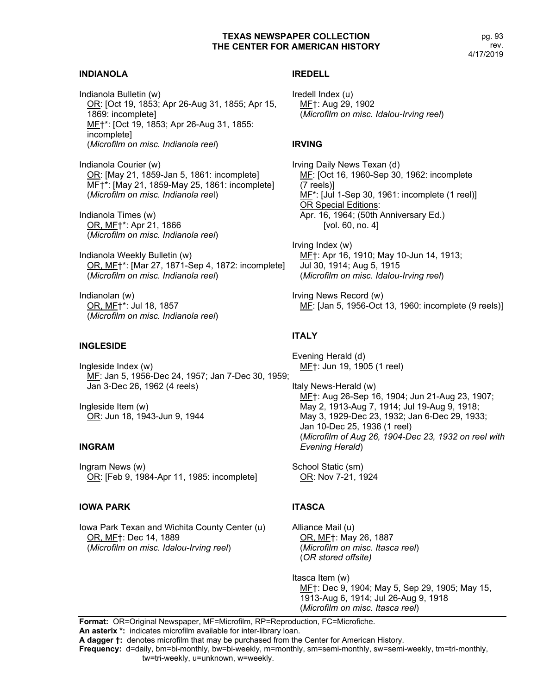#### **INDIANOLA**

Indianola Bulletin (w) OR: [Oct 19, 1853; Apr 26-Aug 31, 1855; Apr 15, 1869: incomplete] MF†\*: [Oct 19, 1853; Apr 26-Aug 31, 1855: incomplete] (*Microfilm on misc. Indianola reel*)

Indianola Courier (w) OR: [May 21, 1859-Jan 5, 1861: incomplete] MF†\*: [May 21, 1859-May 25, 1861: incomplete] (*Microfilm on misc. Indianola ree*l)

Indianola Times (w) OR, MF†\*: Apr 21, 1866 (*Microfilm on misc. Indianola reel*)

Indianola Weekly Bulletin (w) OR, MF†\*: [Mar 27, 1871-Sep 4, 1872: incomplete] (*Microfilm on misc. Indianola reel*)

Indianolan (w) OR, MF†\*: Jul 18, 1857 (*Microfilm on misc. Indianola reel*)

#### **INGLESIDE**

Ingleside Index (w) MF: Jan 5, 1956-Dec 24, 1957; Jan 7-Dec 30, 1959; Jan 3-Dec 26, 1962 (4 reels)

Ingleside Item (w) OR: Jun 18, 1943-Jun 9, 1944

#### **INGRAM**

Ingram News (w) OR: [Feb 9, 1984-Apr 11, 1985: incomplete]

#### **IOWA PARK**

Iowa Park Texan and Wichita County Center (u) OR, MF†: Dec 14, 1889 (*Microfilm on misc. Idalou-Irving reel*)

# **IREDELL**

Iredell Index (u) MF†: Aug 29, 1902 (*Microfilm on misc. Idalou-Irving reel*)

#### **IRVING**

Irving Daily News Texan (d) MF: [Oct 16, 1960-Sep 30, 1962: incomplete (7 reels)] MF<sup>\*</sup>: [Jul 1-Sep 30, 1961: incomplete (1 reel)] OR Special Editions: Apr. 16, 1964; (50th Anniversary Ed.) [vol. 60, no. 4]

Irving Index (w) MF†: Apr 16, 1910; May 10-Jun 14, 1913; Jul 30, 1914; Aug 5, 1915 (*Microfilm on misc. Idalou-Irving reel*)

Irving News Record (w) ME: [Jan 5, 1956-Oct 13, 1960: incomplete (9 reels)]

# **ITALY**

Evening Herald (d) MF†: Jun 19, 1905 (1 reel)

Italy News-Herald (w) MF†: Aug 26-Sep 16, 1904; Jun 21-Aug 23, 1907; May 2, 1913-Aug 7, 1914; Jul 19-Aug 9, 1918; May 3, 1929-Dec 23, 1932; Jan 6-Dec 29, 1933; Jan 10-Dec 25, 1936 (1 reel) (*Microfilm of Aug 26, 1904-Dec 23, 1932 on reel with Evening Herald*)

School Static (sm) OR: Nov 7-21, 1924

# **ITASCA**

Alliance Mail (u) OR, MF†: May 26, 1887 (*Microfilm on misc. Itasca reel*) (*OR stored offsite)*

Itasca Item (w) MF†: Dec 9, 1904; May 5, Sep 29, 1905; May 15, 1913-Aug 6, 1914; Jul 26-Aug 9, 1918 (*Microfilm on misc. Itasca reel*)

**Format:** OR=Original Newspaper, MF=Microfilm, RP=Reproduction, FC=Microfiche. **An asterix \*:** indicates microfilm available for inter-library loan.

**A dagger †:** denotes microfilm that may be purchased from the Center for American History.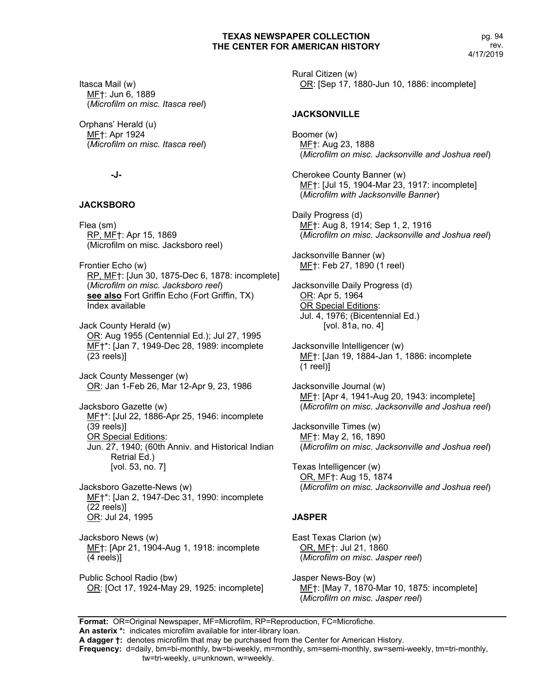Itasca Mail (w) MF†: Jun 6, 1889 (*Microfilm on misc. Itasca reel*)

Orphans' Herald (u) MF†: Apr 1924 (*Microfilm on misc. Itasca reel*)

# **-J-**

# **JACKSBORO**

Flea (sm) RP, MF†: Apr 15, 1869 (Microfilm on misc. Jacksboro reel)

Frontier Echo (w) RP, MF†: [Jun 30, 1875-Dec 6, 1878: incomplete] (*Microfilm on misc. Jacksboro reel*) **see also** Fort Griffin Echo (Fort Griffin, TX) Index available

Jack County Herald (w) OR: Aug 1955 (Centennial Ed.); Jul 27, 1995 MF†\*: [Jan 7, 1949-Dec 28, 1989: incomplete (23 reels)]

Jack County Messenger (w) OR: Jan 1-Feb 26, Mar 12-Apr 9, 23, 1986

Jacksboro Gazette (w) MF†\*: [Jul 22, 1886-Apr 25, 1946: incomplete (39 reels)] OR Special Editions: Jun. 27, 1940; (60th Anniv. and Historical Indian Retrial Ed.) [vol. 53, no. 7]

Jacksboro Gazette-News (w) MF†\*: [Jan 2, 1947-Dec 31, 1990: incomplete (22 reels)] OR: Jul 24, 1995

Jacksboro News (w) MF†: [Apr 21, 1904-Aug 1, 1918: incomplete (4 reels)]

Public School Radio (bw) OR: [Oct 17, 1924-May 29, 1925: incomplete] Rural Citizen (w) OR: [Sep 17, 1880-Jun 10, 1886: incomplete]

# **JACKSONVILLE**

Boomer (w) MF†: Aug 23, 1888 (*Microfilm on misc. Jacksonville and Joshua reel*)

Cherokee County Banner (w) MF†: [Jul 15, 1904-Mar 23, 1917: incomplete] (*Microfilm with Jacksonville Banner*)

Daily Progress (d) MF†: Aug 8, 1914; Sep 1, 2, 1916 (*Microfilm on misc. Jacksonville and Joshua reel*)

Jacksonville Banner (w) MF†: Feb 27, 1890 (1 reel)

Jacksonville Daily Progress (d) OR: Apr 5, 1964 OR Special Editions: Jul. 4, 1976; (Bicentennial Ed.) [vol. 81a, no. 4]

Jacksonville Intelligencer (w) MF†: [Jan 19, 1884-Jan 1, 1886: incomplete (1 reel)]

Jacksonville Journal (w) MF†: [Apr 4, 1941-Aug 20, 1943: incomplete] (*Microfilm on misc. Jacksonville and Joshua reel*)

Jacksonville Times (w) MF†: May 2, 16, 1890 (*Microfilm on misc. Jacksonville and Joshua reel*)

Texas Intelligencer (w) OR, MF†: Aug 15, 1874 (*Microfilm on misc. Jacksonville and Joshua reel*)

# **JASPER**

East Texas Clarion (w) OR, MF†: Jul 21, 1860 (*Microfilm on misc. Jasper reel*)

Jasper News-Boy (w) MF†: [May 7, 1870-Mar 10, 1875: incomplete] (*Microfilm on misc. Jasper reel*)

**Format:** OR=Original Newspaper, MF=Microfilm, RP=Reproduction, FC=Microfiche.

**An asterix \*:** indicates microfilm available for inter-library loan.

**A dagger †:** denotes microfilm that may be purchased from the Center for American History.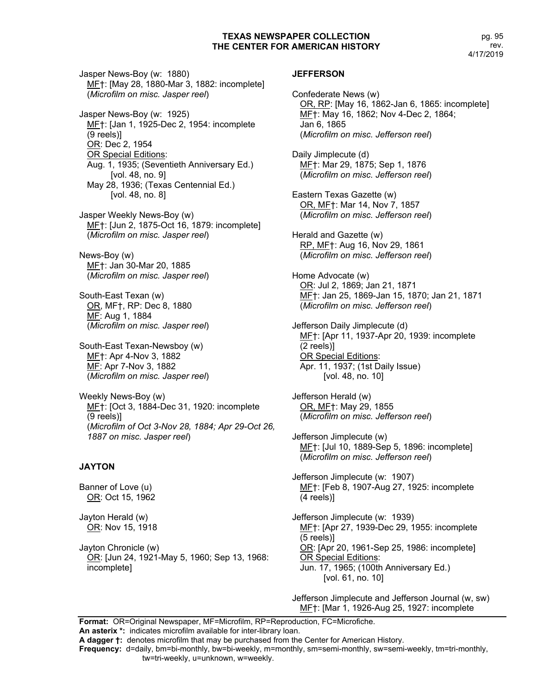Jasper News-Boy (w: 1880) MF†: [May 28, 1880-Mar 3, 1882: incomplete] (*Microfilm on misc. Jasper reel*)

Jasper News-Boy (w: 1925) MF†: [Jan 1, 1925-Dec 2, 1954: incomplete (9 reels)] OR: Dec 2, 1954 OR Special Editions: Aug. 1, 1935; (Seventieth Anniversary Ed.) [vol. 48, no. 9] May 28, 1936; (Texas Centennial Ed.) [vol. 48, no. 8]

Jasper Weekly News-Boy (w) MF†: [Jun 2, 1875-Oct 16, 1879: incomplete] (*Microfilm on misc. Jasper reel*)

News-Boy (w) MF†: Jan 30-Mar 20, 1885 (*Microfilm on misc. Jasper reel*)

South-East Texan (w) OR, MF†, RP: Dec 8, 1880 MF: Aug 1, 1884 (*Microfilm on misc. Jasper reel*)

South-East Texan-Newsboy (w) MF†: Apr 4-Nov 3, 1882 MF: Apr 7-Nov 3, 1882 (*Microfilm on misc. Jasper reel*)

Weekly News-Boy (w) MF†: [Oct 3, 1884-Dec 31, 1920: incomplete (9 reels)] (*Microfilm of Oct 3-Nov 28, 1884; Apr 29-Oct 26, 1887 on misc. Jasper reel*)

#### **JAYTON**

Banner of Love (u) OR: Oct 15, 1962

Jayton Herald (w) OR: Nov 15, 1918

Jayton Chronicle (w) OR: [Jun 24, 1921-May 5, 1960; Sep 13, 1968: incomplete]

#### **JEFFERSON**

Confederate News (w) OR, RP: [May 16, 1862-Jan 6, 1865: incomplete] MF†: May 16, 1862; Nov 4-Dec 2, 1864; Jan 6, 1865 (*Microfilm on misc. Jefferson reel*) Daily Jimplecute (d) MF†: Mar 29, 1875; Sep 1, 1876 (*Microfilm on misc. Jefferson reel*) Eastern Texas Gazette (w) OR, MF†: Mar 14, Nov 7, 1857 (*Microfilm on misc. Jefferson reel*) Herald and Gazette (w) RP, MF†: Aug 16, Nov 29, 1861 (*Microfilm on misc. Jefferson reel*) Home Advocate (w) OR: Jul 2, 1869; Jan 21, 1871 MF†: Jan 25, 1869-Jan 15, 1870; Jan 21, 1871 (*Microfilm on misc. Jefferson reel*) Jefferson Daily Jimplecute (d) MF†: [Apr 11, 1937-Apr 20, 1939: incomplete (2 reels)] OR Special Editions: Apr. 11, 1937; (1st Daily Issue) [vol. 48, no. 10] Jefferson Herald (w) OR, MF†: May 29, 1855 (*Microfilm on misc. Jefferson reel*) Jefferson Jimplecute (w) MF†: [Jul 10, 1889-Sep 5, 1896: incomplete] (*Microfilm on misc. Jefferson reel*) Jefferson Jimplecute (w: 1907) MF†: [Feb 8, 1907-Aug 27, 1925: incomplete (4 reels)] Jefferson Jimplecute (w: 1939) MF†: [Apr 27, 1939-Dec 29, 1955: incomplete (5 reels)] OR: [Apr 20, 1961-Sep 25, 1986: incomplete] OR Special Editions: Jun. 17, 1965; (100th Anniversary Ed.) [vol. 61, no. 10]

Jefferson Jimplecute and Jefferson Journal (w, sw) MF†: [Mar 1, 1926-Aug 25, 1927: incomplete

**Format:** OR=Original Newspaper, MF=Microfilm, RP=Reproduction, FC=Microfiche. **An asterix \*:** indicates microfilm available for inter-library loan.

**A dagger †:** denotes microfilm that may be purchased from the Center for American History.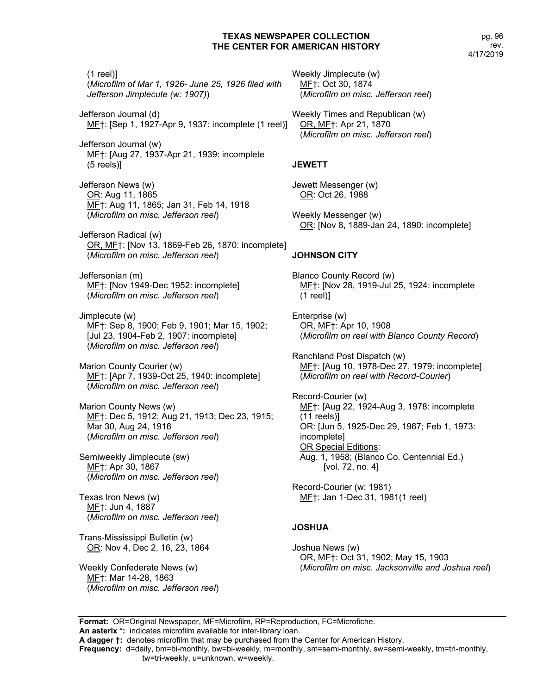(1 reel)] (*Microfilm of Mar 1, 1926- June 25, 1926 filed with Jefferson Jimplecute (w: 1907)*)

Jefferson Journal (d) MF†: [Sep 1, 1927-Apr 9, 1937: incomplete (1 reel)]

Jefferson Journal (w) MF†: [Aug 27, 1937-Apr 21, 1939: incomplete (5 reels)]

Jefferson News (w) OR: Aug 11, 1865 MF†: Aug 11, 1865; Jan 31, Feb 14, 1918 (*Microfilm on misc. Jefferson reel*)

Jefferson Radical (w) OR, MF†: [Nov 13, 1869-Feb 26, 1870: incomplete] (*Microfilm on misc. Jefferson reel*)

Jeffersonian (m) MF†: [Nov 1949-Dec 1952: incomplete] (*Microfilm on misc. Jefferson reel*)

Jimplecute (w) MF†: Sep 8, 1900; Feb 9, 1901; Mar 15, 1902; [Jul 23, 1904-Feb 2, 1907: incomplete] (*Microfilm on misc. Jefferson reel*)

Marion County Courier (w) MF†: [Apr 7, 1939-Oct 25, 1940: incomplete] (*Microfilm on misc. Jefferson reel*)

Marion County News (w) MF†: Dec 5, 1912; Aug 21, 1913; Dec 23, 1915; Mar 30, Aug 24, 1916 (*Microfilm on misc. Jefferson reel*)

Semiweekly Jimplecute (sw) MF†: Apr 30, 1867 (*Microfilm on misc. Jefferson reel*)

Texas Iron News (w) MF†: Jun 4, 1887 (*Microfilm on misc. Jefferson reel*)

Trans-Mississippi Bulletin (w) OR: Nov 4, Dec 2, 16, 23, 1864

Weekly Confederate News (w) MF†: Mar 14-28, 1863 (*Microfilm on misc. Jefferson reel*) Weekly Jimplecute (w) MF†: Oct 30, 1874 (*Microfilm on misc. Jefferson reel*)

Weekly Times and Republican (w) OR, MF†: Apr 21, 1870 (*Microfilm on misc. Jefferson reel*)

# **JEWETT**

Jewett Messenger (w) OR: Oct 26, 1988

Weekly Messenger (w) OR: [Nov 8, 1889-Jan 24, 1890: incomplete]

# **JOHNSON CITY**

Blanco County Record (w) MF†: [Nov 28, 1919-Jul 25, 1924: incomplete (1 reel)]

Enterprise (w) OR, MF†: Apr 10, 1908 (*Microfilm on reel with Blanco County Record*)

Ranchland Post Dispatch (w) MF†: [Aug 10, 1978-Dec 27, 1979: incomplete] (*Microfilm on reel with Record-Courier*)

Record-Courier (w) MF†: [Aug 22, 1924-Aug 3, 1978: incomplete (11 reels)] OR: [Jun 5, 1925-Dec 29, 1967; Feb 1, 1973: incomplete] OR Special Editions: Aug. 1, 1958; (Blanco Co. Centennial Ed.) [vol. 72, no. 4]

Record-Courier (w: 1981) MF†: Jan 1-Dec 31, 1981(1 reel)

# **JOSHUA**

Joshua News (w) OR, MF†: Oct 31, 1902; May 15, 1903 (*Microfilm on misc. Jacksonville and Joshua reel*)

**Format:** OR=Original Newspaper, MF=Microfilm, RP=Reproduction, FC=Microfiche. **An asterix \*:** indicates microfilm available for inter-library loan.

**A dagger †:** denotes microfilm that may be purchased from the Center for American History.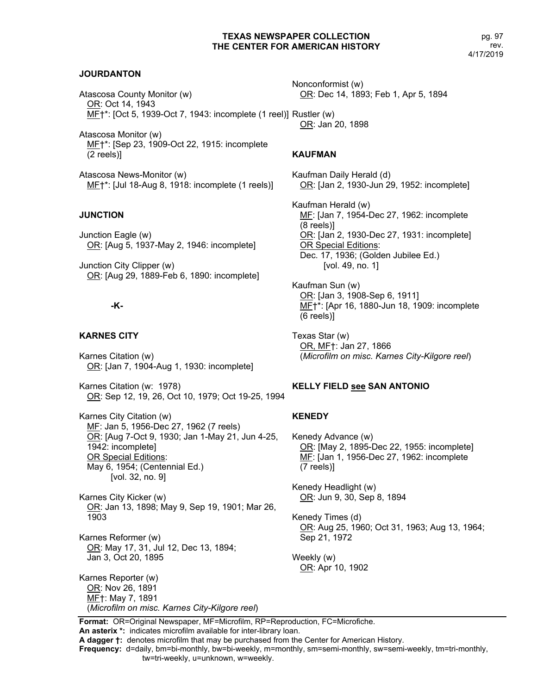pg. 97 rev. 4/17/2019

#### **JOURDANTON**

Atascosa County Monitor (w) OR: Oct 14, 1943 MF†\*: [Oct 5, 1939-Oct 7, 1943: incomplete (1 reel)] Rustler (w)

Atascosa Monitor (w) MF†\*: [Sep 23, 1909-Oct 22, 1915: incomplete (2 reels)]

Atascosa News-Monitor (w) MF†\*: [Jul 18-Aug 8, 1918: incomplete (1 reels)]

#### **JUNCTION**

Junction Eagle (w) OR: [Aug 5, 1937-May 2, 1946: incomplete]

Junction City Clipper (w) OR: [Aug 29, 1889-Feb 6, 1890: incomplete]

# **-K-**

#### **KARNES CITY**

Karnes Citation (w) OR: [Jan 7, 1904-Aug 1, 1930: incomplete]

Karnes Citation (w: 1978) OR: Sep 12, 19, 26, Oct 10, 1979; Oct 19-25, 1994

Karnes City Citation (w) MF: Jan 5, 1956-Dec 27, 1962 (7 reels) OR: [Aug 7-Oct 9, 1930; Jan 1-May 21, Jun 4-25, 1942: incomplete] OR Special Editions: May 6, 1954; (Centennial Ed.) [vol. 32, no. 9]

Karnes City Kicker (w) OR: Jan 13, 1898; May 9, Sep 19, 1901; Mar 26, 1903

Karnes Reformer (w) OR: May 17, 31, Jul 12, Dec 13, 1894; Jan 3, Oct 20, 1895

Karnes Reporter (w) OR: Nov 26, 1891 MF†: May 7, 1891 (*Microfilm on misc. Karnes City-Kilgore reel*) Nonconformist (w) OR: Dec 14, 1893; Feb 1, Apr 5, 1894

OR: Jan 20, 1898

#### **KAUFMAN**

Kaufman Daily Herald (d) OR: [Jan 2, 1930-Jun 29, 1952: incomplete]

Kaufman Herald (w) MF: [Jan 7, 1954-Dec 27, 1962: incomplete (8 reels)] OR: [Jan 2, 1930-Dec 27, 1931: incomplete] OR Special Editions: Dec. 17, 1936; (Golden Jubilee Ed.) [vol. 49, no. 1]

Kaufman Sun (w) OR: [Jan 3, 1908-Sep 6, 1911] MF†\*: [Apr 16, 1880-Jun 18, 1909: incomplete (6 reels)]

Texas Star (w) OR, MF†: Jan 27, 1866 (*Microfilm on misc. Karnes City-Kilgore reel*)

#### **KELLY FIELD see SAN ANTONIO**

#### **KENEDY**

Kenedy Advance (w) OR: [May 2, 1895-Dec 22, 1955: incomplete] MF: [Jan 1, 1956-Dec 27, 1962: incomplete (7 reels)]

Kenedy Headlight (w) OR: Jun 9, 30, Sep 8, 1894

Kenedy Times (d) OR: Aug 25, 1960; Oct 31, 1963; Aug 13, 1964; Sep 21, 1972

Weekly (w) OR: Apr 10, 1902

**Format:** OR=Original Newspaper, MF=Microfilm, RP=Reproduction, FC=Microfiche. **An asterix \*:** indicates microfilm available for inter-library loan.

**A dagger †:** denotes microfilm that may be purchased from the Center for American History.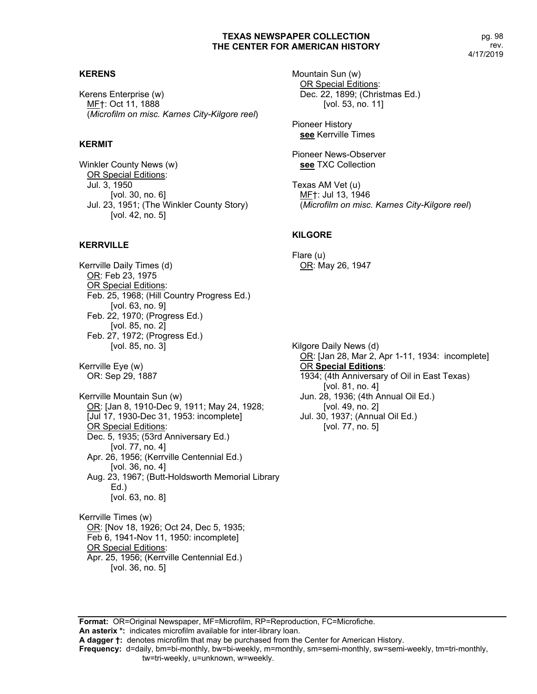#### **KERENS**

Kerens Enterprise (w) MF†: Oct 11, 1888 (*Microfilm on misc. Karnes City-Kilgore reel*)

# **KERMIT**

Winkler County News (w) OR Special Editions: Jul. 3, 1950 [vol. 30, no. 6] Jul. 23, 1951; (The Winkler County Story) [vol. 42, no. 5]

# **KERRVILLE**

Kerrville Daily Times (d) OR: Feb 23, 1975 OR Special Editions: Feb. 25, 1968; (Hill Country Progress Ed.) [vol. 63, no. 9] Feb. 22, 1970; (Progress Ed.) [vol. 85, no. 2] Feb. 27, 1972; (Progress Ed.) [vol. 85, no. 3]

Kerrville Eye (w) OR: Sep 29, 1887

Kerrville Mountain Sun (w) OR: [Jan 8, 1910-Dec 9, 1911; May 24, 1928; [Jul 17, 1930-Dec 31, 1953: incomplete] OR Special Editions: Dec. 5, 1935; (53rd Anniversary Ed.) [vol. 77, no. 4] Apr. 26, 1956; (Kerrville Centennial Ed.) [vol. 36, no. 4] Aug. 23, 1967; (Butt-Holdsworth Memorial Library Ed.) [vol. 63, no. 8]

Kerrville Times (w) OR: [Nov 18, 1926; Oct 24, Dec 5, 1935; Feb 6, 1941-Nov 11, 1950: incomplete] OR Special Editions: Apr. 25, 1956; (Kerrville Centennial Ed.) [vol. 36, no. 5]

Mountain Sun (w) OR Special Editions: Dec. 22, 1899; (Christmas Ed.) [vol. 53, no. 11]

Pioneer History **see** Kerrville Times

Pioneer News-Observer **see** TXC Collection

Texas AM Vet (u) MF†: Jul 13, 1946 (*Microfilm on misc. Karnes City-Kilgore reel*)

#### **KILGORE**

Flare (u) OR: May 26, 1947

Kilgore Daily News (d) OR: [Jan 28, Mar 2, Apr 1-11, 1934: incomplete] OR **Special Editions**: 1934; (4th Anniversary of Oil in East Texas) [vol. 81, no. 4] Jun. 28, 1936; (4th Annual Oil Ed.) [vol. 49, no. 2] Jul. 30, 1937; (Annual Oil Ed.) [vol. 77, no. 5]

**Format:** OR=Original Newspaper, MF=Microfilm, RP=Reproduction, FC=Microfiche.

**An asterix \*:** indicates microfilm available for inter-library loan.

**A dagger †:** denotes microfilm that may be purchased from the Center for American History.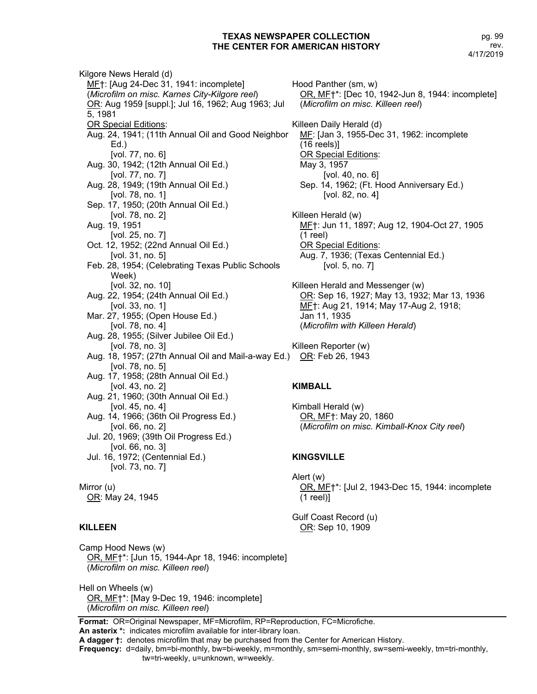Kilgore News Herald (d) MF†: [Aug 24-Dec 31, 1941: incomplete] (*Microfilm on misc. Karnes City-Kilgore reel*) OR: Aug 1959 [suppl.]; Jul 16, 1962; Aug 1963; Jul 5, 1981 OR Special Editions: Aug. 24, 1941; (11th Annual Oil and Good Neighbor Ed.) [vol. 77, no. 6] Aug. 30, 1942; (12th Annual Oil Ed.) [vol. 77, no. 7] Aug. 28, 1949; (19th Annual Oil Ed.) [vol. 78, no. 1] Sep. 17, 1950; (20th Annual Oil Ed.) [vol. 78, no. 2] Aug. 19, 1951 [vol. 25, no. 7] Oct. 12, 1952; (22nd Annual Oil Ed.) [vol. 31, no. 5] Feb. 28, 1954; (Celebrating Texas Public Schools Week) [vol. 32, no. 10] Aug. 22, 1954; (24th Annual Oil Ed.) [vol. 33, no. 1] Mar. 27, 1955; (Open House Ed.) [vol. 78, no. 4] Aug. 28, 1955; (Silver Jubilee Oil Ed.) [vol. 78, no. 3] Aug. 18, 1957; (27th Annual Oil and Mail-a-way Ed.) OR: Feb 26, 1943 [vol. 78, no. 5] Aug. 17, 1958; (28th Annual Oil Ed.) [vol. 43, no. 2] Aug. 21, 1960; (30th Annual Oil Ed.) [vol. 45, no. 4] Aug. 14, 1966; (36th Oil Progress Ed.) [vol. 66, no. 2] Jul. 20, 1969; (39th Oil Progress Ed.) [vol. 66, no. 3] Jul. 16, 1972; (Centennial Ed.) [vol. 73, no. 7] Mirror (u)

# **KILLEEN**

OR: May 24, 1945

Hood Panther (sm, w) OR, MF†\*: [Dec 10, 1942-Jun 8, 1944: incomplete] (*Microfilm on misc. Killeen reel*) Killeen Daily Herald (d) MF: [Jan 3, 1955-Dec 31, 1962: incomplete (16 reels)] OR Special Editions: May 3, 1957 [vol. 40, no. 6] Sep. 14, 1962; (Ft. Hood Anniversary Ed.) [vol. 82, no. 4] Killeen Herald (w) MF<sup>†: Jun 11, 1897; Aug 12, 1904-Oct 27, 1905</sup> (1 reel) OR Special Editions: Aug. 7, 1936; (Texas Centennial Ed.) [vol. 5, no. 7] Killeen Herald and Messenger (w) OR: Sep 16, 1927; May 13, 1932; Mar 13, 1936 MF†: Aug 21, 1914; May 17-Aug 2, 1918; Jan 11, 1935 (*Microfilm with Killeen Herald*) Killeen Reporter (w)

#### **KIMBALL**

Kimball Herald (w) OR, MF†: May 20, 1860 (*Microfilm on misc. Kimball-Knox City reel*)

#### **KINGSVILLE**

Alert (w) OR, MF†\*: [Jul 2, 1943-Dec 15, 1944: incomplete (1 reel)]

Gulf Coast Record (u) OR: Sep 10, 1909

Camp Hood News (w) OR, MF†\*: [Jun 15, 1944-Apr 18, 1946: incomplete] (*Microfilm on misc. Killeen reel*)

Hell on Wheels (w) OR, MF†\*: [May 9-Dec 19, 1946: incomplete] (*Microfilm on misc. Killeen reel*)

**Frequency:** d=daily, bm=bi-monthly, bw=bi-weekly, m=monthly, sm=semi-monthly, sw=semi-weekly, tm=tri-monthly,

**Format:** OR=Original Newspaper, MF=Microfilm, RP=Reproduction, FC=Microfiche.

**An asterix \*:** indicates microfilm available for inter-library loan.

**A dagger †:** denotes microfilm that may be purchased from the Center for American History.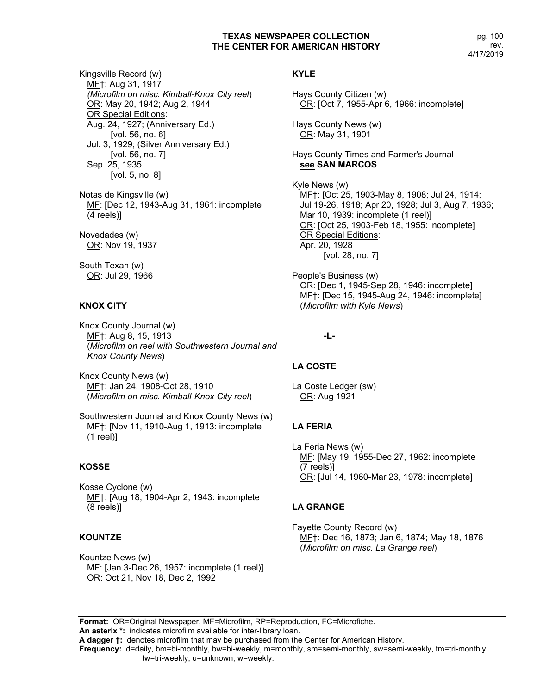pg. 100 rev. 4/17/2019

Kingsville Record (w) MF†: Aug 31, 1917 *(Microfilm on misc. Kimball-Knox City reel*) OR: May 20, 1942; Aug 2, 1944 OR Special Editions: Aug. 24, 1927; (Anniversary Ed.) [vol. 56, no. 6] Jul. 3, 1929; (Silver Anniversary Ed.) [vol. 56, no. 7] Sep. 25, 1935 [vol. 5, no. 8]

Notas de Kingsville (w) MF: [Dec 12, 1943-Aug 31, 1961: incomplete (4 reels)]

Novedades (w) OR: Nov 19, 1937

South Texan (w) OR: Jul 29, 1966

# **KNOX CITY**

Knox County Journal (w) MF†: Aug 8, 15, 1913 (*Microfilm on reel with Southwestern Journal and Knox County News*)

Knox County News (w) MF†: Jan 24, 1908-Oct 28, 1910 (*Microfilm on misc. Kimball-Knox City reel*)

Southwestern Journal and Knox County News (w) MF†: [Nov 11, 1910-Aug 1, 1913: incomplete (1 reel)]

#### **KOSSE**

Kosse Cyclone (w) MF†: [Aug 18, 1904-Apr 2, 1943: incomplete (8 reels)]

#### **KOUNTZE**

Kountze News (w) MF: [Jan 3-Dec 26, 1957: incomplete (1 reel)] OR: Oct 21, Nov 18, Dec 2, 1992

# **KYLE**

Hays County Citizen (w) OR: [Oct 7, 1955-Apr 6, 1966: incomplete]

Hays County News (w) OR: May 31, 1901

Hays County Times and Farmer's Journal **see SAN MARCOS**

Kyle News (w) MF†: [Oct 25, 1903-May 8, 1908; Jul 24, 1914; Jul 19-26, 1918; Apr 20, 1928; Jul 3, Aug 7, 1936; Mar 10, 1939: incomplete (1 reel)] OR: [Oct 25, 1903-Feb 18, 1955: incomplete] OR Special Editions: Apr. 20, 1928 [vol. 28, no. 7]

People's Business (w) OR: [Dec 1, 1945-Sep 28, 1946: incomplete] MF†: [Dec 15, 1945-Aug 24, 1946: incomplete] (*Microfilm with Kyle News*)

**-L-**

# **LA COSTE**

La Coste Ledger (sw) OR: Aug 1921

# **LA FERIA**

La Feria News (w) MF: [May 19, 1955-Dec 27, 1962: incomplete (7 reels)] OR: [Jul 14, 1960-Mar 23, 1978: incomplete]

# **LA GRANGE**

Fayette County Record (w) MF†: Dec 16, 1873; Jan 6, 1874; May 18, 1876 (*Microfilm on misc. La Grange reel*)

**Format:** OR=Original Newspaper, MF=Microfilm, RP=Reproduction, FC=Microfiche. **An asterix \*:** indicates microfilm available for inter-library loan.

**A dagger †:** denotes microfilm that may be purchased from the Center for American History.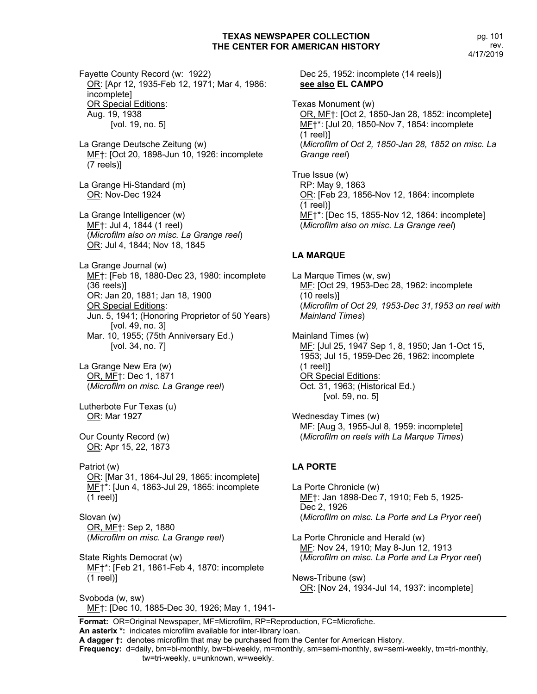Fayette County Record (w: 1922) OR: [Apr 12, 1935-Feb 12, 1971; Mar 4, 1986: incomplete] OR Special Editions: Aug. 19, 1938 [vol. 19, no. 5]

La Grange Deutsche Zeitung (w) ME†: [Oct 20, 1898-Jun 10, 1926: incomplete (7 reels)]

La Grange Hi-Standard (m) OR: Nov-Dec 1924

La Grange Intelligencer (w) MF†: Jul 4, 1844 (1 reel) (*Microfilm also on misc. La Grange reel*) OR: Jul 4, 1844; Nov 18, 1845

La Grange Journal (w) MF†: [Feb 18, 1880-Dec 23, 1980: incomplete (36 reels)] OR: Jan 20, 1881; Jan 18, 1900 OR Special Editions: Jun. 5, 1941; (Honoring Proprietor of 50 Years) [vol. 49, no. 3] Mar. 10, 1955; (75th Anniversary Ed.) [vol. 34, no. 7]

La Grange New Era (w) OR, MF†: Dec 1, 1871 (*Microfilm on misc. La Grange reel*)

Lutherbote Fur Texas (u) OR: Mar 1927

Our County Record (w) OR: Apr 15, 22, 1873

Patriot (w) OR: [Mar 31, 1864-Jul 29, 1865: incomplete] ME<sup>+\*</sup>: [Jun 4, 1863-Jul 29, 1865: incomplete (1 reel)]

Slovan (w) OR, MF†: Sep 2, 1880 (*Microfilm on misc. La Grange reel*)

State Rights Democrat (w) MF†\*: [Feb 21, 1861-Feb 4, 1870: incomplete (1 reel)]

Svoboda (w, sw) MF†: [Dec 10, 1885-Dec 30, 1926; May 1, 1941Dec 25, 1952: incomplete (14 reels)] **see also EL CAMPO**

Texas Monument (w) OR, MF†: [Oct 2, 1850-Jan 28, 1852: incomplete] MF†\*: [Jul 20, 1850-Nov 7, 1854: incomplete (1 reel)] (*Microfilm of Oct 2, 1850-Jan 28, 1852 on misc. La Grange reel*)

True Issue (w) RP: May 9, 1863 OR: [Feb 23, 1856-Nov 12, 1864: incomplete (1 reel)] MF†\*: [Dec 15, 1855-Nov 12, 1864: incomplete] (*Microfilm also on misc. La Grange reel*)

# **LA MARQUE**

La Marque Times (w, sw) MF: [Oct 29, 1953-Dec 28, 1962: incomplete (10 reels)] (*Microfilm of Oct 29, 1953-Dec 31,1953 on reel with Mainland Times*)

Mainland Times (w) MF: [Jul 25, 1947 Sep 1, 8, 1950; Jan 1-Oct 15, 1953; Jul 15, 1959-Dec 26, 1962: incomplete (1 reel)] OR Special Editions: Oct. 31, 1963; (Historical Ed.) [vol. 59, no. 5]

Wednesday Times (w) MF: [Aug 3, 1955-Jul 8, 1959: incomplete] (*Microfilm on reels with La Marque Times*)

# **LA PORTE**

La Porte Chronicle (w) MF†: Jan 1898-Dec 7, 1910; Feb 5, 1925- Dec 2, 1926 (*Microfilm on misc. La Porte and La Pryor reel*)

La Porte Chronicle and Herald (w) MF: Nov 24, 1910; May 8-Jun 12, 1913 (*Microfilm on misc. La Porte and La Pryor reel*)

News-Tribune (sw) OR: [Nov 24, 1934-Jul 14, 1937: incomplete]

**Format:** OR=Original Newspaper, MF=Microfilm, RP=Reproduction, FC=Microfiche. **An asterix \*:** indicates microfilm available for inter-library loan.

**A dagger †:** denotes microfilm that may be purchased from the Center for American History.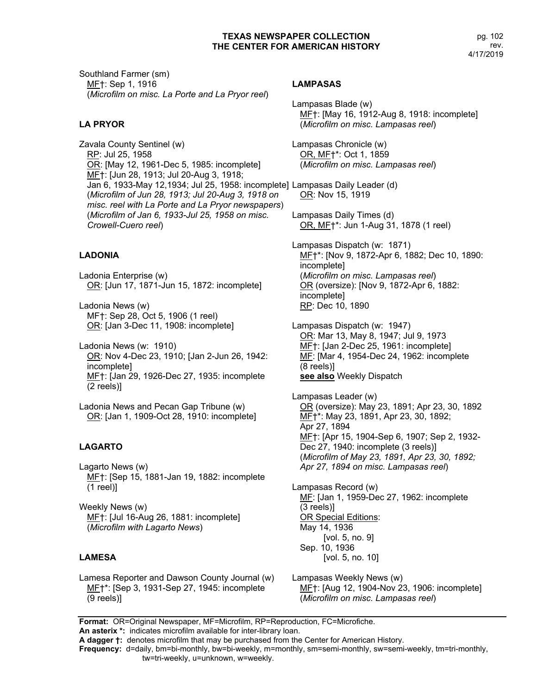Southland Farmer (sm) MF†: Sep 1, 1916 (*Microfilm on misc. La Porte and La Pryor reel*)

# **LA PRYOR**

Zavala County Sentinel (w) RP: Jul 25, 1958 OR: [May 12, 1961-Dec 5, 1985: incomplete] MF†: [Jun 28, 1913; Jul 20-Aug 3, 1918; Jan 6, 1933-May 12,1934; Jul 25, 1958: incomplete] Lampasas Daily Leader (d) (*Microfilm of Jun 28, 1913; Jul 20-Aug 3, 1918 on misc. reel with La Porte and La Pryor newspapers*) (*Microfilm of Jan 6, 1933-Jul 25, 1958 on misc. Crowell-Cuero reel*)

# **LADONIA**

Ladonia Enterprise (w) OR: [Jun 17, 1871-Jun 15, 1872: incomplete]

Ladonia News (w) MF†: Sep 28, Oct 5, 1906 (1 reel) OR: [Jan 3-Dec 11, 1908: incomplete]

Ladonia News (w: 1910) OR: Nov 4-Dec 23, 1910; [Jan 2-Jun 26, 1942: incomplete] MF†: [Jan 29, 1926-Dec 27, 1935: incomplete (2 reels)]

Ladonia News and Pecan Gap Tribune (w) OR: [Jan 1, 1909-Oct 28, 1910: incomplete]

#### **LAGARTO**

Lagarto News (w) MF†: [Sep 15, 1881-Jan 19, 1882: incomplete (1 reel)]

Weekly News (w) MF†: [Jul 16-Aug 26, 1881: incomplete] (*Microfilm with Lagarto News*)

#### **LAMESA**

Lamesa Reporter and Dawson County Journal (w) MF†\*: [Sep 3, 1931-Sep 27, 1945: incomplete (9 reels)]

#### **LAMPASAS**

Lampasas Blade (w) MF†: [May 16, 1912-Aug 8, 1918: incomplete] (*Microfilm on misc. Lampasas reel*)

Lampasas Chronicle (w) OR, MF†\*: Oct 1, 1859 (*Microfilm on misc. Lampasas reel*)

OR: Nov 15, 1919

Lampasas Daily Times (d) OR, MF†\*: Jun 1-Aug 31, 1878 (1 reel)

Lampasas Dispatch (w: 1871) MF†\*: [Nov 9, 1872-Apr 6, 1882; Dec 10, 1890: incomplete] (*Microfilm on misc. Lampasas reel*) OR (oversize): [Nov 9, 1872-Apr 6, 1882: incomplete] RP: Dec 10, 1890

Lampasas Dispatch (w: 1947) OR: Mar 13, May 8, 1947; Jul 9, 1973 MF<sup>†:</sup> [Jan 2-Dec 25, 1961: incomplete] MF: [Mar 4, 1954-Dec 24, 1962: incomplete (8 reels)] **see also** Weekly Dispatch

Lampasas Leader (w) OR (oversize): May 23, 1891; Apr 23, 30, 1892 MF†\*: May 23, 1891, Apr 23, 30, 1892; Apr 27, 1894 MF†: [Apr 15, 1904-Sep 6, 1907; Sep 2, 1932- Dec 27, 1940: incomplete (3 reels)] (*Microfilm of May 23, 1891, Apr 23, 30, 1892; Apr 27, 1894 on misc. Lampasas reel*)

Lampasas Record (w) MF: [Jan 1, 1959-Dec 27, 1962: incomplete (3 reels)] OR Special Editions: May 14, 1936 [vol. 5, no. 9] Sep. 10, 1936 [vol. 5, no. 10]

Lampasas Weekly News (w) MF†: [Aug 12, 1904-Nov 23, 1906: incomplete] (*Microfilm on misc. Lampasas reel*)

**Format:** OR=Original Newspaper, MF=Microfilm, RP=Reproduction, FC=Microfiche. **An asterix \*:** indicates microfilm available for inter-library loan.

**A dagger †:** denotes microfilm that may be purchased from the Center for American History.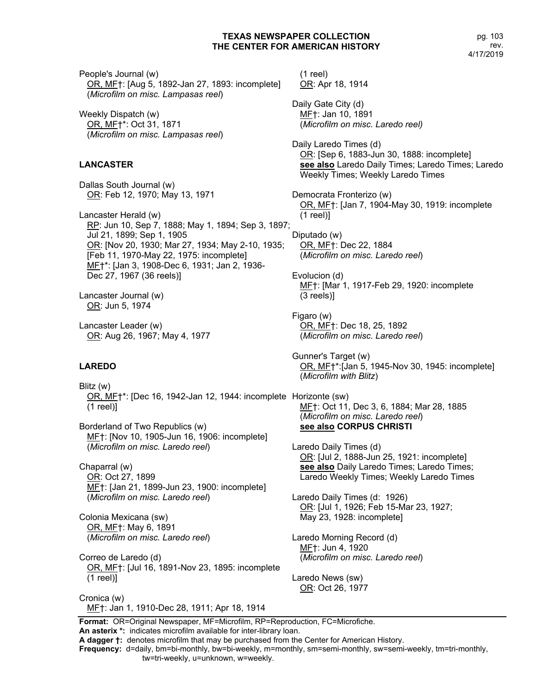(1 reel)

OR: Apr 18, 1914

pg. 103 rev. 4/17/2019

People's Journal (w) OR, MF†: [Aug 5, 1892-Jan 27, 1893: incomplete] (*Microfilm on misc. Lampasas reel*)

Weekly Dispatch (w) OR, MF†\*: Oct 31, 1871 (*Microfilm on misc. Lampasas reel*)

#### **LANCASTER**

Dallas South Journal (w) OR: Feb 12, 1970; May 13, 1971

Lancaster Herald (w) RP: Jun 10, Sep 7, 1888; May 1, 1894; Sep 3, 1897; Jul 21, 1899; Sep 1, 1905 OR: [Nov 20, 1930; Mar 27, 1934; May 2-10, 1935; [Feb 11, 1970-May 22, 1975: incomplete] MF†\*: [Jan 3, 1908-Dec 6, 1931; Jan 2, 1936- Dec 27, 1967 (36 reels)]

Lancaster Journal (w) OR: Jun 5, 1974

Lancaster Leader (w) OR: Aug 26, 1967; May 4, 1977

#### **LAREDO**

Blitz (w) OR, MF†\*: [Dec 16, 1942-Jan 12, 1944: incomplete Horizonte (sw) (1 reel)]

Borderland of Two Republics (w) MF†: [Nov 10, 1905-Jun 16, 1906: incomplete] (*Microfilm on misc. Laredo reel*)

Chaparral (w) OR: Oct 27, 1899 MF†: [Jan 21, 1899-Jun 23, 1900: incomplete] (*Microfilm on misc. Laredo reel*)

Colonia Mexicana (sw) OR, MF†: May 6, 1891 (*Microfilm on misc. Laredo reel*)

Correo de Laredo (d) OR, MF†: [Jul 16, 1891-Nov 23, 1895: incomplete (1 reel)]

Cronica (w) MF†: Jan 1, 1910-Dec 28, 1911; Apr 18, 1914 Daily Gate City (d) MF†: Jan 10, 1891 (*Microfilm on misc. Laredo reel)* Daily Laredo Times (d) OR: [Sep 6, 1883-Jun 30, 1888: incomplete] **see also** Laredo Daily Times; Laredo Times; Laredo Weekly Times; Weekly Laredo Times

Democrata Fronterizo (w) OR, MF†: [Jan 7, 1904-May 30, 1919: incomplete (1 reel)]

Diputado (w) OR, MF†: Dec 22, 1884 (*Microfilm on misc. Laredo reel*)

Evolucion (d) MF†: [Mar 1, 1917-Feb 29, 1920: incomplete (3 reels)]

Figaro (w) OR, MF†: Dec 18, 25, 1892 (*Microfilm on misc. Laredo reel*)

Gunner's Target (w) OR, MF†\*:[Jan 5, 1945-Nov 30, 1945: incomplete] (*Microfilm with Blitz*)

MF†: Oct 11, Dec 3, 6, 1884; Mar 28, 1885 (*Microfilm on misc. Laredo reel*) **see also CORPUS CHRISTI**

Laredo Daily Times (d) OR: [Jul 2, 1888-Jun 25, 1921: incomplete] **see also** Daily Laredo Times; Laredo Times; Laredo Weekly Times; Weekly Laredo Times

Laredo Daily Times (d: 1926) OR: [Jul 1, 1926; Feb 15-Mar 23, 1927; May 23, 1928: incomplete]

Laredo Morning Record (d) MF†: Jun 4, 1920 (*Microfilm on misc. Laredo reel*)

Laredo News (sw) OR: Oct 26, 1977

**Format:** OR=Original Newspaper, MF=Microfilm, RP=Reproduction, FC=Microfiche. **An asterix \*:** indicates microfilm available for inter-library loan.

**A dagger †:** denotes microfilm that may be purchased from the Center for American History.

**Frequency:** d=daily, bm=bi-monthly, bw=bi-weekly, m=monthly, sm=semi-monthly, sw=semi-weekly, tm=tri-monthly,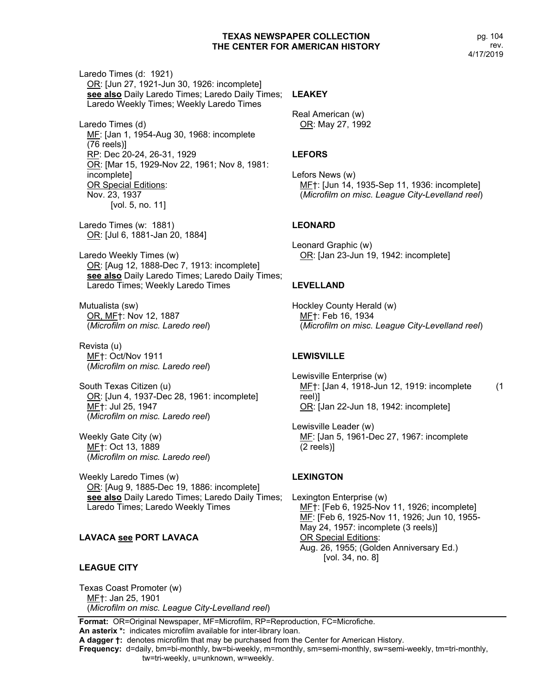Laredo Times (d: 1921) OR: [Jun 27, 1921-Jun 30, 1926: incomplete] **see also** Daily Laredo Times; Laredo Daily Times; Laredo Weekly Times; Weekly Laredo Times Laredo Times (d) MF: [Jan 1, 1954-Aug 30, 1968: incomplete (76 reels)] RP: Dec 20-24, 26-31, 1929 OR: [Mar 15, 1929-Nov 22, 1961; Nov 8, 1981: incomplete] OR Special Editions: Nov. 23, 1937 [vol. 5, no. 11] Laredo Times (w: 1881) OR: [Jul 6, 1881-Jan 20, 1884] Laredo Weekly Times (w) OR: [Aug 12, 1888-Dec 7, 1913: incomplete] see also Daily Laredo Times; Laredo Daily Times; Laredo Times; Weekly Laredo Times Mutualista (sw) OR, MF†: Nov 12, 1887 (*Microfilm on misc. Laredo reel*) Revista (u) MF†: Oct/Nov 1911 (*Microfilm on misc. Laredo reel*) South Texas Citizen (u) OR: [Jun 4, 1937-Dec 28, 1961: incomplete] MF†: Jul 25, 1947 (*Microfilm on misc. Laredo reel*) Weekly Gate City (w) ME<sub>T</sub>: Oct 13, 1889 (*Microfilm on misc. Laredo reel*) Weekly Laredo Times (w) OR: [Aug 9, 1885-Dec 19, 1886: incomplete] **see also** Daily Laredo Times; Laredo Daily Times; Laredo Times; Laredo Weekly Times

# **LAVACA see PORT LAVACA**

#### **LEAGUE CITY**

Texas Coast Promoter (w) MF†: Jan 25, 1901 (*Microfilm on misc. League City-Levelland reel*)

# **LEAKEY**

Real American (w) OR: May 27, 1992

# **LEFORS**

Lefors News (w) MF†: [Jun 14, 1935-Sep 11, 1936: incomplete] (*Microfilm on misc. League City-Levelland reel*)

# **LEONARD**

Leonard Graphic (w) OR: [Jan 23-Jun 19, 1942: incomplete]

#### **LEVELLAND**

Hockley County Herald (w) MF†: Feb 16, 1934 (*Microfilm on misc. League City-Levelland reel*)

#### **LEWISVILLE**

Lewisville Enterprise (w) ME†: [Jan 4, 1918-Jun 12, 1919: incomplete (1 reel)] OR: [Jan 22-Jun 18, 1942: incomplete]

Lewisville Leader (w) MF: [Jan 5, 1961-Dec 27, 1967: incomplete (2 reels)]

#### **LEXINGTON**

Lexington Enterprise (w) MF†: [Feb 6, 1925-Nov 11, 1926; incomplete] MF: [Feb 6, 1925-Nov 11, 1926; Jun 10, 1955- May 24, 1957: incomplete (3 reels)] OR Special Editions: Aug. 26, 1955; (Golden Anniversary Ed.) [vol. 34, no. 8]

**Format:** OR=Original Newspaper, MF=Microfilm, RP=Reproduction, FC=Microfiche. **An asterix \*:** indicates microfilm available for inter-library loan.

**A dagger †:** denotes microfilm that may be purchased from the Center for American History.

**Frequency:** d=daily, bm=bi-monthly, bw=bi-weekly, m=monthly, sm=semi-monthly, sw=semi-weekly, tm=tri-monthly,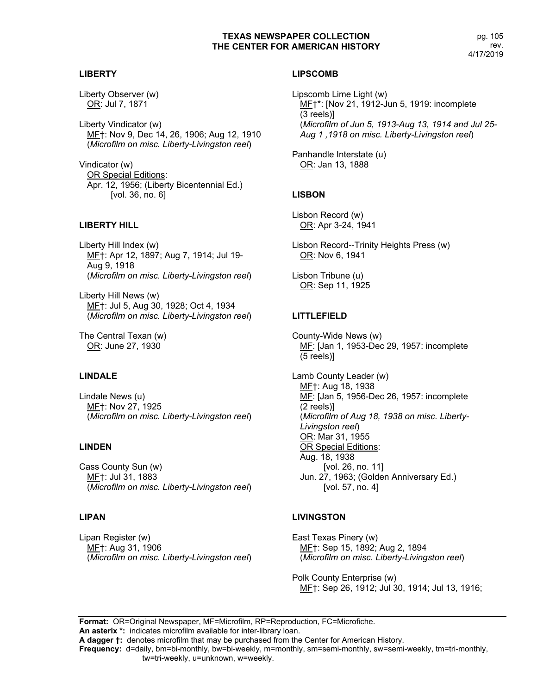**LIBERTY**

Liberty Observer (w) OR: Jul 7, 1871

Liberty Vindicator (w) MF†: Nov 9, Dec 14, 26, 1906; Aug 12, 1910 (*Microfilm on misc. Liberty-Livingston reel*)

Vindicator (w) OR Special Editions: Apr. 12, 1956; (Liberty Bicentennial Ed.) [vol. 36, no. 6]

# **LIBERTY HILL**

Liberty Hill Index (w) MF†: Apr 12, 1897; Aug 7, 1914; Jul 19- Aug 9, 1918 (*Microfilm on misc. Liberty-Livingston reel*)

Liberty Hill News (w) MF†: Jul 5, Aug 30, 1928; Oct 4, 1934 (*Microfilm on misc. Liberty-Livingston reel*)

The Central Texan (w) OR: June 27, 1930

# **LINDALE**

Lindale News (u) MF†: Nov 27, 1925 (*Microfilm on misc. Liberty-Livingston reel*)

#### **LINDEN**

Cass County Sun (w) ME<sub>T</sub>: Jul 31, 1883 (*Microfilm on misc. Liberty-Livingston reel*)

# **LIPAN**

Lipan Register (w) MF†: Aug 31, 1906 (*Microfilm on misc. Liberty-Livingston reel*)

# **LIPSCOMB**

Lipscomb Lime Light (w) MF<sup>+\*</sup>: [Nov 21, 1912-Jun 5, 1919: incomplete (3 reels)] (*Microfilm of Jun 5, 1913-Aug 13, 1914 and Jul 25- Aug 1 ,1918 on misc. Liberty-Livingston reel*)

Panhandle Interstate (u) OR: Jan 13, 1888

# **LISBON**

Lisbon Record (w) OR: Apr 3-24, 1941

Lisbon Record--Trinity Heights Press (w) OR: Nov 6, 1941

Lisbon Tribune (u) OR: Sep 11, 1925

# **LITTLEFIELD**

County-Wide News (w) MF: [Jan 1, 1953-Dec 29, 1957: incomplete (5 reels)]

Lamb County Leader (w) MF†: Aug 18, 1938 MF: [Jan 5, 1956-Dec 26, 1957: incomplete (2 reels)] (*Microfilm of Aug 18, 1938 on misc. Liberty-Livingston reel*) OR: Mar 31, 1955 OR Special Editions: Aug. 18, 1938 [vol. 26, no. 11] Jun. 27, 1963; (Golden Anniversary Ed.) [vol. 57, no. 4]

#### **LIVINGSTON**

East Texas Pinery (w) MF†: Sep 15, 1892; Aug 2, 1894 (*Microfilm on misc. Liberty-Livingston reel*)

Polk County Enterprise (w) MF†: Sep 26, 1912; Jul 30, 1914; Jul 13, 1916;

**Format:** OR=Original Newspaper, MF=Microfilm, RP=Reproduction, FC=Microfiche. **An asterix \*:** indicates microfilm available for inter-library loan. **A dagger †:** denotes microfilm that may be purchased from the Center for American History. **Frequency:** d=daily, bm=bi-monthly, bw=bi-weekly, m=monthly, sm=semi-monthly, sw=semi-weekly, tm=tri-monthly, tw=tri-weekly, u=unknown, w=weekly.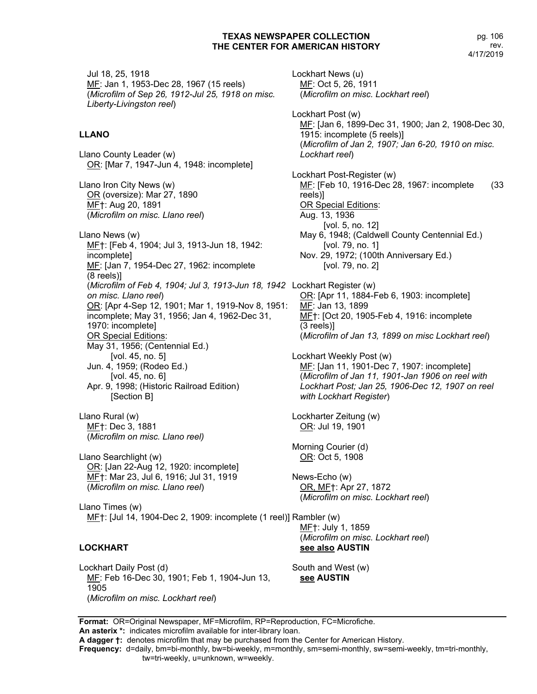Jul 18, 25, 1918 MF: Jan 1, 1953-Dec 28, 1967 (15 reels) (*Microfilm of Sep 26, 1912-Jul 25, 1918 on misc. Liberty-Livingston reel*)

#### **LLANO**

Llano County Leader (w) OR: [Mar 7, 1947-Jun 4, 1948: incomplete]

Llano Iron City News (w) OR (oversize): Mar 27, 1890 MF†: Aug 20, 1891 (*Microfilm on misc. Llano reel*)

Llano News (w) MF†: [Feb 4, 1904; Jul 3, 1913-Jun 18, 1942: incomplete] MF: [Jan 7, 1954-Dec 27, 1962: incomplete (8 reels)] (*Microfilm of Feb 4, 1904; Jul 3, 1913-Jun 18, 1942*  Lockhart Register (w) *on misc. Llano reel*) OR: [Apr 4-Sep 12, 1901; Mar 1, 1919-Nov 8, 1951: incomplete; May 31, 1956; Jan 4, 1962-Dec 31, 1970: incomplete] **OR Special Editions:** May 31, 1956; (Centennial Ed.) [vol. 45, no. 5] Jun. 4, 1959; (Rodeo Ed.) [vol. 45, no. 6] Apr. 9, 1998; (Historic Railroad Edition) [Section B]

Llano Rural (w) MF†: Dec 3, 1881 (*Microfilm on misc. Llano reel)*

Llano Searchlight (w) OR: [Jan 22-Aug 12, 1920: incomplete] MF†: Mar 23, Jul 6, 1916; Jul 31, 1919 (*Microfilm on misc. Llano reel*)

Llano Times (w) ME†: [Jul 14, 1904-Dec 2, 1909: incomplete (1 reel)] Rambler (w)

#### **LOCKHART**

Lockhart Daily Post (d) ME: Feb 16-Dec 30, 1901; Feb 1, 1904-Jun 13, 1905 (*Microfilm on misc. Lockhart reel*)

Lockhart News (u) MF: Oct 5, 26, 1911 (*Microfilm on misc. Lockhart reel*) Lockhart Post (w) MF: [Jan 6, 1899-Dec 31, 1900; Jan 2, 1908-Dec 30, 1915: incomplete (5 reels)] (*Microfilm of Jan 2, 1907; Jan 6-20, 1910 on misc. Lockhart reel*) Lockhart Post-Register (w) MF: [Feb 10, 1916-Dec 28, 1967: incomplete (33 reels)] OR Special Editions: Aug. 13, 1936 [vol. 5, no. 12] May 6, 1948; (Caldwell County Centennial Ed.) [vol. 79, no. 1] Nov. 29, 1972; (100th Anniversary Ed.) [vol. 79, no. 2] OR: [Apr 11, 1884-Feb 6, 1903: incomplete] MF: Jan 13, 1899 MF†: [Oct 20, 1905-Feb 4, 1916: incomplete (3 reels)] (*Microfilm of Jan 13, 1899 on misc Lockhart reel*) Lockhart Weekly Post (w) ME: [Jan 11, 1901-Dec 7, 1907: incomplete] (*Microfilm of Jan 11, 1901-Jan 1906 on reel with Lockhart Post; Jan 25, 1906-Dec 12, 1907 on reel* 

Lockharter Zeitung (w) OR: Jul 19, 1901

*with Lockhart Register*)

Morning Courier (d) OR: Oct 5, 1908

News-Echo (w) OR, MF†: Apr 27, 1872 (*Microfilm on misc. Lockhart reel*)

MF†: July 1, 1859 (*Microfilm on misc. Lockhart reel*) **see also AUSTIN**

South and West (w) **see AUSTIN**

**Format:** OR=Original Newspaper, MF=Microfilm, RP=Reproduction, FC=Microfiche. **An asterix \*:** indicates microfilm available for inter-library loan.

**A dagger †:** denotes microfilm that may be purchased from the Center for American History.

**Frequency:** d=daily, bm=bi-monthly, bw=bi-weekly, m=monthly, sm=semi-monthly, sw=semi-weekly, tm=tri-monthly,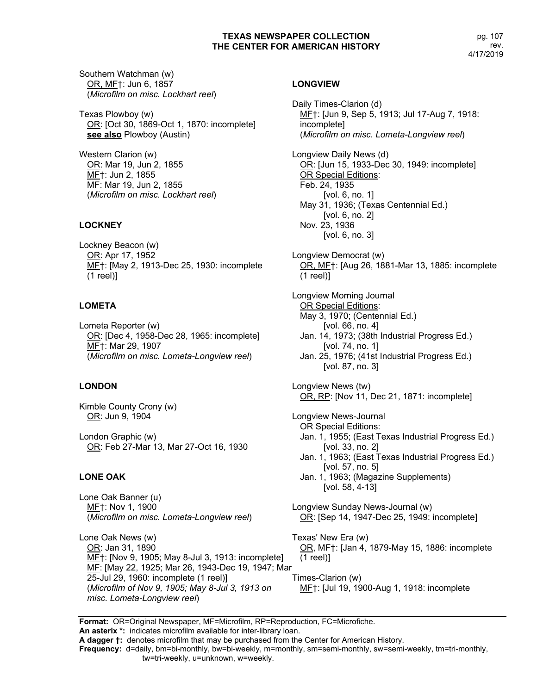Southern Watchman (w) OR, MF†: Jun 6, 1857 (*Microfilm on misc. Lockhart reel*)

Texas Plowboy (w) OR: [Oct 30, 1869-Oct 1, 1870: incomplete] **see also** Plowboy (Austin)

Western Clarion (w) OR: Mar 19, Jun 2, 1855 ME<sub>T</sub>: Jun 2, 1855 MF: Mar 19, Jun 2, 1855 (*Microfilm on misc. Lockhart reel*)

# **LOCKNEY**

Lockney Beacon (w) OR: Apr 17, 1952 MF†: [May 2, 1913-Dec 25, 1930: incomplete (1 reel)]

# **LOMETA**

Lometa Reporter (w) OR: [Dec 4, 1958-Dec 28, 1965: incomplete] MF†: Mar 29, 1907 (*Microfilm on misc. Lometa-Longview reel*)

# **LONDON**

Kimble County Crony (w) OR: Jun 9, 1904

London Graphic (w) OR: Feb 27-Mar 13, Mar 27-Oct 16, 1930

# **LONE OAK**

Lone Oak Banner (u) MF†: Nov 1, 1900 (*Microfilm on misc. Lometa-Longview reel*)

Lone Oak News (w) OR: Jan 31, 1890 MF†: [Nov 9, 1905; May 8-Jul 3, 1913: incomplete] MF: [May 22, 1925; Mar 26, 1943-Dec 19, 1947; Mar 25-Jul 29, 1960: incomplete (1 reel)] (*Microfilm of Nov 9, 1905; May 8-Jul 3, 1913 on misc. Lometa-Longview reel*)

# **LONGVIEW**

Daily Times-Clarion (d) MF†: [Jun 9, Sep 5, 1913; Jul 17-Aug 7, 1918: incomplete] (*Microfilm on misc. Lometa-Longview reel*) Longview Daily News (d) OR: [Jun 15, 1933-Dec 30, 1949: incomplete] OR Special Editions: Feb. 24, 1935 [vol. 6, no. 1] May 31, 1936; (Texas Centennial Ed.) [vol. 6, no. 2] Nov. 23, 1936 [vol. 6, no. 3] Longview Democrat (w) OR, MF†: [Aug 26, 1881-Mar 13, 1885: incomplete (1 reel)] Longview Morning Journal **OR Special Editions:** May 3, 1970; (Centennial Ed.) [vol. 66, no. 4] Jan. 14, 1973; (38th Industrial Progress Ed.) [vol. 74, no. 1] Jan. 25, 1976; (41st Industrial Progress Ed.) [vol. 87, no. 3] Longview News (tw) OR, RP: [Nov 11, Dec 21, 1871: incomplete] Longview News-Journal OR Special Editions: Jan. 1, 1955; (East Texas Industrial Progress Ed.) [vol. 33, no. 2] Jan. 1, 1963; (East Texas Industrial Progress Ed.) [vol. 57, no. 5] Jan. 1, 1963; (Magazine Supplements) [vol. 58, 4-13] Longview Sunday News-Journal (w) OR: [Sep 14, 1947-Dec 25, 1949: incomplete] Texas' New Era (w) OR, MF†: [Jan 4, 1879-May 15, 1886: incomplete (1 reel)] Times-Clarion (w) MF†: [Jul 19, 1900-Aug 1, 1918: incomplete

**Format:** OR=Original Newspaper, MF=Microfilm, RP=Reproduction, FC=Microfiche. **An asterix \*:** indicates microfilm available for inter-library loan. **A dagger †:** denotes microfilm that may be purchased from the Center for American History. **Frequency:** d=daily, bm=bi-monthly, bw=bi-weekly, m=monthly, sm=semi-monthly, sw=semi-weekly, tm=tri-monthly, tw=tri-weekly, u=unknown, w=weekly.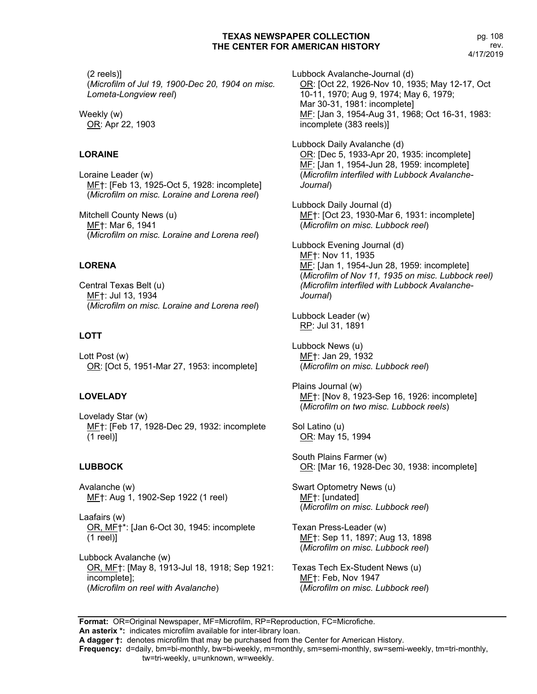(2 reels)] (*Microfilm of Jul 19, 1900-Dec 20, 1904 on misc. Lometa-Longview reel*)

Weekly (w) OR: Apr 22, 1903

# **LORAINE**

Loraine Leader (w) MF†: [Feb 13, 1925-Oct 5, 1928: incomplete] (*Microfilm on misc. Loraine and Lorena reel*)

Mitchell County News (u) MF†: Mar 6, 1941 (*Microfilm on misc. Loraine and Lorena reel*)

# **LORENA**

Central Texas Belt (u) MF†: Jul 13, 1934 (*Microfilm on misc. Loraine and Lorena reel*)

# **LOTT**

Lott Post (w) OR: [Oct 5, 1951-Mar 27, 1953: incomplete]

# **LOVELADY**

Lovelady Star (w) MF†: [Feb 17, 1928-Dec 29, 1932: incomplete (1 reel)]

# **LUBBOCK**

Avalanche (w) MF†: Aug 1, 1902-Sep 1922 (1 reel)

Laafairs (w) OR, MF†\*: [Jan 6-Oct 30, 1945: incomplete (1 reel)]

Lubbock Avalanche (w) OR, MF†: [May 8, 1913-Jul 18, 1918; Sep 1921: incomplete]; (*Microfilm on reel with Avalanche*)

Lubbock Avalanche-Journal (d) OR: [Oct 22, 1926-Nov 10, 1935; May 12-17, Oct 10-11, 1970; Aug 9, 1974; May 6, 1979; Mar 30-31, 1981: incomplete] MF: [Jan 3, 1954-Aug 31, 1968; Oct 16-31, 1983: incomplete (383 reels)]

Lubbock Daily Avalanche (d) OR: [Dec 5, 1933-Apr 20, 1935: incomplete] MF: [Jan 1, 1954-Jun 28, 1959: incomplete] (*Microfilm interfiled with Lubbock Avalanche-Journal*)

Lubbock Daily Journal (d) MF†: [Oct 23, 1930-Mar 6, 1931: incomplete] (*Microfilm on misc. Lubbock reel*)

Lubbock Evening Journal (d) MF†: Nov 11, 1935 MF: [Jan 1, 1954-Jun 28, 1959: incomplete] (*Microfilm of Nov 11, 1935 on misc. Lubbock reel) (Microfilm interfiled with Lubbock Avalanche-Journal*)

Lubbock Leader (w) RP: Jul 31, 1891

Lubbock News (u) MF†: Jan 29, 1932 (*Microfilm on misc. Lubbock reel*)

Plains Journal (w) MF†: [Nov 8, 1923-Sep 16, 1926: incomplete] (*Microfilm on two misc. Lubbock reels*)

Sol Latino (u) OR: May 15, 1994

South Plains Farmer (w) OR: [Mar 16, 1928-Dec 30, 1938: incomplete]

Swart Optometry News (u) MF†: [undated] (*Microfilm on misc. Lubbock reel*)

Texan Press-Leader (w) MF†: Sep 11, 1897; Aug 13, 1898 (*Microfilm on misc. Lubbock reel*)

Texas Tech Ex-Student News (u) MF†: Feb, Nov 1947 (*Microfilm on misc. Lubbock reel*)

**Format:** OR=Original Newspaper, MF=Microfilm, RP=Reproduction, FC=Microfiche.

**An asterix \*:** indicates microfilm available for inter-library loan.

**A dagger †:** denotes microfilm that may be purchased from the Center for American History.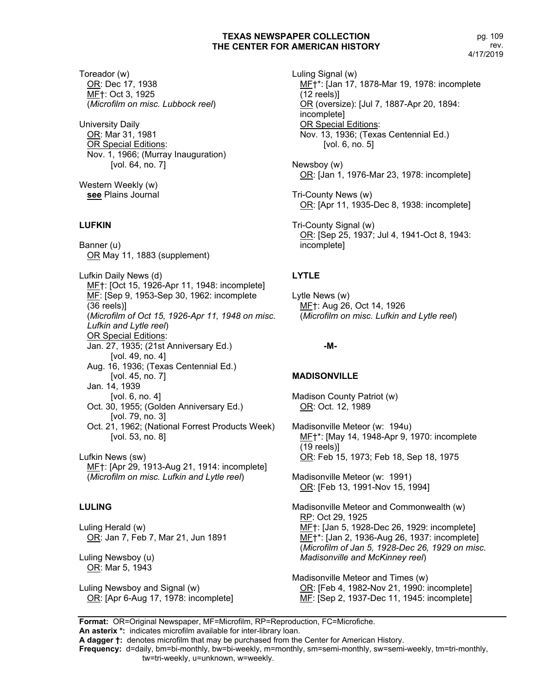Toreador (w) OR: Dec 17, 1938 MF†: Oct 3, 1925 (*Microfilm on misc. Lubbock reel*)

University Daily OR: Mar 31, 1981 **OR Special Editions:** Nov. 1, 1966; (Murray Inauguration) [vol. 64, no. 7]

Western Weekly (w) **see** Plains Journal

# **LUFKIN**

Banner (u) OR May 11, 1883 (supplement)

Lufkin Daily News (d) MF†: [Oct 15, 1926-Apr 11, 1948: incomplete] MF: [Sep 9, 1953-Sep 30, 1962: incomplete (36 reels)] (*Microfilm of Oct 15, 1926-Apr 11, 1948 on misc. Lufkin and Lytle reel*) **OR Special Editions:** Jan. 27, 1935; (21st Anniversary Ed.) [vol. 49, no. 4] Aug. 16, 1936; (Texas Centennial Ed.) [vol. 45, no. 7] Jan. 14, 1939 [vol. 6, no. 4] Oct. 30, 1955; (Golden Anniversary Ed.) [vol. 79, no. 3] Oct. 21, 1962; (National Forrest Products Week) [vol. 53, no. 8]

Lufkin News (sw) MF†: [Apr 29, 1913-Aug 21, 1914: incomplete] (*Microfilm on misc. Lufkin and Lytle reel*)

### **LULING**

Luling Herald (w) OR: Jan 7, Feb 7, Mar 21, Jun 1891

Luling Newsboy (u) OR: Mar 5, 1943

Luling Newsboy and Signal (w) OR: [Apr 6-Aug 17, 1978: incomplete] Luling Signal (w) MF†\*: [Jan 17, 1878-Mar 19, 1978: incomplete (12 reels)] OR (oversize): [Jul 7, 1887-Apr 20, 1894: incomplete] OR Special Editions: Nov. 13, 1936; (Texas Centennial Ed.) [vol. 6, no. 5]

Newsboy (w) OR: [Jan 1, 1976-Mar 23, 1978: incomplete]

Tri-County News (w) OR: [Apr 11, 1935-Dec 8, 1938: incomplete]

Tri-County Signal (w) OR: [Sep 25, 1937; Jul 4, 1941-Oct 8, 1943: incomplete]

# **LYTLE**

Lytle News (w) MF†: Aug 26, Oct 14, 1926 (*Microfilm on misc. Lufkin and Lytle reel*)

#### **-M-**

### **MADISONVILLE**

Madison County Patriot (w) OR: Oct. 12, 1989

Madisonville Meteor (w: 194u) MF†\*: [May 14, 1948-Apr 9, 1970: incomplete (19 reels)] OR: Feb 15, 1973; Feb 18, Sep 18, 1975

Madisonville Meteor (w: 1991) OR: [Feb 13, 1991-Nov 15, 1994]

Madisonville Meteor and Commonwealth (w) RP: Oct 29, 1925 MF†: [Jan 5, 1928-Dec 26, 1929: incomplete] MF†\*: [Jan 2, 1936-Aug 26, 1937: incomplete] (*Microfilm of Jan 5, 1928-Dec 26, 1929 on misc. Madisonville and McKinney reel*)

Madisonville Meteor and Times (w) OR: [Feb 4, 1982-Nov 21, 1990: incomplete] MF: [Sep 2, 1937-Dec 11, 1945: incomplete]

**Format:** OR=Original Newspaper, MF=Microfilm, RP=Reproduction, FC=Microfiche.

**An asterix \*:** indicates microfilm available for inter-library loan.

**A dagger †:** denotes microfilm that may be purchased from the Center for American History.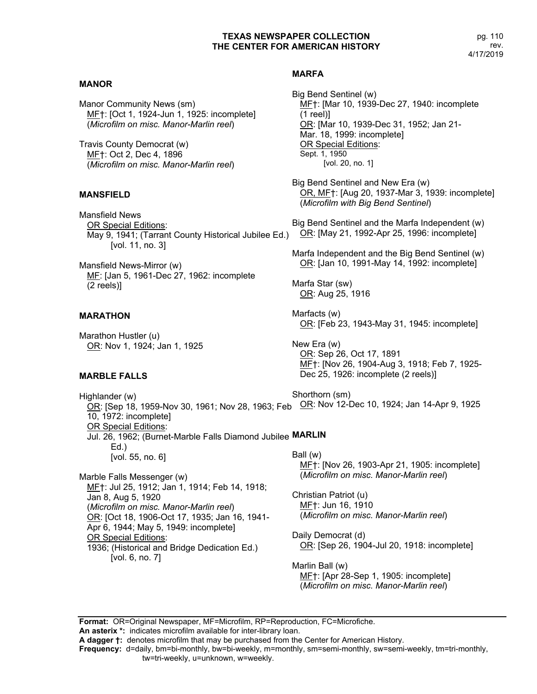# **MANOR**

Manor Community News (sm) MF†: [Oct 1, 1924-Jun 1, 1925: incomplete] (*Microfilm on misc. Manor-Marlin reel*)

Travis County Democrat (w) MF†: Oct 2, Dec 4, 1896 (*Microfilm on misc. Manor-Marlin reel*)

# **MANSFIELD**

Mansfield News OR Special Editions: May 9, 1941; (Tarrant County Historical Jubilee Ed.) [vol. 11, no. 3]

Mansfield News-Mirror (w) MF: [Jan 5, 1961-Dec 27, 1962: incomplete (2 reels)]

# **MARATHON**

Marathon Hustler (u) OR: Nov 1, 1924; Jan 1, 1925

# **MARBLE FALLS**

# **MARFA**

Big Bend Sentinel (w) MF†: [Mar 10, 1939-Dec 27, 1940: incomplete (1 reel)] OR: [Mar 10, 1939-Dec 31, 1952; Jan 21- Mar. 18, 1999: incomplete] OR Special Editions: Sept. 1, 1950 [vol. 20, no. 1]

Big Bend Sentinel and New Era (w) OR, MF†: [Aug 20, 1937-Mar 3, 1939: incomplete] (*Microfilm with Big Bend Sentinel*)

Big Bend Sentinel and the Marfa Independent (w) OR: [May 21, 1992-Apr 25, 1996: incomplete]

Marfa Independent and the Big Bend Sentinel (w) OR: [Jan 10, 1991-May 14, 1992: incomplete]

Marfa Star (sw) OR: Aug 25, 1916

Marfacts (w) OR: [Feb 23, 1943-May 31, 1945: incomplete]

New Era (w) OR: Sep 26, Oct 17, 1891 MF†: [Nov 26, 1904-Aug 3, 1918; Feb 7, 1925- Dec 25, 1926: incomplete (2 reels)]

Highlander (w) <u>ŎR</u>: [Sep 18, 1959-Nov 30, 1961; Nov 28, 1963; Feb  <u>OR</u>: Nov 12-Dec 10, 1924; Jan 14-Apr 9, 1925 10, 1972: incomplete] OR Special Editions: Jul. 26, 1962; (Burnet-Marble Falls Diamond Jubilee **MARLIN** Ed.) [vol. 55, no. 6] Shorthorn (sm) Ball (w) MF†: [Nov 26, 1903-Apr 21, 1905: incomplete] (*Microfilm on misc. Manor-Marlin reel*)

Marble Falls Messenger (w) MF†: Jul 25, 1912; Jan 1, 1914; Feb 14, 1918; Jan 8, Aug 5, 1920 (*Microfilm on misc. Manor-Marlin reel*) OR: [Oct 18, 1906-Oct 17, 1935; Jan 16, 1941- Apr 6, 1944; May 5, 1949: incomplete] OR Special Editions: 1936; (Historical and Bridge Dedication Ed.) [vol. 6, no. 7]

Christian Patriot (u) MF†: Jun 16, 1910

(*Microfilm on misc. Manor-Marlin reel*)

Daily Democrat (d) OR: [Sep 26, 1904-Jul 20, 1918: incomplete]

Marlin Ball (w) MF†: [Apr 28-Sep 1, 1905: incomplete] (*Microfilm on misc. Manor-Marlin reel*)

**Format:** OR=Original Newspaper, MF=Microfilm, RP=Reproduction, FC=Microfiche. **An asterix \*:** indicates microfilm available for inter-library loan.

**A dagger †:** denotes microfilm that may be purchased from the Center for American History.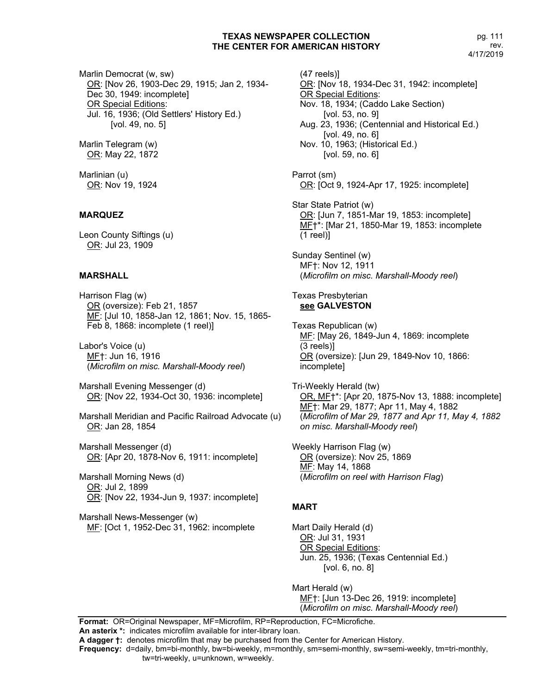Marlin Democrat (w, sw) OR: [Nov 26, 1903-Dec 29, 1915; Jan 2, 1934- Dec 30, 1949: incomplete] OR Special Editions: Jul. 16, 1936; (Old Settlers' History Ed.) [vol. 49, no. 5]

Marlin Telegram (w) OR: May 22, 1872

Marlinian (u) OR: Nov 19, 1924

# **MARQUEZ**

Leon County Siftings (u) OR: Jul 23, 1909

### **MARSHALL**

Harrison Flag (w) OR (oversize): Feb 21, 1857 MF: [Jul 10, 1858-Jan 12, 1861; Nov. 15, 1865- Feb 8, 1868: incomplete (1 reel)]

Labor's Voice (u) MF†: Jun 16, 1916 (*Microfilm on misc. Marshall-Moody reel*)

Marshall Evening Messenger (d) OR: [Nov 22, 1934-Oct 30, 1936: incomplete]

Marshall Meridian and Pacific Railroad Advocate (u) OR: Jan 28, 1854

Marshall Messenger (d) OR: [Apr 20, 1878-Nov 6, 1911: incomplete]

Marshall Morning News (d) OR: Jul 2, 1899 OR: [Nov 22, 1934-Jun 9, 1937: incomplete]

Marshall News-Messenger (w) MF: [Oct 1, 1952-Dec 31, 1962: incomplete

(47 reels)] OR: [Nov 18, 1934-Dec 31, 1942: incomplete] OR Special Editions: Nov. 18, 1934; (Caddo Lake Section) [vol. 53, no. 9] Aug. 23, 1936; (Centennial and Historical Ed.) [vol. 49, no. 6] Nov. 10, 1963; (Historical Ed.) [vol. 59, no. 6] Parrot (sm) OR: [Oct 9, 1924-Apr 17, 1925: incomplete] Star State Patriot (w) OR: [Jun 7, 1851-Mar 19, 1853: incomplete] MF†\*: [Mar 21, 1850-Mar 19, 1853: incomplete (1 reel)] Sunday Sentinel (w) MF†: Nov 12, 1911 (*Microfilm on misc. Marshall-Moody reel*) Texas Presbyterian **see GALVESTON** Texas Republican (w) MF: [May 26, 1849-Jun 4, 1869: incomplete (3 reels)] OR (oversize): [Jun 29, 1849-Nov 10, 1866: incomplete] Tri-Weekly Herald (tw) OR, MF†\*: [Apr 20, 1875-Nov 13, 1888: incomplete] MF†: Mar 29, 1877; Apr 11, May 4, 1882 (*Microfilm of Mar 29, 1877 and Apr 11, May 4, 1882 on misc. Marshall-Moody reel*)

Weekly Harrison Flag (w) OR (oversize): Nov 25, 1869 MF: May 14, 1868 (*Microfilm on reel with Harrison Flag*)

# **MART**

Mart Daily Herald (d) OR: Jul 31, 1931 OR Special Editions: Jun. 25, 1936; (Texas Centennial Ed.) [vol. 6, no. 8]

Mart Herald (w) MF†: [Jun 13-Dec 26, 1919: incomplete] (*Microfilm on misc. Marshall-Moody reel*)

**Format:** OR=Original Newspaper, MF=Microfilm, RP=Reproduction, FC=Microfiche. **An asterix \*:** indicates microfilm available for inter-library loan.

**A dagger †:** denotes microfilm that may be purchased from the Center for American History.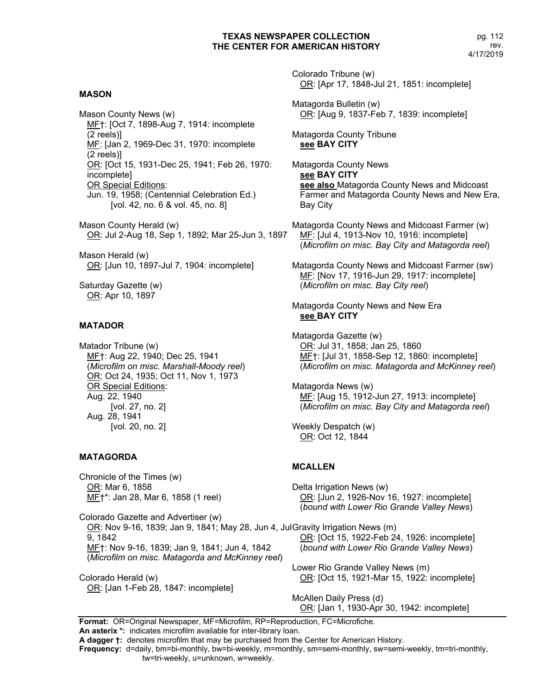# **MASON**

Mason County News (w) MF†: [Oct 7, 1898-Aug 7, 1914: incomplete (2 reels)] MF: [Jan 2, 1969-Dec 31, 1970: incomplete (2 reels)] OR: [Oct 15, 1931-Dec 25, 1941; Feb 26, 1970: incomplete] OR Special Editions: Jun. 19, 1958; (Centennial Celebration Ed.) [vol. 42, no. 6 & vol. 45, no. 8]

Mason County Herald (w) OR: Jul 2-Aug 18, Sep 1, 1892; Mar 25-Jun 3, 1897

Mason Herald (w) OR: [Jun 10, 1897-Jul 7, 1904: incomplete]

Saturday Gazette (w) OR: Apr 10, 1897

# **MATADOR**

Matador Tribune (w) MF†: Aug 22, 1940; Dec 25, 1941 (*Microfilm on misc. Marshall-Moody reel*) OR: Oct 24, 1935; Oct 11, Nov 1, 1973 OR Special Editions: Aug. 22, 1940 [vol. 27, no. 2] Aug. 28, 1941 [vol. 20, no. 2]

### **MATAGORDA**

Chronicle of the Times (w) OR: Mar 6, 1858 MF†\*: Jan 28, Mar 6, 1858 (1 reel)

Colorado Gazette and Advertiser (w) OR: Nov 9-16, 1839; Jan 9, 1841; May 28, Jun 4, JulGravity Irrigation News (m) 9, 1842 MF†: Nov 9-16, 1839; Jan 9, 1841; Jun 4, 1842 (*Microfilm on misc. Matagorda and McKinney reel*)

Colorado Herald (w) OR: [Jan 1-Feb 28, 1847: incomplete] Colorado Tribune (w) OR: [Apr 17, 1848-Jul 21, 1851: incomplete]

Matagorda Bulletin (w) OR: [Aug 9, 1837-Feb 7, 1839: incomplete]

Matagorda County Tribune **see BAY CITY**

Matagorda County News **see BAY CITY see also** Matagorda County News and Midcoast Farmer and Matagorda County News and New Era, Bay City

Matagorda County News and Midcoast Farmer (w) MF: [Jul 4, 1913-Nov 10, 1916: incomplete] (*Microfilm on misc. Bay City and Matagorda reel*)

Matagorda County News and Midcoast Farmer (sw) MF: [Nov 17, 1916-Jun 29, 1917: incomplete] (*Microfilm on misc. Bay City reel*)

Matagorda County News and New Era **see BAY CITY**

Matagorda Gazette (w) OR: Jul 31, 1858; Jan 25, 1860 MF†: [Jul 31, 1858-Sep 12, 1860: incomplete] (*Microfilm on misc. Matagorda and McKinney reel*)

Matagorda News (w) MF: [Aug 15, 1912-Jun 27, 1913: incomplete] (*Microfilm on misc. Bay City and Matagorda reel*)

Weekly Despatch (w) OR: Oct 12, 1844

# **MCALLEN**

Delta Irrigation News (w) OR: [Jun 2, 1926-Nov 16, 1927: incomplete] (*bound with Lower Rio Grande Valley News*)

OR: [Oct 15, 1922-Feb 24, 1926: incomplete] (*bound with Lower Rio Grande Valley News*)

Lower Rio Grande Valley News (m) OR: [Oct 15, 1921-Mar 15, 1922: incomplete]

McAllen Daily Press (d) OR: [Jan 1, 1930-Apr 30, 1942: incomplete]

**Format:** OR=Original Newspaper, MF=Microfilm, RP=Reproduction, FC=Microfiche. **An asterix \*:** indicates microfilm available for inter-library loan.

**A dagger †:** denotes microfilm that may be purchased from the Center for American History.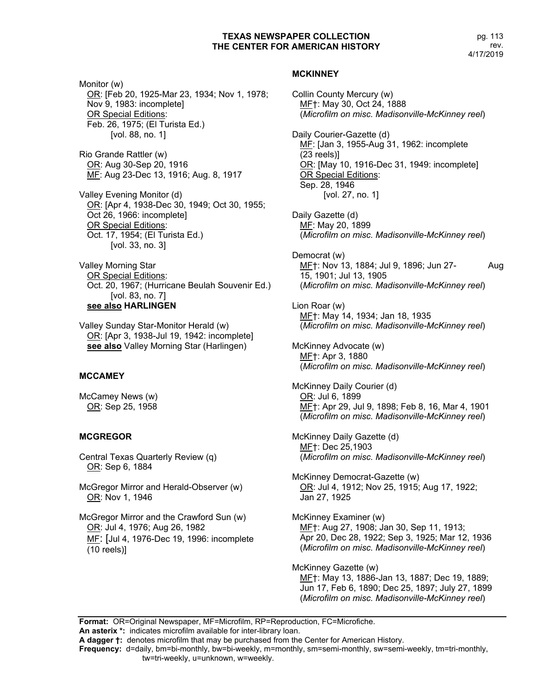Monitor (w) OR: [Feb 20, 1925-Mar 23, 1934; Nov 1, 1978; Nov 9, 1983: incomplete] OR Special Editions: Feb. 26, 1975; (El Turista Ed.) [vol. 88, no. 1]

Rio Grande Rattler (w) OR: Aug 30-Sep 20, 1916 MF: Aug 23-Dec 13, 1916; Aug. 8, 1917

Valley Evening Monitor (d) OR: [Apr 4, 1938-Dec 30, 1949; Oct 30, 1955; Oct 26, 1966: incomplete] OR Special Editions: Oct. 17, 1954; (El Turista Ed.) [vol. 33, no. 3]

Valley Morning Star OR Special Editions: Oct. 20, 1967; (Hurricane Beulah Souvenir Ed.) [vol. 83, no. 7] **see also HARLINGEN**

Valley Sunday Star-Monitor Herald (w) OR: [Apr 3, 1938-Jul 19, 1942: incomplete] **see also** Valley Morning Star (Harlingen)

### **MCCAMEY**

McCamey News (w) OR: Sep 25, 1958

# **MCGREGOR**

Central Texas Quarterly Review (q) OR: Sep 6, 1884

McGregor Mirror and Herald-Observer (w) OR: Nov 1, 1946

McGregor Mirror and the Crawford Sun (w) OR: Jul 4, 1976; Aug 26, 1982 MF: [Jul 4, 1976-Dec 19, 1996: incomplete (10 reels)]

# **MCKINNEY**

Collin County Mercury (w) MF†: May 30, Oct 24, 1888 (*Microfilm on misc. Madisonville-McKinney reel*) Daily Courier-Gazette (d) MF: [Jan 3, 1955-Aug 31, 1962: incomplete (23 reels)] OR: [May 10, 1916-Dec 31, 1949: incomplete] OR Special Editions: Sep. 28, 1946 [vol. 27, no. 1] Daily Gazette (d) MF: May 20, 1899 (*Microfilm on misc. Madisonville-McKinney reel*) Democrat (w) MF†: Nov 13, 1884; Jul 9, 1896; Jun 27- Aug 15, 1901; Jul 13, 1905 (*Microfilm on misc. Madisonville-McKinney reel*) Lion Roar (w) MF†: May 14, 1934; Jan 18, 1935 (*Microfilm on misc. Madisonville-McKinney reel*) McKinney Advocate (w) MF†: Apr 3, 1880 (*Microfilm on misc. Madisonville-McKinney reel*) McKinney Daily Courier (d) OR: Jul 6, 1899 MF†: Apr 29, Jul 9, 1898; Feb 8, 16, Mar 4, 1901 (*Microfilm on misc. Madisonville-McKinney reel*) McKinney Daily Gazette (d) MF†: Dec 25,1903 (*Microfilm on misc. Madisonville-McKinney reel*) McKinney Democrat-Gazette (w) OR: Jul 4, 1912; Nov 25, 1915; Aug 17, 1922; Jan 27, 1925 McKinney Examiner (w) MF†: Aug 27, 1908; Jan 30, Sep 11, 1913; Apr 20, Dec 28, 1922; Sep 3, 1925; Mar 12, 1936 (*Microfilm on misc. Madisonville-McKinney reel*) McKinney Gazette (w) MF†: May 13, 1886-Jan 13, 1887; Dec 19, 1889; Jun 17, Feb 6, 1890; Dec 25, 1897; July 27, 1899 (*Microfilm on misc. Madisonville-McKinney reel*)

**Format:** OR=Original Newspaper, MF=Microfilm, RP=Reproduction, FC=Microfiche. **An asterix \*:** indicates microfilm available for inter-library loan.

**A dagger †:** denotes microfilm that may be purchased from the Center for American History.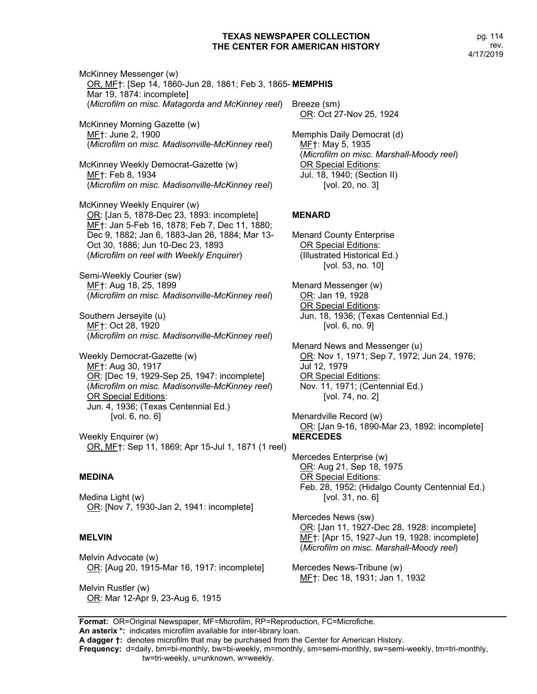pg. 114 rev. 4/17/2019

McKinney Messenger (w) OR, MF†: [Sep 14, 1860-Jun 28, 1861; Feb 3, 1865- **MEMPHIS** Mar 19, 1874: incomplete] (*Microfilm on misc. Matagorda and McKinney reel*) Breeze (sm)

McKinney Morning Gazette (w) MF†: June 2, 1900 (*Microfilm on misc. Madisonville-McKinney reel*)

McKinney Weekly Democrat-Gazette (w) MF†: Feb 8, 1934 (*Microfilm on misc. Madisonville-McKinney reel*)

McKinney Weekly Enquirer (w) OR: [Jan 5, 1878-Dec 23, 1893: incomplete] MF†: Jan 5-Feb 16, 1878; Feb 7, Dec 11, 1880; Dec 9, 1882; Jan 6, 1883-Jan 26, 1884; Mar 13- Oct 30, 1886; Jun 10-Dec 23, 1893 (*Microfilm on reel with Weekly Enquirer*)

Semi-Weekly Courier (sw) MF†: Aug 18, 25, 1899 (*Microfilm on misc. Madisonville-McKinney reel*)

Southern Jerseyite (u) MF†: Oct 28, 1920 (*Microfilm on misc. Madisonville-McKinney reel*)

Weekly Democrat-Gazette (w) MF†: Aug 30, 1917 OR: [Dec 19, 1929-Sep 25, 1947: incomplete] (*Microfilm on misc. Madisonville-McKinney reel*) OR Special Editions: Jun. 4, 1936; (Texas Centennial Ed.) [vol. 6, no. 6]

Weekly Enquirer (w) OR, MF†: Sep 11, 1869; Apr 15-Jul 1, 1871 (1 reel)

### **MEDINA**

Medina Light (w) OR: [Nov 7, 1930-Jan 2, 1941: incomplete]

### **MELVIN**

Melvin Advocate (w) OR: [Aug 20, 1915-Mar 16, 1917: incomplete]

Melvin Rustler (w) OR: Mar 12-Apr 9, 23-Aug 6, 1915 OR: Oct 27-Nov 25, 1924

Memphis Daily Democrat (d) ME†: May 5, 1935 (*Microfilm on misc. Marshall-Moody reel*) OR Special Editions: Jul. 18, 1940; (Section II) [vol. 20, no. 3]

#### **MENARD**

Menard County Enterprise OR Special Editions: (Illustrated Historical Ed.) [vol. 53, no. 10]

Menard Messenger (w) OR: Jan 19, 1928 OR Special Editions: Jun. 18, 1936; (Texas Centennial Ed.) [vol. 6, no. 9]

Menard News and Messenger (u) OR: Nov 1, 1971; Sep 7, 1972; Jun 24, 1976; Jul 12, 1979 OR Special Editions: Nov. 11, 1971; (Centennial Ed.) [vol. 74, no. 2]

Menardville Record (w) OR: [Jan 9-16, 1890-Mar 23, 1892: incomplete] **MERCEDES**

Mercedes Enterprise (w) OR: Aug 21, Sep 18, 1975 OR Special Editions: Feb. 28, 1952; (Hidalgo County Centennial Ed.) [vol. 31, no. 6]

Mercedes News (sw) OR: [Jan 11, 1927-Dec 28, 1928: incomplete] MF†: [Apr 15, 1927-Jun 19, 1928: incomplete] (*Microfilm on misc. Marshall-Moody reel*)

Mercedes News-Tribune (w) MF†: Dec 18, 1931; Jan 1, 1932

**Format:** OR=Original Newspaper, MF=Microfilm, RP=Reproduction, FC=Microfiche. **An asterix \*:** indicates microfilm available for inter-library loan.

**A dagger †:** denotes microfilm that may be purchased from the Center for American History.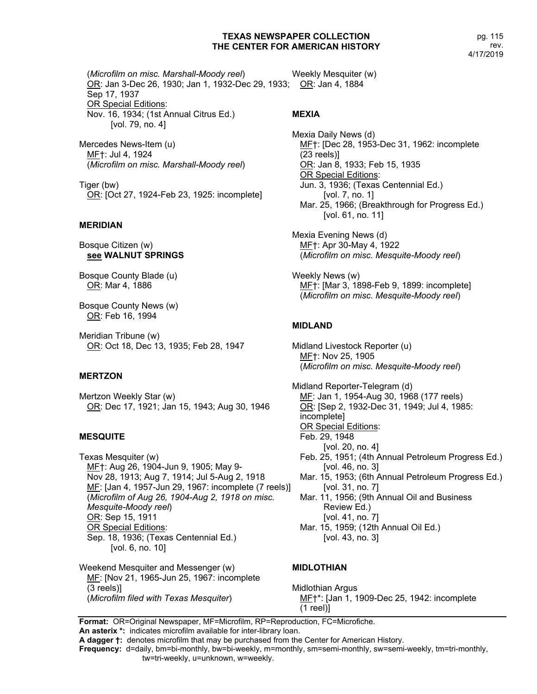pg. 115 rev. 4/17/2019

(*Microfilm on misc. Marshall-Moody reel*) OR: Jan 3-Dec 26, 1930; Jan 1, 1932-Dec 29, 1933; OR: Jan 4, 1884 Sep 17, 1937 OR Special Editions: Nov. 16, 1934; (1st Annual Citrus Ed.) [vol. 79, no. 4] **MEXIA**

Mercedes News-Item (u) MF†: Jul 4, 1924 (*Microfilm on misc. Marshall-Moody reel*)

Tiger (bw) OR: [Oct 27, 1924-Feb 23, 1925: incomplete]

### **MERIDIAN**

Bosque Citizen (w) **see WALNUT SPRINGS**

Bosque County Blade (u) OR: Mar 4, 1886

Bosque County News (w) OR: Feb 16, 1994

Meridian Tribune (w) OR: Oct 18, Dec 13, 1935; Feb 28, 1947

### **MERTZON**

Mertzon Weekly Star (w) OR: Dec 17, 1921; Jan 15, 1943; Aug 30, 1946

#### **MESQUITE**

Texas Mesquiter (w) MF†: Aug 26, 1904-Jun 9, 1905; May 9- Nov 28, 1913; Aug 7, 1914; Jul 5-Aug 2, 1918 ME: [Jan 4, 1957-Jun 29, 1967: incomplete (7 reels)] (*Microfilm of Aug 26, 1904-Aug 2, 1918 on misc. Mesquite-Moody reel*) OR: Sep 15, 1911 OR Special Editions: Sep. 18, 1936; (Texas Centennial Ed.) [vol. 6, no. 10]

Weekend Mesquiter and Messenger (w) MF: [Nov 21, 1965-Jun 25, 1967: incomplete (3 reels)] (*Microfilm filed with Texas Mesquiter*)

Weekly Mesquiter (w)

Mexia Daily News (d) MF†: [Dec 28, 1953-Dec 31, 1962: incomplete (23 reels)] OR: Jan 8, 1933; Feb 15, 1935 OR Special Editions: Jun. 3, 1936; (Texas Centennial Ed.) [vol. 7, no. 1] Mar. 25, 1966; (Breakthrough for Progress Ed.) [vol. 61, no. 11]

Mexia Evening News (d) MF†: Apr 30-May 4, 1922 (*Microfilm on misc. Mesquite-Moody reel*)

Weekly News (w) MF†: [Mar 3, 1898-Feb 9, 1899: incomplete] (*Microfilm on misc. Mesquite-Moody reel*)

#### **MIDLAND**

Midland Livestock Reporter (u) MF†: Nov 25, 1905 (*Microfilm on misc. Mesquite-Moody reel*)

Midland Reporter-Telegram (d) MF: Jan 1, 1954-Aug 30, 1968 (177 reels) OR: [Sep 2, 1932-Dec 31, 1949; Jul 4, 1985: incomplete] OR Special Editions: Feb. 29, 1948 [vol. 20, no. 4] Feb. 25, 1951; (4th Annual Petroleum Progress Ed.) [vol. 46, no. 3] Mar. 15, 1953; (6th Annual Petroleum Progress Ed.) [vol. 31, no. 7] Mar. 11, 1956; (9th Annual Oil and Business Review Ed.) [vol. 41, no. 7] Mar. 15, 1959; (12th Annual Oil Ed.) [vol. 43, no. 3]

### **MIDLOTHIAN**

Midlothian Argus MF†\*: [Jan 1, 1909-Dec 25, 1942: incomplete (1 reel)]

**Format:** OR=Original Newspaper, MF=Microfilm, RP=Reproduction, FC=Microfiche.

**An asterix \*:** indicates microfilm available for inter-library loan.

**A dagger †:** denotes microfilm that may be purchased from the Center for American History.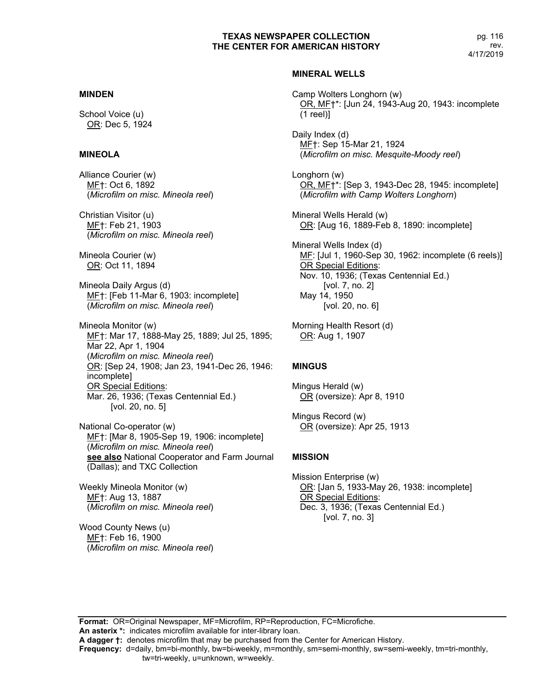pg. 116 rev. 4/17/2019

# **MINDEN**

School Voice (u) OR: Dec 5, 1924

# **MINEOLA**

Alliance Courier (w) MF†: Oct 6, 1892 (*Microfilm on misc. Mineola reel*)

Christian Visitor (u) MF†: Feb 21, 1903 (*Microfilm on misc. Mineola reel*)

Mineola Courier (w) OR: Oct 11, 1894

Mineola Daily Argus (d) MF†: [Feb 11-Mar 6, 1903: incomplete] (*Microfilm on misc. Mineola reel*)

Mineola Monitor (w) ME<sup>+</sup>: Mar 17, 1888-May 25, 1889; Jul 25, 1895; Mar 22, Apr 1, 1904 (*Microfilm on misc. Mineola reel*) OR: [Sep 24, 1908; Jan 23, 1941-Dec 26, 1946: incomplete] OR Special Editions: Mar. 26, 1936; (Texas Centennial Ed.) [vol. 20, no. 5]

National Co-operator (w) MF†: [Mar 8, 1905-Sep 19, 1906: incomplete] (*Microfilm on misc. Mineola reel*) **see also** National Cooperator and Farm Journal (Dallas); and TXC Collection

Weekly Mineola Monitor (w) MF†: Aug 13, 1887 (*Microfilm on misc. Mineola reel*)

Wood County News (u) MF†: Feb 16, 1900 (*Microfilm on misc. Mineola reel*)

#### **MINERAL WELLS**

Camp Wolters Longhorn (w) OR, MF†\*: [Jun 24, 1943-Aug 20, 1943: incomplete (1 reel)]

Daily Index (d) MF†: Sep 15-Mar 21, 1924 (*Microfilm on misc. Mesquite-Moody reel*)

Longhorn (w) OR, MF†\*: [Sep 3, 1943-Dec 28, 1945: incomplete] (*Microfilm with Camp Wolters Longhorn*)

Mineral Wells Herald (w) OR: [Aug 16, 1889-Feb 8, 1890: incomplete]

Mineral Wells Index (d) MF: [Jul 1, 1960-Sep 30, 1962: incomplete (6 reels)] OR Special Editions: Nov. 10, 1936; (Texas Centennial Ed.) [vol. 7, no. 2] May 14, 1950 [vol. 20, no. 6]

Morning Health Resort (d) OR: Aug 1, 1907

### **MINGUS**

Mingus Herald (w) OR (oversize): Apr 8, 1910

Mingus Record (w) OR (oversize): Apr 25, 1913

### **MISSION**

Mission Enterprise (w) OR: [Jan 5, 1933-May 26, 1938: incomplete] OR Special Editions: Dec. 3, 1936; (Texas Centennial Ed.) [vol. 7, no. 3]

**Format:** OR=Original Newspaper, MF=Microfilm, RP=Reproduction, FC=Microfiche. **An asterix \*:** indicates microfilm available for inter-library loan.

**A dagger †:** denotes microfilm that may be purchased from the Center for American History.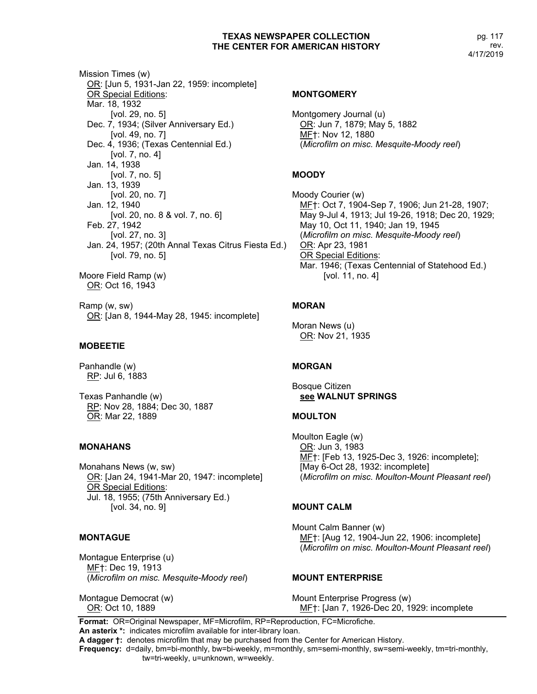Mission Times (w) OR: [Jun 5, 1931-Jan 22, 1959: incomplete] OR Special Editions: Mar. 18, 1932 [vol. 29, no. 5] Dec. 7, 1934; (Silver Anniversary Ed.) [vol. 49, no. 7] Dec. 4, 1936; (Texas Centennial Ed.) [vol. 7, no. 4] Jan. 14, 1938 [vol. 7, no. 5] Jan. 13, 1939 [vol. 20, no. 7] Jan. 12, 1940 [vol. 20, no. 8 & vol. 7, no. 6] Feb. 27, 1942 [vol. 27, no. 3] Jan. 24, 1957; (20th Annal Texas Citrus Fiesta Ed.) [vol. 79, no. 5] Moore Field Ramp (w) OR: Oct 16, 1943

Ramp (w, sw) OR: [Jan 8, 1944-May 28, 1945: incomplete]

#### **MOBEETIE**

Panhandle (w) RP: Jul 6, 1883

Texas Panhandle (w) RP: Nov 28, 1884; Dec 30, 1887 OR: Mar 22, 1889

#### **MONAHANS**

Monahans News (w, sw) OR: [Jan 24, 1941-Mar 20, 1947: incomplete] OR Special Editions: Jul. 18, 1955; (75th Anniversary Ed.) [vol. 34, no. 9]

### **MONTAGUE**

Montague Enterprise (u) MF†: Dec 19, 1913 (*Microfilm on misc. Mesquite-Moody reel*)

Montague Democrat (w) OR: Oct 10, 1889

#### **MONTGOMERY**

Montgomery Journal (u) OR: Jun 7, 1879; May 5, 1882 MF†: Nov 12, 1880 (*Microfilm on misc. Mesquite-Moody reel*)

# **MOODY**

Moody Courier (w) MF†: Oct 7, 1904-Sep 7, 1906; Jun 21-28, 1907; May 9-Jul 4, 1913; Jul 19-26, 1918; Dec 20, 1929; May 10, Oct 11, 1940; Jan 19, 1945 (*Microfilm on misc. Mesquite-Moody reel*) OR: Apr 23, 1981 OR Special Editions: Mar. 1946; (Texas Centennial of Statehood Ed.) [vol. 11, no. 4]

# **MORAN**

Moran News (u) OR: Nov 21, 1935

### **MORGAN**

Bosque Citizen **see WALNUT SPRINGS**

### **MOULTON**

Moulton Eagle (w) OR: Jun 3, 1983 ME†: [Feb 13, 1925-Dec 3, 1926: incomplete]; [May 6-Oct 28, 1932: incomplete] (*Microfilm on misc. Moulton-Mount Pleasant reel*)

### **MOUNT CALM**

Mount Calm Banner (w) MF†: [Aug 12, 1904-Jun 22, 1906: incomplete] (*Microfilm on misc. Moulton-Mount Pleasant reel*)

### **MOUNT ENTERPRISE**

Mount Enterprise Progress (w) MF†: [Jan 7, 1926-Dec 20, 1929: incomplete

**Format:** OR=Original Newspaper, MF=Microfilm, RP=Reproduction, FC=Microfiche. **An asterix \*:** indicates microfilm available for inter-library loan.

**A dagger †:** denotes microfilm that may be purchased from the Center for American History.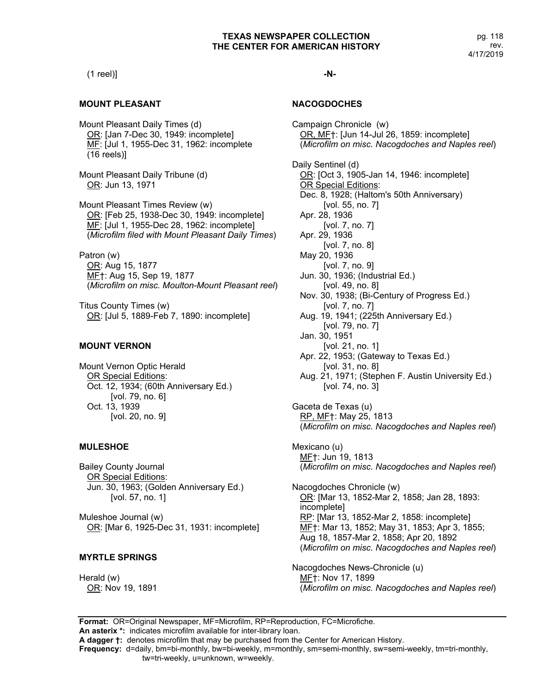### (1 reel)]

### **MOUNT PLEASANT**

Mount Pleasant Daily Times (d) OR: [Jan 7-Dec 30, 1949: incomplete] MF: [Jul 1, 1955-Dec 31, 1962: incomplete (16 reels)]

Mount Pleasant Daily Tribune (d) OR: Jun 13, 1971

Mount Pleasant Times Review (w) OR: [Feb 25, 1938-Dec 30, 1949: incomplete] MF: [Jul 1, 1955-Dec 28, 1962: incomplete] (*Microfilm filed with Mount Pleasant Daily Times*)

Patron (w) OR: Aug 15, 1877 MF†: Aug 15, Sep 19, 1877 (*Microfilm on misc. Moulton-Mount Pleasant reel*)

Titus County Times (w) OR: [Jul 5, 1889-Feb 7, 1890: incomplete]

# **MOUNT VERNON**

Mount Vernon Optic Herald OR Special Editions: Oct. 12, 1934; (60th Anniversary Ed.) [vol. 79, no. 6] Oct. 13, 1939 [vol. 20, no. 9]

### **MULESHOE**

Bailey County Journal OR Special Editions: Jun. 30, 1963; (Golden Anniversary Ed.) [vol. 57, no. 1]

Muleshoe Journal (w) OR: [Mar 6, 1925-Dec 31, 1931: incomplete]

# **MYRTLE SPRINGS**

Herald (w) OR: Nov 19, 1891

# **-N-**

# **NACOGDOCHES**

Campaign Chronicle (w) OR, MF†: [Jun 14-Jul 26, 1859: incomplete] (*Microfilm on misc. Nacogdoches and Naples reel*) Daily Sentinel (d) OR: [Oct 3, 1905-Jan 14, 1946: incomplete] OR Special Editions: Dec. 8, 1928; (Haltom's 50th Anniversary) [vol. 55, no. 7] Apr. 28, 1936 [vol. 7, no. 7] Apr. 29, 1936 [vol. 7, no. 8] May 20, 1936 [vol. 7, no. 9] Jun. 30, 1936; (Industrial Ed.) [vol. 49, no. 8] Nov. 30, 1938; (Bi-Century of Progress Ed.) [vol. 7, no. 7] Aug. 19, 1941; (225th Anniversary Ed.) [vol. 79, no. 7] Jan. 30, 1951 [vol. 21, no. 1] Apr. 22, 1953; (Gateway to Texas Ed.) [vol. 31, no. 8] Aug. 21, 1971; (Stephen F. Austin University Ed.) [vol. 74, no. 3] Gaceta de Texas (u) RP, MF†: May 25, 1813 (*Microfilm on misc. Nacogdoches and Naples reel*)

Mexicano (u) MF†: Jun 19, 1813 (*Microfilm on misc. Nacogdoches and Naples reel*)

Nacogdoches Chronicle (w) OR: [Mar 13, 1852-Mar 2, 1858; Jan 28, 1893: incomplete] RP: [Mar 13, 1852-Mar 2, 1858: incomplete] MF†: Mar 13, 1852; May 31, 1853; Apr 3, 1855; Aug 18, 1857-Mar 2, 1858; Apr 20, 1892 (*Microfilm on misc. Nacogdoches and Naples reel*)

Nacogdoches News-Chronicle (u) MF†: Nov 17, 1899 (*Microfilm on misc. Nacogdoches and Naples reel*)

**Format:** OR=Original Newspaper, MF=Microfilm, RP=Reproduction, FC=Microfiche. **An asterix \*:** indicates microfilm available for inter-library loan. **A dagger †:** denotes microfilm that may be purchased from the Center for American History.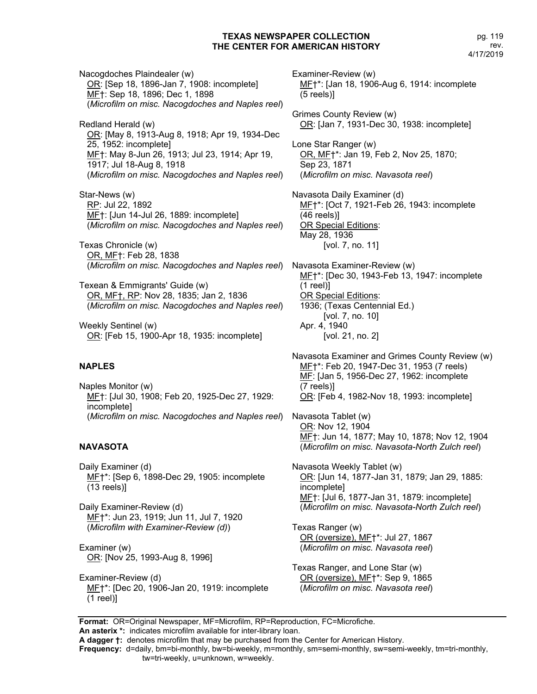Nacogdoches Plaindealer (w) OR: [Sep 18, 1896-Jan 7, 1908: incomplete] MF†: Sep 18, 1896; Dec 1, 1898 (*Microfilm on misc. Nacogdoches and Naples reel*)

Redland Herald (w) OR: [May 8, 1913-Aug 8, 1918; Apr 19, 1934-Dec 25, 1952: incomplete] MF†: May 8-Jun 26, 1913; Jul 23, 1914; Apr 19, 1917; Jul 18-Aug 8, 1918 (*Microfilm on misc. Nacogdoches and Naples reel*)

Star-News (w) RP: Jul 22, 1892 MF†: [Jun 14-Jul 26, 1889: incomplete] (*Microfilm on misc. Nacogdoches and Naples reel*)

Texas Chronicle (w) OR, MF†: Feb 28, 1838 (*Microfilm on misc. Nacogdoches and Naples reel*)

Texean & Emmigrants' Guide (w) OR, MF†, RP: Nov 28, 1835; Jan 2, 1836 (*Microfilm on misc. Nacogdoches and Naples reel*)

Weekly Sentinel (w) OR: [Feb 15, 1900-Apr 18, 1935: incomplete]

# **NAPLES**

Naples Monitor (w) MF†: [Jul 30, 1908; Feb 20, 1925-Dec 27, 1929: incomplete] (*Microfilm on misc. Nacogdoches and Naples reel*)

# **NAVASOTA**

Daily Examiner (d) MF†\*: [Sep 6, 1898-Dec 29, 1905: incomplete (13 reels)]

Daily Examiner-Review (d) MF†\*: Jun 23, 1919; Jun 11, Jul 7, 1920 (*Microfilm with Examiner-Review (d)*)

Examiner (w) OR: [Nov 25, 1993-Aug 8, 1996]

Examiner-Review (d) MF<sup>+</sup>: [Dec 20, 1906-Jan 20, 1919: incomplete (1 reel)]

Examiner-Review (w) MF†\*: [Jan 18, 1906-Aug 6, 1914: incomplete (5 reels)]

Grimes County Review (w) OR: [Jan 7, 1931-Dec 30, 1938: incomplete]

Lone Star Ranger (w) OR, MF†\*: Jan 19, Feb 2, Nov 25, 1870; Sep 23, 1871 (*Microfilm on misc. Navasota reel*)

Navasota Daily Examiner (d) MF†\*: [Oct 7, 1921-Feb 26, 1943: incomplete (46 reels)] OR Special Editions: May 28, 1936 [vol. 7, no. 11]

Navasota Examiner-Review (w) MF†\*: [Dec 30, 1943-Feb 13, 1947: incomplete (1 reel)] OR Special Editions: 1936; (Texas Centennial Ed.) [vol. 7, no. 10] Apr. 4, 1940 [vol. 21, no. 2]

Navasota Examiner and Grimes County Review (w) ME<sup>+\*</sup>: Feb 20, 1947-Dec 31, 1953 (7 reels) MF: [Jan 5, 1956-Dec 27, 1962: incomplete (7 reels)] OR: [Feb 4, 1982-Nov 18, 1993: incomplete]

Navasota Tablet (w) OR: Nov 12, 1904 MF†: Jun 14, 1877; May 10, 1878; Nov 12, 1904 (*Microfilm on misc. Navasota-North Zulch reel*)

Navasota Weekly Tablet (w) OR: [Jun 14, 1877-Jan 31, 1879; Jan 29, 1885: incomplete] MF†: [Jul 6, 1877-Jan 31, 1879: incomplete] (*Microfilm on misc. Navasota-North Zulch reel*)

Texas Ranger (w) OR (oversize), MF†\*: Jul 27, 1867 (*Microfilm on misc. Navasota reel*)

Texas Ranger, and Lone Star (w) OR (oversize), MF†\*: Sep 9, 1865 (*Microfilm on misc. Navasota reel*)

**Format:** OR=Original Newspaper, MF=Microfilm, RP=Reproduction, FC=Microfiche. **An asterix \*:** indicates microfilm available for inter-library loan.

**A dagger †:** denotes microfilm that may be purchased from the Center for American History.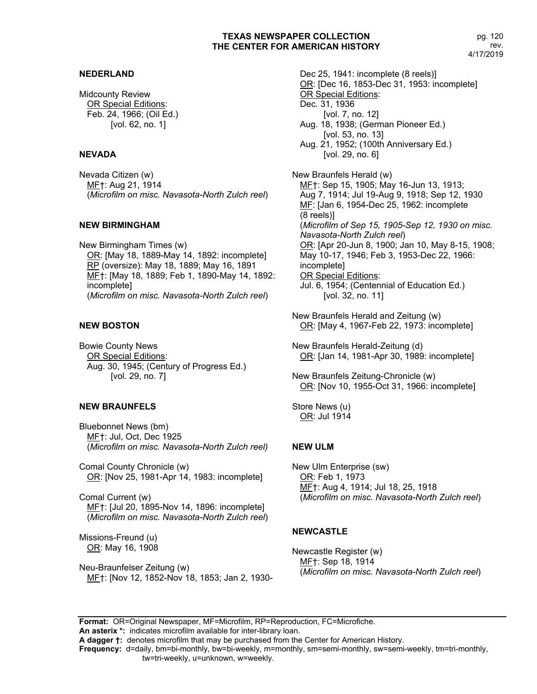### **NEDERLAND**

Midcounty Review OR Special Editions: Feb. 24, 1966; (Oil Ed.) [vol. 62, no. 1]

#### **NEVADA**

Nevada Citizen (w) MF†: Aug 21, 1914 (*Microfilm on misc. Navasota-North Zulch reel*)

#### **NEW BIRMINGHAM**

New Birmingham Times (w) OR: [May 18, 1889-May 14, 1892: incomplete] RP (oversize): May 18, 1889; May 16, 1891 MF†: [May 18, 1889; Feb 1, 1890-May 14, 1892: incomplete] (*Microfilm on misc. Navasota-North Zulch reel*)

#### **NEW BOSTON**

Bowie County News OR Special Editions: Aug. 30, 1945; (Century of Progress Ed.) [vol. 29, no. 7]

#### **NEW BRAUNFELS**

Bluebonnet News (bm) MF†: Jul, Oct, Dec 1925 (*Microfilm on misc. Navasota-North Zulch reel)*

Comal County Chronicle (w) OR: [Nov 25, 1981-Apr 14, 1983: incomplete]

Comal Current (w) MF†: [Jul 20, 1895-Nov 14, 1896: incomplete] (*Microfilm on misc. Navasota-North Zulch reel*)

Missions-Freund (u) OR: May 16, 1908

Neu-Braunfelser Zeitung (w) MF†: [Nov 12, 1852-Nov 18, 1853; Jan 2, 1930-

Dec 25, 1941: incomplete (8 reels) OR: [Dec 16, 1853-Dec 31, 1953: incomplete] OR Special Editions: Dec. 31, 1936 [vol. 7, no. 12] Aug. 18, 1938; (German Pioneer Ed.) [vol. 53, no. 13] Aug. 21, 1952; (100th Anniversary Ed.) [vol. 29, no. 6] New Braunfels Herald (w) MF†: Sep 15, 1905; May 16-Jun 13, 1913;

Aug 7, 1914; Jul 19-Aug 9, 1918; Sep 12, 1930 MF: [Jan 6, 1954-Dec 25, 1962: incomplete (8 reels)] (*Microfilm of Sep 15, 1905-Sep 12, 1930 on misc. Navasota-North Zulch reel*) OR: [Apr 20-Jun 8, 1900; Jan 10, May 8-15, 1908; May 10-17, 1946; Feb 3, 1953-Dec 22, 1966: incomplete] OR Special Editions: Jul. 6, 1954; (Centennial of Education Ed.) [vol. 32, no. 11]

New Braunfels Herald and Zeitung (w) OR: [May 4, 1967-Feb 22, 1973: incomplete]

New Braunfels Herald-Zeitung (d) OR: [Jan 14, 1981-Apr 30, 1989: incomplete]

New Braunfels Zeitung-Chronicle (w) OR: [Nov 10, 1955-Oct 31, 1966: incomplete]

Store News (u) OR: Jul 1914

# **NEW ULM**

New Ulm Enterprise (sw) OR: Feb 1, 1973 ME<sup>+</sup>: Aug 4, 1914; Jul 18, 25, 1918 (*Microfilm on misc. Navasota-North Zulch reel*)

#### **NEWCASTLE**

Newcastle Register (w) MF†: Sep 18, 1914 (*Microfilm on misc. Navasota-North Zulch reel*)

**Format:** OR=Original Newspaper, MF=Microfilm, RP=Reproduction, FC=Microfiche.

**An asterix \*:** indicates microfilm available for inter-library loan. **A dagger †:** denotes microfilm that may be purchased from the Center for American History.

**Frequency:** d=daily, bm=bi-monthly, bw=bi-weekly, m=monthly, sm=semi-monthly, sw=semi-weekly, tm=tri-monthly,

tw=tri-weekly, u=unknown, w=weekly.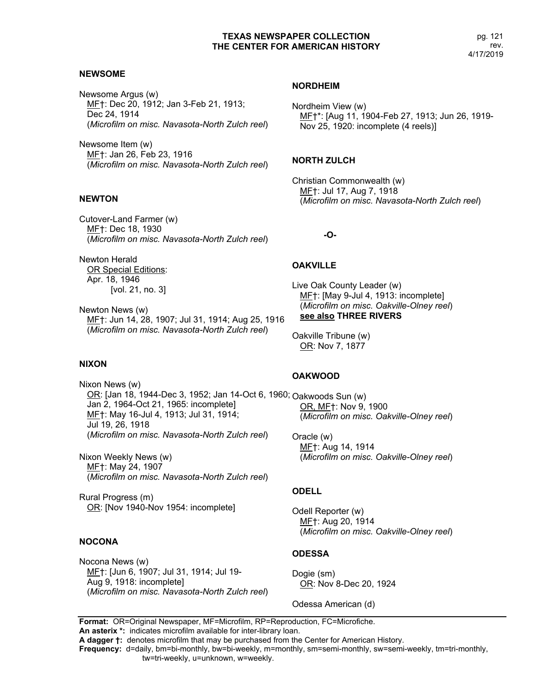#### **NEWSOME**

Newsome Argus (w) MF†: Dec 20, 1912; Jan 3-Feb 21, 1913; Dec 24, 1914 (*Microfilm on misc. Navasota-North Zulch reel*)

Newsome Item (w) MF†: Jan 26, Feb 23, 1916 (*Microfilm on misc. Navasota-North Zulch reel*)

# **NEWTON**

Cutover-Land Farmer (w) MF†: Dec 18, 1930 (*Microfilm on misc. Navasota-North Zulch reel*)

Newton Herald OR Special Editions: Apr. 18, 1946 [vol. 21, no. 3]

Newton News (w) MF†: Jun 14, 28, 1907; Jul 31, 1914; Aug 25, 1916 (*Microfilm on misc. Navasota-North Zulch reel*)

#### **NIXON**

Nixon News (w) <u>OR</u>: [Jan 18, 1944-Dec 3, 1952; Jan 14-Oct 6, 1960; <sub>Oakwoods</sub> Sun (w) Jan 2, 1964-Oct 21, 1965: incomplete] MF†: May 16-Jul 4, 1913; Jul 31, 1914; Jul 19, 26, 1918 (*Microfilm on misc. Navasota-North Zulch reel*)

Nixon Weekly News (w) MF†: May 24, 1907 (*Microfilm on misc. Navasota-North Zulch reel*)

Rural Progress (m) OR: [Nov 1940-Nov 1954: incomplete]

### **NOCONA**

Nocona News (w) MF†: [Jun 6, 1907; Jul 31, 1914; Jul 19- Aug 9, 1918: incomplete] (*Microfilm on misc. Navasota-North Zulch reel*)

#### **NORDHEIM**

Nordheim View (w) MF†\*: [Aug 11, 1904-Feb 27, 1913; Jun 26, 1919- Nov 25, 1920: incomplete (4 reels)]

#### **NORTH ZULCH**

Christian Commonwealth (w) MF†: Jul 17, Aug 7, 1918 (*Microfilm on misc. Navasota-North Zulch reel*)

**-O-**

### **OAKVILLE**

Live Oak County Leader (w) MF†: [May 9-Jul 4, 1913: incomplete] (*Microfilm on misc. Oakville-Olney reel*) **see also THREE RIVERS**

Oakville Tribune (w) OR: Nov 7, 1877

### **OAKWOOD**

OR, MF†: Nov 9, 1900 (*Microfilm on misc. Oakville-Olney reel*)

Oracle (w) MF†: Aug 14, 1914 (*Microfilm on misc. Oakville-Olney reel*)

#### **ODELL**

Odell Reporter (w) MF†: Aug 20, 1914 (*Microfilm on misc. Oakville-Olney reel*)

#### **ODESSA**

Dogie (sm) OR: Nov 8-Dec 20, 1924

Odessa American (d)

**Format:** OR=Original Newspaper, MF=Microfilm, RP=Reproduction, FC=Microfiche.

**An asterix \*:** indicates microfilm available for inter-library loan.

**A dagger †:** denotes microfilm that may be purchased from the Center for American History.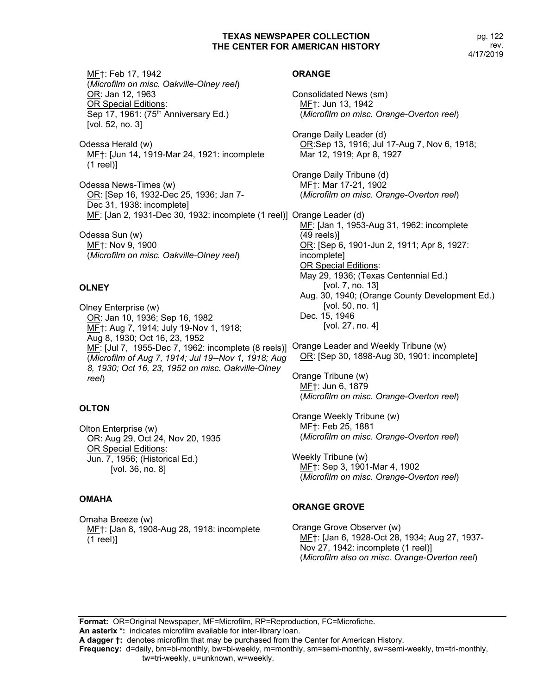pg. 122 rev. 4/17/2019

MF†: Feb 17, 1942 (*Microfilm on misc. Oakville-Olney reel*) OR: Jan 12, 1963 OR Special Editions: Sep 17, 1961: (75<sup>th</sup> Anniversary Ed.) [vol. 52, no. 3]

Odessa Herald (w) MF†: [Jun 14, 1919-Mar 24, 1921: incomplete (1 reel)]

Odessa News-Times (w) OR: [Sep 16, 1932-Dec 25, 1936; Jan 7- Dec 31, 1938: incomplete] ME: [Jan 2, 1931-Dec 30, 1932: incomplete (1 reel)] Orange Leader (d)

Odessa Sun (w) MF†: Nov 9, 1900 (*Microfilm on misc. Oakville-Olney reel*)

# **OLNEY**

Olney Enterprise (w) OR: Jan 10, 1936; Sep 16, 1982 ME<sub>T</sub>: Aug 7, 1914; July 19-Nov 1, 1918; Aug 8, 1930; Oct 16, 23, 1952 MF: [Jul 7, 1955-Dec 7, 1962: incomplete (8 reels)] Orange Leader and Weekly Tribune (w) (*Microfilm of Aug 7, 1914; Jul 19--Nov 1, 1918; Aug 8, 1930; Oct 16, 23, 1952 on misc. Oakville-Olney reel*)

# **OLTON**

Olton Enterprise (w) OR: Aug 29, Oct 24, Nov 20, 1935 OR Special Editions: Jun. 7, 1956; (Historical Ed.) [vol. 36, no. 8]

# **OMAHA**

Omaha Breeze (w) MF†: [Jan 8, 1908-Aug 28, 1918: incomplete (1 reel)]

# **ORANGE**

Consolidated News (sm) MF†: Jun 13, 1942 (*Microfilm on misc. Orange-Overton reel*) Orange Daily Leader (d) OR:Sep 13, 1916; Jul 17-Aug 7, Nov 6, 1918; Mar 12, 1919; Apr 8, 1927 Orange Daily Tribune (d) MF†: Mar 17-21, 1902 (*Microfilm on misc. Orange-Overton reel*) MF: [Jan 1, 1953-Aug 31, 1962: incomplete (49 reels)] OR: [Sep 6, 1901-Jun 2, 1911; Apr 8, 1927: incomplete] OR Special Editions: May 29, 1936; (Texas Centennial Ed.) [vol. 7, no. 13] Aug. 30, 1940; (Orange County Development Ed.) [vol. 50, no. 1] Dec. 15, 1946 [vol. 27, no. 4] OR: [Sep 30, 1898-Aug 30, 1901: incomplete]

Orange Tribune (w) MF†: Jun 6, 1879 (*Microfilm on misc. Orange-Overton reel*)

Orange Weekly Tribune (w) MF†: Feb 25, 1881 (*Microfilm on misc. Orange-Overton reel*)

Weekly Tribune (w) MF†: Sep 3, 1901-Mar 4, 1902 (*Microfilm on misc. Orange-Overton reel*)

# **ORANGE GROVE**

Orange Grove Observer (w) MF†: [Jan 6, 1928-Oct 28, 1934; Aug 27, 1937- Nov 27, 1942: incomplete (1 reel)] (*Microfilm also on misc. Orange-Overton reel*)

**Format:** OR=Original Newspaper, MF=Microfilm, RP=Reproduction, FC=Microfiche. **An asterix \*:** indicates microfilm available for inter-library loan. **A dagger †:** denotes microfilm that may be purchased from the Center for American History. **Frequency:** d=daily, bm=bi-monthly, bw=bi-weekly, m=monthly, sm=semi-monthly, sw=semi-weekly, tm=tri-monthly,

tw=tri-weekly, u=unknown, w=weekly.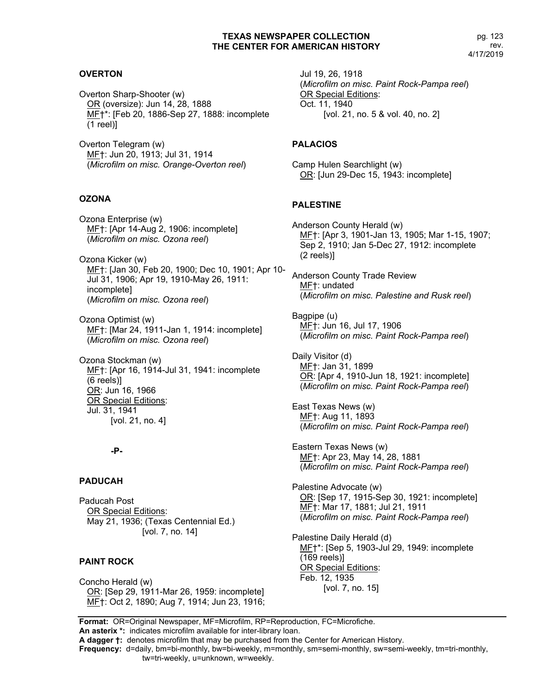# **OVERTON**

Overton Sharp-Shooter (w) OR (oversize): Jun 14, 28, 1888 MF†\*: [Feb 20, 1886-Sep 27, 1888: incomplete (1 reel)]

Overton Telegram (w) MF†: Jun 20, 1913; Jul 31, 1914 (*Microfilm on misc. Orange-Overton reel*)

#### **OZONA**

Ozona Enterprise (w) MF†: [Apr 14-Aug 2, 1906: incomplete] (*Microfilm on misc. Ozona reel*)

Ozona Kicker (w) MF†: [Jan 30, Feb 20, 1900; Dec 10, 1901; Apr 10- Jul 31, 1906; Apr 19, 1910-May 26, 1911: incomplete] (*Microfilm on misc. Ozona reel*)

Ozona Optimist (w) MF†: [Mar 24, 1911-Jan 1, 1914: incomplete] (*Microfilm on misc. Ozona reel*)

Ozona Stockman (w) MF†: [Apr 16, 1914-Jul 31, 1941: incomplete (6 reels)] OR: Jun 16, 1966 OR Special Editions: Jul. 31, 1941 [vol. 21, no. 4]

#### **-P-**

#### **PADUCAH**

Paducah Post OR Special Editions: May 21, 1936; (Texas Centennial Ed.) [vol. 7, no. 14]

### **PAINT ROCK**

Concho Herald (w) OR: [Sep 29, 1911-Mar 26, 1959: incomplete] ME<sup>+</sup>: Oct 2, 1890; Aug 7, 1914; Jun 23, 1916; Jul 19, 26, 1918 (*Microfilm on misc. Paint Rock-Pampa reel*) OR Special Editions: Oct. 11, 1940 [vol. 21, no. 5 & vol. 40, no. 2]

#### **PALACIOS**

Camp Hulen Searchlight (w) OR: [Jun 29-Dec 15, 1943: incomplete]

#### **PALESTINE**

Anderson County Herald (w) MF†: [Apr 3, 1901-Jan 13, 1905; Mar 1-15, 1907; Sep 2, 1910; Jan 5-Dec 27, 1912: incomplete (2 reels)]

Anderson County Trade Review MF†: undated (*Microfilm on misc. Palestine and Rusk reel*)

Bagpipe (u) MF†: Jun 16, Jul 17, 1906 (*Microfilm on misc. Paint Rock-Pampa reel*)

Daily Visitor (d) ME<sup>+</sup>: Jan 31, 1899 OR: [Apr 4, 1910-Jun 18, 1921: incomplete] (*Microfilm on misc. Paint Rock-Pampa reel*)

East Texas News (w) MF†: Aug 11, 1893 (*Microfilm on misc. Paint Rock-Pampa reel*)

Eastern Texas News (w) MF†: Apr 23, May 14, 28, 1881 (*Microfilm on misc. Paint Rock-Pampa reel*)

Palestine Advocate (w) OR: [Sep 17, 1915-Sep 30, 1921: incomplete] MF†: Mar 17, 1881; Jul 21, 1911 (*Microfilm on misc. Paint Rock-Pampa reel*)

Palestine Daily Herald (d) MF†\*: [Sep 5, 1903-Jul 29, 1949: incomplete (169 reels)] OR Special Editions: Feb. 12, 1935 [vol. 7, no. 15]

**Format:** OR=Original Newspaper, MF=Microfilm, RP=Reproduction, FC=Microfiche. **An asterix \*:** indicates microfilm available for inter-library loan.

**A dagger †:** denotes microfilm that may be purchased from the Center for American History.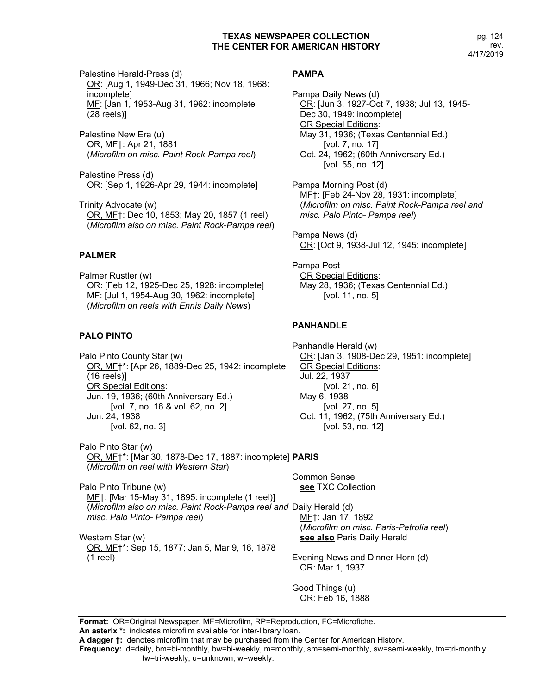Palestine Herald-Press (d) OR: [Aug 1, 1949-Dec 31, 1966; Nov 18, 1968: incomplete] MF: [Jan 1, 1953-Aug 31, 1962: incomplete (28 reels)]

Palestine New Era (u) OR, MF†: Apr 21, 1881 (*Microfilm on misc. Paint Rock-Pampa reel*)

Palestine Press (d) OR: [Sep 1, 1926-Apr 29, 1944: incomplete]

Trinity Advocate (w) OR, MF†: Dec 10, 1853; May 20, 1857 (1 reel) (*Microfilm also on misc. Paint Rock-Pampa reel*)

# **PALMER**

Palmer Rustler (w) OR: [Feb 12, 1925-Dec 25, 1928: incomplete] MF: [Jul 1, 1954-Aug 30, 1962: incomplete] (*Microfilm on reels with Ennis Daily News*)

# **PALO PINTO**

Palo Pinto County Star (w) OR, MF†\*: [Apr 26, 1889-Dec 25, 1942: incomplete (16 reels)] OR Special Editions: Jun. 19, 1936; (60th Anniversary Ed.) [vol. 7, no. 16 & vol. 62, no. 2] Jun. 24, 1938 [vol. 62, no. 3]

Palo Pinto Star (w) OR, MF†\*: [Mar 30, 1878-Dec 17, 1887: incomplete] **PARIS** (*Microfilm on reel with Western Star*)

Palo Pinto Tribune (w) MF†: [Mar 15-May 31, 1895: incomplete (1 reel)] (*Microfilm also on misc. Paint Rock-Pampa reel and*  Daily Herald (d) *misc. Palo Pinto- Pampa reel*)

Western Star (w) OR, MF†\*: Sep 15, 1877; Jan 5, Mar 9, 16, 1878 (1 reel)

# **PAMPA**

Pampa Daily News (d) OR: [Jun 3, 1927-Oct 7, 1938; Jul 13, 1945- Dec 30, 1949: incomplete] OR Special Editions: May 31, 1936; (Texas Centennial Ed.) [vol. 7, no. 17] Oct. 24, 1962; (60th Anniversary Ed.) [vol. 55, no. 12]

Pampa Morning Post (d) MF†: [Feb 24-Nov 28, 1931: incomplete] (*Microfilm on misc. Paint Rock-Pampa reel and misc. Palo Pinto- Pampa reel*)

Pampa News (d) OR: [Oct 9, 1938-Jul 12, 1945: incomplete]

Pampa Post OR Special Editions: May 28, 1936; (Texas Centennial Ed.) [vol. 11, no. 5]

# **PANHANDLE**

Panhandle Herald (w) OR: [Jan 3, 1908-Dec 29, 1951: incomplete] OR Special Editions: Jul. 22, 1937 [vol. 21, no. 6] May 6, 1938 [vol. 27, no. 5] Oct. 11, 1962; (75th Anniversary Ed.) [vol. 53, no. 12]

Common Sense **see** TXC Collection

> MF†: Jan 17, 1892 (*Microfilm on misc. Paris-Petrolia reel*) **see also** Paris Daily Herald

Evening News and Dinner Horn (d) OR: Mar 1, 1937

Good Things (u) OR: Feb 16, 1888

**Format:** OR=Original Newspaper, MF=Microfilm, RP=Reproduction, FC=Microfiche. **An asterix \*:** indicates microfilm available for inter-library loan.

**A dagger †:** denotes microfilm that may be purchased from the Center for American History.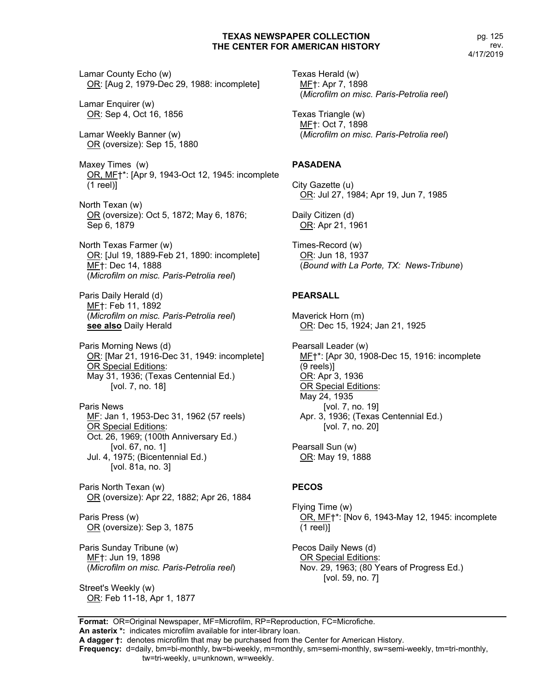Lamar County Echo (w) OR: [Aug 2, 1979-Dec 29, 1988: incomplete]

Lamar Enquirer (w) OR: Sep 4, Oct 16, 1856

Lamar Weekly Banner (w) OR (oversize): Sep 15, 1880

Maxey Times (w) OR, MF†\*: [Apr 9, 1943-Oct 12, 1945: incomplete  $(1$  reel) $]$ 

North Texan (w) OR (oversize): Oct 5, 1872; May 6, 1876; Sep 6, 1879

North Texas Farmer (w) OR: [Jul 19, 1889-Feb 21, 1890: incomplete] MF†: Dec 14, 1888 (*Microfilm on misc. Paris-Petrolia reel*)

Paris Daily Herald (d) MF†: Feb 11, 1892 (*Microfilm on misc. Paris-Petrolia reel*) **see also** Daily Herald

Paris Morning News (d) OR: [Mar 21, 1916-Dec 31, 1949: incomplete] **OR Special Editions:** May 31, 1936; (Texas Centennial Ed.) [vol. 7, no. 18]

Paris News ME: Jan 1, 1953-Dec 31, 1962 (57 reels) OR Special Editions: Oct. 26, 1969; (100th Anniversary Ed.) [vol. 67, no. 1] Jul. 4, 1975; (Bicentennial Ed.) [vol. 81a, no. 3]

Paris North Texan (w) OR (oversize): Apr 22, 1882; Apr 26, 1884

Paris Press (w) OR (oversize): Sep 3, 1875

Paris Sunday Tribune (w) MF†: Jun 19, 1898 (*Microfilm on misc. Paris-Petrolia reel*)

Street's Weekly (w) OR: Feb 11-18, Apr 1, 1877 Texas Herald (w) MF†: Apr 7, 1898 (*Microfilm on misc. Paris-Petrolia reel*)

Texas Triangle (w) MF†: Oct 7, 1898 (*Microfilm on misc. Paris-Petrolia reel*)

# **PASADENA**

City Gazette (u) OR: Jul 27, 1984; Apr 19, Jun 7, 1985

Daily Citizen (d) OR: Apr 21, 1961

Times-Record (w) OR: Jun 18, 1937 (*Bound with La Porte, TX: News-Tribune*)

#### **PEARSALL**

Maverick Horn (m) OR: Dec 15, 1924; Jan 21, 1925

Pearsall Leader (w) ME<sup>+</sup>\*: [Apr 30, 1908-Dec 15, 1916: incomplete (9 reels)] OR: Apr 3, 1936 OR Special Editions: May 24, 1935 [vol. 7, no. 19] Apr. 3, 1936; (Texas Centennial Ed.) [vol. 7, no. 20]

Pearsall Sun (w) OR: May 19, 1888

### **PECOS**

Flying Time (w) OR, MF†\*: [Nov 6, 1943-May 12, 1945: incomplete (1 reel)]

Pecos Daily News (d) OR Special Editions: Nov. 29, 1963; (80 Years of Progress Ed.) [vol. 59, no. 7]

**Format:** OR=Original Newspaper, MF=Microfilm, RP=Reproduction, FC=Microfiche. **An asterix \*:** indicates microfilm available for inter-library loan.

**A dagger †:** denotes microfilm that may be purchased from the Center for American History.

**Frequency:** d=daily, bm=bi-monthly, bw=bi-weekly, m=monthly, sm=semi-monthly, sw=semi-weekly, tm=tri-monthly,

tw=tri-weekly, u=unknown, w=weekly.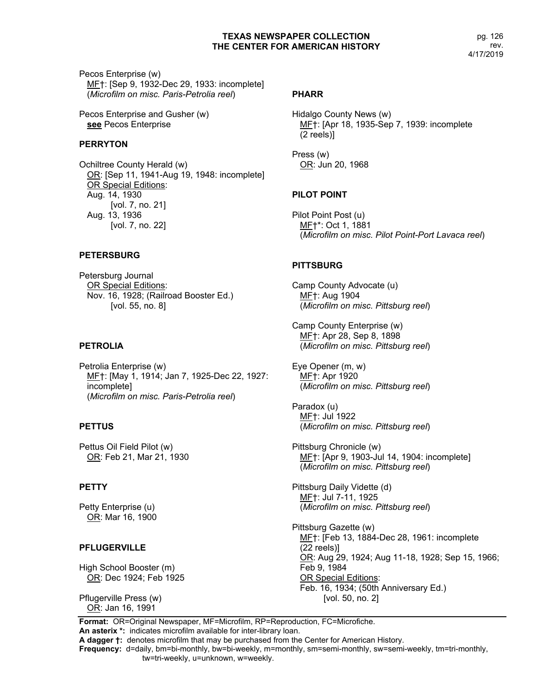pg. 126 rev. 4/17/2019

Pecos Enterprise (w) MF†: [Sep 9, 1932-Dec 29, 1933: incomplete] (*Microfilm on misc. Paris-Petrolia reel*)

Pecos Enterprise and Gusher (w) **see** Pecos Enterprise

# **PERRYTON**

Ochiltree County Herald (w) OR: [Sep 11, 1941-Aug 19, 1948: incomplete] OR Special Editions: Aug. 14, 1930 [vol. 7, no. 21] Aug. 13, 1936 [vol. 7, no. 22]

# **PETERSBURG**

Petersburg Journal OR Special Editions: Nov. 16, 1928; (Railroad Booster Ed.) [vol. 55, no. 8]

### **PETROLIA**

Petrolia Enterprise (w) MF†: [May 1, 1914; Jan 7, 1925-Dec 22, 1927: incomplete] (*Microfilm on misc. Paris-Petrolia reel*)

# **PETTUS**

Pettus Oil Field Pilot (w) OR: Feb 21, Mar 21, 1930

# **PETTY**

Petty Enterprise (u) OR: Mar 16, 1900

# **PFLUGERVILLE**

High School Booster (m) OR: Dec 1924; Feb 1925

Pflugerville Press (w) OR: Jan 16, 1991

#### **PHARR**

Hidalgo County News (w) MF†: [Apr 18, 1935-Sep 7, 1939: incomplete (2 reels)]

Press (w) OR: Jun 20, 1968

# **PILOT POINT**

Pilot Point Post (u) MF†\*: Oct 1, 1881 (*Microfilm on misc. Pilot Point-Port Lavaca reel*)

# **PITTSBURG**

Camp County Advocate (u) MF†: Aug 1904 (*Microfilm on misc. Pittsburg reel*)

Camp County Enterprise (w) MF†: Apr 28, Sep 8, 1898 (*Microfilm on misc. Pittsburg reel*)

Eye Opener (m, w) MF†: Apr 1920 (*Microfilm on misc. Pittsburg reel*)

Paradox (u) MF†: Jul 1922 (*Microfilm on misc. Pittsburg reel*)

Pittsburg Chronicle (w) MF†: [Apr 9, 1903-Jul 14, 1904: incomplete] (*Microfilm on misc. Pittsburg reel*)

Pittsburg Daily Vidette (d) MF†: Jul 7-11, 1925 (*Microfilm on misc. Pittsburg reel*)

Pittsburg Gazette (w) ME<sub>T</sub>: [Feb 13, 1884-Dec 28, 1961: incomplete (22 reels)] OR: Aug 29, 1924; Aug 11-18, 1928; Sep 15, 1966; Feb 9, 1984 OR Special Editions: Feb. 16, 1934; (50th Anniversary Ed.) [vol. 50, no. 2]

**Format:** OR=Original Newspaper, MF=Microfilm, RP=Reproduction, FC=Microfiche. **An asterix \*:** indicates microfilm available for inter-library loan.

**A dagger †:** denotes microfilm that may be purchased from the Center for American History. **Frequency:** d=daily, bm=bi-monthly, bw=bi-weekly, m=monthly, sm=semi-monthly, sw=semi-weekly, tm=tri-monthly,

tw=tri-weekly, u=unknown, w=weekly.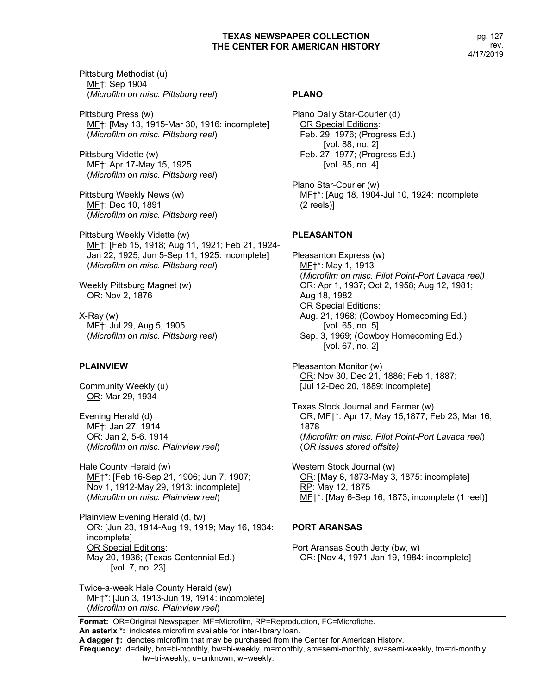Pittsburg Methodist (u) MF†: Sep 1904 (*Microfilm on misc. Pittsburg reel*)

Pittsburg Press (w) MF†: [May 13, 1915-Mar 30, 1916: incomplete] (*Microfilm on misc. Pittsburg reel*)

Pittsburg Vidette (w) MF†: Apr 17-May 15, 1925 (*Microfilm on misc. Pittsburg reel*)

Pittsburg Weekly News (w) MF†: Dec 10, 1891 (*Microfilm on misc. Pittsburg reel*)

Pittsburg Weekly Vidette (w) MF†: [Feb 15, 1918; Aug 11, 1921; Feb 21, 1924- Jan 22, 1925; Jun 5-Sep 11, 1925: incomplete] (*Microfilm on misc. Pittsburg reel*)

Weekly Pittsburg Magnet (w) OR: Nov 2, 1876

X-Ray (w) MF†: Jul 29, Aug 5, 1905 (*Microfilm on misc. Pittsburg reel*)

# **PLAINVIEW**

Community Weekly (u) OR: Mar 29, 1934

Evening Herald (d) MF†: Jan 27, 1914 OR: Jan 2, 5-6, 1914 (*Microfilm on misc. Plainview reel*)

Hale County Herald (w) MF†\*: [Feb 16-Sep 21, 1906; Jun 7, 1907; Nov 1, 1912-May 29, 1913: incomplete] (*Microfilm on misc. Plainview reel*)

Plainview Evening Herald (d, tw) OR: [Jun 23, 1914-Aug 19, 1919; May 16, 1934: incomplete] OR Special Editions: May 20, 1936; (Texas Centennial Ed.) [vol. 7, no. 23]

Twice-a-week Hale County Herald (sw) MF†\*: [Jun 3, 1913-Jun 19, 1914: incomplete] (*Microfilm on misc. Plainview reel*)

#### **PLANO**

Plano Daily Star-Courier (d) OR Special Editions: Feb. 29, 1976; (Progress Ed.) [vol. 88, no. 2] Feb. 27, 1977; (Progress Ed.) [vol. 85, no. 4]

Plano Star-Courier (w) MF†\*: [Aug 18, 1904-Jul 10, 1924: incomplete (2 reels)]

### **PLEASANTON**

Pleasanton Express (w) MF†\*: May 1, 1913 (*Microfilm on misc. Pilot Point-Port Lavaca reel)* OR: Apr 1, 1937; Oct 2, 1958; Aug 12, 1981; Aug 18, 1982 OR Special Editions: Aug. 21, 1968; (Cowboy Homecoming Ed.) [vol. 65, no. 5] Sep. 3, 1969; (Cowboy Homecoming Ed.) [vol. 67, no. 2]

Pleasanton Monitor (w) OR: Nov 30, Dec 21, 1886; Feb 1, 1887; [Jul 12-Dec 20, 1889: incomplete]

Texas Stock Journal and Farmer (w) OR, MF†\*: Apr 17, May 15,1877; Feb 23, Mar 16, 1878 (*Microfilm on misc. Pilot Point-Port Lavaca reel*) (*OR issues stored offsite)*

Western Stock Journal (w) OR: [May 6, 1873-May 3, 1875: incomplete] RP: May 12, 1875 MF†\*: [May 6-Sep 16, 1873; incomplete (1 reel)]

### **PORT ARANSAS**

Port Aransas South Jetty (bw, w) OR: [Nov 4, 1971-Jan 19, 1984: incomplete]

**Format:** OR=Original Newspaper, MF=Microfilm, RP=Reproduction, FC=Microfiche. **An asterix \*:** indicates microfilm available for inter-library loan.

**Frequency:** d=daily, bm=bi-monthly, bw=bi-weekly, m=monthly, sm=semi-monthly, sw=semi-weekly, tm=tri-monthly,

**A dagger †:** denotes microfilm that may be purchased from the Center for American History.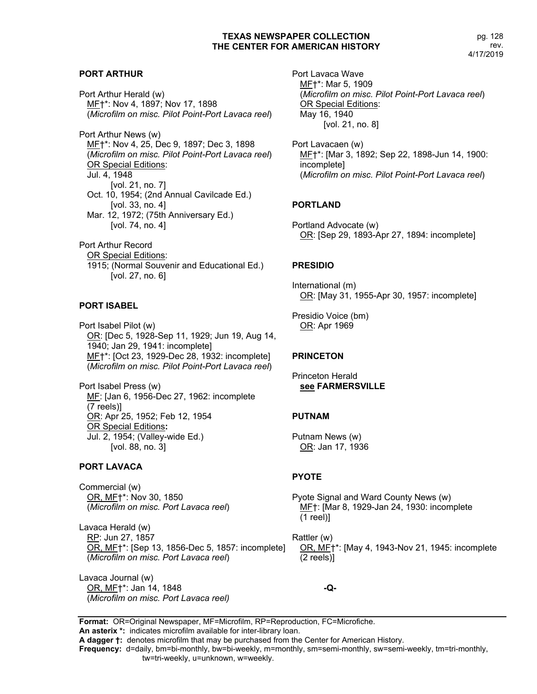### **PORT ARTHUR**

Port Arthur Herald (w) MF†\*: Nov 4, 1897; Nov 17, 1898 (*Microfilm on misc. Pilot Point-Port Lavaca reel*)

Port Arthur News (w) ME<sup>+\*</sup>: Nov 4, 25, Dec 9, 1897; Dec 3, 1898 (*Microfilm on misc. Pilot Point-Port Lavaca reel*) OR Special Editions: Jul. 4, 1948 [vol. 21, no. 7] Oct. 10, 1954; (2nd Annual Cavilcade Ed.) [vol. 33, no. 4] Mar. 12, 1972; (75th Anniversary Ed.) [vol. 74, no. 4]

Port Arthur Record OR Special Editions: 1915; (Normal Souvenir and Educational Ed.) [vol. 27, no. 6]

# **PORT ISABEL**

Port Isabel Pilot (w) OR: [Dec 5, 1928-Sep 11, 1929; Jun 19, Aug 14, 1940; Jan 29, 1941: incomplete] MF†\*: [Oct 23, 1929-Dec 28, 1932: incomplete] (*Microfilm on misc. Pilot Point-Port Lavaca reel*)

Port Isabel Press (w) MF: [Jan 6, 1956-Dec 27, 1962: incomplete (7 reels)] OR: Apr 25, 1952; Feb 12, 1954 OR Special Editions**:**  Jul. 2, 1954; (Valley-wide Ed.) [vol. 88, no. 3]

### **PORT LAVACA**

Commercial (w) OR, MF†\*: Nov 30, 1850 (*Microfilm on misc. Port Lavaca reel*)

Lavaca Herald (w) RP: Jun 27, 1857 OR, MF†\*: [Sep 13, 1856-Dec 5, 1857: incomplete] (*Microfilm on misc. Port Lavaca reel*)

Lavaca Journal (w) OR, MF†\*: Jan 14, 1848 (*Microfilm on misc. Port Lavaca reel)* Port Lavaca Wave MF†\*: Mar 5, 1909 (*Microfilm on misc. Pilot Point-Port Lavaca reel*) OR Special Editions: May 16, 1940 [vol. 21, no. 8]

Port Lavacaen (w) MF†\*: [Mar 3, 1892; Sep 22, 1898-Jun 14, 1900: incomplete] (*Microfilm on misc. Pilot Point-Port Lavaca reel*)

# **PORTLAND**

Portland Advocate (w) OR: [Sep 29, 1893-Apr 27, 1894: incomplete]

### **PRESIDIO**

International (m) OR: [May 31, 1955-Apr 30, 1957: incomplete]

Presidio Voice (bm) OR: Apr 1969

### **PRINCETON**

Princeton Herald **see FARMERSVILLE**

### **PUTNAM**

Putnam News (w) OR: Jan 17, 1936

### **PYOTE**

Pyote Signal and Ward County News (w) MF†: [Mar 8, 1929-Jan 24, 1930: incomplete (1 reel)]

Rattler (w) OR, MF†\*: [May 4, 1943-Nov 21, 1945: incomplete (2 reels)]

**-Q-**

**Format:** OR=Original Newspaper, MF=Microfilm, RP=Reproduction, FC=Microfiche.

**An asterix \*:** indicates microfilm available for inter-library loan. **A dagger †:** denotes microfilm that may be purchased from the Center for American History.

**Frequency:** d=daily, bm=bi-monthly, bw=bi-weekly, m=monthly, sm=semi-monthly, sw=semi-weekly, tm=tri-monthly,

tw=tri-weekly, u=unknown, w=weekly.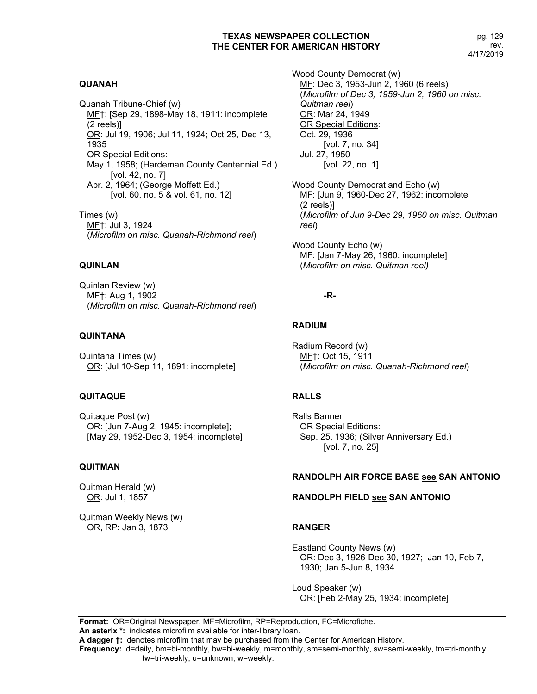# **QUANAH**

Quanah Tribune-Chief (w) MF†: [Sep 29, 1898-May 18, 1911: incomplete (2 reels)] OR: Jul 19, 1906; Jul 11, 1924; Oct 25, Dec 13, 1935 OR Special Editions: May 1, 1958; (Hardeman County Centennial Ed.) [vol. 42, no. 7] Apr. 2, 1964; (George Moffett Ed.) [vol. 60, no. 5 & vol. 61, no. 12]

Times (w) MF†: Jul 3, 1924 (*Microfilm on misc. Quanah-Richmond reel*)

# **QUINLAN**

Quinlan Review (w) MF†: Aug 1, 1902 (*Microfilm on misc. Quanah-Richmond reel*)

### **QUINTANA**

Quintana Times (w) OR: [Jul 10-Sep 11, 1891: incomplete]

### **QUITAQUE**

Quitaque Post (w) OR: [Jun 7-Aug 2, 1945: incomplete]; [May 29, 1952-Dec 3, 1954: incomplete]

### **QUITMAN**

Quitman Herald (w) OR: Jul 1, 1857

Quitman Weekly News (w) OR, RP: Jan 3, 1873

Wood County Democrat (w) MF: Dec 3, 1953-Jun 2, 1960 (6 reels) (*Microfilm of Dec 3, 1959-Jun 2, 1960 on misc. Quitman reel*) OR: Mar 24, 1949 OR Special Editions: Oct. 29, 1936 [vol. 7, no. 34] Jul. 27, 1950 [vol. 22, no. 1]

Wood County Democrat and Echo (w) MF: [Jun 9, 1960-Dec 27, 1962: incomplete (2 reels)] (*Microfilm of Jun 9-Dec 29, 1960 on misc. Quitman reel*)

Wood County Echo (w) MF: [Jan 7-May 26, 1960: incomplete] (*Microfilm on misc. Quitman reel)*

# **-R-**

# **RADIUM**

Radium Record (w) MF†: Oct 15, 1911 (*Microfilm on misc. Quanah-Richmond reel*)

# **RALLS**

Ralls Banner OR Special Editions: Sep. 25, 1936; (Silver Anniversary Ed.) [vol. 7, no. 25]

# **RANDOLPH AIR FORCE BASE see SAN ANTONIO**

### **RANDOLPH FIELD see SAN ANTONIO**

# **RANGER**

Eastland County News (w) OR: Dec 3, 1926-Dec 30, 1927; Jan 10, Feb 7, 1930; Jan 5-Jun 8, 1934

Loud Speaker (w) OR: [Feb 2-May 25, 1934: incomplete]

**Format:** OR=Original Newspaper, MF=Microfilm, RP=Reproduction, FC=Microfiche.

**An asterix \*:** indicates microfilm available for inter-library loan. **A dagger †:** denotes microfilm that may be purchased from the Center for American History.

**Frequency:** d=daily, bm=bi-monthly, bw=bi-weekly, m=monthly, sm=semi-monthly, sw=semi-weekly, tm=tri-monthly,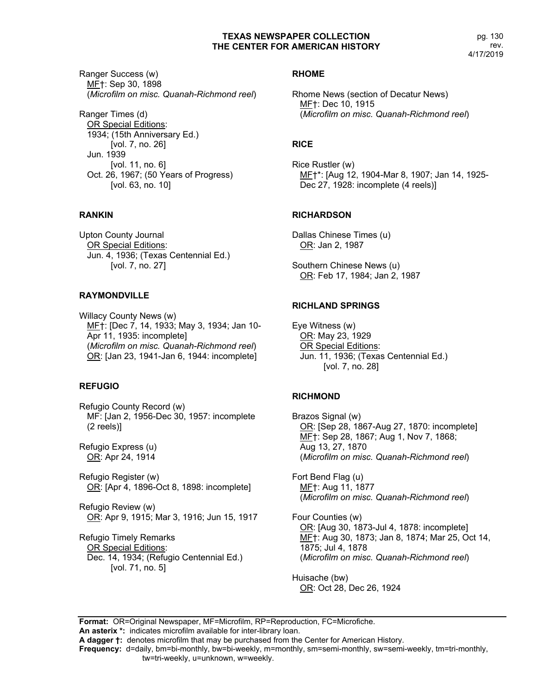pg. 130 rev. 4/17/2019

Ranger Success (w) MF†: Sep 30, 1898 (*Microfilm on misc. Quanah-Richmond reel*)

Ranger Times (d) OR Special Editions: 1934; (15th Anniversary Ed.) [vol. 7, no. 26] Jun. 1939 [vol. 11, no. 6] Oct. 26, 1967; (50 Years of Progress) [vol. 63, no. 10]

# **RANKIN**

Upton County Journal OR Special Editions: Jun. 4, 1936; (Texas Centennial Ed.) [vol. 7, no. 27]

# **RAYMONDVILLE**

Willacy County News (w) MF†: [Dec 7, 14, 1933; May 3, 1934; Jan 10- Apr 11, 1935: incomplete] (*Microfilm on misc. Quanah-Richmond reel*) OR: [Jan 23, 1941-Jan 6, 1944: incomplete]

# **REFUGIO**

Refugio County Record (w) MF: [Jan 2, 1956-Dec 30, 1957: incomplete (2 reels)]

Refugio Express (u) OR: Apr 24, 1914

Refugio Register (w) OR: [Apr 4, 1896-Oct 8, 1898: incomplete]

Refugio Review (w) OR: Apr 9, 1915; Mar 3, 1916; Jun 15, 1917

Refugio Timely Remarks OR Special Editions: Dec. 14, 1934; (Refugio Centennial Ed.) [vol. 71, no. 5]

# **RHOME**

Rhome News (section of Decatur News) MF†: Dec 10, 1915 (*Microfilm on misc. Quanah-Richmond reel*)

# **RICE**

Rice Rustler (w) MF†\*: [Aug 12, 1904-Mar 8, 1907; Jan 14, 1925- Dec 27, 1928: incomplete (4 reels)]

# **RICHARDSON**

Dallas Chinese Times (u) OR: Jan 2, 1987

Southern Chinese News (u) OR: Feb 17, 1984; Jan 2, 1987

# **RICHLAND SPRINGS**

Eye Witness (w) OR: May 23, 1929 OR Special Editions: Jun. 11, 1936; (Texas Centennial Ed.) [vol. 7, no. 28]

# **RICHMOND**

Brazos Signal (w) OR: [Sep 28, 1867-Aug 27, 1870: incomplete] MF†: Sep 28, 1867; Aug 1, Nov 7, 1868; Aug 13, 27, 1870 (*Microfilm on misc. Quanah-Richmond reel*)

Fort Bend Flag (u) MF†: Aug 11, 1877 (*Microfilm on misc. Quanah-Richmond reel*)

Four Counties (w) OR: [Aug 30, 1873-Jul 4, 1878: incomplete] MF†: Aug 30, 1873; Jan 8, 1874; Mar 25, Oct 14, 1875; Jul 4, 1878 (*Microfilm on misc. Quanah-Richmond reel*)

Huisache (bw) OR: Oct 28, Dec 26, 1924

**Format:** OR=Original Newspaper, MF=Microfilm, RP=Reproduction, FC=Microfiche. **An asterix \*:** indicates microfilm available for inter-library loan.

**A dagger †:** denotes microfilm that may be purchased from the Center for American History.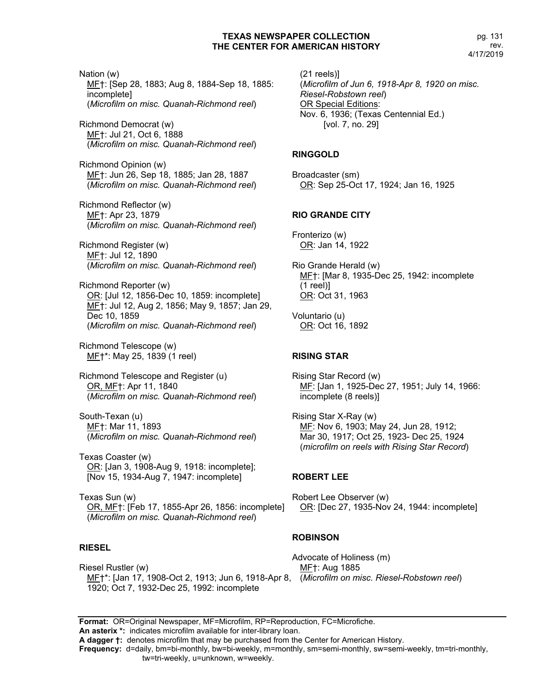pg. 131 rev. 4/17/2019

Nation (w) ME†: [Sep 28, 1883; Aug 8, 1884-Sep 18, 1885: incomplete] (*Microfilm on misc. Quanah-Richmond reel*)

Richmond Democrat (w) MF†: Jul 21, Oct 6, 1888 (*Microfilm on misc. Quanah-Richmond reel*)

Richmond Opinion (w) MF†: Jun 26, Sep 18, 1885; Jan 28, 1887 (*Microfilm on misc. Quanah-Richmond reel*)

Richmond Reflector (w) MF†: Apr 23, 1879 (*Microfilm on misc. Quanah-Richmond reel*)

Richmond Register (w) MF†: Jul 12, 1890 (*Microfilm on misc. Quanah-Richmond reel*)

Richmond Reporter (w) OR: [Jul 12, 1856-Dec 10, 1859: incomplete] MF†: Jul 12, Aug 2, 1856; May 9, 1857; Jan 29, Dec 10, 1859 (*Microfilm on misc. Quanah-Richmond reel*)

Richmond Telescope (w) MF†\*: May 25, 1839 (1 reel)

Richmond Telescope and Register (u) OR, MF†: Apr 11, 1840 (*Microfilm on misc. Quanah-Richmond reel*)

South-Texan (u) MF†: Mar 11, 1893 (*Microfilm on misc. Quanah-Richmond reel*)

Texas Coaster (w) OR: [Jan 3, 1908-Aug 9, 1918: incomplete]; [Nov 15, 1934-Aug 7, 1947: incomplete]

Texas Sun (w) OR, MF†: [Feb 17, 1855-Apr 26, 1856: incomplete] (*Microfilm on misc. Quanah-Richmond reel*)

### **RIESEL**

Riesel Rustler (w) MF†\*: [Jan 17, 1908-Oct 2, 1913; Jun 6, 1918-Apr 8, (*Microfilm on misc. Riesel-Robstown reel*)1920; Oct 7, 1932-Dec 25, 1992: incomplete

(21 reels)] (*Microfilm of Jun 6, 1918-Apr 8, 1920 on misc. Riesel-Robstown reel*) OR Special Editions: Nov. 6, 1936; (Texas Centennial Ed.) [vol. 7, no. 29]

#### **RINGGOLD**

Broadcaster (sm) OR: Sep 25-Oct 17, 1924; Jan 16, 1925

#### **RIO GRANDE CITY**

Fronterizo (w) OR: Jan 14, 1922

- Rio Grande Herald (w) MF†: [Mar 8, 1935-Dec 25, 1942: incomplete (1 reel)] OR: Oct 31, 1963
- Voluntario (u) OR: Oct 16, 1892

### **RISING STAR**

Rising Star Record (w) MF: [Jan 1, 1925-Dec 27, 1951; July 14, 1966: incomplete (8 reels)]

Rising Star X-Ray (w) ME: Nov 6, 1903; May 24, Jun 28, 1912; Mar 30, 1917; Oct 25, 1923- Dec 25, 1924 (*microfilm on reels with Rising Star Record*)

#### **ROBERT LEE**

Robert Lee Observer (w) OR: [Dec 27, 1935-Nov 24, 1944: incomplete]

### **ROBINSON**

Advocate of Holiness (m) MF†: Aug 1885

**Format:** OR=Original Newspaper, MF=Microfilm, RP=Reproduction, FC=Microfiche. **An asterix \*:** indicates microfilm available for inter-library loan. **A dagger †:** denotes microfilm that may be purchased from the Center for American History.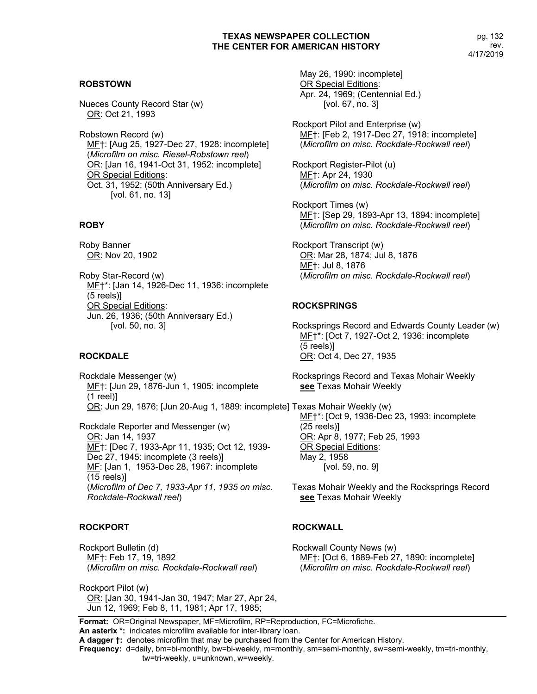# **ROBSTOWN**

Nueces County Record Star (w) OR: Oct 21, 1993

Robstown Record (w) MF†: [Aug 25, 1927-Dec 27, 1928: incomplete] (*Microfilm on misc. Riesel-Robstown reel*) OR: [Jan 16, 1941-Oct 31, 1952: incomplete] OR Special Editions: Oct. 31, 1952; (50th Anniversary Ed.) [vol. 61, no. 13]

### **ROBY**

Roby Banner OR: Nov 20, 1902

Roby Star-Record (w) MF†\*: [Jan 14, 1926-Dec 11, 1936: incomplete (5 reels)] OR Special Editions: Jun. 26, 1936; (50th Anniversary Ed.) [vol. 50, no. 3]

### **ROCKDALE**

Rockdale Messenger (w) MF†: [Jun 29, 1876-Jun 1, 1905: incomplete (1 reel)] OR: Jun 29, 1876; [Jun 20-Aug 1, 1889: incomplete] Texas Mohair Weekly (w)

Rockdale Reporter and Messenger (w) OR: Jan 14, 1937 MF†: [Dec 7, 1933-Apr 11, 1935; Oct 12, 1939- Dec 27, 1945: incomplete (3 reels)] MF: [Jan 1, 1953-Dec 28, 1967: incomplete (15 reels)] (*Microfilm of Dec 7, 1933-Apr 11, 1935 on misc. Rockdale-Rockwall reel*)

### **ROCKPORT**

Rockport Bulletin (d) MF†: Feb 17, 19, 1892 (*Microfilm on misc. Rockdale-Rockwall reel*)

Rockport Pilot (w) OR: [Jan 30, 1941-Jan 30, 1947; Mar 27, Apr 24, Jun 12, 1969; Feb 8, 11, 1981; Apr 17, 1985;

May 26, 1990: incomplete] OR Special Editions: Apr. 24, 1969; (Centennial Ed.) [vol. 67, no. 3]

Rockport Pilot and Enterprise (w) MF†: [Feb 2, 1917-Dec 27, 1918: incomplete] (*Microfilm on misc. Rockdale-Rockwall reel*)

Rockport Register-Pilot (u) MF†: Apr 24, 1930 (*Microfilm on misc. Rockdale-Rockwall reel*)

Rockport Times (w) MF†: [Sep 29, 1893-Apr 13, 1894: incomplete] (*Microfilm on misc. Rockdale-Rockwall reel*)

Rockport Transcript (w) OR: Mar 28, 1874; Jul 8, 1876 MF†: Jul 8, 1876 (*Microfilm on misc. Rockdale-Rockwall reel*)

### **ROCKSPRINGS**

Rocksprings Record and Edwards County Leader (w) MF†\*: [Oct 7, 1927-Oct 2, 1936: incomplete (5 reels)] OR: Oct 4, Dec 27, 1935

Rocksprings Record and Texas Mohair Weekly **see** Texas Mohair Weekly

MF†\*: [Oct 9, 1936-Dec 23, 1993: incomplete (25 reels)] OR: Apr 8, 1977; Feb 25, 1993 OR Special Editions: May 2, 1958 [vol. 59, no. 9]

Texas Mohair Weekly and the Rocksprings Record **see** Texas Mohair Weekly

### **ROCKWALL**

Rockwall County News (w) MF†: [Oct 6, 1889-Feb 27, 1890: incomplete] (*Microfilm on misc. Rockdale-Rockwall reel*)

**Format:** OR=Original Newspaper, MF=Microfilm, RP=Reproduction, FC=Microfiche. **An asterix \*:** indicates microfilm available for inter-library loan.

**A dagger †:** denotes microfilm that may be purchased from the Center for American History.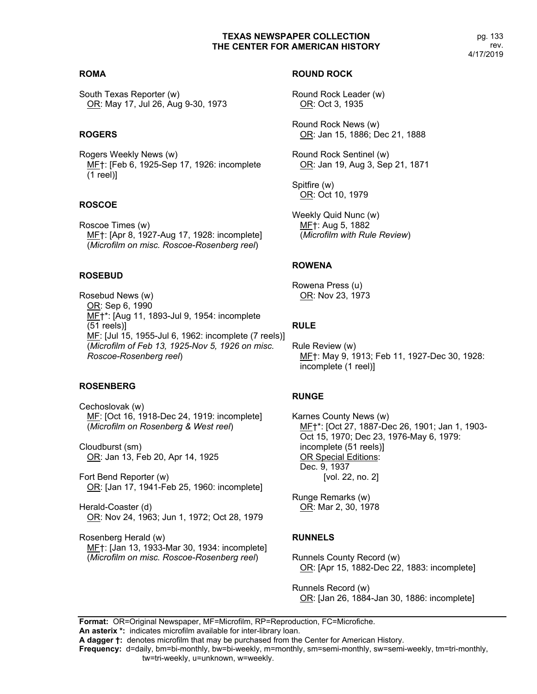# **ROMA**

South Texas Reporter (w) OR: May 17, Jul 26, Aug 9-30, 1973

# **ROGERS**

Rogers Weekly News (w) MF†: [Feb 6, 1925-Sep 17, 1926: incomplete (1 reel)]

# **ROSCOE**

Roscoe Times (w) MF†: [Apr 8, 1927-Aug 17, 1928: incomplete] (*Microfilm on misc. Roscoe-Rosenberg reel*)

# **ROSEBUD**

Rosebud News (w) OR: Sep 6, 1990 MF†\*: [Aug 11, 1893-Jul 9, 1954: incomplete (51 reels)] ME: [Jul 15, 1955-Jul 6, 1962: incomplete (7 reels)] (*Microfilm of Feb 13, 1925-Nov 5, 1926 on misc. Roscoe-Rosenberg reel*)

# **ROSENBERG**

Cechoslovak (w) ME: [Oct 16, 1918-Dec 24, 1919: incomplete] (*Microfilm on Rosenberg & West reel*)

Cloudburst (sm) OR: Jan 13, Feb 20, Apr 14, 1925

Fort Bend Reporter (w) OR: [Jan 17, 1941-Feb 25, 1960: incomplete]

Herald-Coaster (d) OR: Nov 24, 1963; Jun 1, 1972; Oct 28, 1979

Rosenberg Herald (w) MF†: [Jan 13, 1933-Mar 30, 1934: incomplete] (*Microfilm on misc. Roscoe-Rosenberg reel*)

# **ROUND ROCK**

Round Rock Leader (w) OR: Oct 3, 1935

Round Rock News (w) OR: Jan 15, 1886; Dec 21, 1888

Round Rock Sentinel (w) OR: Jan 19, Aug 3, Sep 21, 1871

Spitfire (w) OR: Oct 10, 1979

Weekly Quid Nunc (w) MF†: Aug 5, 1882 (*Microfilm with Rule Review*)

# **ROWENA**

Rowena Press (u) OR: Nov 23, 1973

# **RULE**

Rule Review (w) MF†: May 9, 1913; Feb 11, 1927-Dec 30, 1928: incomplete (1 reel)]

# **RUNGE**

Karnes County News (w) MF†\*: [Oct 27, 1887-Dec 26, 1901; Jan 1, 1903- Oct 15, 1970; Dec 23, 1976-May 6, 1979: incomplete (51 reels)] OR Special Editions: Dec. 9, 1937 [vol. 22, no. 2]

Runge Remarks (w) OR: Mar 2, 30, 1978

# **RUNNELS**

Runnels County Record (w) OR: [Apr 15, 1882-Dec 22, 1883: incomplete]

Runnels Record (w) OR: [Jan 26, 1884-Jan 30, 1886: incomplete]

**Format:** OR=Original Newspaper, MF=Microfilm, RP=Reproduction, FC=Microfiche.

**An asterix \*:** indicates microfilm available for inter-library loan.

**A dagger †:** denotes microfilm that may be purchased from the Center for American History.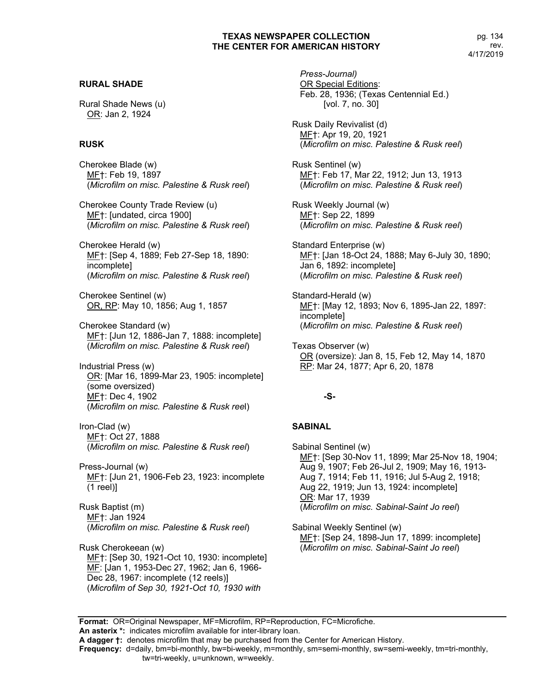# **RURAL SHADE**

Rural Shade News (u) OR: Jan 2, 1924

# **RUSK**

Cherokee Blade (w) MF†: Feb 19, 1897 (*Microfilm on misc. Palestine & Rusk reel*)

Cherokee County Trade Review (u) MF†: [undated, circa 1900] (*Microfilm on misc. Palestine & Rusk reel*)

Cherokee Herald (w) MF†: [Sep 4, 1889; Feb 27-Sep 18, 1890: incomplete] (*Microfilm on misc. Palestine & Rusk reel*)

Cherokee Sentinel (w) OR, RP: May 10, 1856; Aug 1, 1857

Cherokee Standard (w) MF†: [Jun 12, 1886-Jan 7, 1888: incomplete] (*Microfilm on misc. Palestine & Rusk reel*)

Industrial Press (w) OR: [Mar 16, 1899-Mar 23, 1905: incomplete] (some oversized) MF†: Dec 4, 1902 (*Microfilm on misc. Palestine & Rusk ree*l)

Iron-Clad (w) MF†: Oct 27, 1888 (*Microfilm on misc. Palestine & Rusk reel*)

Press-Journal (w) MF†: [Jun 21, 1906-Feb 23, 1923: incomplete (1 reel)]

Rusk Baptist (m) MF†: Jan 1924 (*Microfilm on misc. Palestine & Rusk reel*)

Rusk Cherokeean (w) MF†: [Sep 30, 1921-Oct 10, 1930: incomplete] MF: [Jan 1, 1953-Dec 27, 1962; Jan 6, 1966-Dec 28, 1967: incomplete (12 reels)] (*Microfilm of Sep 30, 1921-Oct 10, 1930 with* 

*Press-Journal)* OR Special Editions: Feb. 28, 1936; (Texas Centennial Ed.) [vol. 7, no. 30]

Rusk Daily Revivalist (d) MF†: Apr 19, 20, 1921 (*Microfilm on misc. Palestine & Rusk reel*)

Rusk Sentinel (w) MF†: Feb 17, Mar 22, 1912; Jun 13, 1913 (*Microfilm on misc. Palestine & Rusk reel*)

Rusk Weekly Journal (w) MF†: Sep 22, 1899 (*Microfilm on misc. Palestine & Rusk reel*)

Standard Enterprise (w) MF†: [Jan 18-Oct 24, 1888; May 6-July 30, 1890; Jan 6, 1892: incomplete] (*Microfilm on misc. Palestine & Rusk reel*)

Standard-Herald (w) ME†: [May 12, 1893; Nov 6, 1895-Jan 22, 1897: incomplete] (*Microfilm on misc. Palestine & Rusk reel*)

Texas Observer (w) OR (oversize): Jan 8, 15, Feb 12, May 14, 1870 RP: Mar 24, 1877; Apr 6, 20, 1878

### **-S-**

### **SABINAL**

Sabinal Sentinel (w) MF†: [Sep 30-Nov 11, 1899; Mar 25-Nov 18, 1904; Aug 9, 1907; Feb 26-Jul 2, 1909; May 16, 1913- Aug 7, 1914; Feb 11, 1916; Jul 5-Aug 2, 1918; Aug 22, 1919; Jun 13, 1924: incomplete] OR: Mar 17, 1939 (*Microfilm on misc. Sabinal-Saint Jo reel*)

Sabinal Weekly Sentinel (w) MF†: [Sep 24, 1898-Jun 17, 1899: incomplete] (*Microfilm on misc. Sabinal-Saint Jo reel*)

**Format:** OR=Original Newspaper, MF=Microfilm, RP=Reproduction, FC=Microfiche.

**An asterix \*:** indicates microfilm available for inter-library loan.

**Frequency:** d=daily, bm=bi-monthly, bw=bi-weekly, m=monthly, sm=semi-monthly, sw=semi-weekly, tm=tri-monthly,

tw=tri-weekly, u=unknown, w=weekly.

**A dagger †:** denotes microfilm that may be purchased from the Center for American History.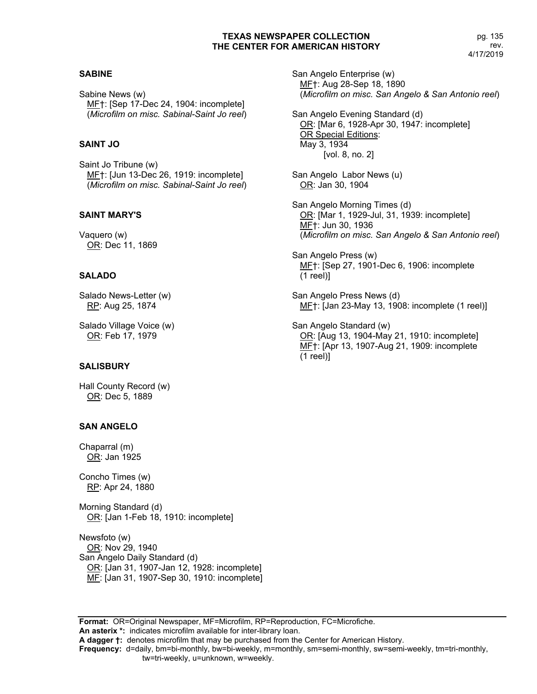### **SABINE**

Sabine News (w) MF†: [Sep 17-Dec 24, 1904: incomplete] (*Microfilm on misc. Sabinal-Saint Jo reel*)

# **SAINT JO**

Saint Jo Tribune (w) MF†: [Jun 13-Dec 26, 1919: incomplete] (*Microfilm on misc. Sabinal-Saint Jo reel*)

# **SAINT MARY'S**

Vaquero (w) OR: Dec 11, 1869

# **SALADO**

Salado News-Letter (w) RP: Aug 25, 1874

Salado Village Voice (w) OR: Feb 17, 1979

# **SALISBURY**

Hall County Record (w) OR: Dec 5, 1889

# **SAN ANGELO**

Chaparral (m) OR: Jan 1925

Concho Times (w) RP: Apr 24, 1880

Morning Standard (d) OR: [Jan 1-Feb 18, 1910: incomplete]

Newsfoto (w) OR: Nov 29, 1940 San Angelo Daily Standard (d) OR: [Jan 31, 1907-Jan 12, 1928: incomplete] ME: [Jan 31, 1907-Sep 30, 1910: incomplete] San Angelo Enterprise (w) MF†: Aug 28-Sep 18, 1890 (*Microfilm on misc. San Angelo & San Antonio reel*)

San Angelo Evening Standard (d) OR: [Mar 6, 1928-Apr 30, 1947: incomplete] OR Special Editions: May 3, 1934 [vol. 8, no. 2]

- San Angelo Labor News (u) OR: Jan 30, 1904
- San Angelo Morning Times (d) OR: [Mar 1, 1929-Jul, 31, 1939: incomplete] MF†: Jun 30, 1936 (*Microfilm on misc. San Angelo & San Antonio reel*)
- San Angelo Press (w) MF†: [Sep 27, 1901-Dec 6, 1906: incomplete (1 reel)]
- San Angelo Press News (d) MF†: [Jan 23-May 13, 1908: incomplete (1 reel)]
- San Angelo Standard (w) OR: [Aug 13, 1904-May 21, 1910: incomplete] MF†: [Apr 13, 1907-Aug 21, 1909: incomplete (1 reel)]

**Format:** OR=Original Newspaper, MF=Microfilm, RP=Reproduction, FC=Microfiche. **An asterix \*:** indicates microfilm available for inter-library loan. **A dagger †:** denotes microfilm that may be purchased from the Center for American History. **Frequency:** d=daily, bm=bi-monthly, bw=bi-weekly, m=monthly, sm=semi-monthly, sw=semi-weekly, tm=tri-monthly, tw=tri-weekly, u=unknown, w=weekly.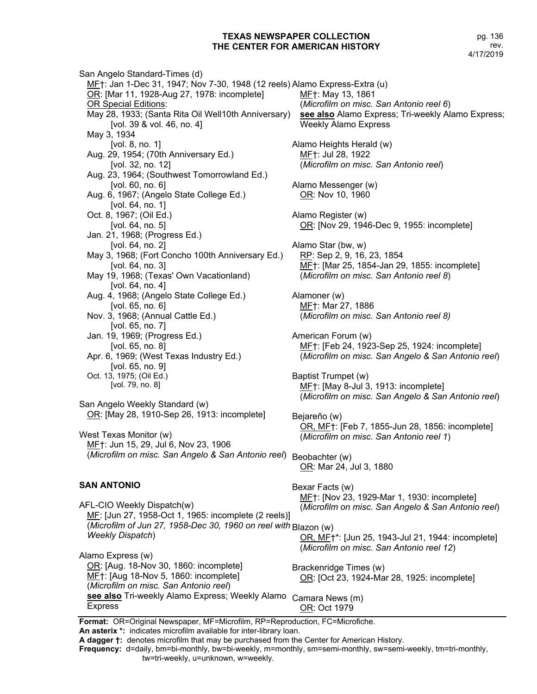San Angelo Standard-Times (d) ME†: Jan 1-Dec 31, 1947; Nov 7-30, 1948 (12 reels) Alamo Express-Extra (u) OR: [Mar 11, 1928-Aug 27, 1978: incomplete] **OR Special Editions:** May 28, 1933; (Santa Rita Oil Well10th Anniversary) [vol. 39 & vol. 46, no. 4] May 3, 1934 [vol. 8, no. 1] Aug. 29, 1954; (70th Anniversary Ed.) [vol. 32, no. 12] Aug. 23, 1964; (Southwest Tomorrowland Ed.) [vol. 60, no. 6] Aug. 6, 1967; (Angelo State College Ed.) [vol. 64, no. 1] Oct. 8, 1967; (Oil Ed.) [vol. 64, no. 5] Jan. 21, 1968; (Progress Ed.) [vol. 64, no. 2] May 3, 1968; (Fort Concho 100th Anniversary Ed.) [vol. 64, no. 3] May 19, 1968; (Texas' Own Vacationland) [vol. 64, no. 4] Aug. 4, 1968; (Angelo State College Ed.) [vol. 65, no. 6] Nov. 3, 1968; (Annual Cattle Ed.) [vol. 65, no. 7] Jan. 19, 1969; (Progress Ed.) [vol. 65, no. 8] Apr. 6, 1969; (West Texas Industry Ed.) [vol. 65, no. 9] Oct. 13, 1975; (Oil Ed.) [vol. 79, no. 8] San Angelo Weekly Standard (w) OR: [May 28, 1910-Sep 26, 1913: incomplete]

West Texas Monitor (w) MF†: Jun 15, 29, Jul 6, Nov 23, 1906 (*Microfilm on misc. San Angelo & San Antonio reel*) Beobachter (w)

# **SAN ANTONIO**

AFL-CIO Weekly Dispatch(w) MF: [Jun 27, 1958-Oct 1, 1965: incomplete (2 reels)] (*Microfilm of Jun 27, 1958-Dec 30, 1960 on reel with*  Blazon (w) *Weekly Dispatch*)

Alamo Express (w) OR: [Aug. 18-Nov 30, 1860: incomplete] MF†: [Aug 18-Nov 5, 1860: incomplete] (*Microfilm on misc. San Antonio reel*) **see also** Tri-weekly Alamo Express; Weekly Alamo Camara News (m) Express

MF†: May 13, 1861 (*Microfilm on misc. San Antonio reel 6*) **see also** Alamo Express; Tri-weekly Alamo Express; Weekly Alamo Express Alamo Heights Herald (w) MF†: Jul 28, 1922 (*Microfilm on misc. San Antonio reel*) Alamo Messenger (w) OR: Nov 10, 1960 Alamo Register (w) OR: [Nov 29, 1946-Dec 9, 1955: incomplete] Alamo Star (bw, w) RP: Sep 2, 9, 16, 23, 1854 MF†: [Mar 25, 1854-Jan 29, 1855: incomplete] (*Microfilm on misc. San Antonio reel 8*) Alamoner (w) MF†: Mar 27, 1886 (*Microfilm on misc. San Antonio reel 8)* American Forum (w) MF†: [Feb 24, 1923-Sep 25, 1924: incomplete] (*Microfilm on misc. San Angelo & San Antonio reel*) Baptist Trumpet (w) MF†: [May 8-Jul 3, 1913: incomplete] (*Microfilm on misc. San Angelo & San Antonio reel*) Bejareño (w) OR, MF†: [Feb 7, 1855-Jun 28, 1856: incomplete] (*Microfilm on misc. San Antonio reel 1*) OR: Mar 24, Jul 3, 1880 Bexar Facts (w) MF†: [Nov 23, 1929-Mar 1, 1930: incomplete] (*Microfilm on misc. San Angelo & San Antonio reel*) OR, MF†\*: [Jun 25, 1943-Jul 21, 1944: incomplete] (*Microfilm on misc. San Antonio reel 12*) Brackenridge Times (w) OR: [Oct 23, 1924-Mar 28, 1925: incomplete]

**Format:** OR=Original Newspaper, MF=Microfilm, RP=Reproduction, FC=Microfiche.

**An asterix \*:** indicates microfilm available for inter-library loan.

**Frequency:** d=daily, bm=bi-monthly, bw=bi-weekly, m=monthly, sm=semi-monthly, sw=semi-weekly, tm=tri-monthly, tw=tri-weekly, u=unknown, w=weekly.

OR: Oct 1979

**A dagger †:** denotes microfilm that may be purchased from the Center for American History.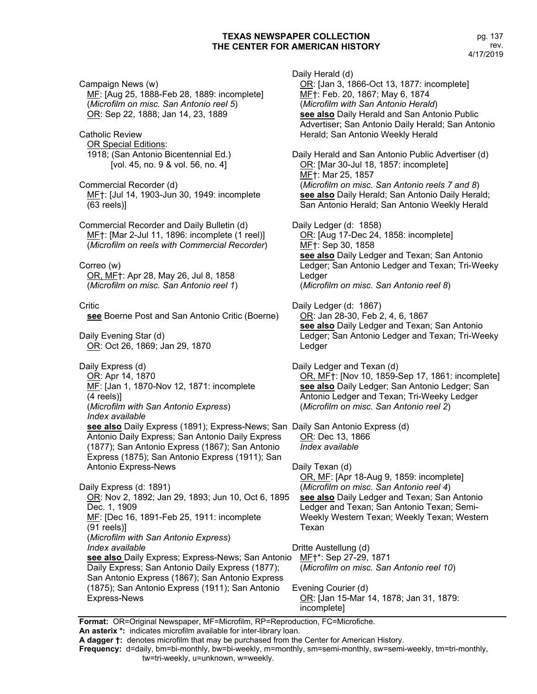Campaign News (w) MF: [Aug 25, 1888-Feb 28, 1889: incomplete] (*Microfilm on misc. San Antonio reel 5*) OR: Sep 22, 1888; Jan 14, 23, 1889 Catholic Review **OR Special Editions:** 1918; (San Antonio Bicentennial Ed.) [vol. 45, no. 9 & vol. 56, no. 4] Commercial Recorder (d) MF†: [Jul 14, 1903-Jun 30, 1949: incomplete (63 reels)] Commercial Recorder and Daily Bulletin (d) MF†: [Mar 2-Jul 11, 1896: incomplete (1 reel)] (*Microfilm on reels with Commercial Recorder*) Correo (w) OR, MF†: Apr 28, May 26, Jul 8, 1858 (*Microfilm on misc. San Antonio reel 1*) Critic **see** Boerne Post and San Antonio Critic (Boerne) Daily Evening Star (d) OR: Oct 26, 1869; Jan 29, 1870 Daily Express (d) OR: Apr 14, 1870 MF: [Jan 1, 1870-Nov 12, 1871: incomplete (4 reels)] (*Microfilm with San Antonio Express*) *Index available* **see also** Daily Express (1891); Express-News; San Daily San Antonio Express (d) Antonio Daily Express; San Antonio Daily Express (1877); San Antonio Express (1867); San Antonio Express (1875); San Antonio Express (1911); San Antonio Express-News Daily Express (d: 1891) OR: Nov 2, 1892; Jan 29, 1893; Jun 10, Oct 6, 1895 Dec. 1, 1909 MF: [Dec 16, 1891-Feb 25, 1911: incomplete (91 reels)] (*Microfilm with San Antonio Express*) *Index available* **see also** Daily Express; Express-News; San Antonio Daily Express; San Antonio Daily Express (1877); San Antonio Express (1867); San Antonio Express (1875); San Antonio Express (1911); San Antonio Express-News Daily Herald (d) OR: [Jan 3, 1866-Oct 13, 1877: incomplete] MF†: Feb. 20, 1867; May 6, 1874 (*Microfilm with San Antonio Herald*) **see also** Daily Herald and San Antonio Public Advertiser; San Antonio Daily Herald; San Antonio Herald; San Antonio Weekly Herald Daily Herald and San Antonio Public Advertiser (d) OR: [Mar 30-Jul 18, 1857: incomplete] MF†: Mar 25, 1857 (*Microfilm on misc. San Antonio reels 7 and 8*) **see also** Daily Herald; San Antonio Daily Herald; San Antonio Herald; San Antonio Weekly Herald Daily Ledger (d: 1858) OR: [Aug 17-Dec 24, 1858: incomplete] ME<sub>T</sub>: Sep 30, 1858 **see also** Daily Ledger and Texan; San Antonio Ledger; San Antonio Ledger and Texan; Tri-Weeky Ledger (*Microfilm on misc. San Antonio reel 8*) Daily Ledger (d: 1867) OR: Jan 28-30, Feb 2, 4, 6, 1867 **see also** Daily Ledger and Texan; San Antonio Ledger; San Antonio Ledger and Texan; Tri-Weeky Ledger Daily Ledger and Texan (d) OR, MF†: [Nov 10, 1859-Sep 17, 1861: incomplete] **see also** Daily Ledger; San Antonio Ledger; San Antonio Ledger and Texan; Tri-Weeky Ledger (*Microfilm on misc. San Antonio reel 2*) OR: Dec 13, 1866 *Index available* Daily Texan (d) OR, MF: [Apr 18-Aug 9, 1859: incomplete] (*Microfilm on misc. San Antonio reel 4*) **see also** Daily Ledger and Texan; San Antonio Ledger and Texan; San Antonio Texan; Semi-Weekly Western Texan; Weekly Texan; Western Texan Dritte Austellung (d) MF†\*: Sep 27-29, 1871 (*Microfilm on misc. San Antonio reel 10*) Evening Courier (d) OR: [Jan 15-Mar 14, 1878; Jan 31, 1879: incomplete]

**Format:** OR=Original Newspaper, MF=Microfilm, RP=Reproduction, FC=Microfiche.

**An asterix \*:** indicates microfilm available for inter-library loan.

**A dagger †:** denotes microfilm that may be purchased from the Center for American History.

**Frequency:** d=daily, bm=bi-monthly, bw=bi-weekly, m=monthly, sm=semi-monthly, sw=semi-weekly, tm=tri-monthly,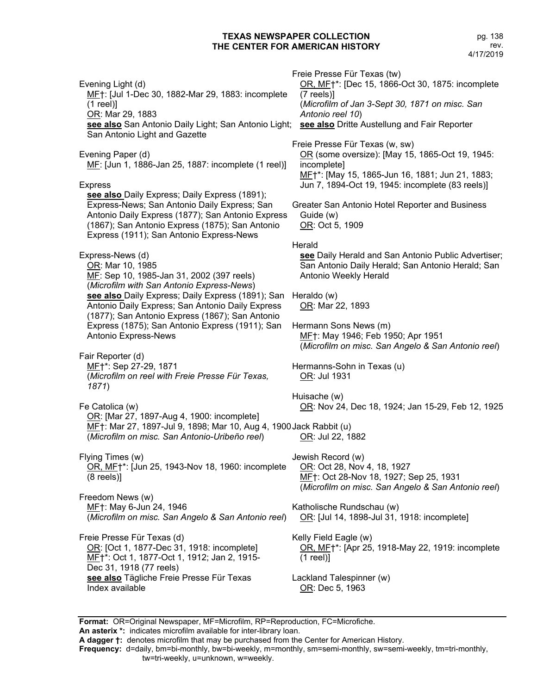Evening Light (d) MF†: [Jul 1-Dec 30, 1882-Mar 29, 1883: incomplete (1 reel)] OR: Mar 29, 1883 **see also** San Antonio Daily Light; San Antonio Light; **see also** Dritte Austellung and Fair Reporter San Antonio Light and Gazette Evening Paper (d) MF: [Jun 1, 1886-Jan 25, 1887: incomplete (1 reel)] Express **see also** Daily Express; Daily Express (1891); Express-News; San Antonio Daily Express; San Antonio Daily Express (1877); San Antonio Express (1867); San Antonio Express (1875); San Antonio Express (1911); San Antonio Express-News Express-News (d) OR: Mar 10, 1985 MF: Sep 10, 1985-Jan 31, 2002 (397 reels) (*Microfilm with San Antonio Express-News*) **see also** Daily Express; Daily Express (1891); San Antonio Daily Express; San Antonio Daily Express (1877); San Antonio Express (1867); San Antonio Express (1875); San Antonio Express (1911); San Antonio Express-News Fair Reporter (d) MF†\*: Sep 27-29, 1871 (*Microfilm on reel with Freie Presse Für Texas, 1871*) Fe Catolica (w) OR: [Mar 27, 1897-Aug 4, 1900: incomplete] MF†: Mar 27, 1897-Jul 9, 1898; Mar 10, Aug 4, 1900 Jack Rabbit (u) (*Microfilm on misc. San Antonio-Uribeño reel*) Flying Times (w) OR, MF†\*: [Jun 25, 1943-Nov 18, 1960: incomplete (8 reels)] Freedom News (w) MF†: May 6-Jun 24, 1946 (*Microfilm on misc. San Angelo & San Antonio reel*) Freie Presse Für Texas (d) OR: [Oct 1, 1877-Dec 31, 1918: incomplete] MF<sup>+</sup>\*: Oct 1, 1877-Oct 1, 1912; Jan 2, 1915-Dec 31, 1918 (77 reels) **see also** Tägliche Freie Presse Für Texas Index available Freie Presse Für Texas (tw) OR, MF†\*: [Dec 15, 1866-Oct 30, 1875: incomplete (7 reels)] (*Microfilm of Jan 3-Sept 30, 1871 on misc. San Antonio reel 10*) Freie Presse Für Texas (w, sw) OR (some oversize): [May 15, 1865-Oct 19, 1945: incomplete] MF†\*: [May 15, 1865-Jun 16, 1881; Jun 21, 1883; Jun 7, 1894-Oct 19, 1945: incomplete (83 reels)] Greater San Antonio Hotel Reporter and Business Guide (w) OR: Oct 5, 1909 **Herald see** Daily Herald and San Antonio Public Advertiser; San Antonio Daily Herald; San Antonio Herald; San Antonio Weekly Herald Heraldo (w) OR: Mar 22, 1893 Hermann Sons News (m) ME<sub>T</sub>: May 1946; Feb 1950; Apr 1951 (*Microfilm on misc. San Angelo & San Antonio reel*) Hermanns-Sohn in Texas (u) OR: Jul 1931 Huisache (w) OR: Nov 24, Dec 18, 1924; Jan 15-29, Feb 12, 1925 OR: Jul 22, 1882 Jewish Record (w) OR: Oct 28, Nov 4, 18, 1927 MF<sub>1</sub>: Oct 28-Nov 18, 1927; Sep 25, 1931 (*Microfilm on misc. San Angelo & San Antonio reel*) Katholische Rundschau (w) OR: [Jul 14, 1898-Jul 31, 1918: incomplete] Kelly Field Eagle (w) OR, MF†\*: [Apr 25, 1918-May 22, 1919: incomplete (1 reel)] Lackland Talespinner (w) OR: Dec 5, 1963

**Format:** OR=Original Newspaper, MF=Microfilm, RP=Reproduction, FC=Microfiche.

**An asterix \*:** indicates microfilm available for inter-library loan.

**A dagger †:** denotes microfilm that may be purchased from the Center for American History.

**Frequency:** d=daily, bm=bi-monthly, bw=bi-weekly, m=monthly, sm=semi-monthly, sw=semi-weekly, tm=tri-monthly,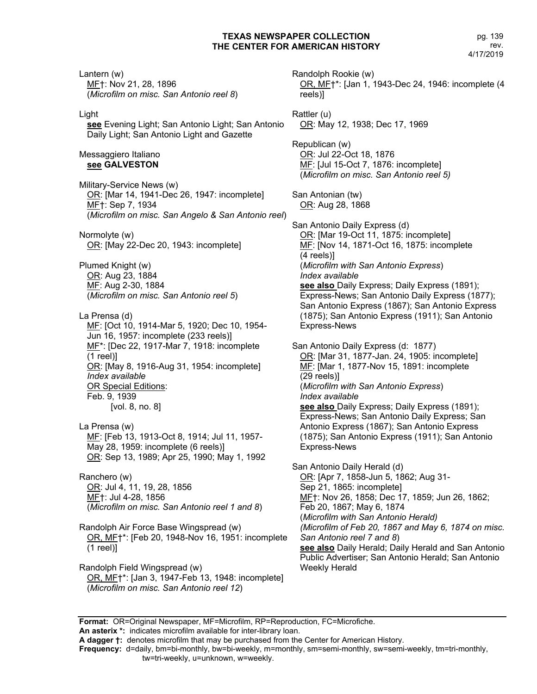Lantern (w) MF†: Nov 21, 28, 1896 (*Microfilm on misc. San Antonio reel 8*) Light **see** Evening Light; San Antonio Light; San Antonio Daily Light; San Antonio Light and Gazette Messaggiero Italiano **see GALVESTON** Military-Service News (w) OR: [Mar 14, 1941-Dec 26, 1947: incomplete] MF†: Sep 7, 1934 (*Microfilm on misc. San Angelo & San Antonio reel*) Normolyte (w) OR: [May 22-Dec 20, 1943: incomplete] Plumed Knight (w) OR: Aug 23, 1884 MF: Aug 2-30, 1884 (*Microfilm on misc. San Antonio reel 5*) La Prensa (d) MF: [Oct 10, 1914-Mar 5, 1920; Dec 10, 1954- Jun 16, 1957: incomplete (233 reels)] MF<sup>\*</sup>: [Dec 22, 1917-Mar 7, 1918: incomplete (1 reel)] OR: [May 8, 1916-Aug 31, 1954: incomplete] *Index available* OR Special Editions: Feb. 9, 1939 [vol. 8, no. 8] La Prensa (w) MF: [Feb 13, 1913-Oct 8, 1914; Jul 11, 1957- May 28, 1959: incomplete (6 reels)] OR: Sep 13, 1989; Apr 25, 1990; May 1, 1992 Ranchero (w) OR: Jul 4, 11, 19, 28, 1856 MF†: Jul 4-28, 1856 (*Microfilm on misc. San Antonio reel 1 and 8*) Randolph Air Force Base Wingspread (w) OR, MF†\*: [Feb 20, 1948-Nov 16, 1951: incomplete (1 reel)] Randolph Field Wingspread (w) OR, MF†\*: [Jan 3, 1947-Feb 13, 1948: incomplete] (*Microfilm on misc. San Antonio reel 12*) Randolph Rookie (w) reels)] Weekly Herald

OR, MF†\*: [Jan 1, 1943-Dec 24, 1946: incomplete (4 Rattler (u) OR: May 12, 1938; Dec 17, 1969 Republican (w) OR: Jul 22-Oct 18, 1876 MF: [Jul 15-Oct 7, 1876: incomplete] (*Microfilm on misc. San Antonio reel 5)* San Antonian (tw) OR: Aug 28, 1868 San Antonio Daily Express (d) OR: [Mar 19-Oct 11, 1875: incomplete] ME: [Nov 14, 1871-Oct 16, 1875: incomplete (4 reels)] (*Microfilm with San Antonio Express*) *Index available* **see also** Daily Express; Daily Express (1891); Express-News; San Antonio Daily Express (1877); San Antonio Express (1867); San Antonio Express (1875); San Antonio Express (1911); San Antonio Express-News San Antonio Daily Express (d: 1877) OR: [Mar 31, 1877-Jan. 24, 1905: incomplete] ME: [Mar 1, 1877-Nov 15, 1891: incomplete (29 reels)] (*Microfilm with San Antonio Express*) *Index available* **see also** Daily Express; Daily Express (1891); Express-News; San Antonio Daily Express; San Antonio Express (1867); San Antonio Express (1875); San Antonio Express (1911); San Antonio Express-News San Antonio Daily Herald (d) OR: [Apr 7, 1858-Jun 5, 1862; Aug 31-Sep 21, 1865: incomplete] MF†: Nov 26, 1858; Dec 17, 1859; Jun 26, 1862; Feb 20, 1867; May 6, 1874 (*Microfilm with San Antonio Herald) (Microfilm of Feb 20, 1867 and May 6, 1874 on misc. San Antonio reel 7 and 8*) **see also** Daily Herald; Daily Herald and San Antonio Public Advertiser; San Antonio Herald; San Antonio

**Format:** OR=Original Newspaper, MF=Microfilm, RP=Reproduction, FC=Microfiche.

**An asterix \*:** indicates microfilm available for inter-library loan. **A dagger †:** denotes microfilm that may be purchased from the Center for American History.

**Frequency:** d=daily, bm=bi-monthly, bw=bi-weekly, m=monthly, sm=semi-monthly, sw=semi-weekly, tm=tri-monthly,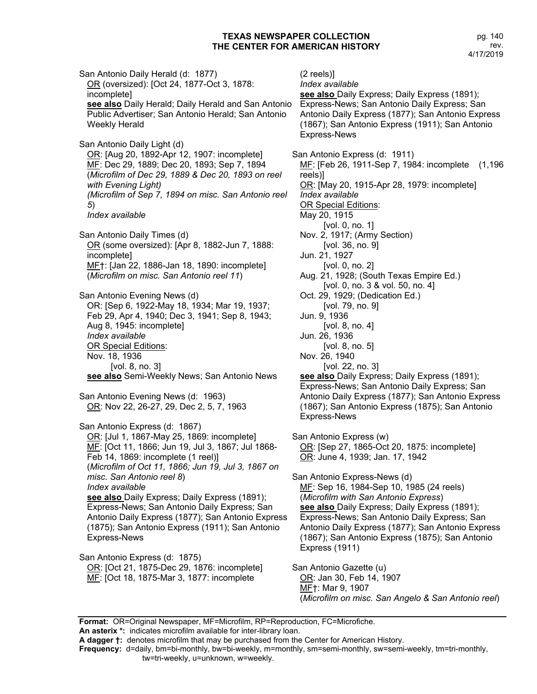pg. 140 rev. 4/17/2019

San Antonio Daily Herald (d: 1877) OR (oversized): [Oct 24, 1877-Oct 3, 1878: incomplete] **see also** Daily Herald; Daily Herald and San Antonio Public Advertiser; San Antonio Herald; San Antonio Weekly Herald San Antonio Daily Light (d) OR: [Aug 20, 1892-Apr 12, 1907: incomplete] MF: Dec 29, 1889; Dec 20, 1893; Sep 7, 1894 (*Microfilm of Dec 29, 1889 & Dec 20, 1893 on reel with Evening Light) (Microfilm of Sep 7, 1894 on misc. San Antonio reel 5*) *Index available* San Antonio Daily Times (d) OR (some oversized): [Apr 8, 1882-Jun 7, 1888: incomplete] MF†: [Jan 22, 1886-Jan 18, 1890: incomplete] (*Microfilm on misc. San Antonio reel 11*) San Antonio Evening News (d) OR: [Sep 6, 1922-May 18, 1934; Mar 19, 1937; Feb 29, Apr 4, 1940; Dec 3, 1941; Sep 8, 1943; Aug 8, 1945: incomplete] *Index available* OR Special Editions: Nov. 18, 1936 [vol. 8, no. 3] **see also** Semi-Weekly News; San Antonio News San Antonio Evening News (d: 1963) OR: Nov 22, 26-27, 29, Dec 2, 5, 7, 1963 San Antonio Express (d: 1867) OR: [Jul 1, 1867-May 25, 1869: incomplete] MF: [Oct 11, 1866; Jun 19, Jul 3, 1867; Jul 1868- Feb 14, 1869: incomplete (1 reel)] (*Microfilm of Oct 11, 1866; Jun 19, Jul 3, 1867 on misc. San Antonio reel 8*) *Index available* **see also** Daily Express; Daily Express (1891); Express-News; San Antonio Daily Express; San Antonio Daily Express (1877); San Antonio Express (1875); San Antonio Express (1911); San Antonio Express-News San Antonio Express (d: 1875) OR: [Oct 21, 1875-Dec 29, 1876: incomplete] ME: [Oct 18, 1875-Mar 3, 1877: incomplete

(2 reels)] *Index available* **see also** Daily Express; Daily Express (1891); Express-News; San Antonio Daily Express; San Antonio Daily Express (1877); San Antonio Express (1867); San Antonio Express (1911); San Antonio Express-News San Antonio Express (d: 1911) MF: [Feb 26, 1911-Sep 7, 1984: incomplete (1,196 reels)] OR: [May 20, 1915-Apr 28, 1979: incomplete] *Index available* OR Special Editions: May 20, 1915 [vol. 0, no. 1] Nov. 2, 1917; (Army Section) [vol. 36, no. 9] Jun. 21, 1927 [vol. 0, no. 2] Aug. 21, 1928; (South Texas Empire Ed.) [vol. 0, no. 3 & vol. 50, no. 4] Oct. 29, 1929; (Dedication Ed.) [vol. 79, no. 9] Jun. 9, 1936 [vol. 8, no. 4] Jun. 26, 1936 [vol. 8, no. 5] Nov. 26, 1940 [vol. 22, no. 3] **see also** Daily Express; Daily Express (1891); Express-News; San Antonio Daily Express; San Antonio Daily Express (1877); San Antonio Express (1867); San Antonio Express (1875); San Antonio Express-News San Antonio Express (w) OR: [Sep 27, 1865-Oct 20, 1875: incomplete] OR: June 4, 1939; Jan. 17, 1942 San Antonio Express-News (d) ME: Sep 16, 1984-Sep 10, 1985 (24 reels) (*Microfilm with San Antonio Express*) **see also** Daily Express; Daily Express (1891); Express-News; San Antonio Daily Express; San Antonio Daily Express (1877); San Antonio Express (1867); San Antonio Express (1875); San Antonio Express (1911) San Antonio Gazette (u) OR: Jan 30, Feb 14, 1907 MF†: Mar 9, 1907 (*Microfilm on misc. San Angelo & San Antonio reel*)

**Format:** OR=Original Newspaper, MF=Microfilm, RP=Reproduction, FC=Microfiche. **An asterix \*:** indicates microfilm available for inter-library loan.

**A dagger †:** denotes microfilm that may be purchased from the Center for American History.

**Frequency:** d=daily, bm=bi-monthly, bw=bi-weekly, m=monthly, sm=semi-monthly, sw=semi-weekly, tm=tri-monthly, tw=tri-weekly, u=unknown, w=weekly.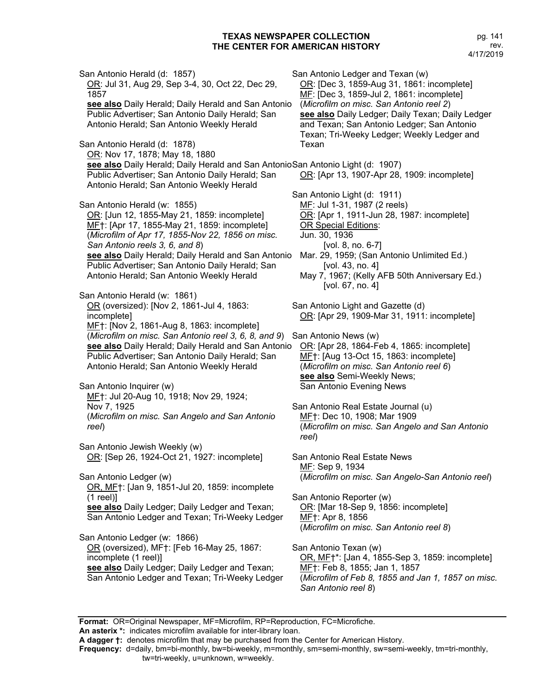San Antonio Herald (d: 1857) OR: Jul 31, Aug 29, Sep 3-4, 30, Oct 22, Dec 29, 1857 **see also** Daily Herald; Daily Herald and San Antonio Public Advertiser; San Antonio Daily Herald; San Antonio Herald; San Antonio Weekly Herald San Antonio Herald (d: 1878) OR: Nov 17, 1878; May 18, 1880 **see also** Daily Herald; Daily Herald and San Antonio San Antonio Light (d: 1907) Public Advertiser; San Antonio Daily Herald; San Antonio Herald; San Antonio Weekly Herald San Antonio Herald (w: 1855) OR: [Jun 12, 1855-May 21, 1859: incomplete] MF†: [Apr 17, 1855-May 21, 1859: incomplete] (*Microfilm of Apr 17, 1855-Nov 22, 1856 on misc. San Antonio reels 3, 6, and 8*) **see also** Daily Herald; Daily Herald and San Antonio Public Advertiser; San Antonio Daily Herald; San Antonio Herald; San Antonio Weekly Herald San Antonio Herald (w: 1861) OR (oversized): [Nov 2, 1861-Jul 4, 1863: incomplete] MF†: [Nov 2, 1861-Aug 8, 1863: incomplete] (*Microfilm on misc. San Antonio reel 3, 6, 8, and 9*) San Antonio News (w) **see also** Daily Herald; Daily Herald and San Antonio OR: [Apr 28, 1864-Feb 4, 1865: incomplete] Public Advertiser; San Antonio Daily Herald; San Antonio Herald; San Antonio Weekly Herald San Antonio Inquirer (w) MF†: Jul 20-Aug 10, 1918; Nov 29, 1924; Nov 7, 1925 (*Microfilm on misc. San Angelo and San Antonio reel*) San Antonio Jewish Weekly (w) OR: [Sep 26, 1924-Oct 21, 1927: incomplete] San Antonio Ledger (w) OR, MF†: [Jan 9, 1851-Jul 20, 1859: incomplete (1 reel)] **see also** Daily Ledger; Daily Ledger and Texan; San Antonio Ledger and Texan; Tri-Weeky Ledger San Antonio Ledger (w: 1866) OR (oversized), MF†: [Feb 16-May 25, 1867: incomplete (1 reel)] **see also** Daily Ledger; Daily Ledger and Texan; San Antonio Ledger and Texan; Tri-Weeky Ledger San Antonio Ledger and Texan (w) OR: [Dec 3, 1859-Aug 31, 1861: incomplete] MF: [Dec 3, 1859-Jul 2, 1861: incomplete] (*Microfilm on misc. San Antonio reel 2*) **see also** Daily Ledger; Daily Texan; Daily Ledger and Texan; San Antonio Ledger; San Antonio Texan; Tri-Weeky Ledger; Weekly Ledger and Texan OR: [Apr 13, 1907-Apr 28, 1909: incomplete] San Antonio Light (d: 1911) MF: Jul 1-31, 1987 (2 reels) OR: [Apr 1, 1911-Jun 28, 1987: incomplete] OR Special Editions: Jun. 30, 1936 [vol. 8, no. 6-7] Mar. 29, 1959; (San Antonio Unlimited Ed.) [vol. 43, no. 4] May 7, 1967; (Kelly AFB 50th Anniversary Ed.) [vol. 67, no. 4] San Antonio Light and Gazette (d) OR: [Apr 29, 1909-Mar 31, 1911: incomplete] MF†: [Aug 13-Oct 15, 1863: incomplete] (*Microfilm on misc. San Antonio reel 6*) **see also** Semi-Weekly News; San Antonio Evening News San Antonio Real Estate Journal (u) MF†: Dec 10, 1908; Mar 1909 (*Microfilm on misc. San Angelo and San Antonio reel*) San Antonio Real Estate News MF: Sep 9, 1934 (*Microfilm on misc. San Angelo-San Antonio reel*) San Antonio Reporter (w) OR: [Mar 18-Sep 9, 1856: incomplete] MF†: Apr 8, 1856 (*Microfilm on misc. San Antonio reel 8*) San Antonio Texan (w) OR, MF†\*: [Jan 4, 1855-Sep 3, 1859: incomplete] MF†: Feb 8, 1855; Jan 1, 1857 (*Microfilm of Feb 8, 1855 and Jan 1, 1857 on misc. San Antonio reel 8*)

**Format:** OR=Original Newspaper, MF=Microfilm, RP=Reproduction, FC=Microfiche.

**An asterix \*:** indicates microfilm available for inter-library loan.

**A dagger †:** denotes microfilm that may be purchased from the Center for American History.

**Frequency:** d=daily, bm=bi-monthly, bw=bi-weekly, m=monthly, sm=semi-monthly, sw=semi-weekly, tm=tri-monthly, tw=tri-weekly, u=unknown, w=weekly.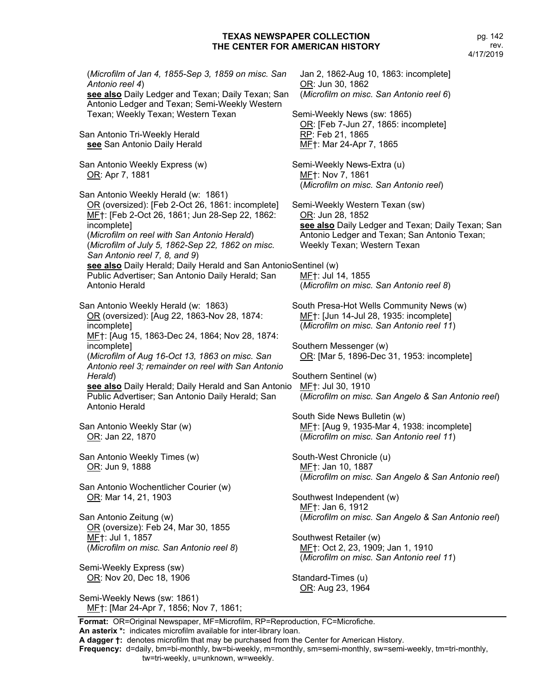(*Microfilm of Jan 4, 1855-Sep 3, 1859 on misc. San Antonio reel 4*) **see also** Daily Ledger and Texan; Daily Texan; San Antonio Ledger and Texan; Semi-Weekly Western Texan; Weekly Texan; Western Texan San Antonio Tri-Weekly Herald **see** San Antonio Daily Herald San Antonio Weekly Express (w) OR: Apr 7, 1881 San Antonio Weekly Herald (w: 1861) OR (oversized): [Feb 2-Oct 26, 1861: incomplete] MF†: [Feb 2-Oct 26, 1861; Jun 28-Sep 22, 1862: incomplete] (*Microfilm on reel with San Antonio Herald*) (*Microfilm of July 5, 1862-Sep 22, 1862 on misc. San Antonio reel 7, 8, and 9*) see also Daily Herald; Daily Herald and San Antonio Sentinel (w) Public Advertiser; San Antonio Daily Herald; San Antonio Herald San Antonio Weekly Herald (w: 1863) OR (oversized): [Aug 22, 1863-Nov 28, 1874: incomplete] MF†: [Aug 15, 1863-Dec 24, 1864; Nov 28, 1874: incomplete] (*Microfilm of Aug 16-Oct 13, 1863 on misc. San Antonio reel 3; remainder on reel with San Antonio Herald*) **see also** Daily Herald; Daily Herald and San Antonio MF†: Jul 30, 1910 Public Advertiser; San Antonio Daily Herald; San Antonio Herald San Antonio Weekly Star (w) OR: Jan 22, 1870 San Antonio Weekly Times (w) OR: Jun 9, 1888 San Antonio Wochentlicher Courier (w) OR: Mar 14, 21, 1903 San Antonio Zeitung (w) OR (oversize): Feb 24, Mar 30, 1855 MF†: Jul 1, 1857 (*Microfilm on misc. San Antonio reel 8*) Semi-Weekly Express (sw) OR: Nov 20, Dec 18, 1906 Semi-Weekly News (sw: 1861) MF†: [Mar 24-Apr 7, 1856; Nov 7, 1861; Jan 2, 1862-Aug 10, 1863: incomplete] OR: Jun 30, 1862 (*Microfilm on misc. San Antonio reel 6*) Semi-Weekly News (sw: 1865) OR: [Feb 7-Jun 27, 1865: incomplete] RP: Feb 21, 1865 MF†: Mar 24-Apr 7, 1865 Semi-Weekly News-Extra (u) MF†: Nov 7, 1861 (*Microfilm on misc. San Antonio reel*) Semi-Weekly Western Texan (sw) OR: Jun 28, 1852 **see also** Daily Ledger and Texan; Daily Texan; San Antonio Ledger and Texan; San Antonio Texan; Weekly Texan; Western Texan MF†: Jul 14, 1855 (*Microfilm on misc. San Antonio reel 8*) South Presa-Hot Wells Community News (w) MF†: [Jun 14-Jul 28, 1935: incomplete] (*Microfilm on misc. San Antonio reel 11*) Southern Messenger (w) OR: [Mar 5, 1896-Dec 31, 1953: incomplete] Southern Sentinel (w) (*Microfilm on misc. San Angelo & San Antonio reel*) South Side News Bulletin (w) MF†: [Aug 9, 1935-Mar 4, 1938: incomplete] (*Microfilm on misc. San Antonio reel 11*) South-West Chronicle (u) MF†: Jan 10, 1887 (*Microfilm on misc. San Angelo & San Antonio reel*) Southwest Independent (w) MF†: Jan 6, 1912 (*Microfilm on misc. San Angelo & San Antonio reel*) Southwest Retailer (w) MF†: Oct 2, 23, 1909; Jan 1, 1910 (*Microfilm on misc. San Antonio reel 11*) Standard-Times (u) OR: Aug 23, 1964

**Format:** OR=Original Newspaper, MF=Microfilm, RP=Reproduction, FC=Microfiche. **An asterix \*:** indicates microfilm available for inter-library loan.

**A dagger †:** denotes microfilm that may be purchased from the Center for American History.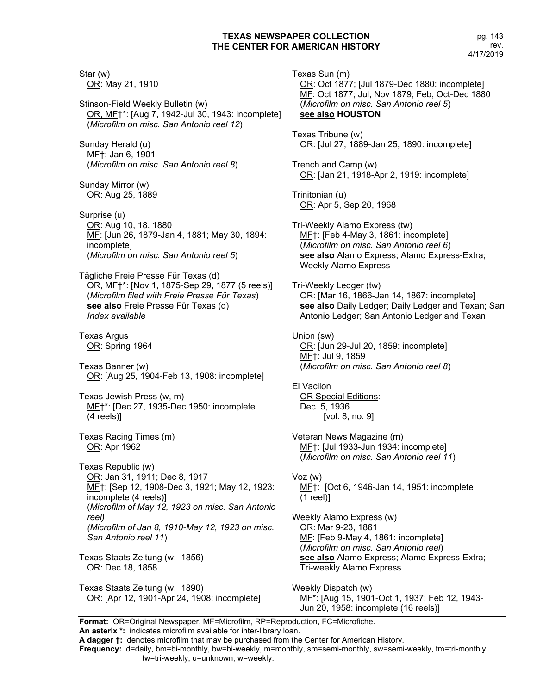Star (w) OR: May 21, 1910 Stinson-Field Weekly Bulletin (w) OR, MF†\*: [Aug 7, 1942-Jul 30, 1943: incomplete] (*Microfilm on misc. San Antonio reel 12*) Sunday Herald (u) MF†: Jan 6, 1901 (*Microfilm on misc. San Antonio reel 8*) Sunday Mirror (w) OR: Aug 25, 1889 Surprise (u) OR: Aug 10, 18, 1880 MF: [Jun 26, 1879-Jan 4, 1881; May 30, 1894: incomplete] (*Microfilm on misc. San Antonio reel 5*) Tägliche Freie Presse Für Texas (d) OR, MF†\*: [Nov 1, 1875-Sep 29, 1877 (5 reels)] (*Microfilm filed with Freie Presse Für Texas*) **see also** Freie Presse Für Texas (d) *Index available* Texas Argus OR: Spring 1964 Texas Banner (w) OR: [Aug 25, 1904-Feb 13, 1908: incomplete] Texas Jewish Press (w, m) MF†\*: [Dec 27, 1935-Dec 1950: incomplete (4 reels)] Texas Racing Times (m) OR: Apr 1962 Texas Republic (w) OR: Jan 31, 1911; Dec 8, 1917 ME†: [Sep 12, 1908-Dec 3, 1921; May 12, 1923: incomplete (4 reels)] (*Microfilm of May 12, 1923 on misc. San Antonio reel) (Microfilm of Jan 8, 1910-May 12, 1923 on misc. San Antonio reel 11*) Texas Staats Zeitung (w: 1856) OR: Dec 18, 1858 Texas Staats Zeitung (w: 1890) OR: [Apr 12, 1901-Apr 24, 1908: incomplete]

Texas Sun (m) OR: Oct 1877; [Jul 1879-Dec 1880: incomplete] MF: Oct 1877; Jul, Nov 1879; Feb, Oct-Dec 1880 (*Microfilm on misc. San Antonio reel 5*) **see also HOUSTON** Texas Tribune (w) OR: [Jul 27, 1889-Jan 25, 1890: incomplete] Trench and Camp (w) OR: [Jan 21, 1918-Apr 2, 1919: incomplete] Trinitonian (u) OR: Apr 5, Sep 20, 1968 Tri-Weekly Alamo Express (tw) MF†: [Feb 4-May 3, 1861: incomplete] (*Microfilm on misc. San Antonio reel 6*) **see also** Alamo Express; Alamo Express-Extra; Weekly Alamo Express Tri-Weekly Ledger (tw) OR: [Mar 16, 1866-Jan 14, 1867: incomplete] **see also** Daily Ledger; Daily Ledger and Texan; San Antonio Ledger; San Antonio Ledger and Texan Union (sw) OR: [Jun 29-Jul 20, 1859: incomplete] MF†: Jul 9, 1859 (*Microfilm on misc. San Antonio reel 8*) El Vacilon OR Special Editions: Dec. 5, 1936 [vol. 8, no. 9] Veteran News Magazine (m) MF†: [Jul 1933-Jun 1934: incomplete] (*Microfilm on misc. San Antonio reel 11*) Voz (w) MF†: [Oct 6, 1946-Jan 14, 1951: incomplete (1 reel)] Weekly Alamo Express (w) OR: Mar 9-23, 1861 MF: [Feb 9-May 4, 1861: incomplete] (*Microfilm on misc. San Antonio reel*) **see also** Alamo Express; Alamo Express-Extra; Tri-weekly Alamo Express Weekly Dispatch (w) MF\*: [Aug 15, 1901-Oct 1, 1937; Feb 12, 1943-

Jun 20, 1958: incomplete (16 reels)]

**Format:** OR=Original Newspaper, MF=Microfilm, RP=Reproduction, FC=Microfiche.

**An asterix \*:** indicates microfilm available for inter-library loan. **A dagger †:** denotes microfilm that may be purchased from the Center for American History.

**Frequency:** d=daily, bm=bi-monthly, bw=bi-weekly, m=monthly, sm=semi-monthly, sw=semi-weekly, tm=tri-monthly,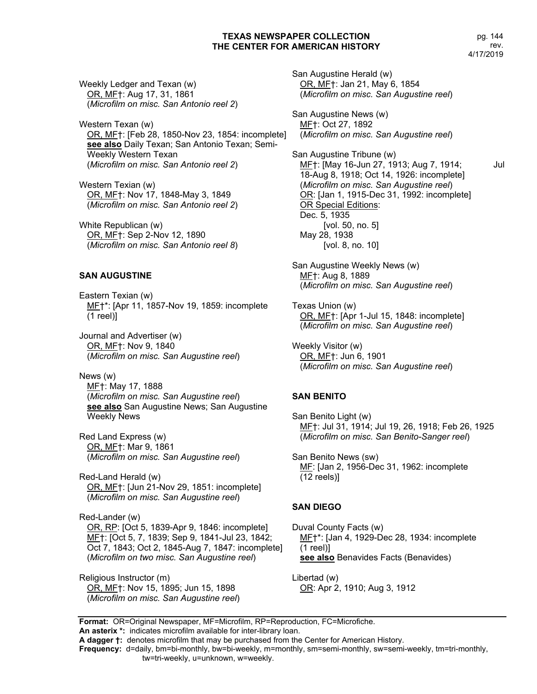pg. 144 rev. 4/17/2019

Weekly Ledger and Texan (w) OR, MF†: Aug 17, 31, 1861 (*Microfilm on misc. San Antonio reel 2*)

Western Texan (w) OR, MF†: [Feb 28, 1850-Nov 23, 1854: incomplete] **see also** Daily Texan; San Antonio Texan; Semi-Weekly Western Texan (*Microfilm on misc. San Antonio reel 2*)

Western Texian (w) OR, MF†: Nov 17, 1848-May 3, 1849 (*Microfilm on misc. San Antonio reel 2*)

White Republican (w) OR, MF†: Sep 2-Nov 12, 1890 (*Microfilm on misc. San Antonio reel 8*)

### **SAN AUGUSTINE**

Eastern Texian (w) ME<sup>+\*</sup>: [Apr 11, 1857-Nov 19, 1859: incomplete (1 reel)]

Journal and Advertiser (w) OR, MF†: Nov 9, 1840 (*Microfilm on misc. San Augustine reel*)

News (w) MF†: May 17, 1888 (*Microfilm on misc. San Augustine reel*) **see also** San Augustine News; San Augustine Weekly News

Red Land Express (w) OR, MF†: Mar 9, 1861 (*Microfilm on misc. San Augustine reel*)

Red-Land Herald (w) OR, MF†: [Jun 21-Nov 29, 1851: incomplete] (*Microfilm on misc. San Augustine reel*)

Red-Lander (w) OR, RP: [Oct 5, 1839-Apr 9, 1846: incomplete] MF†: [Oct 5, 7, 1839; Sep 9, 1841-Jul 23, 1842; Oct 7, 1843; Oct 2, 1845-Aug 7, 1847: incomplete] (*Microfilm on two misc. San Augustine reel*)

Religious Instructor (m) OR, MF†: Nov 15, 1895; Jun 15, 1898 (*Microfilm on misc. San Augustine reel*) San Augustine Herald (w) OR, MF†: Jan 21, May 6, 1854 (*Microfilm on misc. San Augustine reel*)

San Augustine News (w) MF†: Oct 27, 1892 (*Microfilm on misc. San Augustine reel*)

San Augustine Tribune (w) MF<sub>1</sub>: [May 16-Jun 27, 1913; Aug 7, 1914; Jul 18-Aug 8, 1918; Oct 14, 1926: incomplete] (*Microfilm on misc. San Augustine reel*) OR: [Jan 1, 1915-Dec 31, 1992: incomplete] OR Special Editions: Dec. 5, 1935 [vol. 50, no. 5] May 28, 1938 [vol. 8, no. 10]

San Augustine Weekly News (w) MF†: Aug 8, 1889 (*Microfilm on misc. San Augustine reel*)

Texas Union (w) OR, MF†: [Apr 1-Jul 15, 1848: incomplete] (*Microfilm on misc. San Augustine reel*)

Weekly Visitor (w) OR, MF†: Jun 6, 1901 (*Microfilm on misc. San Augustine reel*)

### **SAN BENITO**

San Benito Light (w) MF†: Jul 31, 1914; Jul 19, 26, 1918; Feb 26, 1925 (*Microfilm on misc. San Benito-Sanger reel*)

San Benito News (sw) MF: [Jan 2, 1956-Dec 31, 1962: incomplete (12 reels)]

#### **SAN DIEGO**

Duval County Facts (w) MF†\*: [Jan 4, 1929-Dec 28, 1934: incomplete (1 reel)] **see also** Benavides Facts (Benavides)

Libertad (w) OR: Apr 2, 1910; Aug 3, 1912

**Format:** OR=Original Newspaper, MF=Microfilm, RP=Reproduction, FC=Microfiche.

**An asterix \*:** indicates microfilm available for inter-library loan.

**Frequency:** d=daily, bm=bi-monthly, bw=bi-weekly, m=monthly, sm=semi-monthly, sw=semi-weekly, tm=tri-monthly,

**A dagger †:** denotes microfilm that may be purchased from the Center for American History.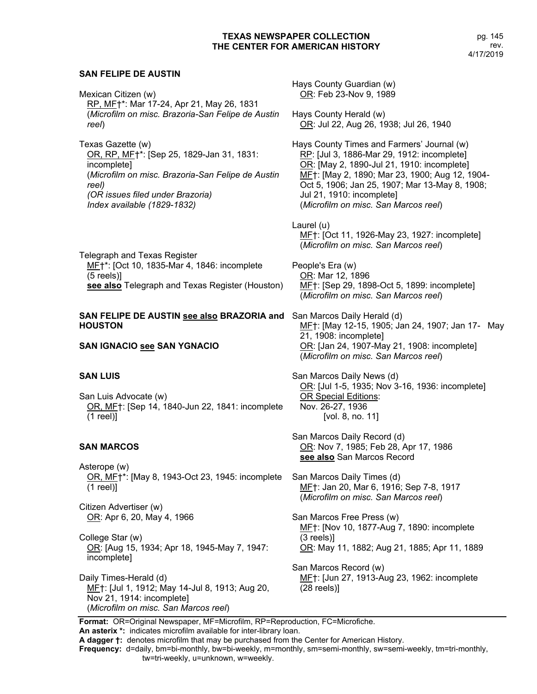### **SAN FELIPE DE AUSTIN**

Mexican Citizen (w) RP, MF†\*: Mar 17-24, Apr 21, May 26, 1831 (*Microfilm on misc. Brazoria-San Felipe de Austin reel*)

Texas Gazette (w) OR, RP, MF†\*: [Sep 25, 1829-Jan 31, 1831: incomplete] (*Microfilm on misc. Brazoria-San Felipe de Austin reel) (OR issues filed under Brazoria) Index available (1829-1832)*

Telegraph and Texas Register MF†\*: [Oct 10, 1835-Mar 4, 1846: incomplete (5 reels)] **see also** Telegraph and Texas Register (Houston)

### **SAN FELIPE DE AUSTIN see also BRAZORIA and**  San Marcos Daily Herald (d) **HOUSTON**

**SAN IGNACIO see SAN YGNACIO**

### **SAN LUIS**

San Luis Advocate (w) OR, MF†: [Sep 14, 1840-Jun 22, 1841: incomplete (1 reel)]

### **SAN MARCOS**

Asterope (w) OR, MF†\*: [May 8, 1943-Oct 23, 1945: incomplete (1 reel)]

Citizen Advertiser (w) OR: Apr 6, 20, May 4, 1966

College Star (w) OR: [Aug 15, 1934; Apr 18, 1945-May 7, 1947: incomplete]

Daily Times-Herald (d) MF†: [Jul 1, 1912; May 14-Jul 8, 1913; Aug 20, Nov 21, 1914: incomplete] (*Microfilm on misc. San Marcos reel*)

Hays County Guardian (w) OR: Feb 23-Nov 9, 1989 Hays County Herald (w) OR: Jul 22, Aug 26, 1938; Jul 26, 1940 Hays County Times and Farmers' Journal (w) RP: [Jul 3, 1886-Mar 29, 1912: incomplete] OR: [May 2, 1890-Jul 21, 1910: incomplete] MF†: [May 2, 1890; Mar 23, 1900; Aug 12, 1904- Oct 5, 1906; Jan 25, 1907; Mar 13-May 8, 1908; Jul 21, 1910: incomplete] (*Microfilm on misc. San Marcos reel*) Laurel (u) MF†: [Oct 11, 1926-May 23, 1927: incomplete] (*Microfilm on misc. San Marcos reel*) People's Era (w) OR: Mar 12, 1896 MF†: [Sep 29, 1898-Oct 5, 1899: incomplete]

MF†: [May 12-15, 1905; Jan 24, 1907; Jan 17- May 21, 1908: incomplete] OR: [Jan 24, 1907-May 21, 1908: incomplete] (*Microfilm on misc. San Marcos reel*)

San Marcos Daily News (d) OR: [Jul 1-5, 1935; Nov 3-16, 1936: incomplete] OR Special Editions: Nov. 26-27, 1936 [vol. 8, no. 11]

San Marcos Daily Record (d) OR: Nov 7, 1985; Feb 28, Apr 17, 1986 **see also** San Marcos Record

(*Microfilm on misc. San Marcos reel*)

San Marcos Daily Times (d) MF<sub>1</sub>: Jan 20, Mar 6, 1916; Sep 7-8, 1917 (*Microfilm on misc. San Marcos reel*)

San Marcos Free Press (w) MF†: [Nov 10, 1877-Aug 7, 1890: incomplete (3 reels)] OR: May 11, 1882; Aug 21, 1885; Apr 11, 1889

San Marcos Record (w) ME†: [Jun 27, 1913-Aug 23, 1962: incomplete (28 reels)]

**Format:** OR=Original Newspaper, MF=Microfilm, RP=Reproduction, FC=Microfiche. **An asterix \*:** indicates microfilm available for inter-library loan.

**A dagger †:** denotes microfilm that may be purchased from the Center for American History.

**Frequency:** d=daily, bm=bi-monthly, bw=bi-weekly, m=monthly, sm=semi-monthly, sw=semi-weekly, tm=tri-monthly,

tw=tri-weekly, u=unknown, w=weekly.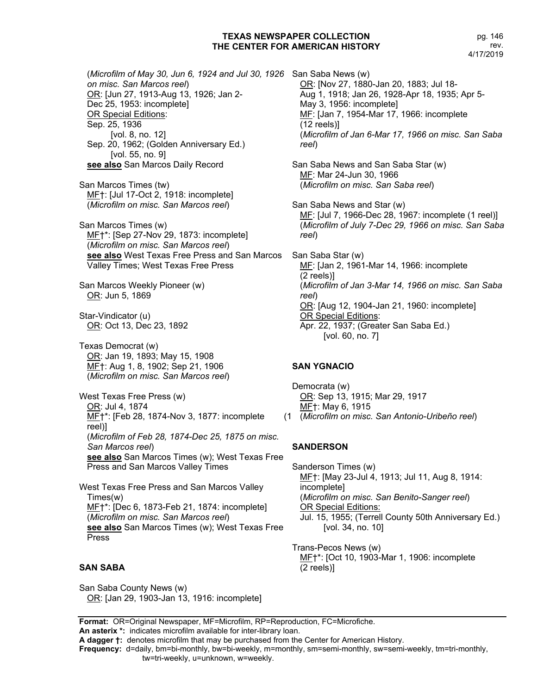pg. 146 rev. 4/17/2019

(*Microfilm of May 30, Jun 6, 1924 and Jul 30, 1926*  San Saba News (w) *on misc. San Marcos reel*) OR: [Jun 27, 1913-Aug 13, 1926; Jan 2- Dec 25, 1953: incomplete] OR Special Editions: Sep. 25, 1936 [vol. 8, no. 12] Sep. 20, 1962; (Golden Anniversary Ed.) [vol. 55, no. 9] **see also** San Marcos Daily Record

San Marcos Times (tw) MF†: [Jul 17-Oct 2, 1918: incomplete] (*Microfilm on misc. San Marcos reel*)

San Marcos Times (w) MF†\*: [Sep 27-Nov 29, 1873: incomplete] (*Microfilm on misc. San Marcos reel*) **see also** West Texas Free Press and San Marcos San Saba Star (w) Valley Times; West Texas Free Press

San Marcos Weekly Pioneer (w) OR: Jun 5, 1869

Star-Vindicator (u) OR: Oct 13, Dec 23, 1892

Texas Democrat (w) OR: Jan 19, 1893; May 15, 1908 MF†: Aug 1, 8, 1902; Sep 21, 1906 (*Microfilm on misc. San Marcos reel*)

West Texas Free Press (w) OR: Jul 4, 1874 ME<sup>+\*</sup>: [Feb 28, 1874-Nov 3, 1877: incomplete reel)] (*Microfilm of Feb 28, 1874-Dec 25, 1875 on misc. San Marcos reel*) **see also** San Marcos Times (w); West Texas Free Press and San Marcos Valley Times

West Texas Free Press and San Marcos Valley Times(w) MF†\*: [Dec 6, 1873-Feb 21, 1874: incomplete] (*Microfilm on misc. San Marcos reel*) **see also** San Marcos Times (w); West Texas Free Press

# **SAN SABA**

San Saba County News (w) OR: [Jan 29, 1903-Jan 13, 1916: incomplete] OR: [Nov 27, 1880-Jan 20, 1883; Jul 18- Aug 1, 1918; Jan 26, 1928-Apr 18, 1935; Apr 5- May 3, 1956: incomplete] MF: [Jan 7, 1954-Mar 17, 1966: incomplete (12 reels)] (*Microfilm of Jan 6-Mar 17, 1966 on misc. San Saba reel*)

San Saba News and San Saba Star (w) MF: Mar 24-Jun 30, 1966 (*Microfilm on misc. San Saba reel*)

San Saba News and Star (w) MF: [Jul 7, 1966-Dec 28, 1967: incomplete (1 reel)] (*Microfilm of July 7-Dec 29, 1966 on misc. San Saba reel*)

MF: [Jan 2, 1961-Mar 14, 1966: incomplete (2 reels)] (*Microfilm of Jan 3-Mar 14, 1966 on misc. San Saba reel*) OR: [Aug 12, 1904-Jan 21, 1960: incomplete] OR Special Editions: Apr. 22, 1937; (Greater San Saba Ed.) [vol. 60, no. 7]

# **SAN YGNACIO**

Democrata (w) OR: Sep 13, 1915; Mar 29, 1917 MF†: May 6, 1915 (*Microfilm on misc. San Antonio-Uribeño reel*)

# **SANDERSON**

Sanderson Times (w) MF†: [May 23-Jul 4, 1913; Jul 11, Aug 8, 1914: incomplete] (*Microfilm on misc. San Benito-Sanger reel*) OR Special Editions: Jul. 15, 1955; (Terrell County 50th Anniversary Ed.) [vol. 34, no. 10]

Trans-Pecos News (w) MF†\*: [Oct 10, 1903-Mar 1, 1906: incomplete (2 reels)]

**Format:** OR=Original Newspaper, MF=Microfilm, RP=Reproduction, FC=Microfiche. **An asterix \*:** indicates microfilm available for inter-library loan.

**A dagger †:** denotes microfilm that may be purchased from the Center for American History.

**Frequency:** d=daily, bm=bi-monthly, bw=bi-weekly, m=monthly, sm=semi-monthly, sw=semi-weekly, tm=tri-monthly,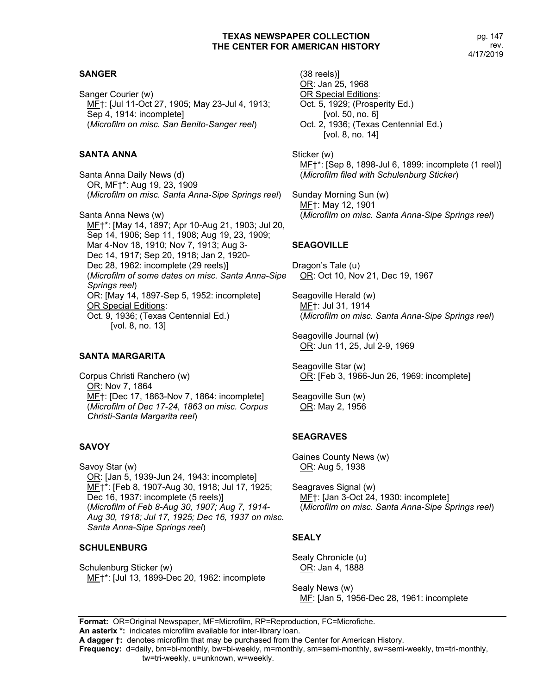# **SANGER**

Sanger Courier (w) MF†: [Jul 11-Oct 27, 1905; May 23-Jul 4, 1913; Sep 4, 1914: incomplete] (*Microfilm on misc. San Benito-Sanger reel*)

# **SANTA ANNA**

Santa Anna Daily News (d) OR, MF†\*: Aug 19, 23, 1909 (*Microfilm on misc. Santa Anna-Sipe Springs reel*)

Santa Anna News (w) MF†\*: [May 14, 1897; Apr 10-Aug 21, 1903; Jul 20, Sep 14, 1906; Sep 11, 1908; Aug 19, 23, 1909; Mar 4-Nov 18, 1910; Nov 7, 1913; Aug 3- Dec 14, 1917; Sep 20, 1918; Jan 2, 1920- Dec 28, 1962: incomplete (29 reels)] (*Microfilm of some dates on misc. Santa Anna-Sipe Springs reel*) OR: [May 14, 1897-Sep 5, 1952: incomplete] OR Special Editions: Oct. 9, 1936; (Texas Centennial Ed.) [vol. 8, no. 13]

# **SANTA MARGARITA**

Corpus Christi Ranchero (w) OR: Nov 7, 1864 MF†: [Dec 17, 1863-Nov 7, 1864: incomplete] (*Microfilm of Dec 17-24, 1863 on misc. Corpus Christi-Santa Margarita reel*)

# **SAVOY**

Savoy Star (w) OR: [Jan 5, 1939-Jun 24, 1943: incomplete] MF†\*: [Feb 8, 1907-Aug 30, 1918; Jul 17, 1925; Dec 16, 1937: incomplete (5 reels)] (*Microfilm of Feb 8-Aug 30, 1907; Aug 7, 1914- Aug 30, 1918; Jul 17, 1925; Dec 16, 1937 on misc. Santa Anna-Sipe Springs reel*)

# **SCHULENBURG**

Schulenburg Sticker (w) MF†\*: [Jul 13, 1899-Dec 20, 1962: incomplete

(38 reels)] OR: Jan 25, 1968 OR Special Editions: Oct. 5, 1929; (Prosperity Ed.) [vol. 50, no. 6] Oct. 2, 1936; (Texas Centennial Ed.) [vol. 8, no. 14]

Sticker (w) MF†\*: [Sep 8, 1898-Jul 6, 1899: incomplete (1 reel)] (*Microfilm filed with Schulenburg Sticker*)

Sunday Morning Sun (w) MF†: May 12, 1901 (*Microfilm on misc. Santa Anna-Sipe Springs reel*)

# **SEAGOVILLE**

Dragon's Tale (u) OR: Oct 10, Nov 21, Dec 19, 1967

Seagoville Herald (w) MF†: Jul 31, 1914 (*Microfilm on misc. Santa Anna-Sipe Springs reel*)

Seagoville Journal (w) OR: Jun 11, 25, Jul 2-9, 1969

Seagoville Star (w) OR: [Feb 3, 1966-Jun 26, 1969: incomplete]

Seagoville Sun (w) OR: May 2, 1956

# **SEAGRAVES**

Gaines County News (w) OR: Aug 5, 1938

Seagraves Signal (w) MF†: [Jan 3-Oct 24, 1930: incomplete] (*Microfilm on misc. Santa Anna-Sipe Springs reel*)

# **SEALY**

Sealy Chronicle (u) OR: Jan 4, 1888

Sealy News (w) MF: [Jan 5, 1956-Dec 28, 1961: incomplete

**Format:** OR=Original Newspaper, MF=Microfilm, RP=Reproduction, FC=Microfiche.

**An asterix \*:** indicates microfilm available for inter-library loan.

**A dagger †:** denotes microfilm that may be purchased from the Center for American History.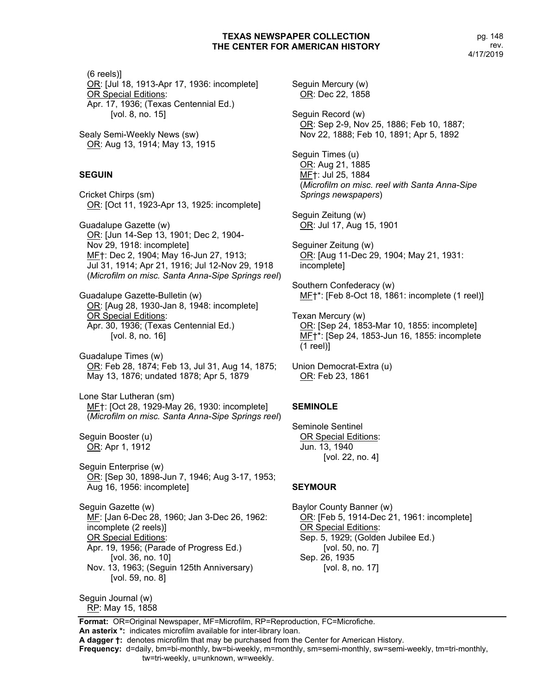(6 reels)] OR: [Jul 18, 1913-Apr 17, 1936: incomplete] OR Special Editions: Apr. 17, 1936; (Texas Centennial Ed.) [vol. 8, no. 15] Sealy Semi-Weekly News (sw) OR: Aug 13, 1914; May 13, 1915 **SEGUIN** Cricket Chirps (sm) OR: [Oct 11, 1923-Apr 13, 1925: incomplete] Guadalupe Gazette (w) OR: [Jun 14-Sep 13, 1901; Dec 2, 1904- Nov 29, 1918: incomplete] MF†: Dec 2, 1904; May 16-Jun 27, 1913; Jul 31, 1914; Apr 21, 1916; Jul 12-Nov 29, 1918 (*Microfilm on misc. Santa Anna-Sipe Springs reel*) Guadalupe Gazette-Bulletin (w) OR: [Aug 28, 1930-Jan 8, 1948: incomplete] **OR Special Editions:** Apr. 30, 1936; (Texas Centennial Ed.) [vol. 8, no. 16] Guadalupe Times (w) OR: Feb 28, 1874; Feb 13, Jul 31, Aug 14, 1875; May 13, 1876; undated 1878; Apr 5, 1879 Lone Star Lutheran (sm) MF†: [Oct 28, 1929-May 26, 1930: incomplete] (*Microfilm on misc. Santa Anna-Sipe Springs reel*) Seguin Booster (u) OR: Apr 1, 1912 Seguin Enterprise (w) OR: [Sep 30, 1898-Jun 7, 1946; Aug 3-17, 1953; Aug 16, 1956: incomplete] Seguin Gazette (w) MF: [Jan 6-Dec 28, 1960; Jan 3-Dec 26, 1962: incomplete (2 reels)] OR Special Editions: Apr. 19, 1956; (Parade of Progress Ed.) [vol. 36, no. 10] Nov. 13, 1963; (Seguin 125th Anniversary) [vol. 59, no. 8] Seguin Journal (w) RP: May 15, 1858

Seguin Mercury (w) OR: Dec 22, 1858 Seguin Record (w) OR: Sep 2-9, Nov 25, 1886; Feb 10, 1887; Nov 22, 1888; Feb 10, 1891; Apr 5, 1892 Seguin Times (u) OR: Aug 21, 1885 MF†: Jul 25, 1884 (*Microfilm on misc. reel with Santa Anna-Sipe Springs newspapers*) Seguin Zeitung (w) OR: Jul 17, Aug 15, 1901 Seguiner Zeitung (w) OR: [Aug 11-Dec 29, 1904; May 21, 1931: incomplete] Southern Confederacy (w) MF†\*: [Feb 8-Oct 18, 1861: incomplete (1 reel)] Texan Mercury (w) OR: [Sep 24, 1853-Mar 10, 1855: incomplete] MF†\*: [Sep 24, 1853-Jun 16, 1855: incomplete (1 reel)] Union Democrat-Extra (u) OR: Feb 23, 1861

### **SEMINOLE**

Seminole Sentinel OR Special Editions: Jun. 13, 1940 [vol. 22, no. 4]

# **SEYMOUR**

Baylor County Banner (w) OR: [Feb 5, 1914-Dec 21, 1961: incomplete] **OR Special Editions:** Sep. 5, 1929; (Golden Jubilee Ed.) [vol. 50, no. 7] Sep. 26, 1935 [vol. 8, no. 17]

**Format:** OR=Original Newspaper, MF=Microfilm, RP=Reproduction, FC=Microfiche. **An asterix \*:** indicates microfilm available for inter-library loan.

**A dagger †:** denotes microfilm that may be purchased from the Center for American History.

**Frequency:** d=daily, bm=bi-monthly, bw=bi-weekly, m=monthly, sm=semi-monthly, sw=semi-weekly, tm=tri-monthly,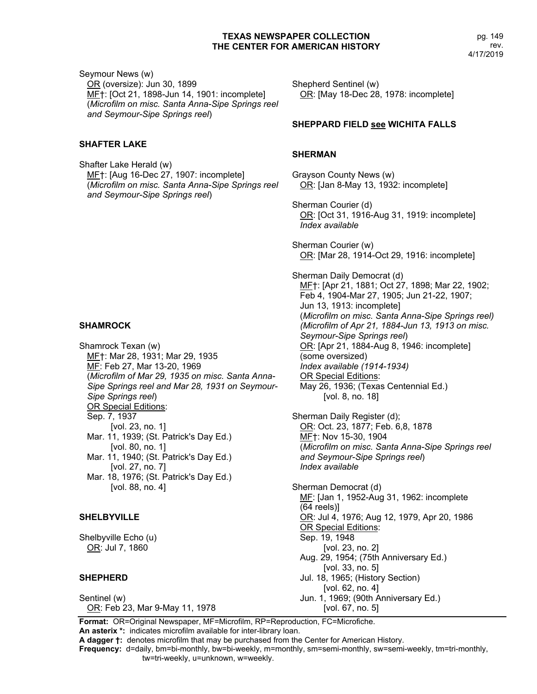Seymour News (w) OR (oversize): Jun 30, 1899 MF†: [Oct 21, 1898-Jun 14, 1901: incomplete] (*Microfilm on misc. Santa Anna-Sipe Springs reel and Seymour-Sipe Springs reel*)

# **SHAFTER LAKE**

Shafter Lake Herald (w) MF†: [Aug 16-Dec 27, 1907: incomplete] (*Microfilm on misc. Santa Anna-Sipe Springs reel and Seymour-Sipe Springs reel*)

### **SHAMROCK**

Shamrock Texan (w) MF†: Mar 28, 1931; Mar 29, 1935 MF: Feb 27, Mar 13-20, 1969 (*Microfilm of Mar 29, 1935 on misc. Santa Anna-Sipe Springs reel and Mar 28, 1931 on Seymour-Sipe Springs reel*) OR Special Editions: Sep. 7, 1937 [vol. 23, no. 1] Mar. 11, 1939; (St. Patrick's Day Ed.) [vol. 80, no. 1] Mar. 11, 1940; (St. Patrick's Day Ed.) [vol. 27, no. 7] Mar. 18, 1976; (St. Patrick's Day Ed.) [vol. 88, no. 4]

### **SHELBYVILLE**

Shelbyville Echo (u) OR: Jul 7, 1860

### **SHEPHERD**

Sentinel (w) OR: Feb 23, Mar 9-May 11, 1978 Shepherd Sentinel (w) OR: [May 18-Dec 28, 1978: incomplete]

### **SHEPPARD FIELD see WICHITA FALLS**

### **SHERMAN**

Grayson County News (w) OR: [Jan 8-May 13, 1932: incomplete]

Sherman Courier (d) OR: [Oct 31, 1916-Aug 31, 1919: incomplete] *Index available*

Sherman Courier (w) OR: [Mar 28, 1914-Oct 29, 1916: incomplete]

Sherman Daily Democrat (d) MF†: [Apr 21, 1881; Oct 27, 1898; Mar 22, 1902; Feb 4, 1904-Mar 27, 1905; Jun 21-22, 1907; Jun 13, 1913: incomplete] (*Microfilm on misc. Santa Anna-Sipe Springs reel) (Microfilm of Apr 21, 1884-Jun 13, 1913 on misc. Seymour-Sipe Springs reel*) OR: [Apr 21, 1884-Aug 8, 1946: incomplete] (some oversized) *Index available (1914-1934)* OR Special Editions: May 26, 1936; (Texas Centennial Ed.) [vol. 8, no. 18]

Sherman Daily Register (d); OR: Oct. 23, 1877; Feb. 6,8, 1878 MF†: Nov 15-30, 1904 (*Microfilm on misc. Santa Anna-Sipe Springs reel and Seymour-Sipe Springs reel*) *Index available*

Sherman Democrat (d) MF: [Jan 1, 1952-Aug 31, 1962: incomplete (64 reels)] OR: Jul 4, 1976; Aug 12, 1979, Apr 20, 1986 OR Special Editions: Sep. 19, 1948 [vol. 23, no. 2] Aug. 29, 1954; (75th Anniversary Ed.) [vol. 33, no. 5] Jul. 18, 1965; (History Section) [vol. 62, no. 4] Jun. 1, 1969; (90th Anniversary Ed.) [vol. 67, no. 5]

**Format:** OR=Original Newspaper, MF=Microfilm, RP=Reproduction, FC=Microfiche. **An asterix \*:** indicates microfilm available for inter-library loan.

**A dagger †:** denotes microfilm that may be purchased from the Center for American History.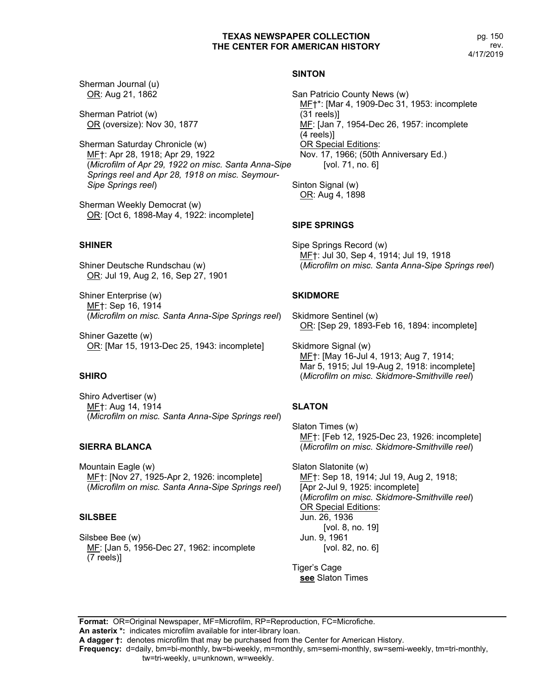pg. 150 rev. 4/17/2019

Sherman Journal (u) OR: Aug 21, 1862

Sherman Patriot (w) OR (oversize): Nov 30, 1877

Sherman Saturday Chronicle (w) MF†: Apr 28, 1918; Apr 29, 1922 (*Microfilm of Apr 29, 1922 on misc. Santa Anna-Sipe Springs reel and Apr 28, 1918 on misc. Seymour-Sipe Springs reel*)

Sherman Weekly Democrat (w) OR: [Oct 6, 1898-May 4, 1922: incomplete]

# **SHINER**

Shiner Deutsche Rundschau (w) OR: Jul 19, Aug 2, 16, Sep 27, 1901

Shiner Enterprise (w) MF†: Sep 16, 1914 (*Microfilm on misc. Santa Anna-Sipe Springs reel*)

Shiner Gazette (w) OR: [Mar 15, 1913-Dec 25, 1943: incomplete]

# **SHIRO**

Shiro Advertiser (w) MF†: Aug 14, 1914 (*Microfilm on misc. Santa Anna-Sipe Springs reel*)

# **SIERRA BLANCA**

Mountain Eagle (w) MF†: [Nov 27, 1925-Apr 2, 1926: incomplete] (*Microfilm on misc. Santa Anna-Sipe Springs reel*)

# **SILSBEE**

Silsbee Bee (w) MF: [Jan 5, 1956-Dec 27, 1962: incomplete (7 reels)]

# **SINTON**

San Patricio County News (w) MF†\*: [Mar 4, 1909-Dec 31, 1953: incomplete (31 reels)] ME: [Jan 7, 1954-Dec 26, 1957: incomplete (4 reels)] OR Special Editions: Nov. 17, 1966; (50th Anniversary Ed.) [vol. 71, no. 6]

Sinton Signal (w) OR: Aug 4, 1898

# **SIPE SPRINGS**

Sipe Springs Record (w) MF†: Jul 30, Sep 4, 1914; Jul 19, 1918 (*Microfilm on misc. Santa Anna-Sipe Springs reel*)

# **SKIDMORE**

Skidmore Sentinel (w) OR: [Sep 29, 1893-Feb 16, 1894: incomplete]

Skidmore Signal (w) MF†: [May 16-Jul 4, 1913; Aug 7, 1914; Mar 5, 1915; Jul 19-Aug 2, 1918: incomplete] (*Microfilm on misc. Skidmore-Smithville reel*)

# **SLATON**

Slaton Times (w) MF†: [Feb 12, 1925-Dec 23, 1926: incomplete] (*Microfilm on misc. Skidmore-Smithville reel*)

Slaton Slatonite (w) MF<sub>1</sub>: Sep 18, 1914; Jul 19, Aug 2, 1918; [Apr 2-Jul 9, 1925: incomplete] (*Microfilm on misc. Skidmore-Smithville reel*) OR Special Editions: Jun. 26, 1936 [vol. 8, no. 19] Jun. 9, 1961 [vol. 82, no. 6]

Tiger's Cage **see** Slaton Times

**Format:** OR=Original Newspaper, MF=Microfilm, RP=Reproduction, FC=Microfiche. **An asterix \*:** indicates microfilm available for inter-library loan.

**A dagger †:** denotes microfilm that may be purchased from the Center for American History.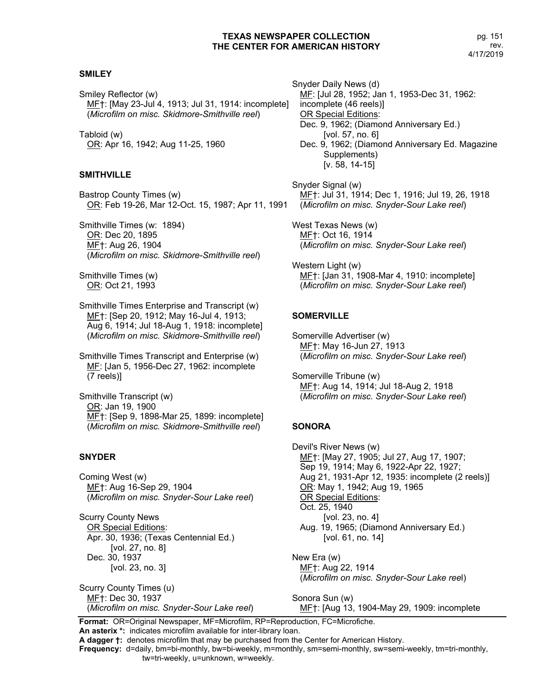## **SMILEY**

Smiley Reflector (w) MF†: [May 23-Jul 4, 1913; Jul 31, 1914: incomplete] (*Microfilm on misc. Skidmore-Smithville reel*)

Tabloid (w) OR: Apr 16, 1942; Aug 11-25, 1960

### **SMITHVILLE**

Bastrop County Times (w) OR: Feb 19-26, Mar 12-Oct. 15, 1987; Apr 11, 1991

Smithville Times (w: 1894) OR: Dec 20, 1895 MF†: Aug 26, 1904 (*Microfilm on misc. Skidmore-Smithville reel*)

Smithville Times (w) OR: Oct 21, 1993

Smithville Times Enterprise and Transcript (w) MF†: [Sep 20, 1912; May 16-Jul 4, 1913; Aug 6, 1914; Jul 18-Aug 1, 1918: incomplete] (*Microfilm on misc. Skidmore-Smithville reel*)

Smithville Times Transcript and Enterprise (w) MF: [Jan 5, 1956-Dec 27, 1962: incomplete (7 reels)]

Smithville Transcript (w) OR: Jan 19, 1900 MF†: [Sep 9, 1898-Mar 25, 1899: incomplete] (*Microfilm on misc. Skidmore-Smithville reel*)

### **SNYDER**

Coming West (w) MF†: Aug 16-Sep 29, 1904 (*Microfilm on misc. Snyder-Sour Lake reel*)

Scurry County News OR Special Editions: Apr. 30, 1936; (Texas Centennial Ed.) [vol. 27, no. 8] Dec. 30, 1937 [vol. 23, no. 3]

Scurry County Times (u) MF†: Dec 30, 1937 (*Microfilm on misc. Snyder-Sour Lake reel*) Snyder Daily News (d) MF: [Jul 28, 1952; Jan 1, 1953-Dec 31, 1962: incomplete (46 reels)] OR Special Editions: Dec. 9, 1962; (Diamond Anniversary Ed.) [vol. 57, no. 6] Dec. 9, 1962; (Diamond Anniversary Ed. Magazine Supplements) [v. 58, 14-15]

Snyder Signal (w) MF†: Jul 31, 1914; Dec 1, 1916; Jul 19, 26, 1918 (*Microfilm on misc. Snyder-Sour Lake reel*)

West Texas News (w) MF†: Oct 16, 1914 (*Microfilm on misc. Snyder-Sour Lake reel*)

Western Light (w) MF†: [Jan 31, 1908-Mar 4, 1910: incomplete] (*Microfilm on misc. Snyder-Sour Lake reel*)

# **SOMERVILLE**

Somerville Advertiser (w) MF†: May 16-Jun 27, 1913 (*Microfilm on misc. Snyder-Sour Lake reel*)

Somerville Tribune (w) MF†: Aug 14, 1914; Jul 18-Aug 2, 1918 (*Microfilm on misc. Snyder-Sour Lake reel*)

# **SONORA**

Devil's River News (w) MF†: [May 27, 1905; Jul 27, Aug 17, 1907; Sep 19, 1914; May 6, 1922-Apr 22, 1927; Aug 21, 1931-Apr 12, 1935: incomplete (2 reels)] OR: May 1, 1942; Aug 19, 1965 OR Special Editions: Oct. 25, 1940 [vol. 23, no. 4] Aug. 19, 1965; (Diamond Anniversary Ed.) [vol. 61, no. 14]

New Era (w) MF†: Aug 22, 1914 (*Microfilm on misc. Snyder-Sour Lake ree*l)

Sonora Sun (w) MF†: [Aug 13, 1904-May 29, 1909: incomplete

**Format:** OR=Original Newspaper, MF=Microfilm, RP=Reproduction, FC=Microfiche. **An asterix \*:** indicates microfilm available for inter-library loan.

**A dagger †:** denotes microfilm that may be purchased from the Center for American History.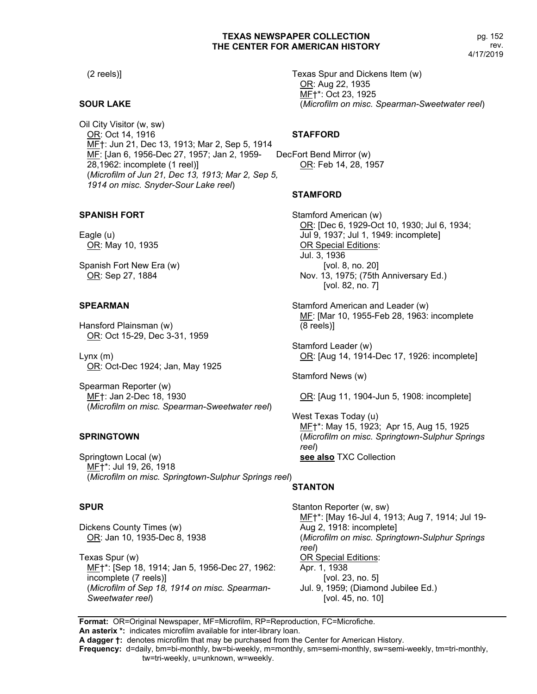(2 reels)]

### **SOUR LAKE**

Oil City Visitor (w, sw) OR: Oct 14, 1916 MF†: Jun 21, Dec 13, 1913; Mar 2, Sep 5, 1914 MF: [Jan 6, 1956-Dec 27, 1957; Jan 2, 1959-28,1962: incomplete (1 reel)] (*Microfilm of Jun 21, Dec 13, 1913; Mar 2, Sep 5, 1914 on misc. Snyder-Sour Lake reel*)

### **SPANISH FORT**

Eagle (u) OR: May 10, 1935

Spanish Fort New Era (w) OR: Sep 27, 1884

### **SPEARMAN**

Hansford Plainsman (w) OR: Oct 15-29, Dec 3-31, 1959

Lynx (m) OR: Oct-Dec 1924; Jan, May 1925

Spearman Reporter (w) MF†: Jan 2-Dec 18, 1930 (*Microfilm on misc. Spearman-Sweetwater reel*)

#### **SPRINGTOWN**

Springtown Local (w) MF†\*: Jul 19, 26, 1918 (*Microfilm on misc. Springtown-Sulphur Springs reel*)

#### **SPUR**

Dickens County Times (w) OR: Jan 10, 1935-Dec 8, 1938

Texas Spur (w) MF†\*: [Sep 18, 1914; Jan 5, 1956-Dec 27, 1962: incomplete (7 reels)] (*Microfilm of Sep 18, 1914 on misc. Spearman-Sweetwater reel*)

Texas Spur and Dickens Item (w) OR: Aug 22, 1935 MF†\*: Oct 23, 1925 (*Microfilm on misc. Spearman-Sweetwater reel*)

### **STAFFORD**

DecFort Bend Mirror (w) OR: Feb 14, 28, 1957

### **STAMFORD**

Stamford American (w) OR: [Dec 6, 1929-Oct 10, 1930; Jul 6, 1934; Jul 9, 1937; Jul 1, 1949: incomplete] OR Special Editions: Jul. 3, 1936 [vol. 8, no. 20] Nov. 13, 1975; (75th Anniversary Ed.) [vol. 82, no. 7]

Stamford American and Leader (w) MF: [Mar 10, 1955-Feb 28, 1963: incomplete (8 reels)]

Stamford Leader (w) OR: [Aug 14, 1914-Dec 17, 1926: incomplete]

Stamford News (w)

OR: [Aug 11, 1904-Jun 5, 1908: incomplete]

West Texas Today (u) ME<sup>+\*</sup>: May 15, 1923; Apr 15, Aug 15, 1925 (*Microfilm on misc. Springtown-Sulphur Springs reel*) **see also** TXC Collection

# **STANTON**

Stanton Reporter (w, sw) MF†\*: [May 16-Jul 4, 1913; Aug 7, 1914; Jul 19- Aug 2, 1918: incomplete] (*Microfilm on misc. Springtown-Sulphur Springs reel*) OR Special Editions: Apr. 1, 1938 [vol. 23, no. 5] Jul. 9, 1959; (Diamond Jubilee Ed.) [vol. 45, no. 10]

**Format:** OR=Original Newspaper, MF=Microfilm, RP=Reproduction, FC=Microfiche.

tw=tri-weekly, u=unknown, w=weekly.

**An asterix \*:** indicates microfilm available for inter-library loan. **A dagger †:** denotes microfilm that may be purchased from the Center for American History.

**Frequency:** d=daily, bm=bi-monthly, bw=bi-weekly, m=monthly, sm=semi-monthly, sw=semi-weekly, tm=tri-monthly,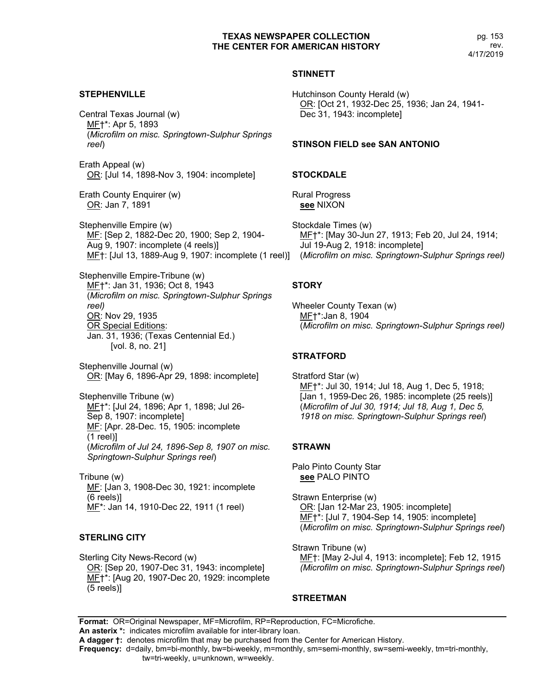pg. 153 rev. 4/17/2019

### **STINNETT**

#### **STEPHENVILLE**

Central Texas Journal (w) MF†\*: Apr 5, 1893 (*Microfilm on misc. Springtown-Sulphur Springs reel*)

Erath Appeal (w) OR: [Jul 14, 1898-Nov 3, 1904: incomplete]

Erath County Enquirer (w) OR: Jan 7, 1891

Stephenville Empire (w) MF: [Sep 2, 1882-Dec 20, 1900; Sep 2, 1904- Aug 9, 1907: incomplete (4 reels)] MF†: [Jul 13, 1889-Aug 9, 1907: incomplete (1 reel)] (*Microfilm on misc. Springtown-Sulphur Springs reel)*

Stephenville Empire-Tribune (w) MF†\*: Jan 31, 1936; Oct 8, 1943 (*Microfilm on misc. Springtown-Sulphur Springs reel)* OR: Nov 29, 1935 OR Special Editions: Jan. 31, 1936; (Texas Centennial Ed.) [vol. 8, no. 21]

Stephenville Journal (w) OR: [May 6, 1896-Apr 29, 1898: incomplete]

Stephenville Tribune (w) MF†\*: [Jul 24, 1896; Apr 1, 1898; Jul 26- Sep 8, 1907: incomplete] MF: [Apr. 28-Dec. 15, 1905: incomplete (1 reel)] (*Microfilm of Jul 24, 1896-Sep 8, 1907 on misc. Springtown-Sulphur Springs reel*)

Tribune (w) ME: [Jan 3, 1908-Dec 30, 1921: incomplete (6 reels)] MF\*: Jan 14, 1910-Dec 22, 1911 (1 reel)

#### **STERLING CITY**

Sterling City News-Record (w) OR: [Sep 20, 1907-Dec 31, 1943: incomplete] ME<sup>+\*</sup>: [Aug 20, 1907-Dec 20, 1929: incomplete (5 reels)]

Hutchinson County Herald (w) OR: [Oct 21, 1932-Dec 25, 1936; Jan 24, 1941- Dec 31, 1943: incomplete]

#### **STINSON FIELD see SAN ANTONIO**

#### **STOCKDALE**

Rural Progress **see** NIXON

Stockdale Times (w) MF†\*: [May 30-Jun 27, 1913; Feb 20, Jul 24, 1914; Jul 19-Aug 2, 1918: incomplete]

### **STORY**

Wheeler County Texan (w) MF†\*:Jan 8, 1904 (*Microfilm on misc. Springtown-Sulphur Springs reel)*

#### **STRATFORD**

Stratford Star (w) MF†\*: Jul 30, 1914; Jul 18, Aug 1, Dec 5, 1918; [Jan 1, 1959-Dec 26, 1985: incomplete (25 reels)] (*Microfilm of Jul 30, 1914; Jul 18, Aug 1, Dec 5, 1918 on misc. Springtown-Sulphur Springs reel*)

### **STRAWN**

Palo Pinto County Star **see** PALO PINTO

Strawn Enterprise (w) OR: [Jan 12-Mar 23, 1905: incomplete] MF†\*: [Jul 7, 1904-Sep 14, 1905: incomplete] (*Microfilm on misc. Springtown-Sulphur Springs reel*)

Strawn Tribune (w) MF†: [May 2-Jul 4, 1913: incomplete]; Feb 12, 1915 *(Microfilm on misc. Springtown-Sulphur Springs reel*)

## **STREETMAN**

**Format:** OR=Original Newspaper, MF=Microfilm, RP=Reproduction, FC=Microfiche. **An asterix \*:** indicates microfilm available for inter-library loan.

**A dagger †:** denotes microfilm that may be purchased from the Center for American History.

**Frequency:** d=daily, bm=bi-monthly, bw=bi-weekly, m=monthly, sm=semi-monthly, sw=semi-weekly, tm=tri-monthly,

tw=tri-weekly, u=unknown, w=weekly.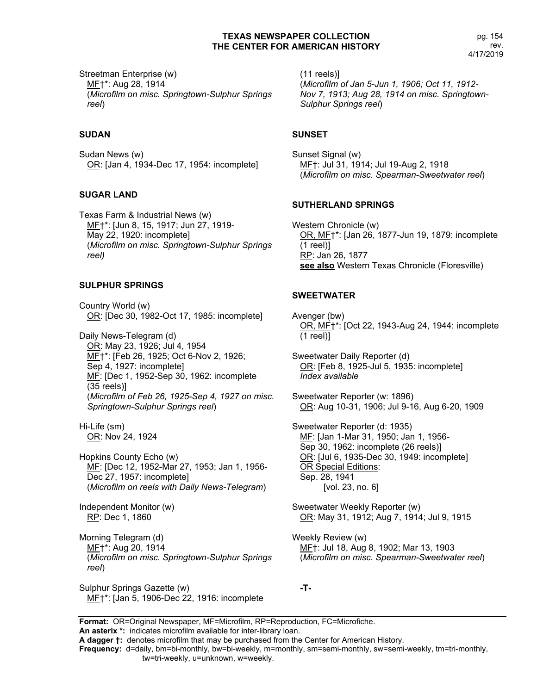Streetman Enterprise (w) MF†\*: Aug 28, 1914 (*Microfilm on misc. Springtown-Sulphur Springs reel*)

### **SUDAN**

Sudan News (w) OR: [Jan 4, 1934-Dec 17, 1954: incomplete]

### **SUGAR LAND**

Texas Farm & Industrial News (w) MF†\*: [Jun 8, 15, 1917; Jun 27, 1919- May 22, 1920: incomplete] (*Microfilm on misc. Springtown-Sulphur Springs reel)*

### **SULPHUR SPRINGS**

Country World (w) OR: [Dec 30, 1982-Oct 17, 1985: incomplete]

Daily News-Telegram (d) OR: May 23, 1926; Jul 4, 1954 MF†\*: [Feb 26, 1925; Oct 6-Nov 2, 1926; Sep 4, 1927: incomplete] MF: [Dec 1, 1952-Sep 30, 1962: incomplete (35 reels)] (*Microfilm of Feb 26, 1925-Sep 4, 1927 on misc. Springtown-Sulphur Springs reel*)

Hi-Life (sm) OR: Nov 24, 1924

Hopkins County Echo (w) MF: [Dec 12, 1952-Mar 27, 1953; Jan 1, 1956- Dec 27, 1957: incomplete] (*Microfilm on reels with Daily News-Telegram*)

Independent Monitor (w) RP: Dec 1, 1860

Morning Telegram (d) MF†\*: Aug 20, 1914 (*Microfilm on misc. Springtown-Sulphur Springs reel*)

Sulphur Springs Gazette (w) MF†\*: [Jan 5, 1906-Dec 22, 1916: incomplete (11 reels)] (*Microfilm of Jan 5-Jun 1, 1906; Oct 11, 1912- Nov 7, 1913; Aug 28, 1914 on misc. Springtown-Sulphur Springs reel*)

#### **SUNSET**

Sunset Signal (w) MF†: Jul 31, 1914; Jul 19-Aug 2, 1918 (*Microfilm on misc. Spearman-Sweetwater reel*)

#### **SUTHERLAND SPRINGS**

Western Chronicle (w) OR, MF†\*: [Jan 26, 1877-Jun 19, 1879: incomplete (1 reel)] RP: Jan 26, 1877 **see also** Western Texas Chronicle (Floresville)

# **SWEETWATER**

Avenger (bw) OR, MF†\*: [Oct 22, 1943-Aug 24, 1944: incomplete (1 reel)]

Sweetwater Daily Reporter (d) OR: [Feb 8, 1925-Jul 5, 1935: incomplete] *Index available*

Sweetwater Reporter (w: 1896) OR: Aug 10-31, 1906; Jul 9-16, Aug 6-20, 1909

Sweetwater Reporter (d: 1935) MF: [Jan 1-Mar 31, 1950; Jan 1, 1956- Sep 30, 1962: incomplete (26 reels)] OR: [Jul 6, 1935-Dec 30, 1949: incomplete] OR Special Editions: Sep. 28, 1941 [vol. 23, no. 6]

Sweetwater Weekly Reporter (w) OR: May 31, 1912; Aug 7, 1914; Jul 9, 1915

Weekly Review (w) MF†: Jul 18, Aug 8, 1902; Mar 13, 1903 (*Microfilm on misc. Spearman-Sweetwater reel*)

**-T-**

**Format:** OR=Original Newspaper, MF=Microfilm, RP=Reproduction, FC=Microfiche. **An asterix \*:** indicates microfilm available for inter-library loan.

**A dagger †:** denotes microfilm that may be purchased from the Center for American History.

**Frequency:** d=daily, bm=bi-monthly, bw=bi-weekly, m=monthly, sm=semi-monthly, sw=semi-weekly, tm=tri-monthly,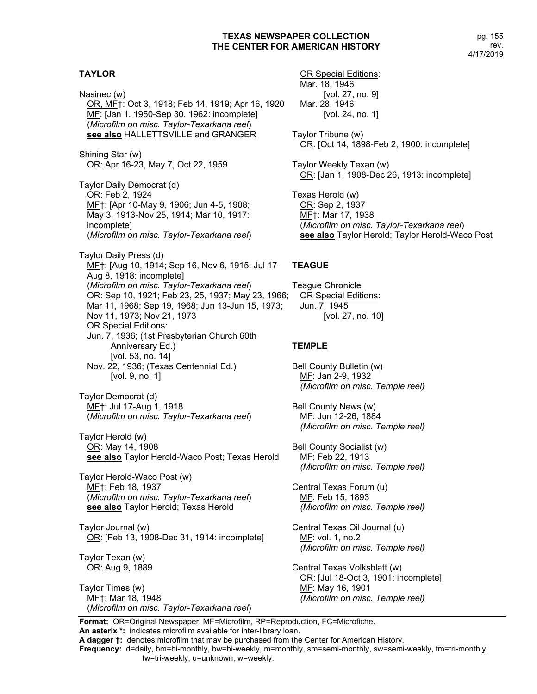## **TAYLOR**

Nasinec (w) OR, MF†: Oct 3, 1918; Feb 14, 1919; Apr 16, 1920 MF: [Jan 1, 1950-Sep 30, 1962: incomplete] (*Microfilm on misc. Taylor-Texarkana reel*) **see also** HALLETTSVILLE and GRANGER Shining Star (w) OR: Apr 16-23, May 7, Oct 22, 1959 Taylor Daily Democrat (d) OR: Feb 2, 1924 MF†: [Apr 10-May 9, 1906; Jun 4-5, 1908; May 3, 1913-Nov 25, 1914; Mar 10, 1917: incomplete] (*Microfilm on misc. Taylor-Texarkana reel*) Taylor Daily Press (d) MF†: [Aug 10, 1914; Sep 16, Nov 6, 1915; Jul 17- Aug 8, 1918: incomplete] (*Microfilm on misc. Taylor-Texarkana reel*) OR: Sep 10, 1921; Feb 23, 25, 1937; May 23, 1966; Mar 11, 1968; Sep 19, 1968; Jun 13-Jun 15, 1973; Nov 11, 1973; Nov 21, 1973 OR Special Editions: Jun. 7, 1936; (1st Presbyterian Church 60th Anniversary Ed.) [vol. 53, no. 14] Nov. 22, 1936; (Texas Centennial Ed.) [vol. 9, no. 1] Taylor Democrat (d) MF†: Jul 17-Aug 1, 1918 (*Microfilm on misc. Taylor-Texarkana reel*) Taylor Herold (w) OR: May 14, 1908 **see also** Taylor Herold-Waco Post; Texas Herold Taylor Herold-Waco Post (w) ME<sub>T</sub>: Feb 18, 1937 (*Microfilm on misc. Taylor-Texarkana reel*) **see also** Taylor Herold; Texas Herold Taylor Journal (w) OR: [Feb 13, 1908-Dec 31, 1914: incomplete]

Taylor Texan (w) OR: Aug 9, 1889

Taylor Times (w) MF†: Mar 18, 1948 (*Microfilm on misc. Taylor-Texarkana reel*)

OR Special Editions: Mar. 18, 1946 [vol. 27, no. 9] Mar. 28, 1946 [vol. 24, no. 1]

Taylor Tribune (w) OR: [Oct 14, 1898-Feb 2, 1900: incomplete]

Taylor Weekly Texan (w) OR: [Jan 1, 1908-Dec 26, 1913: incomplete]

Texas Herold (w) OR: Sep 2, 1937 MF†: Mar 17, 1938 (*Microfilm on misc. Taylor-Texarkana reel*) **see also** Taylor Herold; Taylor Herold-Waco Post

### **TEAGUE**

Teague Chronicle OR Special Editions**:** Jun. 7, 1945 [vol. 27, no. 10]

### **TEMPLE**

Bell County Bulletin (w) MF: Jan 2-9, 1932 *(Microfilm on misc. Temple reel)*

Bell County News (w) MF: Jun 12-26, 1884 *(Microfilm on misc. Temple reel)*

Bell County Socialist (w) MF: Feb 22, 1913 *(Microfilm on misc. Temple reel)*

Central Texas Forum (u) MF: Feb 15, 1893 *(Microfilm on misc. Temple reel)*

Central Texas Oil Journal (u) MF: vol. 1, no.2 *(Microfilm on misc. Temple reel)*

Central Texas Volksblatt (w) OR: [Jul 18-Oct 3, 1901: incomplete] MF: May 16, 1901 *(Microfilm on misc. Temple reel)*

**Format:** OR=Original Newspaper, MF=Microfilm, RP=Reproduction, FC=Microfiche. **An asterix \*:** indicates microfilm available for inter-library loan.

**A dagger †:** denotes microfilm that may be purchased from the Center for American History.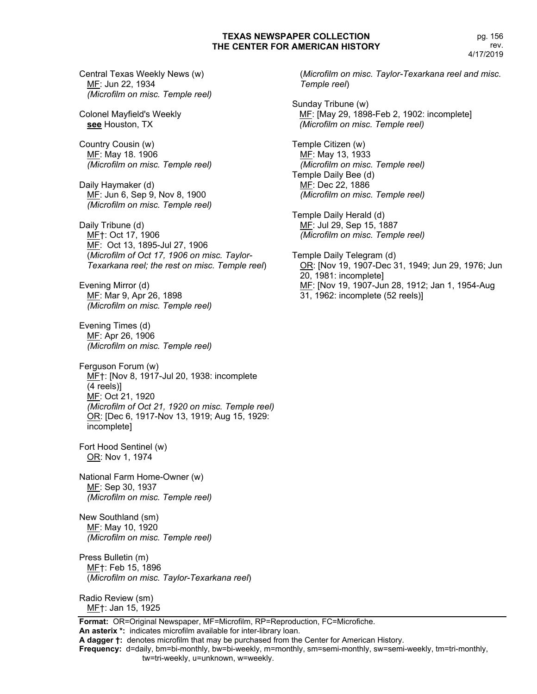Central Texas Weekly News (w) MF: Jun 22, 1934 *(Microfilm on misc. Temple reel)*

Colonel Mayfield's Weekly **see** Houston, TX

Country Cousin (w) MF: May 18. 1906 *(Microfilm on misc. Temple reel)*

Daily Haymaker (d) MF: Jun 6, Sep 9, Nov 8, 1900 *(Microfilm on misc. Temple reel)*

Daily Tribune (d) MF†: Oct 17, 1906 MF: Oct 13, 1895-Jul 27, 1906 (*Microfilm of Oct 17, 1906 on misc. Taylor-Texarkana reel; the rest on misc. Temple reel*)

Evening Mirror (d) MF: Mar 9, Apr 26, 1898 *(Microfilm on misc. Temple reel)*

Evening Times (d) MF: Apr 26, 1906 *(Microfilm on misc. Temple reel)*

Ferguson Forum (w) MF†: [Nov 8, 1917-Jul 20, 1938: incomplete (4 reels)] MF: Oct 21, 1920 *(Microfilm of Oct 21, 1920 on misc. Temple reel)* OR: [Dec 6, 1917-Nov 13, 1919; Aug 15, 1929: incomplete]

Fort Hood Sentinel (w) OR: Nov 1, 1974

National Farm Home-Owner (w) MF: Sep 30, 1937 *(Microfilm on misc. Temple reel)*

New Southland (sm) MF: May 10, 1920 *(Microfilm on misc. Temple reel)*

Press Bulletin (m) MF†: Feb 15, 1896 (*Microfilm on misc. Taylor-Texarkana reel*)

Radio Review (sm) MF†: Jan 15, 1925

**Format:** OR=Original Newspaper, MF=Microfilm, RP=Reproduction, FC=Microfiche. **An asterix \*:** indicates microfilm available for inter-library loan.

**A dagger †:** denotes microfilm that may be purchased from the Center for American History.

**Frequency:** d=daily, bm=bi-monthly, bw=bi-weekly, m=monthly, sm=semi-monthly, sw=semi-weekly, tm=tri-monthly, tw=tri-weekly, u=unknown, w=weekly.

(*Microfilm on misc. Taylor-Texarkana reel and misc. Temple reel*)

Sunday Tribune (w) MF: [May 29, 1898-Feb 2, 1902: incomplete]  *(Microfilm on misc. Temple reel)*

Temple Citizen (w) MF: May 13, 1933 *(Microfilm on misc. Temple reel)* Temple Daily Bee (d) MF: Dec 22, 1886 *(Microfilm on misc. Temple reel)*

Temple Daily Herald (d) MF: Jul 29, Sep 15, 1887 *(Microfilm on misc. Temple reel)*

Temple Daily Telegram (d) OR: [Nov 19, 1907-Dec 31, 1949; Jun 29, 1976; Jun 20, 1981: incomplete] MF: [Nov 19, 1907-Jun 28, 1912; Jan 1, 1954-Aug 31, 1962: incomplete (52 reels)]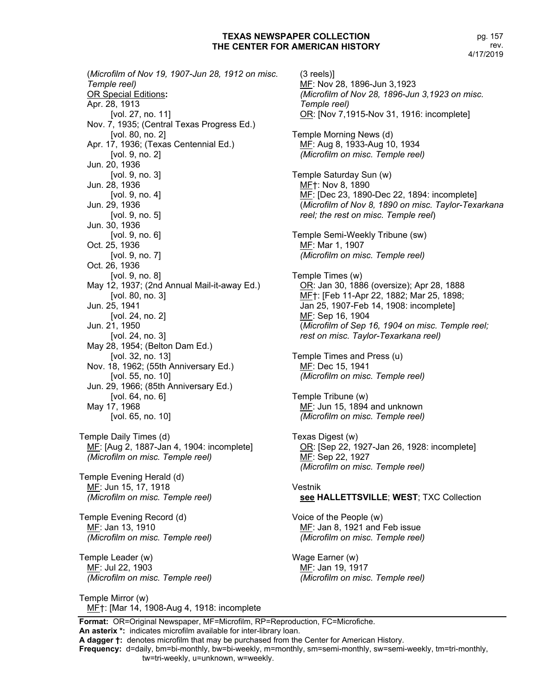pg. 157 rev. 4/17/2019

 (*Microfilm of Nov 19, 1907-Jun 28, 1912 on misc. Temple reel)* OR Special Editions**:** Apr. 28, 1913 [vol. 27, no. 11] Nov. 7, 1935; (Central Texas Progress Ed.) [vol. 80, no. 2] Apr. 17, 1936; (Texas Centennial Ed.) [vol. 9, no. 2] Jun. 20, 1936 [vol. 9, no. 3] Jun. 28, 1936 [vol. 9, no. 4] Jun. 29, 1936 [vol. 9, no. 5] Jun. 30, 1936 [vol. 9, no. 6] Oct. 25, 1936 [vol. 9, no. 7] Oct. 26, 1936 [vol. 9, no. 8] May 12, 1937; (2nd Annual Mail-it-away Ed.) [vol. 80, no. 3] Jun. 25, 1941 [vol. 24, no. 2] Jun. 21, 1950 [vol. 24, no. 3] May 28, 1954; (Belton Dam Ed.) [vol. 32, no. 13] Nov. 18, 1962; (55th Anniversary Ed.) [vol. 55, no. 10] Jun. 29, 1966; (85th Anniversary Ed.) [vol. 64, no. 6] May 17, 1968 [vol. 65, no. 10]

Temple Daily Times (d) MF: [Aug 2, 1887-Jan 4, 1904: incomplete] *(Microfilm on misc. Temple reel)*

Temple Evening Herald (d) MF: Jun 15, 17, 1918 *(Microfilm on misc. Temple reel)*

Temple Evening Record (d) MF: Jan 13, 1910 *(Microfilm on misc. Temple reel)*

Temple Leader (w) MF: Jul 22, 1903 *(Microfilm on misc. Temple reel)*

Temple Mirror (w) MF†: [Mar 14, 1908-Aug 4, 1918: incomplete

(3 reels)] MF: Nov 28, 1896-Jun 3,1923 *(Microfilm of Nov 28, 1896-Jun 3,1923 on misc. Temple reel)* OR: [Nov 7,1915-Nov 31, 1916: incomplete] Temple Morning News (d) MF: Aug 8, 1933-Aug 10, 1934 *(Microfilm on misc. Temple reel)* Temple Saturday Sun (w) MF†: Nov 8, 1890 MF: [Dec 23, 1890-Dec 22, 1894: incomplete] (*Microfilm of Nov 8, 1890 on misc. Taylor-Texarkana reel; the rest on misc. Temple reel*) Temple Semi-Weekly Tribune (sw) MF: Mar 1, 1907 *(Microfilm on misc. Temple reel)* Temple Times (w) OR: Jan 30, 1886 (oversize); Apr 28, 1888 MF†: [Feb 11-Apr 22, 1882; Mar 25, 1898; Jan 25, 1907-Feb 14, 1908: incomplete] MF: Sep 16, 1904 (*Microfilm of Sep 16, 1904 on misc. Temple reel; rest on misc. Taylor-Texarkana reel)* Temple Times and Press (u) ME: Dec 15, 1941 *(Microfilm on misc. Temple reel)* Temple Tribune (w) MF: Jun 15, 1894 and unknown *(Microfilm on misc. Temple reel)* Texas Digest (w) OR: [Sep 22, 1927-Jan 26, 1928: incomplete] MF: Sep 22, 1927 *(Microfilm on misc. Temple reel)* Vestnik **see HALLETTSVILLE**; **WEST**; TXC Collection Voice of the People (w) MF: Jan 8, 1921 and Feb issue *(Microfilm on misc. Temple reel)* Wage Earner (w) MF: Jan 19, 1917 *(Microfilm on misc. Temple reel)*

**Format:** OR=Original Newspaper, MF=Microfilm, RP=Reproduction, FC=Microfiche. **An asterix \*:** indicates microfilm available for inter-library loan.

**A dagger †:** denotes microfilm that may be purchased from the Center for American History.

**Frequency:** d=daily, bm=bi-monthly, bw=bi-weekly, m=monthly, sm=semi-monthly, sw=semi-weekly, tm=tri-monthly,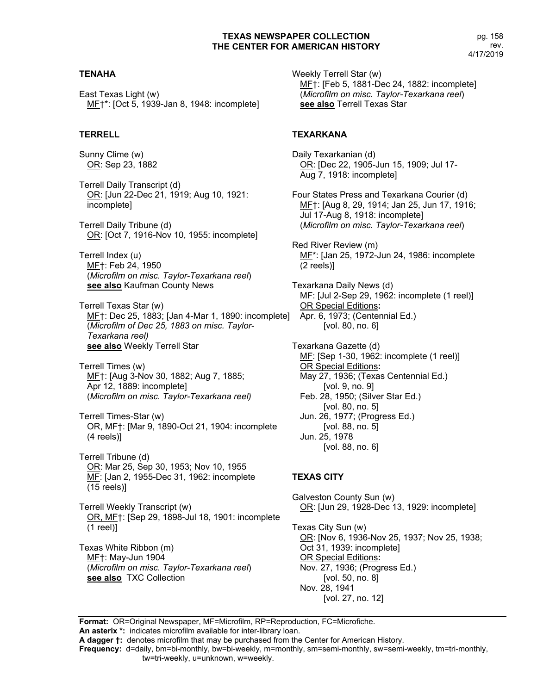# **TENAHA**

East Texas Light (w) MF†\*: [Oct 5, 1939-Jan 8, 1948: incomplete]

## **TERRELL**

Sunny Clime (w) OR: Sep 23, 1882

Terrell Daily Transcript (d) OR: [Jun 22-Dec 21, 1919; Aug 10, 1921: incomplete]

Terrell Daily Tribune (d) OR: [Oct 7, 1916-Nov 10, 1955: incomplete]

Terrell Index (u) MF†: Feb 24, 1950 (*Microfilm on misc. Taylor-Texarkana reel*) **see also** Kaufman County News

Terrell Texas Star (w) MF†: Dec 25, 1883; [Jan 4-Mar 1, 1890: incomplete] (*Microfilm of Dec 25, 1883 on misc. Taylor-Texarkana reel)* **see also** Weekly Terrell Star

Terrell Times (w) MF†: [Aug 3-Nov 30, 1882; Aug 7, 1885; Apr 12, 1889: incomplete] (*Microfilm on misc. Taylor-Texarkana reel)*

Terrell Times-Star (w) OR, MF†: [Mar 9, 1890-Oct 21, 1904: incomplete (4 reels)]

Terrell Tribune (d) OR: Mar 25, Sep 30, 1953; Nov 10, 1955 ME: [Jan 2, 1955-Dec 31, 1962: incomplete (15 reels)]

Terrell Weekly Transcript (w) OR, MF†: [Sep 29, 1898-Jul 18, 1901: incomplete (1 reel)]

Texas White Ribbon (m) MF†: May-Jun 1904 (*Microfilm on misc. Taylor-Texarkana reel*) **see also** TXC Collection

Weekly Terrell Star (w) MF†: [Feb 5, 1881-Dec 24, 1882: incomplete] (*Microfilm on misc. Taylor-Texarkana reel*) **see also** Terrell Texas Star

# **TEXARKANA**

Daily Texarkanian (d) OR: [Dec 22, 1905-Jun 15, 1909; Jul 17- Aug 7, 1918: incomplete]

Four States Press and Texarkana Courier (d) MF†: [Aug 8, 29, 1914; Jan 25, Jun 17, 1916; Jul 17-Aug 8, 1918: incomplete] (*Microfilm on misc. Taylor-Texarkana reel*)

Red River Review (m) MF\*: [Jan 25, 1972-Jun 24, 1986: incomplete (2 reels)]

Texarkana Daily News (d) MF: [Jul 2-Sep 29, 1962: incomplete (1 reel)] OR Special Editions**:** Apr. 6, 1973; (Centennial Ed.) [vol. 80, no. 6]

Texarkana Gazette (d) MF: [Sep 1-30, 1962: incomplete (1 reel)] OR Special Editions**:** May 27, 1936; (Texas Centennial Ed.) [vol. 9, no. 9] Feb. 28, 1950; (Silver Star Ed.) [vol. 80, no. 5] Jun. 26, 1977; (Progress Ed.) [vol. 88, no. 5] Jun. 25, 1978 [vol. 88, no. 6]

# **TEXAS CITY**

Galveston County Sun (w) OR: [Jun 29, 1928-Dec 13, 1929: incomplete] Texas City Sun (w) OR: [Nov 6, 1936-Nov 25, 1937; Nov 25, 1938; Oct 31, 1939: incomplete] OR Special Editions**:** Nov. 27, 1936; (Progress Ed.) [vol. 50, no. 8] Nov. 28, 1941 [vol. 27, no. 12]

**Format:** OR=Original Newspaper, MF=Microfilm, RP=Reproduction, FC=Microfiche. **An asterix \*:** indicates microfilm available for inter-library loan.

**A dagger †:** denotes microfilm that may be purchased from the Center for American History.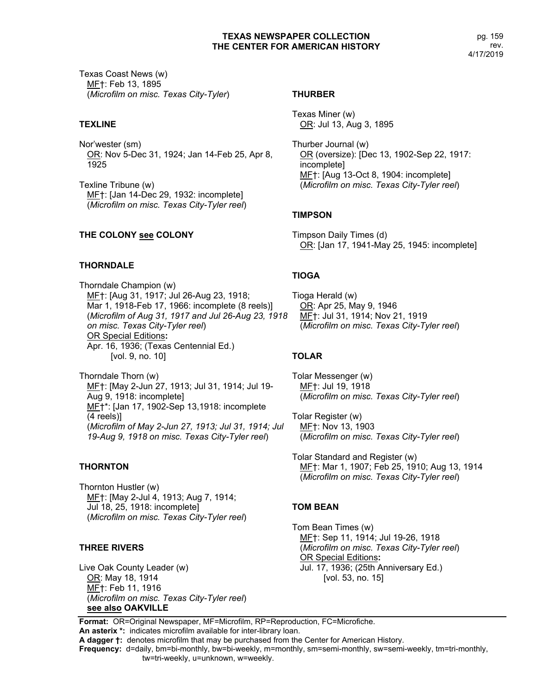Texas Coast News (w) MF†: Feb 13, 1895 (*Microfilm on misc. Texas City-Tyler*)

# **TEXLINE**

Nor'wester (sm) OR: Nov 5-Dec 31, 1924; Jan 14-Feb 25, Apr 8, 1925

Texline Tribune (w) MF†: [Jan 14-Dec 29, 1932: incomplete] (*Microfilm on misc. Texas City-Tyler reel*)

# **THE COLONY see COLONY**

# **THORNDALE**

Thorndale Champion (w) MF†: [Aug 31, 1917; Jul 26-Aug 23, 1918; Mar 1, 1918-Feb 17, 1966: incomplete (8 reels)] (*Microfilm of Aug 31, 1917 and Jul 26-Aug 23, 1918 on misc. Texas City-Tyler reel*) OR Special Editions**:** Apr. 16, 1936; (Texas Centennial Ed.) [vol. 9, no. 10]

Thorndale Thorn (w) MF†: [May 2-Jun 27, 1913; Jul 31, 1914; Jul 19- Aug 9, 1918: incomplete] MF†\*: [Jan 17, 1902-Sep 13,1918: incomplete (4 reels)] (*Microfilm of May 2-Jun 27, 1913; Jul 31, 1914; Jul 19-Aug 9, 1918 on misc. Texas City-Tyler reel*)

# **THORNTON**

Thornton Hustler (w) MF†: [May 2-Jul 4, 1913; Aug 7, 1914; Jul 18, 25, 1918: incomplete] (*Microfilm on misc. Texas City-Tyler reel*)

# **THREE RIVERS**

Live Oak County Leader (w) OR: May 18, 1914 MF†: Feb 11, 1916 (*Microfilm on misc. Texas City-Tyler reel*) **see also OAKVILLE**

# **THURBER**

Texas Miner (w) OR: Jul 13, Aug 3, 1895

Thurber Journal (w) OR (oversize): [Dec 13, 1902-Sep 22, 1917: incomplete] MF†: [Aug 13-Oct 8, 1904: incomplete] (*Microfilm on misc. Texas City-Tyler reel*)

# **TIMPSON**

Timpson Daily Times (d) OR: [Jan 17, 1941-May 25, 1945: incomplete]

# **TIOGA**

Tioga Herald (w) OR: Apr 25, May 9, 1946 MF†: Jul 31, 1914; Nov 21, 1919 (*Microfilm on misc. Texas City-Tyler reel*)

# **TOLAR**

Tolar Messenger (w) MF†: Jul 19, 1918 (*Microfilm on misc. Texas City-Tyler reel*)

Tolar Register (w) MF†: Nov 13, 1903 (*Microfilm on misc. Texas City-Tyler reel*)

Tolar Standard and Register (w) MF†: Mar 1, 1907; Feb 25, 1910; Aug 13, 1914 (*Microfilm on misc. Texas City-Tyler reel*)

# **TOM BEAN**

Tom Bean Times (w) MF†: Sep 11, 1914; Jul 19-26, 1918 (*Microfilm on misc. Texas City-Tyler reel*) OR Special Editions**:** Jul. 17, 1936; (25th Anniversary Ed.) [vol. 53, no. 15]

**Format:** OR=Original Newspaper, MF=Microfilm, RP=Reproduction, FC=Microfiche. **An asterix \*:** indicates microfilm available for inter-library loan. **A dagger †:** denotes microfilm that may be purchased from the Center for American History.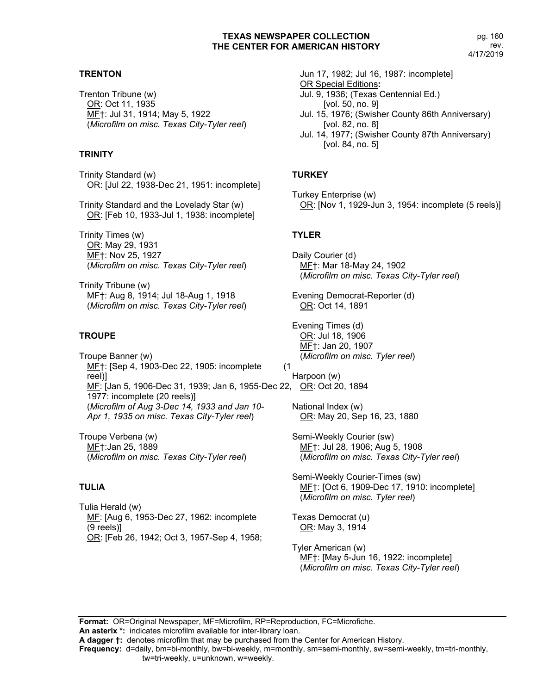# **TRENTON**

Trenton Tribune (w) OR: Oct 11, 1935 MF†: Jul 31, 1914; May 5, 1922 (*Microfilm on misc. Texas City-Tyler reel*)

# **TRINITY**

Trinity Standard (w) OR: [Jul 22, 1938-Dec 21, 1951: incomplete]

Trinity Standard and the Lovelady Star (w) OR: [Feb 10, 1933-Jul 1, 1938: incomplete]

Trinity Times (w) OR: May 29, 1931 MF†: Nov 25, 1927 (*Microfilm on misc. Texas City-Tyler reel*)

Trinity Tribune (w) MF†: Aug 8, 1914; Jul 18-Aug 1, 1918 (*Microfilm on misc. Texas City-Tyler reel*)

# **TROUPE**

Troupe Banner (w) ME<sup>+</sup>: [Sep 4, 1903-Dec 22, 1905: incomplete (1 reel)] MF: [Jan 5, 1906-Dec 31, 1939; Jan 6, 1955-Dec 22, OR: Oct 20, 1894 1977: incomplete (20 reels)] (*Microfilm of Aug 3-Dec 14, 1933 and Jan 10- Apr 1, 1935 on misc. Texas City-Tyler reel*)

Troupe Verbena (w) MF†:Jan 25, 1889 (*Microfilm on misc. Texas City-Tyler reel*)

# **TULIA**

Tulia Herald (w) MF: [Aug 6, 1953-Dec 27, 1962: incomplete (9 reels)] <u>OR</u>: [Feb 26, 1942; Oct 3, 1957-Sep 4, 1958; Jun 17, 1982; Jul 16, 1987: incomplete] OR Special Editions**:** Jul. 9, 1936; (Texas Centennial Ed.) [vol. 50, no. 9] Jul. 15, 1976; (Swisher County 86th Anniversary) [vol. 82, no. 8] Jul. 14, 1977; (Swisher County 87th Anniversary) [vol. 84, no. 5]

# **TURKEY**

Turkey Enterprise (w) OR: [Nov 1, 1929-Jun 3, 1954: incomplete (5 reels)]

# **TYLER**

Daily Courier (d) MF†: Mar 18-May 24, 1902 (*Microfilm on misc. Texas City-Tyler reel*)

Evening Democrat-Reporter (d) OR: Oct 14, 1891

Evening Times (d) OR: Jul 18, 1906 MF†: Jan 20, 1907 (*Microfilm on misc. Tyler reel*)

Harpoon (w)

National Index (w) OR: May 20, Sep 16, 23, 1880

Semi-Weekly Courier (sw) MF†: Jul 28, 1906; Aug 5, 1908 (*Microfilm on misc. Texas City-Tyler reel*)

Semi-Weekly Courier-Times (sw) MF†: [Oct 6, 1909-Dec 17, 1910: incomplete] (*Microfilm on misc. Tyler reel*)

Texas Democrat (u) OR: May 3, 1914

Tyler American (w) MF†: [May 5-Jun 16, 1922: incomplete] (*Microfilm on misc. Texas City-Tyler reel*)

**Format:** OR=Original Newspaper, MF=Microfilm, RP=Reproduction, FC=Microfiche. **An asterix \*:** indicates microfilm available for inter-library loan.

**A dagger †:** denotes microfilm that may be purchased from the Center for American History.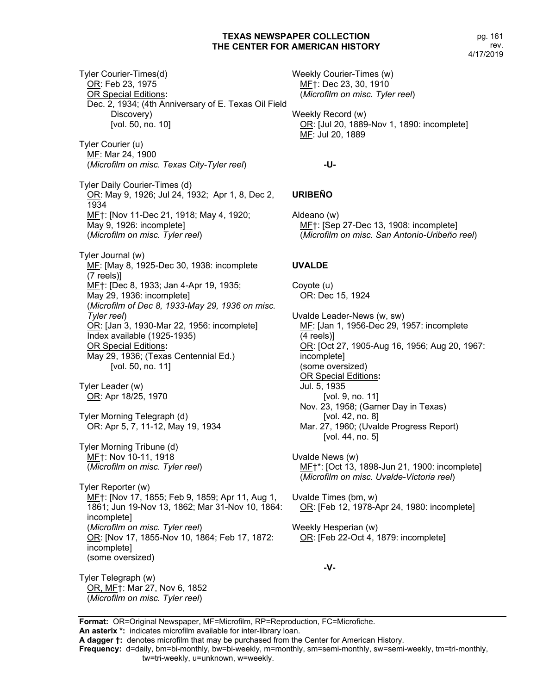pg. 161 rev. 4/17/2019

Tyler Courier-Times(d) OR: Feb 23, 1975 OR Special Editions**:** Dec. 2, 1934; (4th Anniversary of E. Texas Oil Field Discovery) [vol. 50, no. 10] Tyler Courier (u) MF: Mar 24, 1900 (*Microfilm on misc. Texas City-Tyler reel*) Tyler Daily Courier-Times (d) OR: May 9, 1926; Jul 24, 1932; Apr 1, 8, Dec 2, 1934 MF†: [Nov 11-Dec 21, 1918; May 4, 1920; May 9, 1926: incomplete] (*Microfilm on misc. Tyler reel*) Tyler Journal (w) MF: [May 8, 1925-Dec 30, 1938: incomplete (7 reels)] MF†: [Dec 8, 1933; Jan 4-Apr 19, 1935; May 29, 1936: incomplete] (*Microfilm of Dec 8, 1933-May 29, 1936 on misc. Tyler reel*) OR: [Jan 3, 1930-Mar 22, 1956: incomplete] Index available (1925-1935) OR Special Editions**:** May 29, 1936; (Texas Centennial Ed.) [vol. 50, no. 11] Tyler Leader (w) OR: Apr 18/25, 1970 Tyler Morning Telegraph (d) OR: Apr 5, 7, 11-12, May 19, 1934 Tyler Morning Tribune (d) MF†: Nov 10-11, 1918 (*Microfilm on misc. Tyler reel*) Tyler Reporter (w) MF†: [Nov 17, 1855; Feb 9, 1859; Apr 11, Aug 1, 1861; Jun 19-Nov 13, 1862; Mar 31-Nov 10, 1864: incomplete] (*Microfilm on misc. Tyler reel*) OR: [Nov 17, 1855-Nov 10, 1864; Feb 17, 1872: incomplete] (some oversized) Tyler Telegraph (w) OR, MF†: Mar 27, Nov 6, 1852 (*Microfilm on misc. Tyler reel*) Weekly Courier-Times (w) MF: Jul 20, 1889

MF†: Dec 23, 30, 1910 (*Microfilm on misc. Tyler reel*) Weekly Record (w) OR: [Jul 20, 1889-Nov 1, 1890: incomplete]

**-U-**

# **URIBEÑO**

Aldeano (w) MF†: [Sep 27-Dec 13, 1908: incomplete] (*Microfilm on misc. San Antonio-Uribeño reel*)

# **UVALDE**

Coyote (u) OR: Dec 15, 1924

Uvalde Leader-News (w, sw) MF: [Jan 1, 1956-Dec 29, 1957: incomplete (4 reels)] OR: [Oct 27, 1905-Aug 16, 1956; Aug 20, 1967: incomplete] (some oversized) OR Special Editions**:** Jul. 5, 1935 [vol. 9, no. 11] Nov. 23, 1958; (Garner Day in Texas) [vol. 42, no. 8] Mar. 27, 1960; (Uvalde Progress Report) [vol. 44, no. 5]

Uvalde News (w) MF†\*: [Oct 13, 1898-Jun 21, 1900: incomplete] (*Microfilm on misc. Uvalde-Victoria reel*)

Uvalde Times (bm, w) OR: [Feb 12, 1978-Apr 24, 1980: incomplete]

Weekly Hesperian (w) OR: [Feb 22-Oct 4, 1879: incomplete]

**-V-**

**Format:** OR=Original Newspaper, MF=Microfilm, RP=Reproduction, FC=Microfiche. **An asterix \*:** indicates microfilm available for inter-library loan.

**Frequency:** d=daily, bm=bi-monthly, bw=bi-weekly, m=monthly, sm=semi-monthly, sw=semi-weekly, tm=tri-monthly,

**A dagger †:** denotes microfilm that may be purchased from the Center for American History.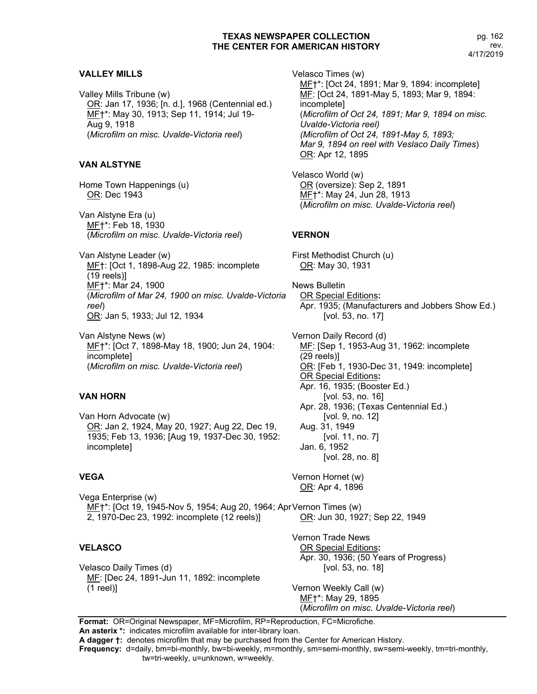## **VALLEY MILLS**

Valley Mills Tribune (w) OR: Jan 17, 1936; [n. d.], 1968 (Centennial ed.) MF†\*: May 30, 1913; Sep 11, 1914; Jul 19- Aug 9, 1918 (*Microfilm on misc. Uvalde-Victoria reel*)

# **VAN ALSTYNE**

Home Town Happenings (u) OR: Dec 1943

Van Alstyne Era (u) MF†\*: Feb 18, 1930 (*Microfilm on misc. Uvalde-Victoria reel*)

Van Alstyne Leader (w) MF†: [Oct 1, 1898-Aug 22, 1985: incomplete (19 reels)] MF†\*: Mar 24, 1900 (*Microfilm of Mar 24, 1900 on misc. Uvalde-Victoria reel*) OR: Jan 5, 1933; Jul 12, 1934

Van Alstyne News (w) MF†\*: [Oct 7, 1898-May 18, 1900; Jun 24, 1904: incomplete] (*Microfilm on misc. Uvalde-Victoria reel*)

# **VAN HORN**

Van Horn Advocate (w) OR: Jan 2, 1924, May 20, 1927; Aug 22, Dec 19, 1935; Feb 13, 1936; [Aug 19, 1937-Dec 30, 1952: incomplete]

## **VEGA**

Vega Enterprise (w) ME†\*: [Oct 19, 1945-Nov 5, 1954; Aug 20, 1964; Apr Vernon Times (w) 2, 1970-Dec 23, 1992: incomplete (12 reels)] OR: Jun 30, 1927; Sep 22, 1949

### **VELASCO**

Velasco Daily Times (d) MF: [Dec 24, 1891-Jun 11, 1892: incomplete (1 reel)]

Velasco Times (w) MF†\*: [Oct 24, 1891; Mar 9, 1894: incomplete] MF: [Oct 24, 1891-May 5, 1893; Mar 9, 1894: incomplete] (*Microfilm of Oct 24, 1891; Mar 9, 1894 on misc. Uvalde-Victoria reel) (Microfilm of Oct 24, 1891-May 5, 1893; Mar 9, 1894 on reel with Veslaco Daily Times*) OR: Apr 12, 1895 Velasco World (w) OR (oversize): Sep 2, 1891 MF†\*: May 24, Jun 28, 1913 (*Microfilm on misc. Uvalde-Victoria reel*) **VERNON** First Methodist Church (u) OR: May 30, 1931 News Bulletin OR Special Editions**:** Apr. 1935; (Manufacturers and Jobbers Show Ed.) [vol. 53, no. 17] Vernon Daily Record (d) MF: [Sep 1, 1953-Aug 31, 1962: incomplete (29 reels)] OR: [Feb 1, 1930-Dec 31, 1949: incomplete] OR Special Editions**:** Apr. 16, 1935; (Booster Ed.) [vol. 53, no. 16] Apr. 28, 1936; (Texas Centennial Ed.) [vol. 9, no. 12]

Aug. 31, 1949 [vol. 11, no. 7] Jan. 6, 1952 [vol. 28, no. 8]

Vernon Hornet (w) OR: Apr 4, 1896

Vernon Trade News OR Special Editions**:** Apr. 30, 1936; (50 Years of Progress) [vol. 53, no. 18]

Vernon Weekly Call (w) MF†\*: May 29, 1895 (*Microfilm on misc. Uvalde-Victoria reel*)

**Format:** OR=Original Newspaper, MF=Microfilm, RP=Reproduction, FC=Microfiche. **An asterix \*:** indicates microfilm available for inter-library loan.

**A dagger †:** denotes microfilm that may be purchased from the Center for American History.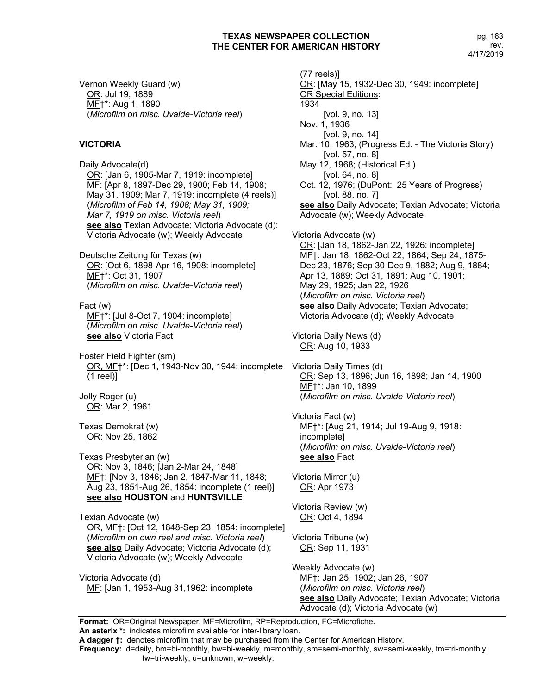Vernon Weekly Guard (w) OR: Jul 19, 1889 MF†\*: Aug 1, 1890 (*Microfilm on misc. Uvalde-Victoria reel*)

# **VICTORIA**

Daily Advocate(d) OR: [Jan 6, 1905-Mar 7, 1919: incomplete] MF: [Apr 8, 1897-Dec 29, 1900; Feb 14, 1908; May 31, 1909; Mar 7, 1919: incomplete (4 reels)] (*Microfilm of Feb 14, 1908; May 31, 1909; Mar 7, 1919 on misc. Victoria reel*) **see also** Texian Advocate; Victoria Advocate (d); Victoria Advocate (w); Weekly Advocate

Deutsche Zeitung für Texas (w) OR: [Oct 6, 1898-Apr 16, 1908: incomplete] MF†\*: Oct 31, 1907 (*Microfilm on misc. Uvalde-Victoria reel*)

Fact (w) MF<sup>+\*</sup>: [Jul 8-Oct 7, 1904: incomplete] (*Microfilm on misc. Uvalde-Victoria reel*) **see also** Victoria Fact

Foster Field Fighter (sm) OR, MF†\*: [Dec 1, 1943-Nov 30, 1944: incomplete Victoria Daily Times (d) (1 reel)]

Jolly Roger (u) OR: Mar 2, 1961

Texas Demokrat (w) OR: Nov 25, 1862

Texas Presbyterian (w) OR: Nov 3, 1846; [Jan 2-Mar 24, 1848] MF†: [Nov 3, 1846; Jan 2, 1847-Mar 11, 1848; Aug 23, 1851-Aug 26, 1854: incomplete (1 reel)] **see also HOUSTON** and **HUNTSVILLE**

Texian Advocate (w) OR, MF†: [Oct 12, 1848-Sep 23, 1854: incomplete] (*Microfilm on own reel and misc. Victoria reel*) **see also** Daily Advocate; Victoria Advocate (d); Victoria Advocate (w); Weekly Advocate

Victoria Advocate (d) MF: [Jan 1, 1953-Aug 31,1962: incomplete

(77 reels)] OR: [May 15, 1932-Dec 30, 1949: incomplete] OR Special Editions**:** 1934 [vol. 9, no. 13] Nov. 1, 1936 [vol. 9, no. 14] Mar. 10, 1963; (Progress Ed. - The Victoria Story) [vol. 57, no. 8] May 12, 1968; (Historical Ed.) [vol. 64, no. 8] Oct. 12, 1976; (DuPont: 25 Years of Progress) [vol. 88, no. 7] **see also** Daily Advocate; Texian Advocate; Victoria Advocate (w); Weekly Advocate Victoria Advocate (w) OR: [Jan 18, 1862-Jan 22, 1926: incomplete] MF<sup>+</sup>: Jan 18, 1862-Oct 22, 1864; Sep 24, 1875-Dec 23, 1876; Sep 30-Dec 9, 1882; Aug 9, 1884; Apr 13, 1889; Oct 31, 1891; Aug 10, 1901; May 29, 1925; Jan 22, 1926 (*Microfilm on misc. Victoria reel*) **see also** Daily Advocate; Texian Advocate; Victoria Advocate (d); Weekly Advocate Victoria Daily News (d) OR: Aug 10, 1933 OR: Sep 13, 1896; Jun 16, 1898; Jan 14, 1900 MF†\*: Jan 10, 1899 (*Microfilm on misc. Uvalde-Victoria reel*) Victoria Fact (w) MF†\*: [Aug 21, 1914; Jul 19-Aug 9, 1918: incomplete] (*Microfilm on misc. Uvalde-Victoria reel*) **see also** Fact Victoria Mirror (u) OR: Apr 1973 Victoria Review (w) OR: Oct 4, 1894 Victoria Tribune (w) OR: Sep 11, 1931 Weekly Advocate (w) MF†: Jan 25, 1902; Jan 26, 1907 (*Microfilm on misc. Victoria reel*) **see also** Daily Advocate; Texian Advocate; Victoria Advocate (d); Victoria Advocate (w)

**Format:** OR=Original Newspaper, MF=Microfilm, RP=Reproduction, FC=Microfiche.

**An asterix \*:** indicates microfilm available for inter-library loan.

**A dagger †:** denotes microfilm that may be purchased from the Center for American History.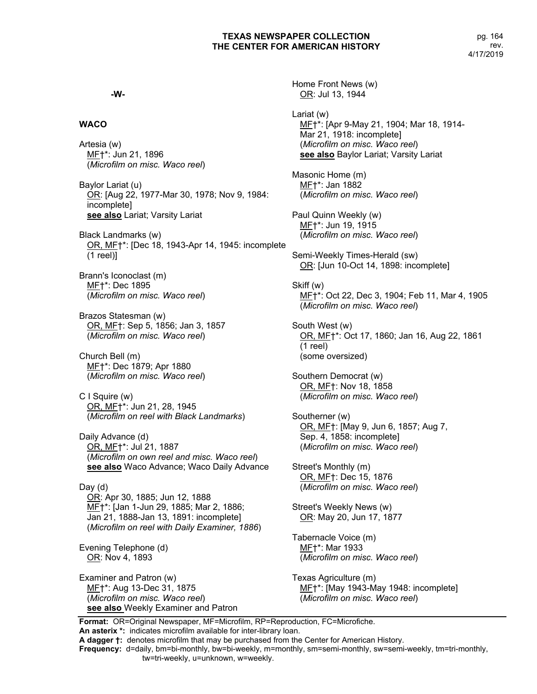**-W-**

## **WACO**

Artesia (w) MF†\*: Jun 21, 1896 (*Microfilm on misc. Waco reel*)

Baylor Lariat (u) OR: [Aug 22, 1977-Mar 30, 1978; Nov 9, 1984: incomplete] **see also** Lariat; Varsity Lariat

Black Landmarks (w) OR, MF†\*: [Dec 18, 1943-Apr 14, 1945: incomplete (1 reel)]

Brann's Iconoclast (m) MF†\*: Dec 1895 (*Microfilm on misc. Waco reel*)

Brazos Statesman (w) OR, MF†: Sep 5, 1856; Jan 3, 1857 (*Microfilm on misc. Waco reel*)

Church Bell (m) MF†\*: Dec 1879; Apr 1880 (*Microfilm on misc. Waco reel*)

C I Squire (w) OR, MF†\*: Jun 21, 28, 1945 (*Microfilm on reel with Black Landmarks*)

Daily Advance (d) OR, MF†\*: Jul 21, 1887 (*Microfilm on own reel and misc. Waco reel*) **see also** Waco Advance; Waco Daily Advance

Day (d) OR: Apr 30, 1885; Jun 12, 1888 MF†\*: [Jan 1-Jun 29, 1885; Mar 2, 1886; Jan 21, 1888-Jan 13, 1891: incomplete] (*Microfilm on reel with Daily Examiner, 1886*)

Evening Telephone (d) OR: Nov 4, 1893

Examiner and Patron (w) MF†\*: Aug 13-Dec 31, 1875 (*Microfilm on misc. Waco reel*) **see also** Weekly Examiner and Patron Home Front News (w) OR: Jul 13, 1944 Lariat (w) MF†\*: [Apr 9-May 21, 1904; Mar 18, 1914- Mar 21, 1918: incomplete] (*Microfilm on misc. Waco reel*) **see also** Baylor Lariat; Varsity Lariat Masonic Home (m) MF†\*: Jan 1882 (*Microfilm on misc. Waco reel*) Paul Quinn Weekly (w) MF†\*: Jun 19, 1915 (*Microfilm on misc. Waco reel*) Semi-Weekly Times-Herald (sw) OR: [Jun 10-Oct 14, 1898: incomplete] Skiff (w) ME†\*: Oct 22, Dec 3, 1904; Feb 11, Mar 4, 1905 (*Microfilm on misc. Waco reel*) South West (w) OR, MF†\*: Oct 17, 1860; Jan 16, Aug 22, 1861 (1 reel) (some oversized) Southern Democrat (w) OR, MF†: Nov 18, 1858 (*Microfilm on misc. Waco reel*) Southerner (w) OR, MF†: [May 9, Jun 6, 1857; Aug 7, Sep. 4, 1858: incomplete] (*Microfilm on misc. Waco reel*) Street's Monthly (m) OR, MF†: Dec 15, 1876 (*Microfilm on misc. Waco reel*) Street's Weekly News (w) OR: May 20, Jun 17, 1877 Tabernacle Voice (m) MF†\*: Mar 1933 (*Microfilm on misc. Waco reel*) Texas Agriculture (m)

MF<sup>+\*</sup>: [May 1943-May 1948: incomplete] (*Microfilm on misc. Waco reel*)

**Format:** OR=Original Newspaper, MF=Microfilm, RP=Reproduction, FC=Microfiche. **An asterix \*:** indicates microfilm available for inter-library loan.

**A dagger †:** denotes microfilm that may be purchased from the Center for American History.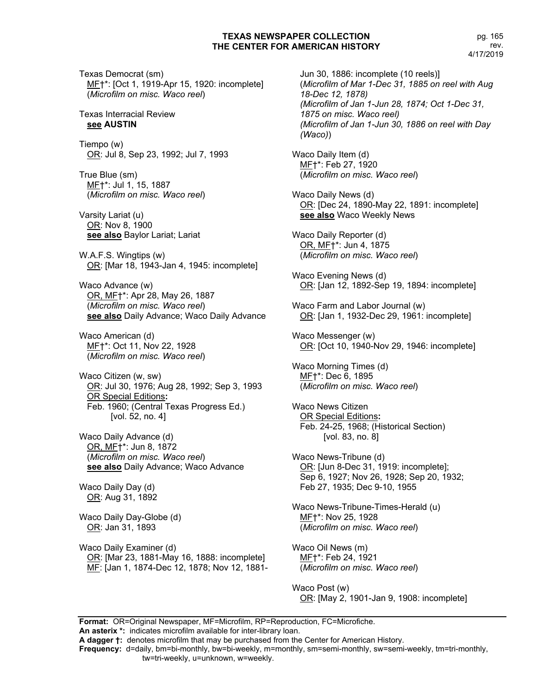Texas Democrat (sm) MF†\*: [Oct 1, 1919-Apr 15, 1920: incomplete] (*Microfilm on misc. Waco reel*)

#### Texas Interracial Review **see AUSTIN**

Tiempo (w) OR: Jul 8, Sep 23, 1992; Jul 7, 1993

True Blue (sm) MF†\*: Jul 1, 15, 1887 (*Microfilm on misc. Waco reel*)

Varsity Lariat (u) OR: Nov 8, 1900 **see also** Baylor Lariat; Lariat

W.A.F.S. Wingtips (w) OR: [Mar 18, 1943-Jan 4, 1945: incomplete]

Waco Advance (w) OR, MF†\*: Apr 28, May 26, 1887 (*Microfilm on misc. Waco reel*) **see also** Daily Advance; Waco Daily Advance

Waco American (d) MF†\*: Oct 11, Nov 22, 1928 (*Microfilm on misc. Waco reel*)

Waco Citizen (w, sw) OR: Jul 30, 1976; Aug 28, 1992; Sep 3, 1993 OR Special Editions**:** Feb. 1960; (Central Texas Progress Ed.) [vol. 52, no. 4]

Waco Daily Advance (d) OR, MF†\*: Jun 8, 1872 (*Microfilm on misc. Waco reel*) **see also** Daily Advance; Waco Advance

Waco Daily Day (d) OR: Aug 31, 1892

Waco Daily Day-Globe (d) OR: Jan 31, 1893

Waco Daily Examiner (d) OR: [Mar 23, 1881-May 16, 1888: incomplete] ME: [Jan 1, 1874-Dec 12, 1878; Nov 12, 1881-

Jun 30, 1886: incomplete (10 reels)] (*Microfilm of Mar 1-Dec 31, 1885 on reel with Aug 18-Dec 12, 1878) (Microfilm of Jan 1-Jun 28, 1874; Oct 1-Dec 31, 1875 on misc. Waco reel) (Microfilm of Jan 1-Jun 30, 1886 on reel with Day (Waco)*) Waco Daily Item (d) MF†\*: Feb 27, 1920 (*Microfilm on misc. Waco reel*) Waco Daily News (d) OR: [Dec 24, 1890-May 22, 1891: incomplete] **see also** Waco Weekly News Waco Daily Reporter (d) OR, MF†\*: Jun 4, 1875 (*Microfilm on misc. Waco reel*) Waco Evening News (d) OR: [Jan 12, 1892-Sep 19, 1894: incomplete] Waco Farm and Labor Journal (w) OR: [Jan 1, 1932-Dec 29, 1961: incomplete] Waco Messenger (w) OR: [Oct 10, 1940-Nov 29, 1946: incomplete] Waco Morning Times (d) MF†\*: Dec 6, 1895 (*Microfilm on misc. Waco reel*) Waco News Citizen OR Special Editions**:** Feb. 24-25, 1968; (Historical Section) [vol. 83, no. 8] Waco News-Tribune (d) OR: [Jun 8-Dec 31, 1919: incomplete]; Sep 6, 1927; Nov 26, 1928; Sep 20, 1932; Feb 27, 1935; Dec 9-10, 1955 Waco News-Tribune-Times-Herald (u) MF†\*: Nov 25, 1928 (*Microfilm on misc. Waco reel*) Waco Oil News (m) MF†\*: Feb 24, 1921 (*Microfilm on misc. Waco reel*)

Waco Post (w) OR: [May 2, 1901-Jan 9, 1908: incomplete]

**Format:** OR=Original Newspaper, MF=Microfilm, RP=Reproduction, FC=Microfiche. **An asterix \*:** indicates microfilm available for inter-library loan. **A dagger †:** denotes microfilm that may be purchased from the Center for American History.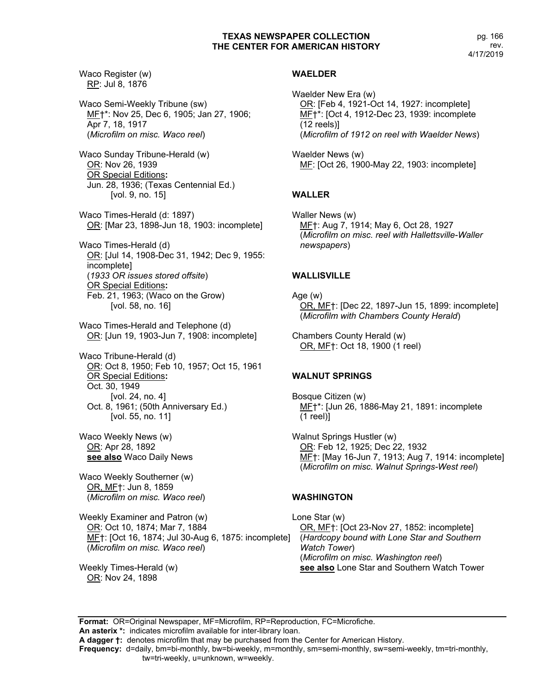pg. 166 rev. 4/17/2019

Waco Register (w) RP: Jul 8, 1876 Waco Semi-Weekly Tribune (sw) MF†\*: Nov 25, Dec 6, 1905; Jan 27, 1906; Apr 7, 18, 1917 (*Microfilm on misc. Waco reel*) Waco Sunday Tribune-Herald (w) OR: Nov 26, 1939 OR Special Editions**:** Jun. 28, 1936; (Texas Centennial Ed.) [vol. 9, no. 15] Waco Times-Herald (d: 1897) OR: [Mar 23, 1898-Jun 18, 1903: incomplete] Waco Times-Herald (d) OR: [Jul 14, 1908-Dec 31, 1942; Dec 9, 1955: incomplete] (*1933 OR issues stored offsite*) OR Special Editions**:** Feb. 21, 1963; (Waco on the Grow) [vol. 58, no. 16] Waco Times-Herald and Telephone (d) OR: [Jun 19, 1903-Jun 7, 1908: incomplete] Waco Tribune-Herald (d) OR: Oct 8, 1950; Feb 10, 1957; Oct 15, 1961 OR Special Editions**:** Oct. 30, 1949 [vol. 24, no. 4] Oct. 8, 1961; (50th Anniversary Ed.) [vol. 55, no. 11] Waco Weekly News (w) OR: Apr 28, 1892 **see also** Waco Daily News Waco Weekly Southerner (w) OR, MF†: Jun 8, 1859 (*Microfilm on misc. Waco reel*)

Weekly Examiner and Patron (w) OR: Oct 10, 1874; Mar 7, 1884 MF†: [Oct 16, 1874; Jul 30-Aug 6, 1875: incomplete] (*Microfilm on misc. Waco reel*)

Weekly Times-Herald (w) OR: Nov 24, 1898

# **WAELDER**

Waelder New Era (w) OR: [Feb 4, 1921-Oct 14, 1927: incomplete] MF†\*: [Oct 4, 1912-Dec 23, 1939: incomplete (12 reels)] (*Microfilm of 1912 on reel with Waelder News*)

Waelder News (w) MF: [Oct 26, 1900-May 22, 1903: incomplete]

# **WALLER**

Waller News (w) MF†: Aug 7, 1914; May 6, Oct 28, 1927 (*Microfilm on misc. reel with Hallettsville-Waller newspapers*)

# **WALLISVILLE**

Age (w) OR, MF†: [Dec 22, 1897-Jun 15, 1899: incomplete] (*Microfilm with Chambers County Herald*)

Chambers County Herald (w) OR, MF†: Oct 18, 1900 (1 reel)

# **WALNUT SPRINGS**

Bosque Citizen (w) MF†\*: [Jun 26, 1886-May 21, 1891: incomplete (1 reel)]

Walnut Springs Hustler (w) OR: Feb 12, 1925; Dec 22, 1932 MF†: [May 16-Jun 7, 1913; Aug 7, 1914: incomplete] (*Microfilm on misc. Walnut Springs-West reel*)

# **WASHINGTON**

Lone Star (w) OR, MF†: [Oct 23-Nov 27, 1852: incomplete] (*Hardcopy bound with Lone Star and Southern Watch Tower*) (*Microfilm on misc. Washington reel*) **see also** Lone Star and Southern Watch Tower

**Format:** OR=Original Newspaper, MF=Microfilm, RP=Reproduction, FC=Microfiche. **An asterix \*:** indicates microfilm available for inter-library loan. **A dagger †:** denotes microfilm that may be purchased from the Center for American History. **Frequency:** d=daily, bm=bi-monthly, bw=bi-weekly, m=monthly, sm=semi-monthly, sw=semi-weekly, tm=tri-monthly, tw=tri-weekly, u=unknown, w=weekly.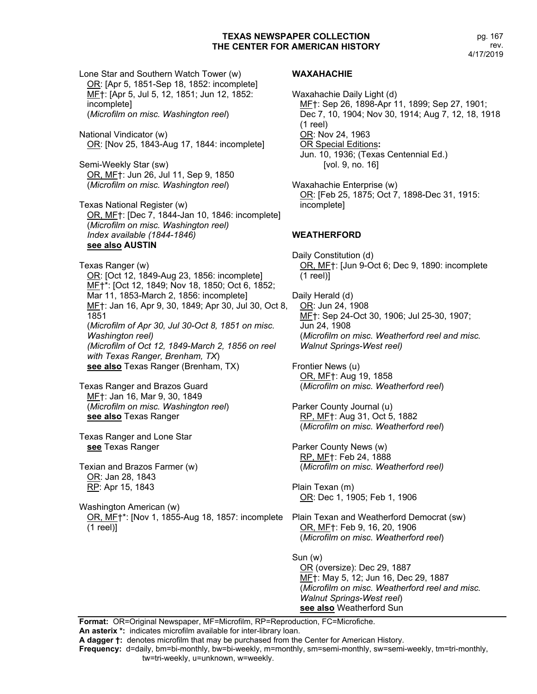pg. 167 rev. 4/17/2019

Lone Star and Southern Watch Tower (w) OR: [Apr 5, 1851-Sep 18, 1852: incomplete] MF†: [Apr 5, Jul 5, 12, 1851; Jun 12, 1852: incomplete] (*Microfilm on misc. Washington reel*) National Vindicator (w) OR: [Nov 25, 1843-Aug 17, 1844: incomplete] Semi-Weekly Star (sw) OR, MF†: Jun 26, Jul 11, Sep 9, 1850 (*Microfilm on misc. Washington reel*) Texas National Register (w) OR, MF†: [Dec 7, 1844-Jan 10, 1846: incomplete] (*Microfilm on misc. Washington reel) Index available (1844-1846)* **see also AUSTIN** Texas Ranger (w) OR: [Oct 12, 1849-Aug 23, 1856: incomplete] MF†\*: [Oct 12, 1849; Nov 18, 1850; Oct 6, 1852; Mar 11, 1853-March 2, 1856: incomplete] MF†: Jan 16, Apr 9, 30, 1849; Apr 30, Jul 30, Oct 8, 1851 (*Microfilm of Apr 30, Jul 30-Oct 8, 1851 on misc. Washington reel) (Microfilm of Oct 12, 1849-March 2, 1856 on reel with Texas Ranger, Brenham, TX*) **see also** Texas Ranger (Brenham, TX) Texas Ranger and Brazos Guard MF†: Jan 16, Mar 9, 30, 1849 (*Microfilm on misc. Washington reel*) **see also** Texas Ranger Texas Ranger and Lone Star **see** Texas Ranger Texian and Brazos Farmer (w) OR: Jan 28, 1843 RP: Apr 15, 1843 Washington American (w) OR, MF†\*: [Nov 1, 1855-Aug 18, 1857: incomplete Plain Texan and Weatherford Democrat (sw) (1 reel)]

#### **WAXAHACHIE**

Waxahachie Daily Light (d) MF†: Sep 26, 1898-Apr 11, 1899; Sep 27, 1901; Dec 7, 10, 1904; Nov 30, 1914; Aug 7, 12, 18, 1918 (1 reel) OR: Nov 24, 1963 OR Special Editions**:** Jun. 10, 1936; (Texas Centennial Ed.) [vol. 9, no. 16]

Waxahachie Enterprise (w) OR: [Feb 25, 1875; Oct 7, 1898-Dec 31, 1915: incomplete]

### **WEATHERFORD**

Daily Constitution (d) OR, MF†: [Jun 9-Oct 6; Dec 9, 1890: incomplete (1 reel)]

Daily Herald (d) OR: Jun 24, 1908 MF†: Sep 24-Oct 30, 1906; Jul 25-30, 1907; Jun 24, 1908 (*Microfilm on misc. Weatherford reel and misc. Walnut Springs-West reel)*

Frontier News (u) OR, MF†: Aug 19, 1858 (*Microfilm on misc. Weatherford reel*)

Parker County Journal (u) RP, MF†: Aug 31, Oct 5, 1882 (*Microfilm on misc. Weatherford reel*)

Parker County News (w) RP, MF†: Feb 24, 1888 (*Microfilm on misc. Weatherford reel)*

Plain Texan (m) OR: Dec 1, 1905; Feb 1, 1906

OR, MF†: Feb 9, 16, 20, 1906 (*Microfilm on misc. Weatherford reel*)

Sun (w) OR (oversize): Dec 29, 1887 MF†: May 5, 12; Jun 16, Dec 29, 1887 (*Microfilm on misc. Weatherford reel and misc. Walnut Springs-West reel*) **see also** Weatherford Sun

**Format:** OR=Original Newspaper, MF=Microfilm, RP=Reproduction, FC=Microfiche. **An asterix \*:** indicates microfilm available for inter-library loan.

**A dagger †:** denotes microfilm that may be purchased from the Center for American History.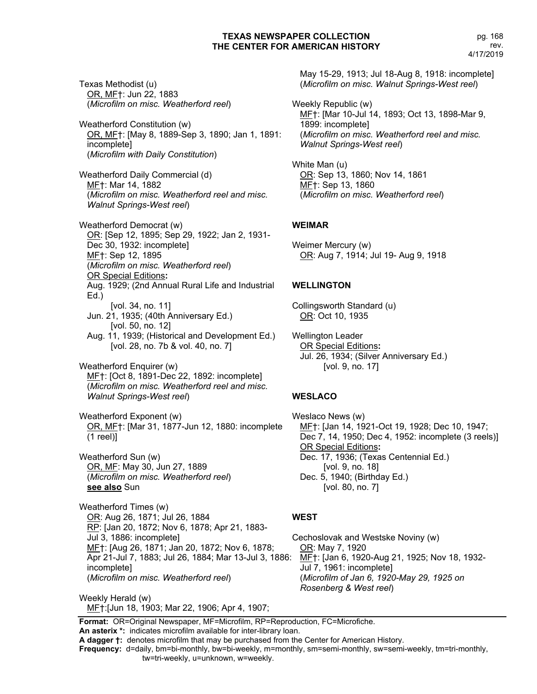Texas Methodist (u) OR, MF†: Jun 22, 1883 (*Microfilm on misc. Weatherford reel*)

Weatherford Constitution (w) OR, MF†: [May 8, 1889-Sep 3, 1890; Jan 1, 1891: incomplete] (*Microfilm with Daily Constitution*)

Weatherford Daily Commercial (d) MF†: Mar 14, 1882 (*Microfilm on misc. Weatherford reel and misc. Walnut Springs-West reel*)

Weatherford Democrat (w) OR: [Sep 12, 1895; Sep 29, 1922; Jan 2, 1931- Dec 30, 1932: incomplete] MF†: Sep 12, 1895 (*Microfilm on misc. Weatherford reel*) OR Special Editions**:** Aug. 1929; (2nd Annual Rural Life and Industrial Ed.) [vol. 34, no. 11] Jun. 21, 1935; (40th Anniversary Ed.) [vol. 50, no. 12] Aug. 11, 1939; (Historical and Development Ed.) [vol. 28, no. 7b & vol. 40, no. 7]

Weatherford Enquirer (w) MF†: [Oct 8, 1891-Dec 22, 1892: incomplete] (*Microfilm on misc. Weatherford reel and misc. Walnut Springs-West reel*)

Weatherford Exponent (w) OR, MF†: [Mar 31, 1877-Jun 12, 1880: incomplete (1 reel)]

Weatherford Sun (w) OR, MF: May 30, Jun 27, 1889 (*Microfilm on misc. Weatherford reel*) **see also** Sun

Weatherford Times (w) OR: Aug 26, 1871; Jul 26, 1884 RP: [Jan 20, 1872; Nov 6, 1878; Apr 21, 1883-Jul 3, 1886: incomplete] MF†: [Aug 26, 1871; Jan 20, 1872; Nov 6, 1878; Apr 21-Jul 7, 1883; Jul 26, 1884; Mar 13-Jul 3, 1886: incomplete] (*Microfilm on misc. Weatherford reel*)

Weekly Herald (w) MF†:[Jun 18, 1903; Mar 22, 1906; Apr 4, 1907; May 15-29, 1913; Jul 18-Aug 8, 1918: incomplete] (*Microfilm on misc. Walnut Springs-West reel*)

Weekly Republic (w) MF†: [Mar 10-Jul 14, 1893; Oct 13, 1898-Mar 9, 1899: incomplete] (*Microfilm on misc. Weatherford reel and misc. Walnut Springs-West reel*)

White Man (u) OR: Sep 13, 1860; Nov 14, 1861 MF†: Sep 13, 1860 (*Microfilm on misc. Weatherford reel*)

# **WEIMAR**

Weimer Mercury (w) OR: Aug 7, 1914; Jul 19- Aug 9, 1918

# **WELLINGTON**

Collingsworth Standard (u) OR: Oct 10, 1935

Wellington Leader OR Special Editions**:** Jul. 26, 1934; (Silver Anniversary Ed.) [vol. 9, no. 17]

### **WESLACO**

Weslaco News (w) MF†: [Jan 14, 1921-Oct 19, 1928; Dec 10, 1947; Dec 7, 14, 1950; Dec 4, 1952: incomplete (3 reels)] OR Special Editions**:** Dec. 17, 1936; (Texas Centennial Ed.) [vol. 9, no. 18] Dec. 5, 1940; (Birthday Ed.) [vol. 80, no. 7]

# **WEST**

Cechoslovak and Westske Noviny (w) OR: May 7, 1920 MF†: [Jan 6, 1920-Aug 21, 1925; Nov 18, 1932- Jul 7, 1961: incomplete] (*Microfilm of Jan 6, 1920-May 29, 1925 on Rosenberg & West reel*)

**Format:** OR=Original Newspaper, MF=Microfilm, RP=Reproduction, FC=Microfiche.

**An asterix \*:** indicates microfilm available for inter-library loan. **A dagger †:** denotes microfilm that may be purchased from the Center for American History.

**Frequency:** d=daily, bm=bi-monthly, bw=bi-weekly, m=monthly, sm=semi-monthly, sw=semi-weekly, tm=tri-monthly,

tw=tri-weekly, u=unknown, w=weekly.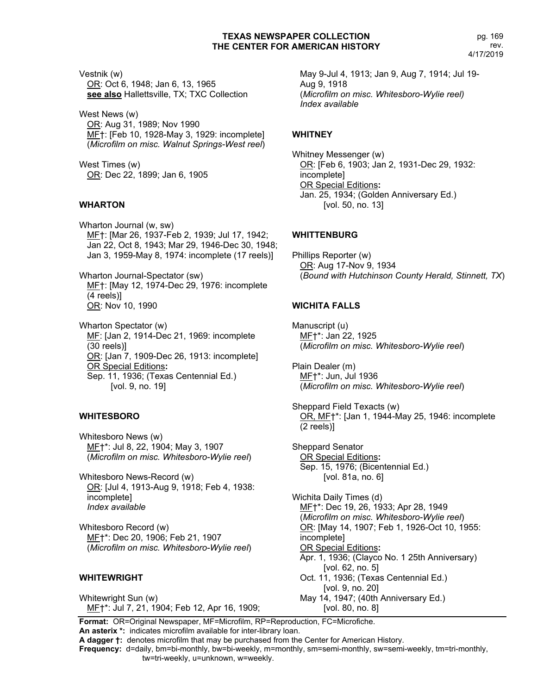Vestnik (w) OR: Oct 6, 1948; Jan 6, 13, 1965 **see also** Hallettsville, TX; TXC Collection

West News (w) OR: Aug 31, 1989; Nov 1990 MF†: [Feb 10, 1928-May 3, 1929: incomplete] (*Microfilm on misc. Walnut Springs-West reel*)

West Times (w) OR: Dec 22, 1899; Jan 6, 1905

# **WHARTON**

Wharton Journal (w, sw) MF†: [Mar 26, 1937-Feb 2, 1939; Jul 17, 1942; Jan 22, Oct 8, 1943; Mar 29, 1946-Dec 30, 1948; Jan 3, 1959-May 8, 1974: incomplete (17 reels)]

Wharton Journal-Spectator (sw) MF†: [May 12, 1974-Dec 29, 1976: incomplete (4 reels)] OR: Nov 10, 1990

Wharton Spectator (w) ME: [Jan 2, 1914-Dec 21, 1969: incomplete (30 reels)] OR: [Jan 7, 1909-Dec 26, 1913: incomplete] OR Special Editions**:** Sep. 11, 1936; (Texas Centennial Ed.) [vol. 9, no. 19]

# **WHITESBORO**

Whitesboro News (w) MF†\*: Jul 8, 22, 1904; May 3, 1907 (*Microfilm on misc. Whitesboro-Wylie reel*)

Whitesboro News-Record (w) OR: [Jul 4, 1913-Aug 9, 1918; Feb 4, 1938: incomplete] *Index available*

Whitesboro Record (w) MF†\*: Dec 20, 1906; Feb 21, 1907 (*Microfilm on misc. Whitesboro-Wylie reel*)

### **WHITEWRIGHT**

Whitewright Sun (w) MF†\*: Jul 7, 21, 1904; Feb 12, Apr 16, 1909; May 9-Jul 4, 1913; Jan 9, Aug 7, 1914; Jul 19- Aug 9, 1918 (*Microfilm on misc. Whitesboro-Wylie reel) Index available*

### **WHITNEY**

Whitney Messenger (w) OR: [Feb 6, 1903; Jan 2, 1931-Dec 29, 1932: incomplete] OR Special Editions**:** Jan. 25, 1934; (Golden Anniversary Ed.) [vol. 50, no. 13]

### **WHITTENBURG**

Phillips Reporter (w) OR: Aug 17-Nov 9, 1934 (*Bound with Hutchinson County Herald, Stinnett, TX*)

# **WICHITA FALLS**

Manuscript (u) MF†\*: Jan 22, 1925 (*Microfilm on misc. Whitesboro-Wylie reel*)

Plain Dealer (m) MF†\*: Jun, Jul 1936 (*Microfilm on misc. Whitesboro-Wylie reel*)

Sheppard Field Texacts (w) OR, MF†\*: [Jan 1, 1944-May 25, 1946: incomplete (2 reels)]

Sheppard Senator OR Special Editions**:** Sep. 15, 1976; (Bicentennial Ed.) [vol. 81a, no. 6]

Wichita Daily Times (d) MF†\*: Dec 19, 26, 1933; Apr 28, 1949 (*Microfilm on misc. Whitesboro-Wylie reel*) OR: [May 14, 1907; Feb 1, 1926-Oct 10, 1955: incomplete] OR Special Editions**:** Apr. 1, 1936; (Clayco No. 1 25th Anniversary) [vol. 62, no. 5] Oct. 11, 1936; (Texas Centennial Ed.) [vol. 9, no. 20] May 14, 1947; (40th Anniversary Ed.) [vol. 80, no. 8]

**Format:** OR=Original Newspaper, MF=Microfilm, RP=Reproduction, FC=Microfiche. **An asterix \*:** indicates microfilm available for inter-library loan.

**A dagger †:** denotes microfilm that may be purchased from the Center for American History.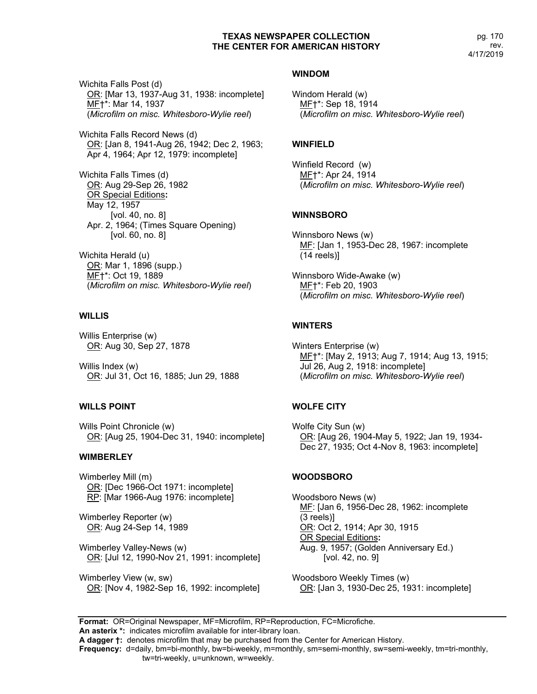pg. 170 rev. 4/17/2019

Wichita Falls Post (d) OR: [Mar 13, 1937-Aug 31, 1938: incomplete] MF†\*: Mar 14, 1937 (*Microfilm on misc. Whitesboro-Wylie reel*)

Wichita Falls Record News (d) OR: [Jan 8, 1941-Aug 26, 1942; Dec 2, 1963; Apr 4, 1964; Apr 12, 1979: incomplete]

Wichita Falls Times (d) OR: Aug 29-Sep 26, 1982 OR Special Editions**:** May 12, 1957 [vol. 40, no. 8] Apr. 2, 1964; (Times Square Opening) [vol. 60, no. 8]

Wichita Herald (u) OR: Mar 1, 1896 (supp.) MF†\*: Oct 19, 1889 (*Microfilm on misc. Whitesboro-Wylie reel*)

# **WILLIS**

Willis Enterprise (w) OR: Aug 30, Sep 27, 1878

Willis Index (w) OR: Jul 31, Oct 16, 1885; Jun 29, 1888

# **WILLS POINT**

Wills Point Chronicle (w) OR: [Aug 25, 1904-Dec 31, 1940: incomplete]

### **WIMBERLEY**

Wimberley Mill (m) OR: [Dec 1966-Oct 1971: incomplete] RP: [Mar 1966-Aug 1976: incomplete]

Wimberley Reporter (w) OR: Aug 24-Sep 14, 1989

Wimberley Valley-News (w) OR: [Jul 12, 1990-Nov 21, 1991: incomplete]

Wimberley View (w, sw) OR: [Nov 4, 1982-Sep 16, 1992: incomplete]

## **WINDOM**

Windom Herald (w) MF†\*: Sep 18, 1914 (*Microfilm on misc. Whitesboro-Wylie reel*)

# **WINFIELD**

Winfield Record (w) MF†\*: Apr 24, 1914 (*Microfilm on misc. Whitesboro-Wylie reel*)

# **WINNSBORO**

Winnsboro News (w) MF: [Jan 1, 1953-Dec 28, 1967: incomplete (14 reels)]

Winnsboro Wide-Awake (w) MF†\*: Feb 20, 1903 (*Microfilm on misc. Whitesboro-Wylie reel*)

# **WINTERS**

Winters Enterprise (w) MF†\*: [May 2, 1913; Aug 7, 1914; Aug 13, 1915; Jul 26, Aug 2, 1918: incomplete] (*Microfilm on misc. Whitesboro-Wylie reel*)

# **WOLFE CITY**

Wolfe City Sun (w) OR: [Aug 26, 1904-May 5, 1922; Jan 19, 1934- Dec 27, 1935; Oct 4-Nov 8, 1963: incomplete]

# **WOODSBORO**

Woodsboro News (w) MF: [Jan 6, 1956-Dec 28, 1962: incomplete (3 reels)] OR: Oct 2, 1914; Apr 30, 1915 OR Special Editions**:** Aug. 9, 1957; (Golden Anniversary Ed.) [vol. 42, no. 9]

Woodsboro Weekly Times (w) OR: [Jan 3, 1930-Dec 25, 1931: incomplete]

**Format:** OR=Original Newspaper, MF=Microfilm, RP=Reproduction, FC=Microfiche. **An asterix \*:** indicates microfilm available for inter-library loan.

**A dagger †:** denotes microfilm that may be purchased from the Center for American History.

**Frequency:** d=daily, bm=bi-monthly, bw=bi-weekly, m=monthly, sm=semi-monthly, sw=semi-weekly, tm=tri-monthly,

tw=tri-weekly, u=unknown, w=weekly.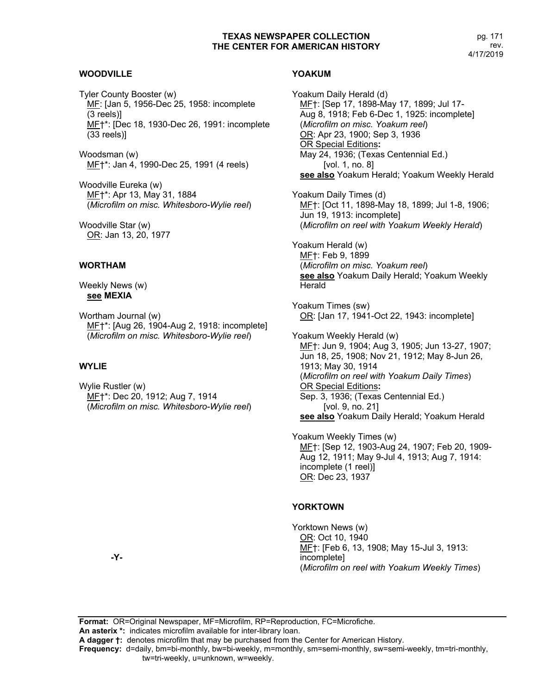# **WOODVILLE**

Tyler County Booster (w) MF: [Jan 5, 1956-Dec 25, 1958: incomplete (3 reels)] ME<sup>+\*</sup>: [Dec 18, 1930-Dec 26, 1991: incomplete (33 reels)]

Woodsman (w) MF†\*: Jan 4, 1990-Dec 25, 1991 (4 reels)

Woodville Eureka (w) MF†\*: Apr 13, May 31, 1884 (*Microfilm on misc. Whitesboro-Wylie reel*)

Woodville Star (w) OR: Jan 13, 20, 1977

### **WORTHAM**

Weekly News (w) **see MEXIA**

Wortham Journal (w) MF†\*: [Aug 26, 1904-Aug 2, 1918: incomplete] (*Microfilm on misc. Whitesboro-Wylie reel*)

# **WYLIE**

Wylie Rustler (w) MF†\*: Dec 20, 1912; Aug 7, 1914 (*Microfilm on misc. Whitesboro-Wylie reel*)

### **YOAKUM**

Yoakum Daily Herald (d) MF†: [Sep 17, 1898-May 17, 1899; Jul 17- Aug 8, 1918; Feb 6-Dec 1, 1925: incomplete] (*Microfilm on misc. Yoakum reel*) OR: Apr 23, 1900; Sep 3, 1936 OR Special Editions**:** May 24, 1936; (Texas Centennial Ed.) [vol. 1, no. 8] **see also** Yoakum Herald; Yoakum Weekly Herald Yoakum Daily Times (d) MF†: [Oct 11, 1898-May 18, 1899; Jul 1-8, 1906; Jun 19, 1913: incomplete] (*Microfilm on reel with Yoakum Weekly Herald*) Yoakum Herald (w) MF†: Feb 9, 1899 (*Microfilm on misc. Yoakum reel*) **see also** Yoakum Daily Herald; Yoakum Weekly **Herald** Yoakum Times (sw) OR: [Jan 17, 1941-Oct 22, 1943: incomplete] Yoakum Weekly Herald (w) MF†: Jun 9, 1904; Aug 3, 1905; Jun 13-27, 1907; Jun 18, 25, 1908; Nov 21, 1912; May 8-Jun 26, 1913; May 30, 1914

(*Microfilm on reel with Yoakum Daily Times*) OR Special Editions**:** Sep. 3, 1936; (Texas Centennial Ed.) [vol. 9, no. 21]

**see also** Yoakum Daily Herald; Yoakum Herald

Yoakum Weekly Times (w) MF†: [Sep 12, 1903-Aug 24, 1907; Feb 20, 1909- Aug 12, 1911; May 9-Jul 4, 1913; Aug 7, 1914: incomplete (1 reel)] OR: Dec 23, 1937

### **YORKTOWN**

Yorktown News (w) OR: Oct 10, 1940 MF†: [Feb 6, 13, 1908; May 15-Jul 3, 1913: incomplete] (*Microfilm on reel with Yoakum Weekly Times*)

**-Y-**

**Format:** OR=Original Newspaper, MF=Microfilm, RP=Reproduction, FC=Microfiche. **An asterix \*:** indicates microfilm available for inter-library loan. **A dagger †:** denotes microfilm that may be purchased from the Center for American History. **Frequency:** d=daily, bm=bi-monthly, bw=bi-weekly, m=monthly, sm=semi-monthly, sw=semi-weekly, tm=tri-monthly, tw=tri-weekly, u=unknown, w=weekly.